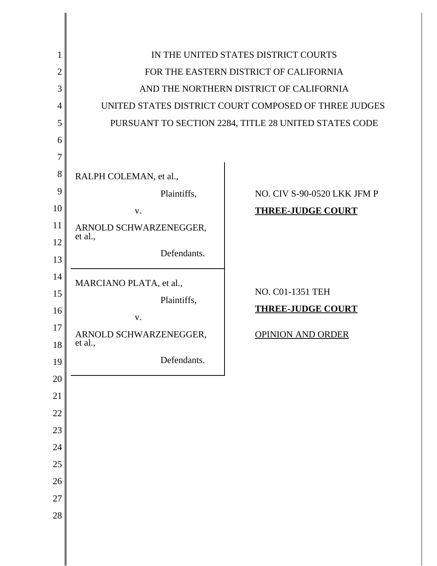| 1              |                                         | IN THE UNITED STATES DISTRICT COURTS                  |  |  |
|----------------|-----------------------------------------|-------------------------------------------------------|--|--|
| $\overline{2}$ | FOR THE EASTERN DISTRICT OF CALIFORNIA  |                                                       |  |  |
| 3              | AND THE NORTHERN DISTRICT OF CALIFORNIA |                                                       |  |  |
| $\overline{4}$ |                                         | UNITED STATES DISTRICT COURT COMPOSED OF THREE JUDGES |  |  |
| 5              |                                         | PURSUANT TO SECTION 2284, TITLE 28 UNITED STATES CODE |  |  |
| 6              |                                         |                                                       |  |  |
| 7              |                                         |                                                       |  |  |
| 8              | RALPH COLEMAN, et al.,                  |                                                       |  |  |
| 9              | Plaintiffs,                             | NO. CIV S-90-0520 LKK JFM P                           |  |  |
| 10             | V.                                      | <b>THREE-JUDGE COURT</b>                              |  |  |
| 11             | ARNOLD SCHWARZENEGGER,                  |                                                       |  |  |
| 12             | et al.,                                 |                                                       |  |  |
| 13             | Defendants.                             |                                                       |  |  |
| 14             | MARCIANO PLATA, et al.,                 |                                                       |  |  |
| 15             | Plaintiffs,                             | NO. C01-1351 TEH                                      |  |  |
| 16             | V.                                      | <b>THREE-JUDGE COURT</b>                              |  |  |
| 17             | ARNOLD SCHWARZENEGGER,                  | <b>OPINION AND ORDER</b>                              |  |  |
| 18             | et al.,                                 |                                                       |  |  |
| 19             | Defendants.                             |                                                       |  |  |
| 20             |                                         |                                                       |  |  |
| 21             |                                         |                                                       |  |  |
| 22             |                                         |                                                       |  |  |
| 23             |                                         |                                                       |  |  |
| 24             |                                         |                                                       |  |  |
| 25             |                                         |                                                       |  |  |
| 26             |                                         |                                                       |  |  |
| 27             |                                         |                                                       |  |  |
| 28             |                                         |                                                       |  |  |
|                |                                         |                                                       |  |  |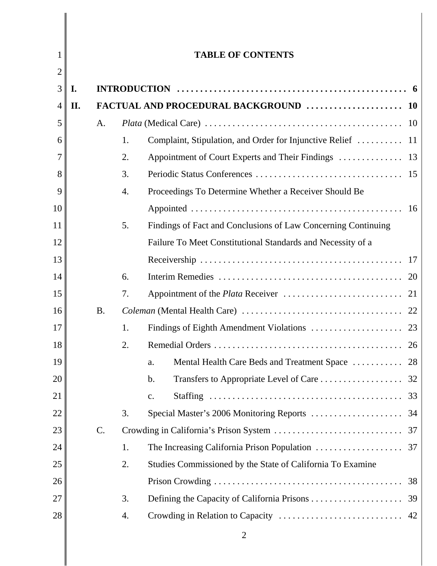| 1              |     |                 |                  | <b>TABLE OF CONTENTS</b>                                      |  |
|----------------|-----|-----------------|------------------|---------------------------------------------------------------|--|
| 2              |     |                 |                  |                                                               |  |
| 3              | I.  |                 |                  |                                                               |  |
| $\overline{4}$ | II. |                 |                  |                                                               |  |
| 5              |     | A.              |                  |                                                               |  |
| 6              |     |                 | 1.               |                                                               |  |
|                |     |                 | 2.               |                                                               |  |
| 8              |     |                 | 3.               |                                                               |  |
| 9              |     |                 | $\overline{4}$ . | Proceedings To Determine Whether a Receiver Should Be         |  |
| 10             |     |                 |                  |                                                               |  |
| 11             |     |                 | 5.               | Findings of Fact and Conclusions of Law Concerning Continuing |  |
| 12             |     |                 |                  | Failure To Meet Constitutional Standards and Necessity of a   |  |
| 13             |     |                 |                  |                                                               |  |
| 14             |     |                 | 6.               |                                                               |  |
| 15             |     |                 | 7.               |                                                               |  |
| 16             |     | <b>B.</b>       |                  |                                                               |  |
| 17             |     |                 | 1.               |                                                               |  |
| 18             |     |                 | 2.               |                                                               |  |
| 19             |     |                 |                  | Mental Health Care Beds and Treatment Space  28<br>a.         |  |
| 20             |     |                 |                  | b.                                                            |  |
| 21             |     |                 |                  | $\mathbf{c}$ .                                                |  |
| 22             |     |                 | 3.               |                                                               |  |
| 23             |     | $\mathcal{C}$ . |                  |                                                               |  |
| 24             |     |                 | 1.               |                                                               |  |
| 25             |     |                 | 2.               | Studies Commissioned by the State of California To Examine    |  |
| 26             |     |                 |                  |                                                               |  |
| 27             |     |                 | 3.               |                                                               |  |
| 28             |     |                 | 4.               |                                                               |  |
|                |     |                 |                  |                                                               |  |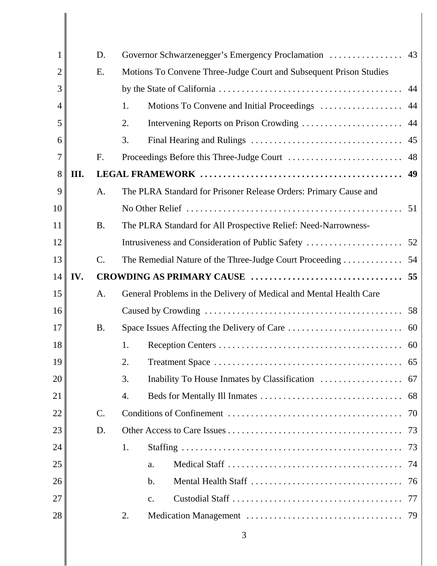| 1  |      | D.              | Governor Schwarzenegger's Emergency Proclamation                   | 43 |
|----|------|-----------------|--------------------------------------------------------------------|----|
| 2  |      | E.              | Motions To Convene Three-Judge Court and Subsequent Prison Studies |    |
| 3  |      |                 |                                                                    |    |
| 4  |      |                 | 1.                                                                 |    |
| 5  |      |                 | 2.                                                                 |    |
| 6  |      |                 | 3.                                                                 |    |
| 7  |      | F.              |                                                                    |    |
| 8  | III. |                 |                                                                    |    |
| 9  |      | A.              | The PLRA Standard for Prisoner Release Orders: Primary Cause and   |    |
| 10 |      |                 |                                                                    |    |
| 11 |      | <b>B.</b>       | The PLRA Standard for All Prospective Relief: Need-Narrowness-     |    |
| 12 |      |                 |                                                                    |    |
| 13 |      | $\mathcal{C}$ . |                                                                    |    |
| 14 | IV.  |                 |                                                                    |    |
| 15 |      | A.              | General Problems in the Delivery of Medical and Mental Health Care |    |
| 16 |      |                 |                                                                    |    |
| 17 |      | <b>B.</b>       |                                                                    |    |
| 18 |      |                 | 1.                                                                 |    |
| 19 |      |                 | 2.                                                                 |    |
| 20 |      |                 | 3.                                                                 |    |
| 21 |      |                 | 4.                                                                 |    |
| 22 |      | $\mathcal{C}$ . |                                                                    |    |
| 23 |      | D.              |                                                                    |    |
| 24 |      |                 | 1.                                                                 |    |
| 25 |      |                 | a.                                                                 |    |
| 26 |      |                 | $\mathbf b$ .                                                      |    |
| 27 |      |                 | c.                                                                 |    |
| 28 |      |                 | 2.                                                                 |    |
|    |      |                 |                                                                    |    |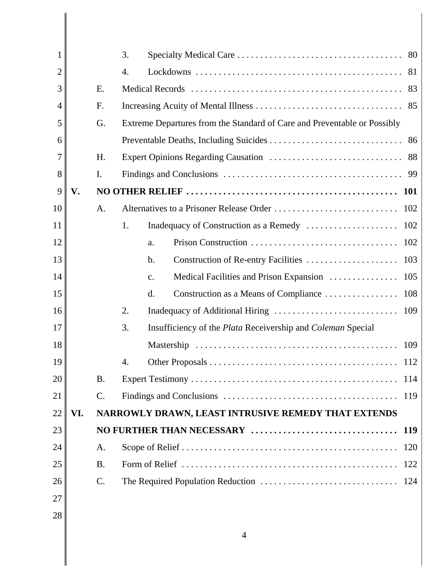|    |     |           | 3.                                                                       |
|----|-----|-----------|--------------------------------------------------------------------------|
| 2  |     |           | 4.                                                                       |
| 3  |     | E.        |                                                                          |
| 4  |     | F.        |                                                                          |
| 5  |     | G.        | Extreme Departures from the Standard of Care and Preventable or Possibly |
| 6  |     |           |                                                                          |
| 7  |     | H.        |                                                                          |
| 8  |     | I.        |                                                                          |
| 9  | V.  |           |                                                                          |
| 10 |     | A.        | 102                                                                      |
| 11 |     |           | 102<br>1.                                                                |
| 12 |     |           | a.                                                                       |
| 13 |     |           | Construction of Re-entry Facilities<br>103<br>$\mathbf b$ .              |
| 14 |     |           | Medical Facilities and Prison Expansion<br>105<br>c.                     |
| 15 |     |           | Construction as a Means of Compliance<br>108<br>d.                       |
| 16 |     |           | 2.                                                                       |
| 17 |     |           | 3.<br>Insufficiency of the Plata Receivership and Coleman Special        |
| 18 |     |           | 109                                                                      |
| 19 |     |           | 4.                                                                       |
| 20 |     | <b>B.</b> | 114                                                                      |
| 21 |     | $C$ .     | 119                                                                      |
| 22 | VI. |           | NARROWLY DRAWN, LEAST INTRUSIVE REMEDY THAT EXTENDS                      |
| 23 |     |           | NO FURTHER THAN NECESSARY<br><b>119</b>                                  |
| 24 |     | A.        | 120                                                                      |
| 25 |     | <b>B.</b> | 122                                                                      |
| 26 |     | $C$ .     | 124                                                                      |
| 27 |     |           |                                                                          |
| 28 |     |           |                                                                          |
|    |     |           | $\overline{4}$                                                           |

 $\begin{array}{c} \hline \end{array}$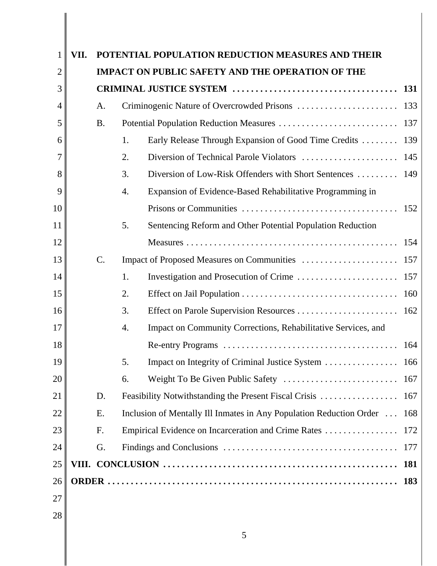| 1              | VII. |           | POTENTIAL POPULATION REDUCTION MEASURES AND THEIR                        |
|----------------|------|-----------|--------------------------------------------------------------------------|
| $\overline{2}$ |      |           | <b>IMPACT ON PUBLIC SAFETY AND THE OPERATION OF THE</b>                  |
| 3              |      |           |                                                                          |
| 4              |      | A.        |                                                                          |
| 5              |      | <b>B.</b> |                                                                          |
| 6              |      |           | Early Release Through Expansion of Good Time Credits  139<br>1.          |
| 7              |      |           | 2.                                                                       |
| 8              |      |           | 3.<br>Diversion of Low-Risk Offenders with Short Sentences  149          |
| 9              |      |           | Expansion of Evidence-Based Rehabilitative Programming in<br>4.          |
| 10             |      |           |                                                                          |
| 11             |      |           | 5.<br>Sentencing Reform and Other Potential Population Reduction         |
| 12             |      |           |                                                                          |
| 13             |      | $C$ .     |                                                                          |
| 14             |      |           | 1.                                                                       |
| 15             |      |           | 2.                                                                       |
| 16             |      |           | 3.                                                                       |
| 17             |      |           | Impact on Community Corrections, Rehabilitative Services, and<br>4.      |
| 18             |      |           |                                                                          |
| 19             |      |           | 5.                                                                       |
| 20             |      |           | 6.                                                                       |
| 21             |      | D.        |                                                                          |
| 22             |      | E.        | Inclusion of Mentally Ill Inmates in Any Population Reduction Order  168 |
| 23             |      | F.        |                                                                          |
| 24             |      | G.        |                                                                          |
| 25             |      |           | 181                                                                      |
| 26             |      |           | <b>183</b>                                                               |
| 27             |      |           |                                                                          |
| 28             |      |           |                                                                          |
|                |      |           | 5                                                                        |

 $\parallel$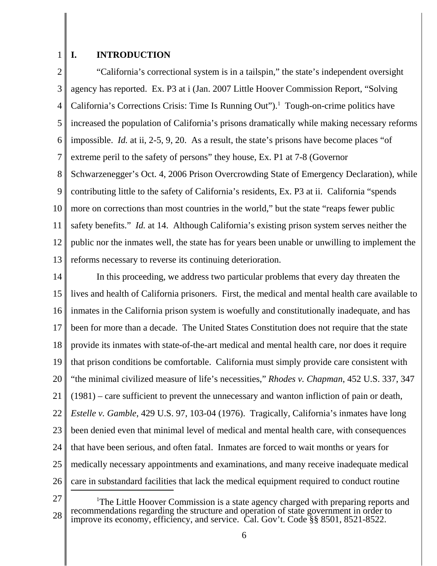# **I. INTRODUCTION**

2 3 4 5 6 7 8 9 10 11 12 13 "California's correctional system is in a tailspin," the state's independent oversight agency has reported. Ex. P3 at i (Jan. 2007 Little Hoover Commission Report, "Solving California's Corrections Crisis: Time Is Running Out").<sup>1</sup> Tough-on-crime politics have increased the population of California's prisons dramatically while making necessary reforms impossible. *Id.* at ii, 2-5, 9, 20. As a result, the state's prisons have become places "of extreme peril to the safety of persons" they house, Ex. P1 at 7-8 (Governor Schwarzenegger's Oct. 4, 2006 Prison Overcrowding State of Emergency Declaration), while contributing little to the safety of California's residents, Ex. P3 at ii. California "spends more on corrections than most countries in the world," but the state "reaps fewer public safety benefits." *Id.* at 14. Although California's existing prison system serves neither the public nor the inmates well, the state has for years been unable or unwilling to implement the reforms necessary to reverse its continuing deterioration.

14 15 16 17 18 19 20 21 22 23 24 25 26 In this proceeding, we address two particular problems that every day threaten the lives and health of California prisoners. First, the medical and mental health care available to inmates in the California prison system is woefully and constitutionally inadequate, and has been for more than a decade. The United States Constitution does not require that the state provide its inmates with state-of-the-art medical and mental health care, nor does it require that prison conditions be comfortable. California must simply provide care consistent with "the minimal civilized measure of life's necessities," *Rhodes v. Chapman*, 452 U.S. 337, 347 (1981) – care sufficient to prevent the unnecessary and wanton infliction of pain or death, *Estelle v. Gamble*, 429 U.S. 97, 103-04 (1976). Tragically, California's inmates have long been denied even that minimal level of medical and mental health care, with consequences that have been serious, and often fatal. Inmates are forced to wait months or years for medically necessary appointments and examinations, and many receive inadequate medical care in substandard facilities that lack the medical equipment required to conduct routine

<sup>28</sup> <sup>1</sup>The Little Hoover Commission is a state agency charged with preparing reports and recommendations regarding the structure and operation of state government in order to improve its economy, efficiency, and service. Cal. Gov't. Code §§ 8501, 8521-8522.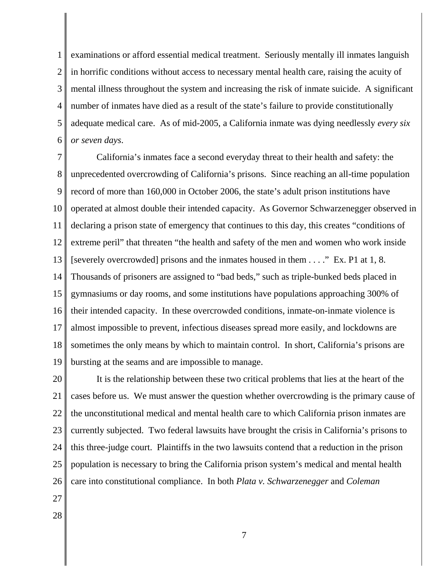1 2 3 4 5 6 examinations or afford essential medical treatment. Seriously mentally ill inmates languish in horrific conditions without access to necessary mental health care, raising the acuity of mental illness throughout the system and increasing the risk of inmate suicide. A significant number of inmates have died as a result of the state's failure to provide constitutionally adequate medical care. As of mid-2005, a California inmate was dying needlessly *every six or seven days*.

7 8 9 10 11 12 13 14 15 16 17 18 19 California's inmates face a second everyday threat to their health and safety: the unprecedented overcrowding of California's prisons. Since reaching an all-time population record of more than 160,000 in October 2006, the state's adult prison institutions have operated at almost double their intended capacity. As Governor Schwarzenegger observed in declaring a prison state of emergency that continues to this day, this creates "conditions of extreme peril" that threaten "the health and safety of the men and women who work inside [severely overcrowded] prisons and the inmates housed in them . . . ." Ex. P1 at 1, 8. Thousands of prisoners are assigned to "bad beds," such as triple-bunked beds placed in gymnasiums or day rooms, and some institutions have populations approaching 300% of their intended capacity. In these overcrowded conditions, inmate-on-inmate violence is almost impossible to prevent, infectious diseases spread more easily, and lockdowns are sometimes the only means by which to maintain control. In short, California's prisons are bursting at the seams and are impossible to manage.

20 21 22 23 24 25 26 It is the relationship between these two critical problems that lies at the heart of the cases before us. We must answer the question whether overcrowding is the primary cause of the unconstitutional medical and mental health care to which California prison inmates are currently subjected. Two federal lawsuits have brought the crisis in California's prisons to this three-judge court. Plaintiffs in the two lawsuits contend that a reduction in the prison population is necessary to bring the California prison system's medical and mental health care into constitutional compliance. In both *Plata v. Schwarzenegger* and *Coleman*

- 27
- 28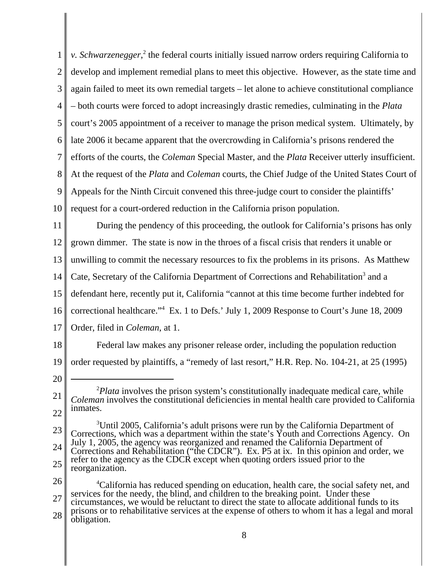1 2 3 4 5 6 7 8 9 10 *v*. Schwarzenegger,<sup>2</sup> the federal courts initially issued narrow orders requiring California to develop and implement remedial plans to meet this objective. However, as the state time and again failed to meet its own remedial targets – let alone to achieve constitutional compliance – both courts were forced to adopt increasingly drastic remedies, culminating in the *Plata* court's 2005 appointment of a receiver to manage the prison medical system. Ultimately, by late 2006 it became apparent that the overcrowding in California's prisons rendered the efforts of the courts, the *Coleman* Special Master, and the *Plata* Receiver utterly insufficient. At the request of the *Plata* and *Coleman* courts, the Chief Judge of the United States Court of Appeals for the Ninth Circuit convened this three-judge court to consider the plaintiffs' request for a court-ordered reduction in the California prison population.

11 12 13 14 15 16 17 During the pendency of this proceeding, the outlook for California's prisons has only grown dimmer. The state is now in the throes of a fiscal crisis that renders it unable or unwilling to commit the necessary resources to fix the problems in its prisons. As Matthew Cate, Secretary of the California Department of Corrections and Rehabilitation<sup>3</sup> and a defendant here, recently put it, California "cannot at this time become further indebted for correctional healthcare."4 Ex. 1 to Defs.' July 1, 2009 Response to Court's June 18, 2009 Order, filed in *Coleman*, at 1.

- 18 19 Federal law makes any prisoner release order, including the population reduction order requested by plaintiffs, a "remedy of last resort," H.R. Rep. No. 104-21, at 25 (1995)
- 20

<sup>21</sup> 22 <sup>2</sup>Plata involves the prison system's constitutionally inadequate medical care, while *Coleman* involves the constitutional deficiencies in mental health care provided to California inmates.

<sup>23</sup> 24 25 <sup>3</sup>Until 2005, California's adult prisons were run by the California Department of Corrections, which was a department within the state's Youth and Corrections Agency. On July 1, 2005, the agency was reorganized and renamed the California Department of Corrections and Rehabilitation ("the CDCR"). Ex. P5 at ix. In this opinion and order, we refer to the agency as the CDCR except when quoting orders issued prior to the reorganization.

<sup>26</sup> 27 28 <sup>4</sup>California has reduced spending on education, health care, the social safety net, and services for the needy, the blind, and children to the breaking point. Under these circumstances, we would be reluctant to direct the state to allocate additional funds to its prisons or to rehabilitative services at the expense of others to whom it has a legal and moral obligation.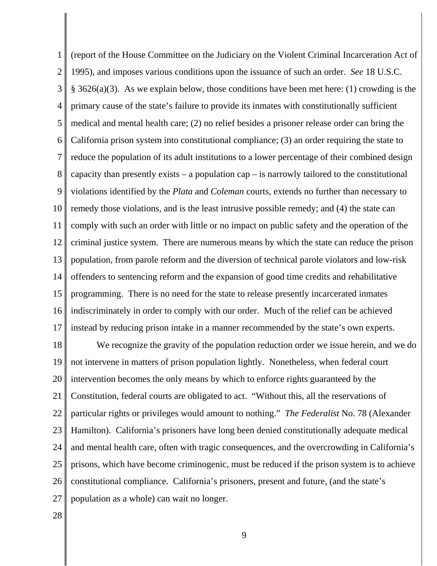1 2 3 4 5 6 7 8 9 10 11 12 13 14 15 16 17 (report of the House Committee on the Judiciary on the Violent Criminal Incarceration Act of 1995), and imposes various conditions upon the issuance of such an order. *See* 18 U.S.C. § 3626(a)(3). As we explain below, those conditions have been met here: (1) crowding is the primary cause of the state's failure to provide its inmates with constitutionally sufficient medical and mental health care; (2) no relief besides a prisoner release order can bring the California prison system into constitutional compliance; (3) an order requiring the state to reduce the population of its adult institutions to a lower percentage of their combined design capacity than presently exists – a population cap – is narrowly tailored to the constitutional violations identified by the *Plata* and *Coleman* courts, extends no further than necessary to remedy those violations, and is the least intrusive possible remedy; and (4) the state can comply with such an order with little or no impact on public safety and the operation of the criminal justice system. There are numerous means by which the state can reduce the prison population, from parole reform and the diversion of technical parole violators and low-risk offenders to sentencing reform and the expansion of good time credits and rehabilitative programming. There is no need for the state to release presently incarcerated inmates indiscriminately in order to comply with our order. Much of the relief can be achieved instead by reducing prison intake in a manner recommended by the state's own experts.

18 19 20 21 22 23 24 25 26 27 We recognize the gravity of the population reduction order we issue herein, and we do not intervene in matters of prison population lightly. Nonetheless, when federal court intervention becomes the only means by which to enforce rights guaranteed by the Constitution, federal courts are obligated to act. "Without this, all the reservations of particular rights or privileges would amount to nothing." *The Federalist* No. 78 (Alexander Hamilton). California's prisoners have long been denied constitutionally adequate medical and mental health care, often with tragic consequences, and the overcrowding in California's prisons, which have become criminogenic, must be reduced if the prison system is to achieve constitutional compliance. California's prisoners, present and future, (and the state's population as a whole) can wait no longer.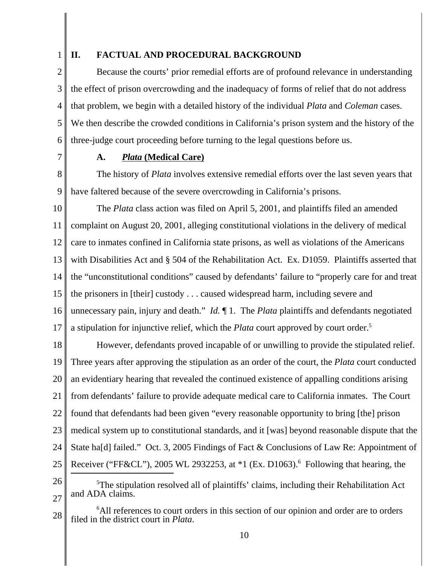# **II. FACTUAL AND PROCEDURAL BACKGROUND**

2 3 4 5 6 Because the courts' prior remedial efforts are of profound relevance in understanding the effect of prison overcrowding and the inadequacy of forms of relief that do not address that problem, we begin with a detailed history of the individual *Plata* and *Coleman* cases. We then describe the crowded conditions in California's prison system and the history of the three-judge court proceeding before turning to the legal questions before us.

7

# **A.** *Plata* **(Medical Care)**

8 9 The history of *Plata* involves extensive remedial efforts over the last seven years that have faltered because of the severe overcrowding in California's prisons.

10 11 12 13 14 15 16 17 The *Plata* class action was filed on April 5, 2001, and plaintiffs filed an amended complaint on August 20, 2001, alleging constitutional violations in the delivery of medical care to inmates confined in California state prisons, as well as violations of the Americans with Disabilities Act and § 504 of the Rehabilitation Act. Ex. D1059. Plaintiffs asserted that the "unconstitutional conditions" caused by defendants' failure to "properly care for and treat the prisoners in [their] custody . . . caused widespread harm, including severe and unnecessary pain, injury and death." *Id.* ¶ 1. The *Plata* plaintiffs and defendants negotiated a stipulation for injunctive relief, which the *Plata* court approved by court order.<sup>5</sup>

18 19 20 21 22 23 24 25 However, defendants proved incapable of or unwilling to provide the stipulated relief. Three years after approving the stipulation as an order of the court, the *Plata* court conducted an evidentiary hearing that revealed the continued existence of appalling conditions arising from defendants' failure to provide adequate medical care to California inmates. The Court found that defendants had been given "every reasonable opportunity to bring [the] prison medical system up to constitutional standards, and it [was] beyond reasonable dispute that the State ha[d] failed." Oct. 3, 2005 Findings of Fact & Conclusions of Law Re: Appointment of Receiver ("FF&CL"), 2005 WL 2932253, at  $*1$  (Ex. D1063).<sup>6</sup> Following that hearing, the

26

27 <sup>5</sup>The stipulation resolved all of plaintiffs' claims, including their Rehabilitation Act and ADA claims.

28 <sup>6</sup>All references to court orders in this section of our opinion and order are to orders filed in the district court in *Plata*.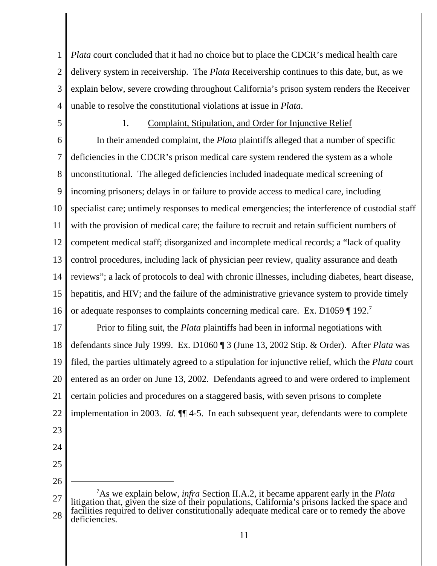1 2 3 4 *Plata* court concluded that it had no choice but to place the CDCR's medical health care delivery system in receivership. The *Plata* Receivership continues to this date, but, as we explain below, severe crowding throughout California's prison system renders the Receiver unable to resolve the constitutional violations at issue in *Plata*.

5

# 1. Complaint, Stipulation, and Order for Injunctive Relief

6 7 8 9 10 11 12 13 14 15 16 In their amended complaint, the *Plata* plaintiffs alleged that a number of specific deficiencies in the CDCR's prison medical care system rendered the system as a whole unconstitutional. The alleged deficiencies included inadequate medical screening of incoming prisoners; delays in or failure to provide access to medical care, including specialist care; untimely responses to medical emergencies; the interference of custodial staff with the provision of medical care; the failure to recruit and retain sufficient numbers of competent medical staff; disorganized and incomplete medical records; a "lack of quality control procedures, including lack of physician peer review, quality assurance and death reviews"; a lack of protocols to deal with chronic illnesses, including diabetes, heart disease, hepatitis, and HIV; and the failure of the administrative grievance system to provide timely or adequate responses to complaints concerning medical care. Ex. D1059 [ 192.<sup>7</sup>

17 18 19 20 21 22 Prior to filing suit, the *Plata* plaintiffs had been in informal negotiations with defendants since July 1999. Ex. D1060 ¶ 3 (June 13, 2002 Stip. & Order). After *Plata* was filed, the parties ultimately agreed to a stipulation for injunctive relief, which the *Plata* court entered as an order on June 13, 2002. Defendants agreed to and were ordered to implement certain policies and procedures on a staggered basis, with seven prisons to complete implementation in 2003. *Id.* ¶¶ 4-5. In each subsequent year, defendants were to complete

- 23
- 24 25

<sup>27</sup> 28 7 As we explain below, *infra* Section II.A.2, it became apparent early in the *Plata* litigation that, given the size of their populations, California's prisons lacked the space and facilities required to deliver constitutionally adequate medical care or to remedy the above deficiencies.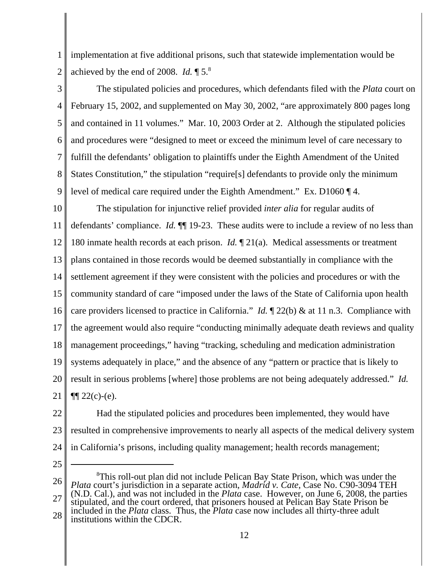1 2 implementation at five additional prisons, such that statewide implementation would be achieved by the end of 2008. *Id.* ¶ 5.8

3

4 5 6 7 8 9 The stipulated policies and procedures, which defendants filed with the *Plata* court on February 15, 2002, and supplemented on May 30, 2002, "are approximately 800 pages long and contained in 11 volumes." Mar. 10, 2003 Order at 2. Although the stipulated policies and procedures were "designed to meet or exceed the minimum level of care necessary to fulfill the defendants' obligation to plaintiffs under the Eighth Amendment of the United States Constitution," the stipulation "require[s] defendants to provide only the minimum level of medical care required under the Eighth Amendment." Ex. D1060 ¶ 4.

10 11 12 13 14 15 16 17 18 19 20 21 The stipulation for injunctive relief provided *inter alia* for regular audits of defendants' compliance. *Id.*  $\P$  19-23. These audits were to include a review of no less than 180 inmate health records at each prison. *Id.* ¶ 21(a). Medical assessments or treatment plans contained in those records would be deemed substantially in compliance with the settlement agreement if they were consistent with the policies and procedures or with the community standard of care "imposed under the laws of the State of California upon health care providers licensed to practice in California." *Id.* ¶ 22(b) & at 11 n.3. Compliance with the agreement would also require "conducting minimally adequate death reviews and quality management proceedings," having "tracking, scheduling and medication administration systems adequately in place," and the absence of any "pattern or practice that is likely to result in serious problems [where] those problems are not being adequately addressed." *Id.*  $\P$ [22(c)-(e).

22 23 24 Had the stipulated policies and procedures been implemented, they would have resulted in comprehensive improvements to nearly all aspects of the medical delivery system in California's prisons, including quality management; health records management;

25

26 27 28 <sup>8</sup>This roll-out plan did not include Pelican Bay State Prison, which was under the *Plata* court's jurisdiction in a separate action, *Madrid v. Cate*, Case No. C90-3094 TEH (N.D. Cal.), and was not included in the *Plata* case. However, on June 6, 2008, the parties stipulated, and the court ordered, that prisoners housed at Pelican Bay State Prison be included in the *Plata* class. Thus, the *Plata* case now includes all thirty-three adult institutions within the CDCR.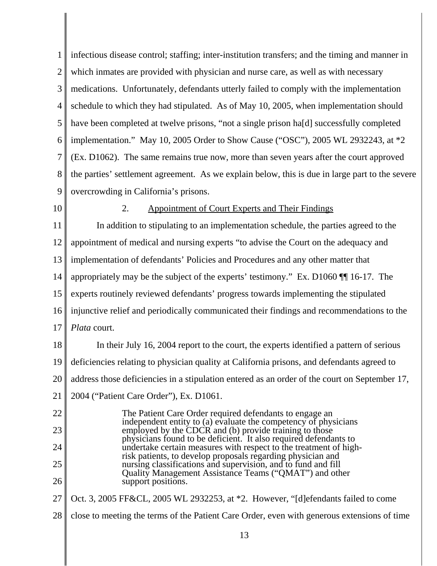1 2 3 4 5 6 7 8 9 infectious disease control; staffing; inter-institution transfers; and the timing and manner in which inmates are provided with physician and nurse care, as well as with necessary medications. Unfortunately, defendants utterly failed to comply with the implementation schedule to which they had stipulated. As of May 10, 2005, when implementation should have been completed at twelve prisons, "not a single prison hald successfully completed implementation." May 10, 2005 Order to Show Cause ("OSC"), 2005 WL 2932243, at \*2 (Ex. D1062). The same remains true now, more than seven years after the court approved the parties' settlement agreement. As we explain below, this is due in large part to the severe overcrowding in California's prisons.

10

## 2. Appointment of Court Experts and Their Findings

11 12 13 14 15 16 17 In addition to stipulating to an implementation schedule, the parties agreed to the appointment of medical and nursing experts "to advise the Court on the adequacy and implementation of defendants' Policies and Procedures and any other matter that appropriately may be the subject of the experts' testimony." Ex. D1060 ¶¶ 16-17. The experts routinely reviewed defendants' progress towards implementing the stipulated injunctive relief and periodically communicated their findings and recommendations to the *Plata* court.

18 19 20 In their July 16, 2004 report to the court, the experts identified a pattern of serious deficiencies relating to physician quality at California prisons, and defendants agreed to address those deficiencies in a stipulation entered as an order of the court on September 17,

21 2004 ("Patient Care Order"), Ex. D1061.

22 23 24 25 26 The Patient Care Order required defendants to engage an independent entity to (a) evaluate the competency of physicians employed by the CDCR and (b) provide training to those physicians found to be deficient. It also required defendants to undertake certain measures with respect to the treatment of highrisk patients, to develop proposals regarding physician and nursing classifications and supervision, and to fund and fill Quality Management Assistance Teams ("QMAT") and other support positions.

27 Oct. 3, 2005 FF&CL, 2005 WL 2932253, at \*2. However, "[d]efendants failed to come

28 close to meeting the terms of the Patient Care Order, even with generous extensions of time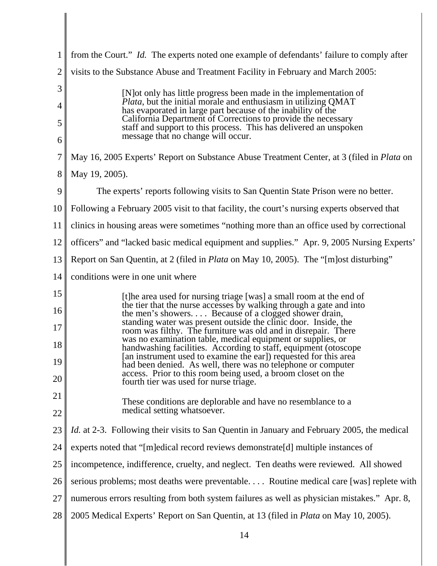| 1              | from the Court." <i>Id.</i> The experts noted one example of defendants' failure to comply after                                                                                                   |
|----------------|----------------------------------------------------------------------------------------------------------------------------------------------------------------------------------------------------|
| $\overline{2}$ | visits to the Substance Abuse and Treatment Facility in February and March 2005:                                                                                                                   |
| 3              | [N] ot only has little progress been made in the implementation of<br><i>Plata</i> , but the initial morale and enthusiasm in utilizing QMAT                                                       |
| 4<br>5         | has evaporated in large part because of the inability of the<br>California Department of Corrections to provide the necessary<br>staff and support to this process. This has delivered an unspoken |
| 6              | message that no change will occur.                                                                                                                                                                 |
| 7              | May 16, 2005 Experts' Report on Substance Abuse Treatment Center, at 3 (filed in <i>Plata</i> on                                                                                                   |
| 8              | May 19, 2005).                                                                                                                                                                                     |
| 9              | The experts' reports following visits to San Quentin State Prison were no better.                                                                                                                  |
| 10             | Following a February 2005 visit to that facility, the court's nursing experts observed that                                                                                                        |
| 11             | clinics in housing areas were sometimes "nothing more than an office used by correctional                                                                                                          |
| 12             | officers" and "lacked basic medical equipment and supplies." Apr. 9, 2005 Nursing Experts'                                                                                                         |
| 13             | Report on San Quentin, at 2 (filed in <i>Plata</i> on May 10, 2005). The "[m]ost disturbing"                                                                                                       |
| 14             | conditions were in one unit where                                                                                                                                                                  |
| 15             | [t]he area used for nursing triage [was] a small room at the end of<br>the tier that the nurse accesses by walking through a gate and into                                                         |
| 16<br>17       | the men's showers Because of a clogged shower drain,<br>standing water was present outside the clinic door. Inside, the<br>room was filthy. The furniture was old and in disrepair. There          |
| 18             | was no examination table, medical equipment or supplies, or<br>handwashing facilities. According to staff, equipment (otoscope                                                                     |
| 19             | [an instrument used to examine the ear]) requested for this area<br>had been denied. As well, there was no telephone or computer                                                                   |
| 20             | access. Prior to this room being used, a broom closet on the<br>fourth tier was used for nurse triage.                                                                                             |
| 21             | These conditions are deplorable and have no resemblance to a                                                                                                                                       |
| 22             | medical setting whatsoever.                                                                                                                                                                        |
| 23             | <i>Id.</i> at 2-3. Following their visits to San Quentin in January and February 2005, the medical                                                                                                 |
| 24             | experts noted that "[m]edical record reviews demonstrate[d] multiple instances of                                                                                                                  |
| 25             | incompetence, indifference, cruelty, and neglect. Ten deaths were reviewed. All showed                                                                                                             |
| 26             | serious problems; most deaths were preventable Routine medical care [was] replete with                                                                                                             |
| 27             | numerous errors resulting from both system failures as well as physician mistakes." Apr. 8,                                                                                                        |
| 28             | 2005 Medical Experts' Report on San Quentin, at 13 (filed in <i>Plata</i> on May 10, 2005).                                                                                                        |
|                |                                                                                                                                                                                                    |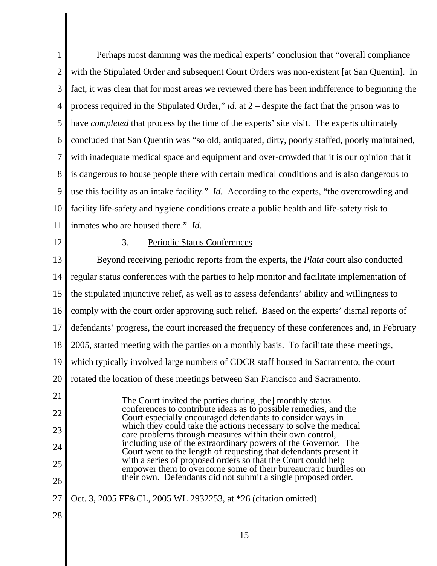1 2 3 4 5 6 7 8 9 10 11 Perhaps most damning was the medical experts' conclusion that "overall compliance with the Stipulated Order and subsequent Court Orders was non-existent [at San Quentin]. In fact, it was clear that for most areas we reviewed there has been indifference to beginning the process required in the Stipulated Order," *id.* at 2 – despite the fact that the prison was to have *completed* that process by the time of the experts' site visit. The experts ultimately concluded that San Quentin was "so old, antiquated, dirty, poorly staffed, poorly maintained, with inadequate medical space and equipment and over-crowded that it is our opinion that it is dangerous to house people there with certain medical conditions and is also dangerous to use this facility as an intake facility." *Id.* According to the experts, "the overcrowding and facility life-safety and hygiene conditions create a public health and life-safety risk to inmates who are housed there." *Id.*

12

#### 3. Periodic Status Conferences

13 14 15 16 17 18 19 20 21 22 23 24 25 26 27 Beyond receiving periodic reports from the experts, the *Plata* court also conducted regular status conferences with the parties to help monitor and facilitate implementation of the stipulated injunctive relief, as well as to assess defendants' ability and willingness to comply with the court order approving such relief. Based on the experts' dismal reports of defendants' progress, the court increased the frequency of these conferences and, in February 2005, started meeting with the parties on a monthly basis. To facilitate these meetings, which typically involved large numbers of CDCR staff housed in Sacramento, the court rotated the location of these meetings between San Francisco and Sacramento. The Court invited the parties during [the] monthly status conferences to contribute ideas as to possible remedies, and the Court especially encouraged defendants to consider ways in which they could take the actions necessary to solve the medical care problems through measures within their own control, including use of the extraordinary powers of the Governor. The Court went to the length of requesting that defendants present it with a series of proposed orders so that the Court could help empower them to overcome some of their bureaucratic hurdles on their own. Defendants did not submit a single proposed order. Oct. 3, 2005 FF&CL, 2005 WL 2932253, at \*26 (citation omitted).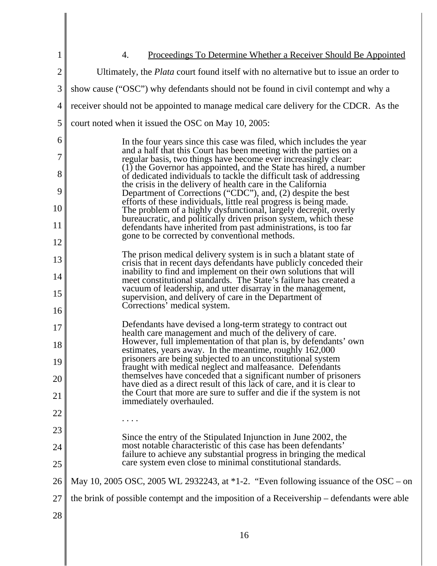| 1              | <u>Proceedings To Determine Whether a Receiver Should Be Appointed</u><br>4.                                                              |
|----------------|-------------------------------------------------------------------------------------------------------------------------------------------|
| $\overline{2}$ | Ultimately, the <i>Plata</i> court found itself with no alternative but to issue an order to                                              |
| 3              |                                                                                                                                           |
|                | show cause ("OSC") why defendants should not be found in civil contempt and why a                                                         |
| 4              | receiver should not be appointed to manage medical care delivery for the CDCR. As the                                                     |
| 5              | court noted when it issued the OSC on May 10, 2005:                                                                                       |
| 6              | In the four years since this case was filed, which includes the year<br>and a half that this Court has been meeting with the parties on a |
| 7              | regular basis, two things have become ever increasingly clear:                                                                            |
| 8              | (1) the Governor has appointed, and the State has hired, a number<br>of dedicated individuals to tackle the difficult task of addressing  |
| 9              | the crisis in the delivery of health care in the California<br>Department of Corrections ("CDC"), and, (2) despite the best               |
| 10             | efforts of these individuals, little real progress is being made.<br>The problem of a highly dysfunctional, largely decrepit, overly      |
| 11             | bureaucratic, and politically driven prison system, which these<br>defendants have inherited from past administrations, is too far        |
| 12             | gone to be corrected by conventional methods.                                                                                             |
| 13             | The prison medical delivery system is in such a blatant state of                                                                          |
| 14             | crisis that in recent days defendants have publicly conceded their<br>inability to find and implement on their own solutions that will    |
| 15             | meet constitutional standards. The State's failure has created a<br>vacuum of leadership, and utter disarray in the management,           |
|                | supervision, and delivery of care in the Department of<br>Corrections' medical system.                                                    |
| 16             | Defendants have devised a long-term strategy to contract out                                                                              |
| 17             | health care management and much of the delivery of care.                                                                                  |
| 18             | However, full implementation of that plan is, by defendants' own<br>estimates, years away. In the meantime, roughly 162,000               |
| 19             | prisoners are being subjected to an unconstitutional system<br>fraught with medical neglect and malfeasance. Defendants                   |
| 20             | themselves have conceded that a significant number of prisoners<br>have died as a direct result of this lack of care, and it is clear to  |
| 21             | the Court that more are sure to suffer and die if the system is not<br>immediately overhauled.                                            |
| 22             |                                                                                                                                           |
| 23             |                                                                                                                                           |
| 24             | Since the entry of the Stipulated Injunction in June 2002, the<br>most notable characteristic of this case has been defendants'           |
| 25             | failure to achieve any substantial progress in bringing the medical<br>care system even close to minimal constitutional standards.        |
| 26             | May 10, 2005 OSC, 2005 WL 2932243, at *1-2. "Even following issuance of the OSC – on                                                      |
| 27             | the brink of possible contempt and the imposition of a Receivership – defendants were able                                                |
|                |                                                                                                                                           |
| 28             |                                                                                                                                           |
|                | 16                                                                                                                                        |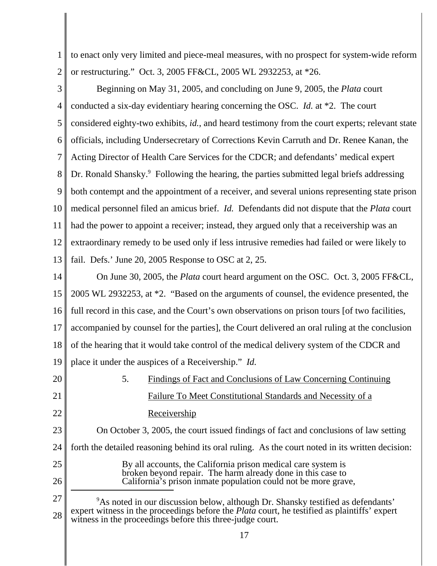1 2 to enact only very limited and piece-meal measures, with no prospect for system-wide reform or restructuring." Oct. 3, 2005 FF&CL, 2005 WL 2932253, at \*26.

3 4 5 6 7 8 9 10 11 12 13 Beginning on May 31, 2005, and concluding on June 9, 2005, the *Plata* court conducted a six-day evidentiary hearing concerning the OSC. *Id.* at \*2. The court considered eighty-two exhibits, *id.*, and heard testimony from the court experts; relevant state officials, including Undersecretary of Corrections Kevin Carruth and Dr. Renee Kanan, the Acting Director of Health Care Services for the CDCR; and defendants' medical expert Dr. Ronald Shansky.<sup>9</sup> Following the hearing, the parties submitted legal briefs addressing both contempt and the appointment of a receiver, and several unions representing state prison medical personnel filed an amicus brief. *Id.* Defendants did not dispute that the *Plata* court had the power to appoint a receiver; instead, they argued only that a receivership was an extraordinary remedy to be used only if less intrusive remedies had failed or were likely to fail. Defs.' June 20, 2005 Response to OSC at 2, 25.

14 15 16 17 18 19 On June 30, 2005, the *Plata* court heard argument on the OSC. Oct. 3, 2005 FF&CL, 2005 WL 2932253, at \*2. "Based on the arguments of counsel, the evidence presented, the full record in this case, and the Court's own observations on prison tours [of two facilities, accompanied by counsel for the parties], the Court delivered an oral ruling at the conclusion of the hearing that it would take control of the medical delivery system of the CDCR and place it under the auspices of a Receivership." *Id.*

20 21 22 23 24 25 26 5. Findings of Fact and Conclusions of Law Concerning Continuing Failure To Meet Constitutional Standards and Necessity of a Receivership On October 3, 2005, the court issued findings of fact and conclusions of law setting forth the detailed reasoning behind its oral ruling. As the court noted in its written decision: By all accounts, the California prison medical care system is broken beyond repair. The harm already done in this case to California's prison inmate population could not be more grave,

27 28 <sup>9</sup>As noted in our discussion below, although Dr. Shansky testified as defendants' expert witness in the proceedings before the *Plata* court, he testified as plaintiffs' expert witness in the proceedings before this three-judge court.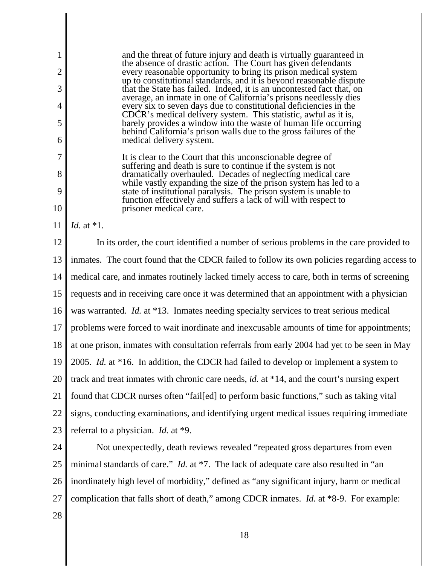1 2 3 4 5 6 7 8 9 10 11 12 13 14 15 16 17 18 19 20 21 22 23 24 25 26 27 28 and the threat of future injury and death is virtually guaranteed in the absence of drastic action. The Court has given defendants every reasonable opportunity to bring its prison medical system up to constitutional standards, and it is beyond reasonable dispute that the State has failed. Indeed, it is an uncontested fact that, on average, an inmate in one of California's prisons needlessly dies every six to seven days due to constitutional deficiencies in the CDCR's medical delivery system. This statistic, awful as it is, barely provides a window into the waste of human life occurring behind California's prison walls due to the gross failures of the medical delivery system. It is clear to the Court that this unconscionable degree of suffering and death is sure to continue if the system is not dramatically overhauled. Decades of neglecting medical care while vastly expanding the size of the prison system has led to a state of institutional paralysis. The prison system is unable to function effectively and suffers a lack of will with respect to prisoner medical care. *Id.* at \*1. In its order, the court identified a number of serious problems in the care provided to inmates. The court found that the CDCR failed to follow its own policies regarding access to medical care, and inmates routinely lacked timely access to care, both in terms of screening requests and in receiving care once it was determined that an appointment with a physician was warranted. *Id.* at \*13. Inmates needing specialty services to treat serious medical problems were forced to wait inordinate and inexcusable amounts of time for appointments; at one prison, inmates with consultation referrals from early 2004 had yet to be seen in May 2005. *Id.* at \*16. In addition, the CDCR had failed to develop or implement a system to track and treat inmates with chronic care needs, *id.* at \*14, and the court's nursing expert found that CDCR nurses often "fail[ed] to perform basic functions," such as taking vital signs, conducting examinations, and identifying urgent medical issues requiring immediate referral to a physician. *Id.* at \*9. Not unexpectedly, death reviews revealed "repeated gross departures from even minimal standards of care." *Id.* at \*7. The lack of adequate care also resulted in "an inordinately high level of morbidity," defined as "any significant injury, harm or medical complication that falls short of death," among CDCR inmates. *Id.* at \*8-9. For example: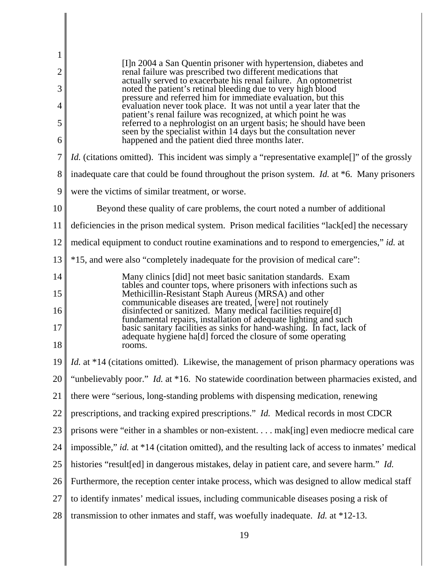| $\mathbf 1$    |                                                                                                                                                                                                      |
|----------------|------------------------------------------------------------------------------------------------------------------------------------------------------------------------------------------------------|
| $\overline{2}$ | [I]n 2004 a San Quentin prisoner with hypertension, diabetes and<br>renal failure was prescribed two different medications that<br>actually served to exacerbate his renal failure. An optometrist   |
| 3              | noted the patient's retinal bleeding due to very high blood                                                                                                                                          |
| 4              | pressure and referred him for immediate evaluation, but this<br>evaluation never took place. It was not until a year later that the<br>patient's renal failure was recognized, at which point he was |
| 5              | referred to a nephrologist on an urgent basis; he should have been<br>seen by the specialist within 14 days but the consultation never                                                               |
| 6              | happened and the patient died three months later.                                                                                                                                                    |
| 7              | <i>Id.</i> (citations omitted). This incident was simply a "representative example[]" of the grossly                                                                                                 |
| 8              | inadequate care that could be found throughout the prison system. <i>Id.</i> at *6. Many prisoners                                                                                                   |
| 9              | were the victims of similar treatment, or worse.                                                                                                                                                     |
| 10             | Beyond these quality of care problems, the court noted a number of additional                                                                                                                        |
| 11             | deficiencies in the prison medical system. Prison medical facilities "lack[ed] the necessary                                                                                                         |
| 12             | medical equipment to conduct routine examinations and to respond to emergencies," id. at                                                                                                             |
| 13             | *15, and were also "completely inadequate for the provision of medical care":                                                                                                                        |
| 14             | Many clinics [did] not meet basic sanitation standards. Exam                                                                                                                                         |
| 15             | tables and counter tops, where prisoners with infections such as<br>Methicillin-Resistant Staph Aureus (MRSA) and other                                                                              |
| 16             | communicable diseases are treated, [were] not routinely<br>disinfected or sanitized. Many medical facilities require[d]                                                                              |
| 17             | fundamental repairs, installation of adequate lighting and such<br>basic sanitary facilities as sinks for hand-washing. In fact, lack of                                                             |
| 18             | adequate hygiene ha[d] forced the closure of some operating<br>rooms.                                                                                                                                |
| 19             | <i>Id.</i> at *14 (citations omitted). Likewise, the management of prison pharmacy operations was                                                                                                    |
| 20             | "unbelievably poor." <i>Id.</i> at *16. No statewide coordination between pharmacies existed, and                                                                                                    |
| 21             | there were "serious, long-standing problems with dispensing medication, renewing                                                                                                                     |
| 22             | prescriptions, and tracking expired prescriptions." Id. Medical records in most CDCR                                                                                                                 |
| 23             | prisons were "either in a shambles or non-existent mak[ing] even mediocre medical care                                                                                                               |
| 24             | impossible," id. at *14 (citation omitted), and the resulting lack of access to inmates' medical                                                                                                     |
| 25             | histories "result[ed] in dangerous mistakes, delay in patient care, and severe harm." Id.                                                                                                            |
| 26             | Furthermore, the reception center intake process, which was designed to allow medical staff                                                                                                          |
| 27             | to identify inmates' medical issues, including communicable diseases posing a risk of                                                                                                                |
| 28             | transmission to other inmates and staff, was woefully inadequate. <i>Id.</i> at $*12-13$ .                                                                                                           |
|                |                                                                                                                                                                                                      |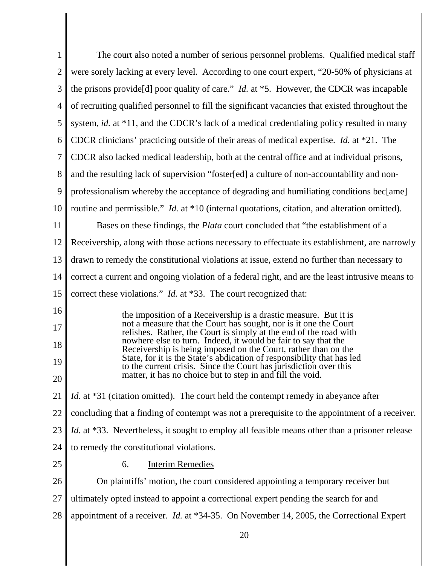| $\mathbf 1$    | The court also noted a number of serious personnel problems. Qualified medical staff                                                        |
|----------------|---------------------------------------------------------------------------------------------------------------------------------------------|
| $\overline{c}$ | were sorely lacking at every level. According to one court expert, "20-50% of physicians at                                                 |
| 3              | the prisons provide [d] poor quality of care." <i>Id.</i> at $*5$ . However, the CDCR was incapable                                         |
| 4              | of recruiting qualified personnel to fill the significant vacancies that existed throughout the                                             |
| 5              | system, <i>id.</i> at *11, and the CDCR's lack of a medical credentialing policy resulted in many                                           |
| 6              | CDCR clinicians' practicing outside of their areas of medical expertise. <i>Id.</i> at $*21$ . The                                          |
| 7              | CDCR also lacked medical leadership, both at the central office and at individual prisons,                                                  |
| 8              | and the resulting lack of supervision "foster[ed] a culture of non-accountability and non-                                                  |
| 9              | professionalism whereby the acceptance of degrading and humiliating conditions bec[ame]                                                     |
| 10             | routine and permissible." <i>Id.</i> at *10 (internal quotations, citation, and alteration omitted).                                        |
| 11             | Bases on these findings, the <i>Plata</i> court concluded that "the establishment of a                                                      |
| 12             | Receivership, along with those actions necessary to effectuate its establishment, are narrowly                                              |
| 13             | drawn to remedy the constitutional violations at issue, extend no further than necessary to                                                 |
| 14             | correct a current and ongoing violation of a federal right, and are the least intrusive means to                                            |
| 15             | correct these violations." <i>Id.</i> at *33. The court recognized that:                                                                    |
| 16             | the imposition of a Receivership is a drastic measure. But it is                                                                            |
| 17             | not a measure that the Court has sought, nor is it one the Court<br>relishes. Rather, the Court is simply at the end of the road with       |
| 18             | nowhere else to turn. Indeed, it would be fair to say that the<br>Receivership is being imposed on the Court, rather than on the            |
| 19             | State, for it is the State's abdication of responsibility that has led<br>to the current crisis. Since the Court has jurisdiction over this |
| 20             | matter, it has no choice but to step in and fill the void.                                                                                  |
| 21             | Id. at *31 (citation omitted). The court held the contempt remedy in abeyance after                                                         |
| 22             | concluding that a finding of contempt was not a prerequisite to the appointment of a receiver.                                              |
| 23             | <i>Id.</i> at *33. Nevertheless, it sought to employ all feasible means other than a prisoner release                                       |
| 24             | to remedy the constitutional violations.                                                                                                    |
| 25             | <b>Interim Remedies</b><br>6.                                                                                                               |
| 26             | On plaintiffs' motion, the court considered appointing a temporary receiver but                                                             |
| 27             | ultimately opted instead to appoint a correctional expert pending the search for and                                                        |
| 28             | appointment of a receiver. <i>Id.</i> at *34-35. On November 14, 2005, the Correctional Expert                                              |
|                | 20                                                                                                                                          |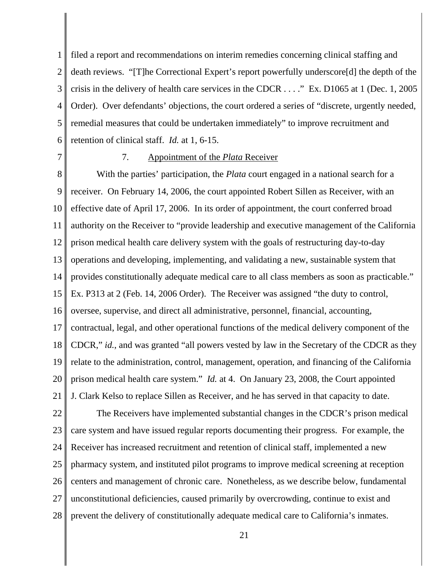1 2 3 4 5 6 filed a report and recommendations on interim remedies concerning clinical staffing and death reviews. "[T]he Correctional Expert's report powerfully underscore[d] the depth of the crisis in the delivery of health care services in the CDCR . . . ." Ex. D1065 at 1 (Dec. 1, 2005 Order). Over defendants' objections, the court ordered a series of "discrete, urgently needed, remedial measures that could be undertaken immediately" to improve recruitment and retention of clinical staff. *Id.* at 1, 6-15.

7

#### 7. Appointment of the *Plata* Receiver

8 9 10 11 12 13 14 15 16 17 18 19 20 21 With the parties' participation, the *Plata* court engaged in a national search for a receiver. On February 14, 2006, the court appointed Robert Sillen as Receiver, with an effective date of April 17, 2006. In its order of appointment, the court conferred broad authority on the Receiver to "provide leadership and executive management of the California prison medical health care delivery system with the goals of restructuring day-to-day operations and developing, implementing, and validating a new, sustainable system that provides constitutionally adequate medical care to all class members as soon as practicable." Ex. P313 at 2 (Feb. 14, 2006 Order). The Receiver was assigned "the duty to control, oversee, supervise, and direct all administrative, personnel, financial, accounting, contractual, legal, and other operational functions of the medical delivery component of the CDCR," *id.*, and was granted "all powers vested by law in the Secretary of the CDCR as they relate to the administration, control, management, operation, and financing of the California prison medical health care system." *Id.* at 4. On January 23, 2008, the Court appointed J. Clark Kelso to replace Sillen as Receiver, and he has served in that capacity to date.

22 23 24 25 26 27 28 The Receivers have implemented substantial changes in the CDCR's prison medical care system and have issued regular reports documenting their progress. For example, the Receiver has increased recruitment and retention of clinical staff, implemented a new pharmacy system, and instituted pilot programs to improve medical screening at reception centers and management of chronic care. Nonetheless, as we describe below, fundamental unconstitutional deficiencies, caused primarily by overcrowding, continue to exist and prevent the delivery of constitutionally adequate medical care to California's inmates.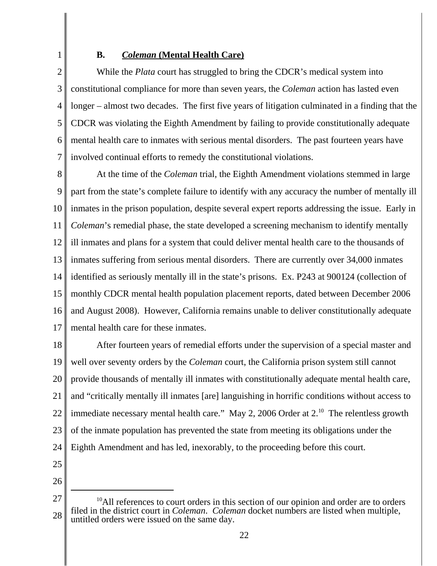# **B.** *Coleman* **(Mental Health Care)**

2 3 4 5 6 7 While the *Plata* court has struggled to bring the CDCR's medical system into constitutional compliance for more than seven years, the *Coleman* action has lasted even longer – almost two decades. The first five years of litigation culminated in a finding that the CDCR was violating the Eighth Amendment by failing to provide constitutionally adequate mental health care to inmates with serious mental disorders. The past fourteen years have involved continual efforts to remedy the constitutional violations.

8 9 10 11 12 13 14 15 16 17 At the time of the *Coleman* trial, the Eighth Amendment violations stemmed in large part from the state's complete failure to identify with any accuracy the number of mentally ill inmates in the prison population, despite several expert reports addressing the issue. Early in *Coleman*'s remedial phase, the state developed a screening mechanism to identify mentally ill inmates and plans for a system that could deliver mental health care to the thousands of inmates suffering from serious mental disorders. There are currently over 34,000 inmates identified as seriously mentally ill in the state's prisons. Ex. P243 at 900124 (collection of monthly CDCR mental health population placement reports, dated between December 2006 and August 2008). However, California remains unable to deliver constitutionally adequate mental health care for these inmates.

18 19 20 21 22 23 24 After fourteen years of remedial efforts under the supervision of a special master and well over seventy orders by the *Coleman* court, the California prison system still cannot provide thousands of mentally ill inmates with constitutionally adequate mental health care, and "critically mentally ill inmates [are] languishing in horrific conditions without access to immediate necessary mental health care." May 2, 2006 Order at  $2^{10}$ . The relentless growth of the inmate population has prevented the state from meeting its obligations under the Eighth Amendment and has led, inexorably, to the proceeding before this court.

- 25
- 26

<sup>27</sup> 28 <sup>10</sup>All references to court orders in this section of our opinion and order are to orders filed in the district court in *Coleman*. *Coleman* docket numbers are listed when multiple, untitled orders were issued on the same day.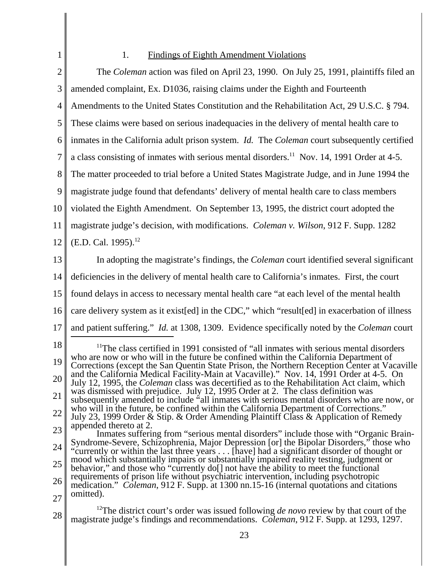## 1. Findings of Eighth Amendment Violations

1

17

2 3 4 5 6 7 8 9 10 11 12 13 14 15 The *Coleman* action was filed on April 23, 1990. On July 25, 1991, plaintiffs filed an amended complaint, Ex. D1036, raising claims under the Eighth and Fourteenth Amendments to the United States Constitution and the Rehabilitation Act, 29 U.S.C. § 794. These claims were based on serious inadequacies in the delivery of mental health care to inmates in the California adult prison system. *Id.* The *Coleman* court subsequently certified a class consisting of inmates with serious mental disorders.<sup>11</sup> Nov. 14, 1991 Order at 4-5. The matter proceeded to trial before a United States Magistrate Judge, and in June 1994 the magistrate judge found that defendants' delivery of mental health care to class members violated the Eighth Amendment. On September 13, 1995, the district court adopted the magistrate judge's decision, with modifications. *Coleman v. Wilson*, 912 F. Supp. 1282  $(E.D. Cal. 1995).<sup>12</sup>$ In adopting the magistrate's findings, the *Coleman* court identified several significant deficiencies in the delivery of mental health care to California's inmates. First, the court found delays in access to necessary mental health care "at each level of the mental health

16 care delivery system as it exist[ed] in the CDC," which "result[ed] in exacerbation of illness

and patient suffering." *Id.* at 1308, 1309. Evidence specifically noted by the *Coleman* court

18 19 20 21 22 23 <sup>11</sup>The class certified in 1991 consisted of "all inmates with serious mental disorders" who are now or who will in the future be confined within the California Department of Corrections (except the San Quentin State Prison, the Northern Reception Center at Vacaville and the California Medical Facility-Main at Vacaville)." Nov. 14, 1991 Order at 4-5. On July 12, 1995, the *Coleman* class was decertified as to the Rehabilitation Act claim, which was dismissed with prejudice. July 12, 1995 Order at 2. The class definition was subsequently amended to include "all inmates with serious mental disorders who are now, or who will in the future, be confined within the California Department of Corrections." July 23, 1999 Order & Stip. & Order Amending Plaintiff Class & Application of Remedy appended thereto at 2. Inmates suffering from "serious mental disorders" include those with "Organic Brain-

- 24 25 Syndrome-Severe, Schizophrenia, Major Depression [or] the Bipolar Disorders," those who "currently or within the last three years . . . [have] had a significant disorder of thought or mood which substantially impairs or substantially impaired reality testing, judgment or behavior," and those who "currently do[] not have the ability to meet the functional requirements of prison life without psychiatric intervention, including psychotropic
- 26 27 medication." *Coleman*, 912 F. Supp. at 1300 nn.15-16 (internal quotations and citations omitted).

28 <sup>12</sup>The district court's order was issued following *de novo* review by that court of the magistrate judge's findings and recommendations. *Coleman*, 912 F. Supp. at 1293, 1297.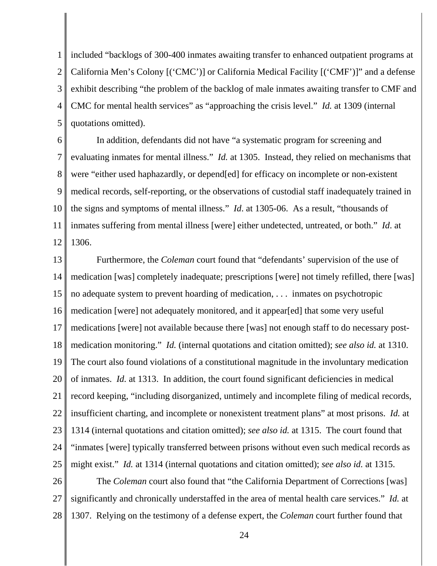1 2 3 4 5 included "backlogs of 300-400 inmates awaiting transfer to enhanced outpatient programs at California Men's Colony [('CMC')] or California Medical Facility [('CMF')]" and a defense exhibit describing "the problem of the backlog of male inmates awaiting transfer to CMF and CMC for mental health services" as "approaching the crisis level." *Id.* at 1309 (internal quotations omitted).

6 7 8 9 10 11 12 In addition, defendants did not have "a systematic program for screening and evaluating inmates for mental illness." *Id.* at 1305. Instead, they relied on mechanisms that were "either used haphazardly, or depend[ed] for efficacy on incomplete or non-existent medical records, self-reporting, or the observations of custodial staff inadequately trained in the signs and symptoms of mental illness." *Id*. at 1305-06. As a result, "thousands of inmates suffering from mental illness [were] either undetected, untreated, or both." *Id*. at 1306.

13 14 15 16 17 18 19 20 21 22 23 24 25 Furthermore, the *Coleman* court found that "defendants' supervision of the use of medication [was] completely inadequate; prescriptions [were] not timely refilled, there [was] no adequate system to prevent hoarding of medication, . . . inmates on psychotropic medication [were] not adequately monitored, and it appear[ed] that some very useful medications [were] not available because there [was] not enough staff to do necessary postmedication monitoring." *Id.* (internal quotations and citation omitted); *see also id.* at 1310. The court also found violations of a constitutional magnitude in the involuntary medication of inmates. *Id.* at 1313. In addition, the court found significant deficiencies in medical record keeping, "including disorganized, untimely and incomplete filing of medical records, insufficient charting, and incomplete or nonexistent treatment plans" at most prisons. *Id.* at 1314 (internal quotations and citation omitted); *see also id.* at 1315. The court found that "inmates [were] typically transferred between prisons without even such medical records as might exist." *Id.* at 1314 (internal quotations and citation omitted); *see also id.* at 1315.

26 27 28 The *Coleman* court also found that "the California Department of Corrections [was] significantly and chronically understaffed in the area of mental health care services." *Id.* at 1307. Relying on the testimony of a defense expert, the *Coleman* court further found that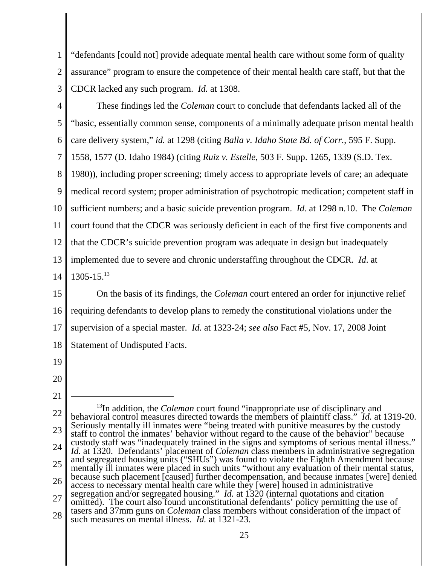1 2 "defendants [could not] provide adequate mental health care without some form of quality assurance" program to ensure the competence of their mental health care staff, but that the CDCR lacked any such program. *Id.* at 1308.

3

4 5 6 7 8 9 10 11 12 13 14 These findings led the *Coleman* court to conclude that defendants lacked all of the "basic, essentially common sense, components of a minimally adequate prison mental health care delivery system," *id.* at 1298 (citing *Balla v. Idaho State Bd. of Corr.*, 595 F. Supp. 1558, 1577 (D. Idaho 1984) (citing *Ruiz v. Estelle*, 503 F. Supp. 1265, 1339 (S.D. Tex. 1980)), including proper screening; timely access to appropriate levels of care; an adequate medical record system; proper administration of psychotropic medication; competent staff in sufficient numbers; and a basic suicide prevention program. *Id.* at 1298 n.10. The *Coleman* court found that the CDCR was seriously deficient in each of the first five components and that the CDCR's suicide prevention program was adequate in design but inadequately implemented due to severe and chronic understaffing throughout the CDCR. *Id*. at  $1305 - 15^{13}$ 

15 16 17 18 On the basis of its findings, the *Coleman* court entered an order for injunctive relief requiring defendants to develop plans to remedy the constitutional violations under the supervision of a special master. *Id.* at 1323-24; *see also* Fact #5, Nov. 17, 2008 Joint Statement of Undisputed Facts.

- 19
- 20

<sup>21</sup> 22 23 24 25 26 27 28 <sup>13</sup>In addition, the *Coleman* court found "inappropriate use of disciplinary and behavioral control measures directed towards the members of plaintiff class." *Id.* at 1319-20. Seriously mentally ill inmates were "being treated with punitive measures by the custody staff to control the inmates' behavior without regard to the cause of the behavior" because custody staff was "inadequately trained in the signs and symptoms of serious mental illness." *Id.* at 1320. Defendants' placement of *Coleman* class members in administrative segregation and segregated housing units ("SHUs") was found to violate the Eighth Amendment because mentally ill inmates were placed in such units "without any evaluation of their mental status, because such placement [caused] further decompensation, and because inmates [were] denied access to necessary mental health care while they [were] housed in administrative segregation and/or segregated housing." *Id.* at 1320 (internal quotations and citation omitted). The court also found unconstitutional defendants' policy permitting the use of tasers and 37mm guns on *Coleman* class members without consideration of the impact of such measures on mental illness. *Id.* at 1321-23.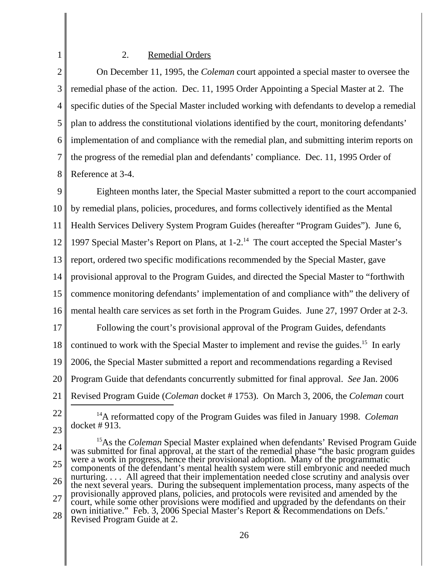## 2. Remedial Orders

2 3 4 5 6 7 8 On December 11, 1995, the *Coleman* court appointed a special master to oversee the remedial phase of the action. Dec. 11, 1995 Order Appointing a Special Master at 2. The specific duties of the Special Master included working with defendants to develop a remedial plan to address the constitutional violations identified by the court, monitoring defendants' implementation of and compliance with the remedial plan, and submitting interim reports on the progress of the remedial plan and defendants' compliance. Dec. 11, 1995 Order of Reference at 3-4.

9 10 11 12 13 14 15 16 Eighteen months later, the Special Master submitted a report to the court accompanied by remedial plans, policies, procedures, and forms collectively identified as the Mental Health Services Delivery System Program Guides (hereafter "Program Guides"). June 6, 1997 Special Master's Report on Plans, at 1-2<sup>14</sup> The court accepted the Special Master's report, ordered two specific modifications recommended by the Special Master, gave provisional approval to the Program Guides, and directed the Special Master to "forthwith commence monitoring defendants' implementation of and compliance with" the delivery of mental health care services as set forth in the Program Guides. June 27, 1997 Order at 2-3.

17 18 19 20 21 Following the court's provisional approval of the Program Guides, defendants continued to work with the Special Master to implement and revise the guides.<sup>15</sup> In early 2006, the Special Master submitted a report and recommendations regarding a Revised Program Guide that defendants concurrently submitted for final approval. *See* Jan. 2006 Revised Program Guide (*Coleman* docket # 1753). On March 3, 2006, the *Coleman* court

22

1

23

14A reformatted copy of the Program Guides was filed in January 1998. *Coleman* docket # 913.

24 25 26 27 28 <sup>15</sup>As the *Coleman* Special Master explained when defendants' Revised Program Guide was submitted for final approval, at the start of the remedial phase "the basic program guides" were a work in progress, hence their provisional adoption. Many of the programmatic components of the defendant's mental health system were still embryonic and needed much nurturing. . . . All agreed that their implementation needed close scrutiny and analysis over the next several years. During the subsequent implementation process, many aspects of the provisionally approved plans, policies, and protocols were revisited and amended by the court, while some other provisions were modified and upgraded by the defendants on their own initiative." Feb. 3, 2006 Special Master's Report & Recommendations on Defs.' Revised Program Guide at 2.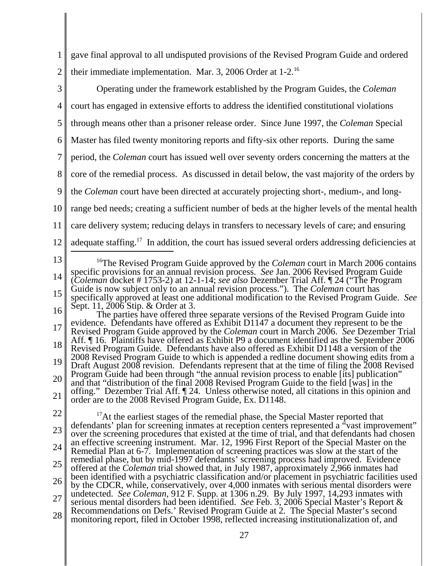1 2 3 4 5 6 7 8 9 10 11 12 13 14 15 16 17 18 19 20 21 22 23 24 25 26 27 28 <sup>16</sup>The Revised Program Guide approved by the *Coleman* court in March 2006 contains specific provisions for an annual revision process. *See* Jan. 2006 Revised Program Guide (*Coleman* docket # 1753-2) at 12-1-14; *see also* Dezember Trial Aff. ¶ 24 ("The Program Guide is now subject only to an annual revision process."). The *Coleman* court has specifically approved at least one additional modification to the Revised Program Guide. *See* Sept. 11, 2006 Stip. & Order at 3. The parties have offered three separate versions of the Revised Program Guide into evidence. Defendants have offered as Exhibit D1147 a document they represent to be the Revised Program Guide approved by the *Coleman* court in March 2006. *See* Dezember Trial Aff. ¶ 16. Plaintiffs have offered as Exhibit P9 a document identified as the September 2006 Revised Program Guide. Defendants have also offered as Exhibit D1148 a version of the 2008 Revised Program Guide to which is appended a redline document showing edits from a Draft August 2008 revision. Defendants represent that at the time of filing the 2008 Revised Program Guide had been through "the annual revision process to enable [its] publication" and that "distribution of the final 2008 Revised Program Guide to the field [was] in the offing." Dezember Trial Aff. ¶ 24. Unless otherwise noted, all citations in this opinion and order are to the 2008 Revised Program Guide, Ex. D1148. <sup>17</sup>At the earliest stages of the remedial phase, the Special Master reported that defendants' plan for screening inmates at reception centers represented a "vast improvement" over the screening procedures that existed at the time of trial, and that defendants had chosen an effective screening instrument. Mar. 12, 1996 First Report of the Special Master on the Remedial Plan at 6-7. Implementation of screening practices was slow at the start of the remedial phase, but by mid-1997 defendants' screening process had improved. Evidence offered at the *Coleman* trial showed that, in July 1987, approximately 2,966 inmates had been identified with a psychiatric classification and/or placement in psychiatric facilities used by the CDCR, while, conservatively, over 4,000 inmates with serious mental disorders were undetected. *See Coleman*, 912 F. Supp. at 1306 n.29. By July 1997, 14,293 inmates with serious mental disorders had been identified. *See* Feb. 3, 2006 Special Master's Report & Recommendations on Defs.' Revised Program Guide at 2. The Special Master's second monitoring report, filed in October 1998, reflected increasing institutionalization of, and 27 gave final approval to all undisputed provisions of the Revised Program Guide and ordered their immediate implementation. Mar. 3, 2006 Order at 1-2.16 Operating under the framework established by the Program Guides, the *Coleman* court has engaged in extensive efforts to address the identified constitutional violations through means other than a prisoner release order. Since June 1997, the *Coleman* Special Master has filed twenty monitoring reports and fifty-six other reports. During the same period, the *Coleman* court has issued well over seventy orders concerning the matters at the core of the remedial process. As discussed in detail below, the vast majority of the orders by the *Coleman* court have been directed at accurately projecting short-, medium-, and longrange bed needs; creating a sufficient number of beds at the higher levels of the mental health care delivery system; reducing delays in transfers to necessary levels of care; and ensuring adequate staffing.<sup>17</sup> In addition, the court has issued several orders addressing deficiencies at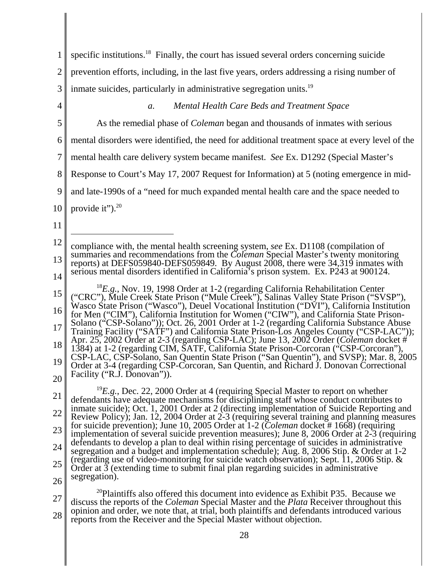| 1              | specific institutions. <sup>18</sup> Finally, the court has issued several orders concerning suicide                                                                                                                                                                                  |
|----------------|---------------------------------------------------------------------------------------------------------------------------------------------------------------------------------------------------------------------------------------------------------------------------------------|
| $\overline{2}$ | prevention efforts, including, in the last five years, orders addressing a rising number of                                                                                                                                                                                           |
| 3              | inmate suicides, particularly in administrative segregation units. <sup>19</sup>                                                                                                                                                                                                      |
| $\overline{4}$ | Mental Health Care Beds and Treatment Space<br>a.                                                                                                                                                                                                                                     |
| 5              | As the remedial phase of <i>Coleman</i> began and thousands of inmates with serious                                                                                                                                                                                                   |
| 6              | mental disorders were identified, the need for additional treatment space at every level of the                                                                                                                                                                                       |
| 7              | mental health care delivery system became manifest. See Ex. D1292 (Special Master's                                                                                                                                                                                                   |
| 8              | Response to Court's May 17, 2007 Request for Information) at 5 (noting emergence in mid-                                                                                                                                                                                              |
| 9              | and late-1990s of a "need for much expanded mental health care and the space needed to                                                                                                                                                                                                |
| 10             | provide it"). <sup>20</sup>                                                                                                                                                                                                                                                           |
| 11             |                                                                                                                                                                                                                                                                                       |
| 12             | compliance with, the mental health screening system, see Ex. D1108 (compilation of                                                                                                                                                                                                    |
| 13             | summaries and recommendations from the Coleman Special Master's twenty monitoring<br>reports) at DEFS059840-DEFS059849. By August 2008, there were 34,319 inmates with                                                                                                                |
| 14             | serious mental disorders identified in California's prison system. Ex. P243 at 900124.                                                                                                                                                                                                |
| 15             | ${}^{18}E.g.,$ Nov. 19, 1998 Order at 1-2 (regarding California Rehabilitation Center<br>("CRC"), Mule Creek State Prison ("Mule Creek"), Salinas Valley State Prison ("SVSP"),                                                                                                       |
| 16             | Wasco State Prison ("Wasco"), Deuel Vocational Institution ("DVI"), California Institution<br>for Men ("CIM"), California Institution for Women ("CIW"), and California State Prison-                                                                                                 |
| 17             | Solano ("CSP-Solano")); Oct. 26, 2001 Order at 1-2 (regarding California Substance Abuse<br>Training Facility ("SATF") and California State Prison-Los Angeles County ("CSP-LAC"));                                                                                                   |
| 18             | Apr. 25, 2002 Order at 2-3 (regarding CSP-LAC); June 13, 2002 Order ( <i>Coleman</i> docket #<br>1384) at 1-2 (regarding CIM, SATF, California State Prison-Corcoran ("CSP-Corcoran"),                                                                                                |
| 19             | CSP-LAC, CSP-Solano, San Quentin State Prison ("San Quentin"), and SVSP); Mar. 8, 2005<br>Order at 3-4 (regarding CSP-Corcoran, San Quentin, and Richard J. Donovan Correctional                                                                                                      |
| 20             | Facility ("R.J. Donovan")).                                                                                                                                                                                                                                                           |
| 21             | <sup>19</sup> E.g., Dec. 22, 2000 Order at 4 (requiring Special Master to report on whether<br>defendants have adequate mechanisms for disciplining staff whose conduct contributes to                                                                                                |
| 22             | inmate suicide); Oct. 1, 2001 Order at 2 (directing implementation of Suicide Reporting and<br>Review Policy); Jan. 12, 2004 Order at 2-3 (requiring several training and planning measures                                                                                           |
| 23             | for suicide prevention); June 10, 2005 Order at $1-2$ ( <i>Coleman</i> docket #1668) (requiring<br>implementation of several suicide prevention measures); June 8, 2006 Order at 2-3 (requiring                                                                                       |
| 24             | defendants to develop a plan to deal within rising percentage of suicides in administrative<br>segregation and a budget and implementation schedule); Aug. 8, 2006 Stip. & Order at 1-2                                                                                               |
| 25             | (regarding use of video-monitoring for suicide watch observation); Sept. 11, 2006 Stip. &<br>Order at $\overline{3}$ (extending time to submit final plan regarding suicides in administrative                                                                                        |
| 26             | segregation).                                                                                                                                                                                                                                                                         |
| 27             | <sup>20</sup> Plaintiffs also offered this document into evidence as Exhibit P35. Because we<br>discuss the reports of the Coleman Special Master and the Plata Receiver throughout this<br>inion and order, we note that at trial, both plaintiffs and defendants introduced various |

28 opinion and order, we note that, at trial, both plaintiffs and defendants introduced various reports from the Receiver and the Special Master without objection.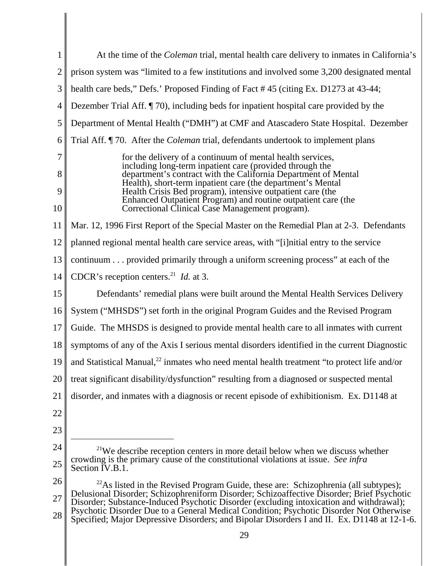| 1              | At the time of the <i>Coleman</i> trial, mental health care delivery to inmates in California's                                                                                             |
|----------------|---------------------------------------------------------------------------------------------------------------------------------------------------------------------------------------------|
| $\overline{c}$ | prison system was "limited to a few institutions and involved some 3,200 designated mental                                                                                                  |
| 3              | health care beds," Defs.' Proposed Finding of Fact #45 (citing Ex. D1273 at 43-44;                                                                                                          |
| 4              | Dezember Trial Aff. <i>[70]</i> , including beds for inpatient hospital care provided by the                                                                                                |
| 5              | Department of Mental Health ("DMH") at CMF and Atascadero State Hospital. Dezember                                                                                                          |
| 6              | Trial Aff. ¶ 70. After the <i>Coleman</i> trial, defendants undertook to implement plans                                                                                                    |
| 7<br>8         | for the delivery of a continuum of mental health services,<br>including long-term inpatient care (provided through the<br>department's contract with the California Department of Mental    |
| 9              | Health), short-term inpatient care (the department's Mental<br>Health Crisis Bed program), intensive outpatient care (the<br>Enhanced Outpatient Program) and routine outpatient care (the  |
| 10             | Correctional Clinical Case Management program).                                                                                                                                             |
| 11             | Mar. 12, 1996 First Report of the Special Master on the Remedial Plan at 2-3. Defendants                                                                                                    |
| 12             | planned regional mental health care service areas, with "[i] nitial entry to the service                                                                                                    |
| 13             | continuum provided primarily through a uniform screening process" at each of the                                                                                                            |
| 14             | CDCR's reception centers. <sup>21</sup> <i>Id.</i> at 3.                                                                                                                                    |
| 15             | Defendants' remedial plans were built around the Mental Health Services Delivery                                                                                                            |
| 16             | System ("MHSDS") set forth in the original Program Guides and the Revised Program                                                                                                           |
| 17             | Guide. The MHSDS is designed to provide mental health care to all inmates with current                                                                                                      |
| 18             | symptoms of any of the Axis I serious mental disorders identified in the current Diagnostic                                                                                                 |
| 19             | and Statistical Manual, <sup>22</sup> inmates who need mental health treatment "to protect life and/or                                                                                      |
| 20             | treat significant disability/dysfunction" resulting from a diagnosed or suspected mental                                                                                                    |
| 21             | disorder, and inmates with a diagnosis or recent episode of exhibitionism. Ex. D1148 at                                                                                                     |
| 22             |                                                                                                                                                                                             |
| 23             |                                                                                                                                                                                             |
| 24             | $21$ We describe reception centers in more detail below when we discuss whether                                                                                                             |
| 25             | crowding is the primary cause of the constitutional violations at issue. See infra<br>Section IV.B.1.                                                                                       |
| 26             | <sup>22</sup> As listed in the Revised Program Guide, these are: Schizophrenia (all subtypes);<br>Delusional Disorder; Schizophreniform Disorder; Schizoaffective Disorder; Brief Psychotic |
| 27             | Disorder; Substance-Induced Psychotic Disorder (excluding intoxication and withdrawal);                                                                                                     |
| 28             | Psychotic Disorder Due to a General Medical Condition; Psychotic Disorder Not Otherwise<br>Specified; Major Depressive Disorders; and Bipolar Disorders I and II. Ex. D1148 at 12-1-6.      |
|                | 29                                                                                                                                                                                          |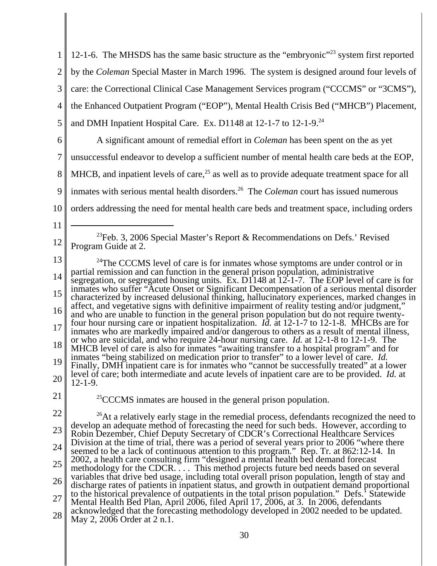| $\mathbf{1}$   | 12-1-6. The MHSDS has the same basic structure as the "embryonic" <sup>23</sup> system first reported                                                                                             |
|----------------|---------------------------------------------------------------------------------------------------------------------------------------------------------------------------------------------------|
| $\overline{2}$ | by the Coleman Special Master in March 1996. The system is designed around four levels of                                                                                                         |
| 3              | care: the Correctional Clinical Case Management Services program ("CCCMS" or "3CMS"),                                                                                                             |
| 4              | the Enhanced Outpatient Program ("EOP"), Mental Health Crisis Bed ("MHCB") Placement,                                                                                                             |
| 5              | and DMH Inpatient Hospital Care. Ex. D1148 at 12-1-7 to 12-1-9. <sup>24</sup>                                                                                                                     |
| 6              | A significant amount of remedial effort in <i>Coleman</i> has been spent on the as yet                                                                                                            |
| $\overline{7}$ | unsuccessful endeavor to develop a sufficient number of mental health care beds at the EOP,                                                                                                       |
| 8              | MHCB, and inpatient levels of care, <sup>25</sup> as well as to provide adequate treatment space for all                                                                                          |
| 9              | inmates with serious mental health disorders. <sup>26</sup> The <i>Coleman</i> court has issued numerous                                                                                          |
| 10             | orders addressing the need for mental health care beds and treatment space, including orders                                                                                                      |
| 11             |                                                                                                                                                                                                   |
| 12             | <sup>23</sup> Feb. 3, 2006 Special Master's Report & Recommendations on Defs.' Revised<br>Program Guide at 2.                                                                                     |
| 13             | $^{24}$ The CCCMS level of care is for inmates whose symptoms are under control or in                                                                                                             |
| 14             | partial remission and can function in the general prison population, administrative<br>segregation, or segregated housing units. Ex. D1148 at $12$ -1-7. The EOP level of care is for             |
| 15             | inmates who suffer "Acute Onset or Significant Decompensation of a serious mental disorder<br>characterized by increased delusional thinking, hallucinatory experiences, marked changes in        |
| 16             | affect, and vegetative signs with definitive impairment of reality testing and/or judgment,"<br>and who are unable to function in the general prison population but do not require twenty-        |
| 17             | four hour nursing care or inpatient hospitalization. <i>Id.</i> at 12-1-7 to 12-1-8. MHCBs are for<br>inmates who are markedly impaired and/or dangerous to others as a result of mental illness, |
| 18             | or who are suicidal, and who require 24-hour nursing care. <i>Id.</i> at 12-1-8 to 12-1-9. The<br>MHCB level of care is also for inmates "awaiting transfer to a hospital program" and for        |
| 19             | inmates "being stabilized on medication prior to transfer" to a lower level of care. <i>Id.</i><br>Finally, DMH inpatient care is for inmates who "cannot be successfully treated" at a lower     |
| 20             | level of care; both intermediate and acute levels of inpatient care are to be provided. <i>Id.</i> at<br>$12 - 1 - 9$ .                                                                           |
| 21             | <sup>25</sup> CCCMS inmates are housed in the general prison population.                                                                                                                          |
| 22             | <sup>26</sup> At a relatively early stage in the remedial process, defendants recognized the need to                                                                                              |
| 23             | develop an adequate method of forecasting the need for such beds. However, according to<br>Robin Dezember, Chief Deputy Secretary of CDCR's Correctional Healthcare Services                      |
| 24             | Division at the time of trial, there was a period of several years prior to 2006 "where there<br>seemed to be a lack of continuous attention to this program." Rep. Tr. at 862:12-14. In          |
| 25             | 2002, a health care consulting firm "designed a mental health bed demand forecast<br>methodology for the CDCR This method projects future bed needs based on several                              |
| 26             | variables that drive bed usage, including total overall prison population, length of stay and<br>discharge rates of patients in inpatient status, and growth in outpatient demand proportional    |
| 27             | to the historical prevalence of outpatients in the total prison population." Defs.' Statewide<br>Mental Health Bed Plan, April 2006, filed April 17, 2006, at 3. In 2006, defendants              |
| 28             | acknowledged that the forecasting methodology developed in 2002 needed to be updated.<br>May 2, 2006 Order at 2 n.1.                                                                              |
|                |                                                                                                                                                                                                   |

 $\mathsf I$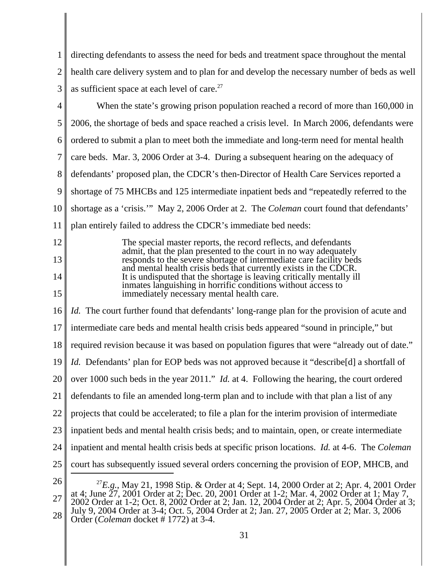1 2 3 directing defendants to assess the need for beds and treatment space throughout the mental health care delivery system and to plan for and develop the necessary number of beds as well as sufficient space at each level of care.<sup>27</sup>

4 5 6 7 8 9 10 11 12 13 14 15 16 17 18 19 20 21 22 23 24 25 26 27 28 <sup>27</sup>*E.g.*, May 21, 1998 Stip. & Order at 4; Sept. 14, 2000 Order at 2; Apr. 4, 2001 Order at 4; June 27, 2001 Order at 2; Dec. 20, 2001 Order at 1-2; Mar. 4, 2002 Order at 1; May 7, 2002 Order at 1-2; Oct. 8, 2002 Order at 2; Jan. 12, 2004 Order at 2; Apr. 5, 2004 Order at 3; July 9, 2004 Order at 3-4; Oct. 5, 2004 Order at 2; Jan. 27, 2005 Order at 2; Mar. 3, 2006 Order (*Coleman* docket # 1772) at 3-4. When the state's growing prison population reached a record of more than 160,000 in 2006, the shortage of beds and space reached a crisis level. In March 2006, defendants were ordered to submit a plan to meet both the immediate and long-term need for mental health care beds. Mar. 3, 2006 Order at 3-4. During a subsequent hearing on the adequacy of defendants' proposed plan, the CDCR's then-Director of Health Care Services reported a shortage of 75 MHCBs and 125 intermediate inpatient beds and "repeatedly referred to the shortage as a 'crisis.'" May 2, 2006 Order at 2. The *Coleman* court found that defendants' plan entirely failed to address the CDCR's immediate bed needs: The special master reports, the record reflects, and defendants admit, that the plan presented to the court in no way adequately responds to the severe shortage of intermediate care facility beds and mental health crisis beds that currently exists in the CDCR. It is undisputed that the shortage is leaving critically mentally ill inmates languishing in horrific conditions without access to immediately necessary mental health care. *Id.* The court further found that defendants' long-range plan for the provision of acute and intermediate care beds and mental health crisis beds appeared "sound in principle," but required revision because it was based on population figures that were "already out of date." *Id.* Defendants' plan for EOP beds was not approved because it "describe<sup>[d]</sup> a shortfall of over 1000 such beds in the year 2011." *Id.* at 4. Following the hearing, the court ordered defendants to file an amended long-term plan and to include with that plan a list of any projects that could be accelerated; to file a plan for the interim provision of intermediate inpatient beds and mental health crisis beds; and to maintain, open, or create intermediate inpatient and mental health crisis beds at specific prison locations. *Id.* at 4-6. The *Coleman* court has subsequently issued several orders concerning the provision of EOP, MHCB, and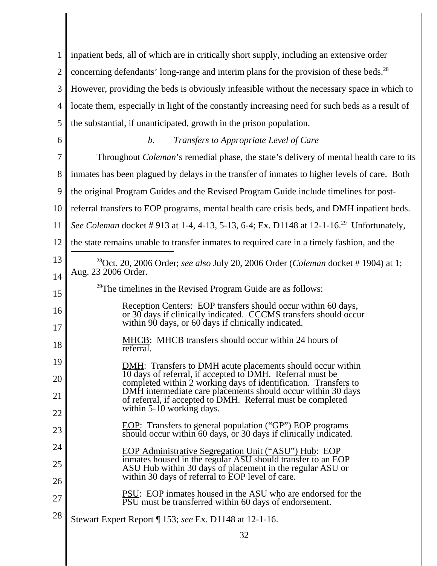| 1              | inpatient beds, all of which are in critically short supply, including an extensive order                                                                                                |
|----------------|------------------------------------------------------------------------------------------------------------------------------------------------------------------------------------------|
| $\overline{2}$ | concerning defendants' long-range and interim plans for the provision of these beds. <sup>28</sup>                                                                                       |
| 3              | However, providing the beds is obviously infeasible without the necessary space in which to                                                                                              |
| 4              | locate them, especially in light of the constantly increasing need for such beds as a result of                                                                                          |
| 5              | the substantial, if unanticipated, growth in the prison population.                                                                                                                      |
| 6              | Transfers to Appropriate Level of Care<br>b.                                                                                                                                             |
| 7              | Throughout <i>Coleman's</i> remedial phase, the state's delivery of mental health care to its                                                                                            |
| 8              | in the transfer of inmates to higher levels of care. Both                                                                                                                                |
| 9              | the original Program Guides and the Revised Program Guide include timelines for post-                                                                                                    |
| 10             | referral transfers to EOP programs, mental health care crisis beds, and DMH inpatient beds.                                                                                              |
| 11             | See Coleman docket #913 at 1-4, 4-13, 5-13, 6-4; Ex. D1148 at 12-1-16. <sup>29</sup> Unfortunately,                                                                                      |
| 12             | the state remains unable to transfer inmates to required care in a timely fashion, and the                                                                                               |
| 13             | <sup>28</sup> Oct. 20, 2006 Order; see also July 20, 2006 Order ( <i>Coleman</i> docket #1904) at 1;                                                                                     |
| 14             | Aug. 23 2006 Order.                                                                                                                                                                      |
| 15             | <sup>29</sup> The timelines in the Revised Program Guide are as follows:                                                                                                                 |
| 16<br>17       | Reception Centers: EOP transfers should occur within 60 days,<br>or 30 days if clinically indicated. CCCMS transfers should occur<br>within 90 days, or 60 days if clinically indicated. |
| 18             | MHCB: MHCB transfers should occur within 24 hours of<br>referral.                                                                                                                        |
| 19             | <b>DMH:</b> Transfers to DMH acute placements should occur within<br>10 days of referral, if accepted to DMH. Referral must be                                                           |
| 20             | completed within 2 working days of identification. Transfers to<br>DMH intermediate care placements should occur within 30 days                                                          |
| 21<br>22       | of referral, if accepted to DMH. Referral must be completed<br>within 5-10 working days.                                                                                                 |
| 23             | <b>EOP:</b> Transfers to general population ("GP") EOP programs                                                                                                                          |
| 24             | should occur within 60 days, or 30 days if clinically indicated.                                                                                                                         |
| 25             | <b>EOP Administrative Segregation Unit ("ASU") Hub: EOP</b><br>inmates housed in the regular ASU should transfer to an EOP                                                               |
| 26             | ASU Hub within 30 days of placement in the regular ASU or<br>within 30 days of referral to EOP level of care.                                                                            |
| 27             | <b>PSU:</b> EOP inmates housed in the ASU who are endorsed for the<br>PSU must be transferred within 60 days of endorsement.                                                             |
| 28             | Stewart Expert Report   153; see Ex. D1148 at 12-1-16.                                                                                                                                   |
|                | 32                                                                                                                                                                                       |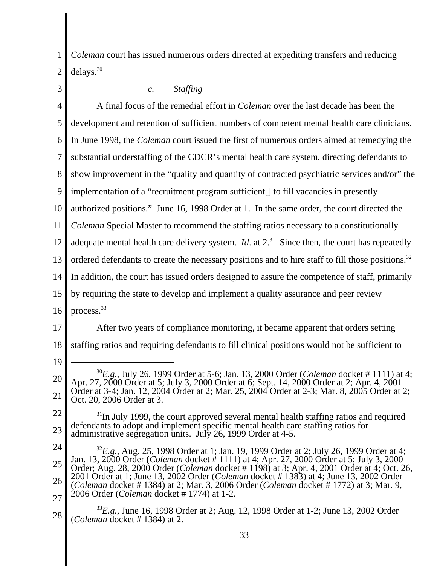1 2 *Coleman* court has issued numerous orders directed at expediting transfers and reducing delays.<sup>30</sup>

| 3              | <b>Staffing</b><br>$\mathcal{C}$ .                                                                                                                                                                                                                                                         |
|----------------|--------------------------------------------------------------------------------------------------------------------------------------------------------------------------------------------------------------------------------------------------------------------------------------------|
| $\overline{4}$ | A final focus of the remedial effort in <i>Coleman</i> over the last decade has been the                                                                                                                                                                                                   |
| 5              | development and retention of sufficient numbers of competent mental health care clinicians.                                                                                                                                                                                                |
| 6              | In June 1998, the Coleman court issued the first of numerous orders aimed at remedying the                                                                                                                                                                                                 |
| 7              | substantial understaffing of the CDCR's mental health care system, directing defendants to                                                                                                                                                                                                 |
| 8              | show improvement in the "quality and quantity of contracted psychiatric services and/or" the                                                                                                                                                                                               |
| 9              | implementation of a "recruitment program sufficient[] to fill vacancies in presently                                                                                                                                                                                                       |
| 10             | authorized positions." June 16, 1998 Order at 1. In the same order, the court directed the                                                                                                                                                                                                 |
| 11             | Coleman Special Master to recommend the staffing ratios necessary to a constitutionally                                                                                                                                                                                                    |
| 12             | adequate mental health care delivery system. <i>Id.</i> at $2^{31}$ Since then, the court has repeatedly                                                                                                                                                                                   |
| 13             | ordered defendants to create the necessary positions and to hire staff to fill those positions. <sup>32</sup>                                                                                                                                                                              |
| 14             | In addition, the court has issued orders designed to assure the competence of staff, primarily                                                                                                                                                                                             |
| 15             | by requiring the state to develop and implement a quality assurance and peer review                                                                                                                                                                                                        |
| 16             | process. <sup>33</sup>                                                                                                                                                                                                                                                                     |
| 17             | After two years of compliance monitoring, it became apparent that orders setting                                                                                                                                                                                                           |
| 18             | staffing ratios and requiring defendants to fill clinical positions would not be sufficient to                                                                                                                                                                                             |
| 19             |                                                                                                                                                                                                                                                                                            |
| 20             | $^{30}E.g.,$ July 26, 1999 Order at 5-6; Jan. 13, 2000 Order ( <i>Coleman</i> docket # 1111) at 4;<br>Apr. 27, 2000 Order at 5; July 3, 2000 Order at 6; Sept. 14, 2000 Order at 2; Apr. 4, 2001<br>at 3-4; Jan. 12, 2004 Order at 2; Mar. 25, 2004 Order at 2-3; Mar. 8, 2005 Order at 2; |
| 21             | 20, 2006 Order at 3.                                                                                                                                                                                                                                                                       |
| 22<br>23       | <sup>31</sup> In July 1999, the court approved several mental health staffing ratios and required<br>defendants to adopt and implement specific mental health care staffing ratios for<br>administrative segregation units. July 26, 1999 Order at 4-5.                                    |
| 24             | ${}^{32}E.g.,$ Aug. 25, 1998 Order at 1; Jan. 19, 1999 Order at 2; July 26, 1999 Order at 4;                                                                                                                                                                                               |
| 25             | Jan. 13, 2000 Order ( <i>Coleman</i> docket # 1111) at 4; Apr. 27, 2000 Order at 5; July 3, 2000<br>Order; Aug. 28, 2000 Order ( <i>Coleman</i> docket #1198) at 3; Apr. 4, 2001 Order at 4; Oct. 26,                                                                                      |
| 26             | 2001 Order at 1; June 13, 2002 Order (Coleman docket #1383) at 4; June 13, 2002 Order<br>(Coleman docket # 1384) at 2; Mar. 3, 2006 Order (Coleman docket # 1772) at 3; Mar. 9,<br>2006 Order (Coleman docket #1774) at 1-2.                                                               |
| 27<br>28       | $^{33}E.g.,$ June 16, 1998 Order at 2; Aug. 12, 1998 Order at 1-2; June 13, 2002 Order<br>( <i>Coleman</i> docket #1384) at 2.                                                                                                                                                             |
|                | 33                                                                                                                                                                                                                                                                                         |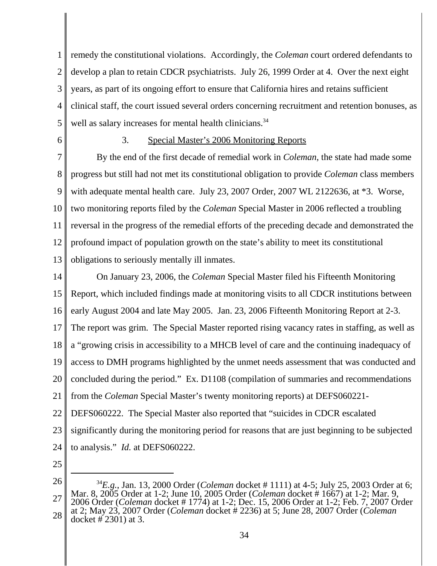1 2 3 4 5 remedy the constitutional violations. Accordingly, the *Coleman* court ordered defendants to develop a plan to retain CDCR psychiatrists. July 26, 1999 Order at 4. Over the next eight years, as part of its ongoing effort to ensure that California hires and retains sufficient clinical staff, the court issued several orders concerning recruitment and retention bonuses, as well as salary increases for mental health clinicians.<sup>34</sup>

6

# 3. Special Master's 2006 Monitoring Reports

7 8 9 10 11 12 13 By the end of the first decade of remedial work in *Coleman*, the state had made some progress but still had not met its constitutional obligation to provide *Coleman* class members with adequate mental health care. July 23, 2007 Order, 2007 WL 2122636, at \*3. Worse, two monitoring reports filed by the *Coleman* Special Master in 2006 reflected a troubling reversal in the progress of the remedial efforts of the preceding decade and demonstrated the profound impact of population growth on the state's ability to meet its constitutional obligations to seriously mentally ill inmates.

14 15 16 17 18 19 20 21 22 23 24 On January 23, 2006, the *Coleman* Special Master filed his Fifteenth Monitoring Report, which included findings made at monitoring visits to all CDCR institutions between early August 2004 and late May 2005. Jan. 23, 2006 Fifteenth Monitoring Report at 2-3. The report was grim. The Special Master reported rising vacancy rates in staffing, as well as a "growing crisis in accessibility to a MHCB level of care and the continuing inadequacy of access to DMH programs highlighted by the unmet needs assessment that was conducted and concluded during the period." Ex. D1108 (compilation of summaries and recommendations from the *Coleman* Special Master's twenty monitoring reports) at DEFS060221- DEFS060222. The Special Master also reported that "suicides in CDCR escalated significantly during the monitoring period for reasons that are just beginning to be subjected to analysis." *Id.* at DEFS060222.

<sup>26</sup> 27 28 <sup>34</sup>*E.g.*, Jan. 13, 2000 Order (*Coleman* docket # 1111) at 4-5; July 25, 2003 Order at 6; Mar. 8, 2005 Order at 1-2; June 10, 2005 Order (*Coleman* docket # 1667) at 1-2; Mar. 9, 2006 Order (*Coleman* docket # 1774) at 1-2; Dec. 15, 2006 Order at 1-2; Feb. 7, 2007 Order at 2; May 23, 2007 Order (*Coleman* docket # 2236) at 5; June 28, 2007 Order (*Coleman* docket # 2301) at 3.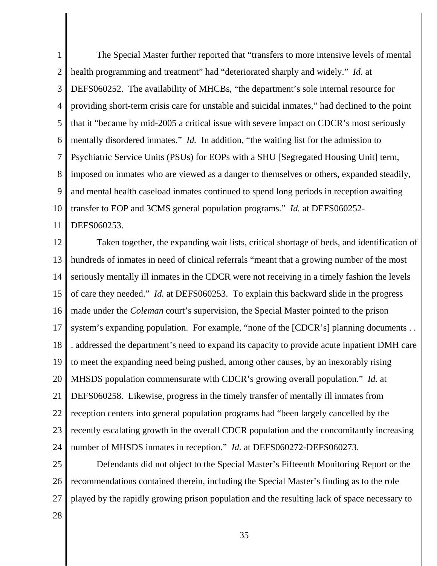1 2 3 4 5 6 7 8 9 10 11 The Special Master further reported that "transfers to more intensive levels of mental health programming and treatment" had "deteriorated sharply and widely." *Id.* at DEFS060252. The availability of MHCBs, "the department's sole internal resource for providing short-term crisis care for unstable and suicidal inmates," had declined to the point that it "became by mid-2005 a critical issue with severe impact on CDCR's most seriously mentally disordered inmates." *Id.* In addition, "the waiting list for the admission to Psychiatric Service Units (PSUs) for EOPs with a SHU [Segregated Housing Unit] term, imposed on inmates who are viewed as a danger to themselves or others, expanded steadily, and mental health caseload inmates continued to spend long periods in reception awaiting transfer to EOP and 3CMS general population programs." *Id.* at DEFS060252- DEFS060253.

12 13 14 15 16 17 18 19 20 21 22 23 24 Taken together, the expanding wait lists, critical shortage of beds, and identification of hundreds of inmates in need of clinical referrals "meant that a growing number of the most seriously mentally ill inmates in the CDCR were not receiving in a timely fashion the levels of care they needed." *Id.* at DEFS060253. To explain this backward slide in the progress made under the *Coleman* court's supervision, the Special Master pointed to the prison system's expanding population. For example, "none of the [CDCR's] planning documents ... . addressed the department's need to expand its capacity to provide acute inpatient DMH care to meet the expanding need being pushed, among other causes, by an inexorably rising MHSDS population commensurate with CDCR's growing overall population." *Id.* at DEFS060258. Likewise, progress in the timely transfer of mentally ill inmates from reception centers into general population programs had "been largely cancelled by the recently escalating growth in the overall CDCR population and the concomitantly increasing number of MHSDS inmates in reception." *Id.* at DEFS060272-DEFS060273.

25 26 27 Defendants did not object to the Special Master's Fifteenth Monitoring Report or the recommendations contained therein, including the Special Master's finding as to the role played by the rapidly growing prison population and the resulting lack of space necessary to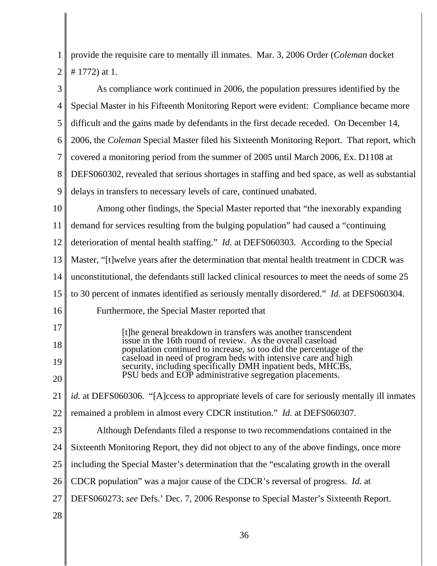1 2 provide the requisite care to mentally ill inmates. Mar. 3, 2006 Order (*Coleman* docket # 1772) at 1.

| 3  | As compliance work continued in 2006, the population pressures identified by the                                             |
|----|------------------------------------------------------------------------------------------------------------------------------|
| 4  | Special Master in his Fifteenth Monitoring Report were evident: Compliance became more                                       |
| 5  | difficult and the gains made by defendants in the first decade receded. On December 14,                                      |
| 6  | 2006, the Coleman Special Master filed his Sixteenth Monitoring Report. That report, which                                   |
| 7  | covered a monitoring period from the summer of 2005 until March 2006, Ex. D1108 at                                           |
| 8  | DEFS060302, revealed that serious shortages in staffing and bed space, as well as substantial                                |
| 9  | delays in transfers to necessary levels of care, continued unabated.                                                         |
| 10 | Among other findings, the Special Master reported that "the inexorably expanding                                             |
| 11 | demand for services resulting from the bulging population" had caused a "continuing                                          |
| 12 | deterioration of mental health staffing." <i>Id.</i> at DEFS060303. According to the Special                                 |
| 13 | Master, "[t] welve years after the determination that mental health treatment in CDCR was                                    |
| 14 | unconstitutional, the defendants still lacked clinical resources to meet the needs of some 25                                |
| 15 | to 30 percent of inmates identified as seriously mentally disordered." <i>Id.</i> at DEFS060304.                             |
| 16 | Furthermore, the Special Master reported that                                                                                |
| 17 | [t]he general breakdown in transfers was another transcendent<br>issue in the 16th round of review. As the overall caseload  |
| 18 | population continued to increase, so too did the percentage of the                                                           |
| 19 | caseload in need of program beds with intensive care and high<br>security, including specifically DMH inpatient beds, MHCBs, |
| 20 | PSU beds and EOP administrative segregation placements.                                                                      |
| 21 | <i>id.</i> at DEFS060306. "[A]ccess to appropriate levels of care for seriously mentally ill inmates                         |
| 22 | remained a problem in almost every CDCR institution." Id. at DEFS060307.                                                     |
| 23 | Although Defendants filed a response to two recommendations contained in the                                                 |
| 24 | Sixteenth Monitoring Report, they did not object to any of the above findings, once more                                     |
| 25 | including the Special Master's determination that the "escalating growth in the overall                                      |
| 26 | CDCR population" was a major cause of the CDCR's reversal of progress. <i>Id.</i> at                                         |
| 27 | DEFS060273; see Defs.' Dec. 7, 2006 Response to Special Master's Sixteenth Report.                                           |
| 28 |                                                                                                                              |
|    |                                                                                                                              |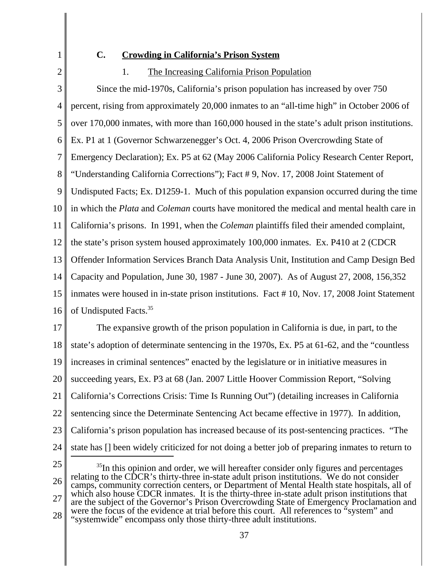2

1

## **C. Crowding in California's Prison System**

### 1. The Increasing California Prison Population

3 4 5 6 7 8 9 10 11 12 13 14 15 16 Since the mid-1970s, California's prison population has increased by over 750 percent, rising from approximately 20,000 inmates to an "all-time high" in October 2006 of over 170,000 inmates, with more than 160,000 housed in the state's adult prison institutions. Ex. P1 at 1 (Governor Schwarzenegger's Oct. 4, 2006 Prison Overcrowding State of Emergency Declaration); Ex. P5 at 62 (May 2006 California Policy Research Center Report, "Understanding California Corrections"); Fact # 9, Nov. 17, 2008 Joint Statement of Undisputed Facts; Ex. D1259-1. Much of this population expansion occurred during the time in which the *Plata* and *Coleman* courts have monitored the medical and mental health care in California's prisons. In 1991, when the *Coleman* plaintiffs filed their amended complaint, the state's prison system housed approximately 100,000 inmates. Ex. P410 at 2 (CDCR Offender Information Services Branch Data Analysis Unit, Institution and Camp Design Bed Capacity and Population, June 30, 1987 - June 30, 2007). As of August 27, 2008, 156,352 inmates were housed in in-state prison institutions. Fact # 10, Nov. 17, 2008 Joint Statement of Undisputed Facts.35

17 18 19 20 21 22 23 24 The expansive growth of the prison population in California is due, in part, to the state's adoption of determinate sentencing in the 1970s, Ex. P5 at 61-62, and the "countless increases in criminal sentences" enacted by the legislature or in initiative measures in succeeding years, Ex. P3 at 68 (Jan. 2007 Little Hoover Commission Report, "Solving California's Corrections Crisis: Time Is Running Out") (detailing increases in California sentencing since the Determinate Sentencing Act became effective in 1977). In addition, California's prison population has increased because of its post-sentencing practices. "The state has [] been widely criticized for not doing a better job of preparing inmates to return to

25

26 27 28  $35$ In this opinion and order, we will hereafter consider only figures and percentages relating to the CDCR's thirty-three in-state adult prison institutions. We do not consider camps, community correction centers, or Department of Mental Health state hospitals, all of which also house CDCR inmates. It is the thirty-three in-state adult prison institutions that are the subject of the Governor's Prison Overcrowding State of Emergency Proclamation and were the focus of the evidence at trial before this court. All references to "system" and "systemwide" encompass only those thirty-three adult institutions.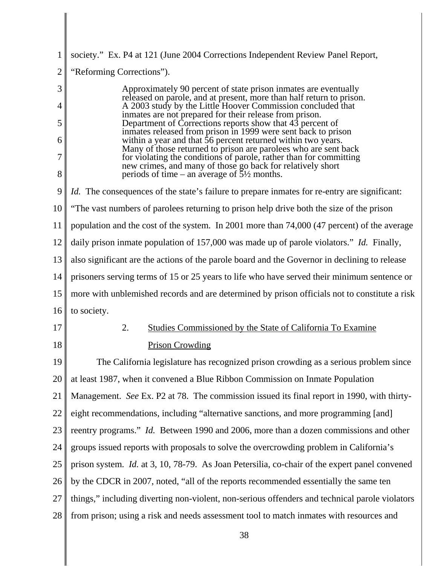| $\mathbf{1}$   | society." Ex. P4 at 121 (June 2004 Corrections Independent Review Panel Report,                                                                                                       |
|----------------|---------------------------------------------------------------------------------------------------------------------------------------------------------------------------------------|
| $\overline{2}$ | "Reforming Corrections").                                                                                                                                                             |
| 3              | Approximately 90 percent of state prison inmates are eventually                                                                                                                       |
| $\overline{4}$ | released on parole, and at present, more than half return to prison.<br>A 2003 study by the Little Hoover Commission concluded that                                                   |
| 5              | inmates are not prepared for their release from prison.<br>Department of Corrections reports show that 43 percent of<br>inmates released from prison in 1999 were sent back to prison |
| 6              | within a year and that 56 percent returned within two years.<br>Many of those returned to prison are parolees who are sent back                                                       |
| 7              | for violating the conditions of parole, rather than for committing                                                                                                                    |
| 8              | new crimes, and many of those go back for relatively short<br>periods of time – an average of $\overline{5}/\frac{1}{2}$ months.                                                      |
| 9              | <i>Id.</i> The consequences of the state's failure to prepare inmates for re-entry are significant:                                                                                   |
| 10             | "The vast numbers of parolees returning to prison help drive both the size of the prison                                                                                              |
| 11             | population and the cost of the system. In 2001 more than 74,000 (47 percent) of the average                                                                                           |
| 12             | daily prison inmate population of 157,000 was made up of parole violators." Id. Finally,                                                                                              |
| 13             | also significant are the actions of the parole board and the Governor in declining to release                                                                                         |
| 14             | prisoners serving terms of 15 or 25 years to life who have served their minimum sentence or                                                                                           |
| 15             | more with unblemished records and are determined by prison officials not to constitute a risk                                                                                         |
| 16             | to society.                                                                                                                                                                           |
| 17             | 2.<br>Studies Commissioned by the State of California To Examine                                                                                                                      |
| 18             | <b>Prison Crowding</b>                                                                                                                                                                |
| 19             | The California legislature has recognized prison crowding as a serious problem since                                                                                                  |
| 20             | at least 1987, when it convened a Blue Ribbon Commission on Inmate Population                                                                                                         |
| 21             | Management. See Ex. P2 at 78. The commission issued its final report in 1990, with thirty-                                                                                            |
| 22             | eight recommendations, including "alternative sanctions, and more programming [and]                                                                                                   |
| 23             | reentry programs." Id. Between 1990 and 2006, more than a dozen commissions and other                                                                                                 |
| 24             | groups issued reports with proposals to solve the overcrowding problem in California's                                                                                                |
| 25             | prison system. Id. at 3, 10, 78-79. As Joan Petersilia, co-chair of the expert panel convened                                                                                         |
| 26             | by the CDCR in 2007, noted, "all of the reports recommended essentially the same ten                                                                                                  |
| 27             | things," including diverting non-violent, non-serious offenders and technical parole violators                                                                                        |
| 28             | from prison; using a risk and needs assessment tool to match inmates with resources and                                                                                               |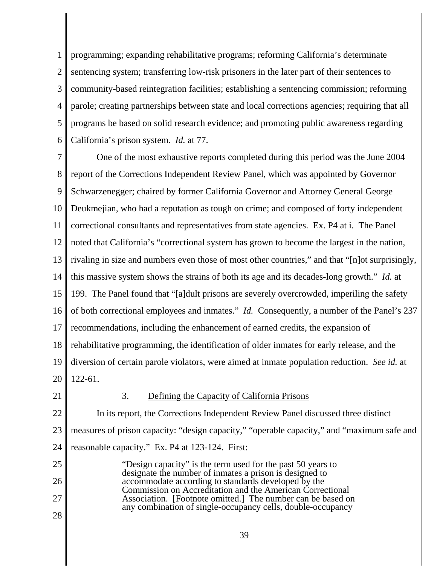1 2 3 4 5 6 programming; expanding rehabilitative programs; reforming California's determinate sentencing system; transferring low-risk prisoners in the later part of their sentences to community-based reintegration facilities; establishing a sentencing commission; reforming parole; creating partnerships between state and local corrections agencies; requiring that all programs be based on solid research evidence; and promoting public awareness regarding California's prison system. *Id.* at 77.

7 8 9 10 11 12 13 14 15 16 17 18 19 20 One of the most exhaustive reports completed during this period was the June 2004 report of the Corrections Independent Review Panel, which was appointed by Governor Schwarzenegger; chaired by former California Governor and Attorney General George Deukmejian, who had a reputation as tough on crime; and composed of forty independent correctional consultants and representatives from state agencies. Ex. P4 at i. The Panel noted that California's "correctional system has grown to become the largest in the nation, rivaling in size and numbers even those of most other countries," and that "[n]ot surprisingly, this massive system shows the strains of both its age and its decades-long growth." *Id.* at 199. The Panel found that "[a]dult prisons are severely overcrowded, imperiling the safety of both correctional employees and inmates." *Id.* Consequently, a number of the Panel's 237 recommendations, including the enhancement of earned credits, the expansion of rehabilitative programming, the identification of older inmates for early release, and the diversion of certain parole violators, were aimed at inmate population reduction. *See id.* at 122-61.

21

#### 3. Defining the Capacity of California Prisons

22 23 24 In its report, the Corrections Independent Review Panel discussed three distinct measures of prison capacity: "design capacity," "operable capacity," and "maximum safe and reasonable capacity." Ex. P4 at 123-124. First:

25 26 27 28 "Design capacity" is the term used for the past 50 years to designate the number of inmates a prison is designed to accommodate according to standards developed by the Commission on Accreditation and the American Correctional Association. [Footnote omitted.] The number can be based on any combination of single-occupancy cells, double-occupancy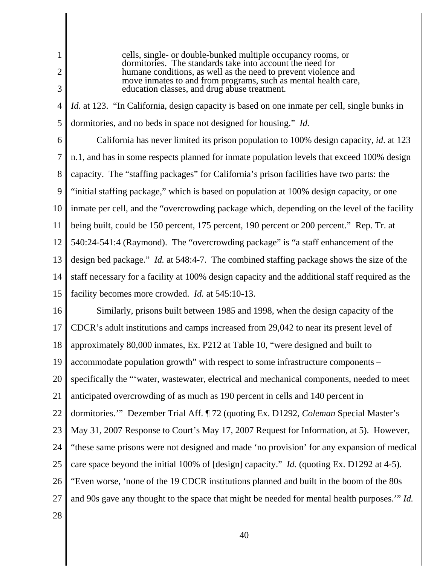2 3

1

cells, single- or double-bunked multiple occupancy rooms, or dormitories. The standards take into account the need for humane conditions, as well as the need to prevent violence and move inmates to and from programs, such as mental health care, education classes, and drug abuse treatment.

4 5 *Id.* at 123. "In California, design capacity is based on one inmate per cell, single bunks in dormitories, and no beds in space not designed for housing." *Id.*

6

7 8 9 10 11 12 13 14 15 California has never limited its prison population to 100% design capacity, *id*. at 123 n.1, and has in some respects planned for inmate population levels that exceed 100% design capacity. The "staffing packages" for California's prison facilities have two parts: the "initial staffing package," which is based on population at 100% design capacity, or one inmate per cell, and the "overcrowding package which, depending on the level of the facility being built, could be 150 percent, 175 percent, 190 percent or 200 percent." Rep. Tr. at 540:24-541:4 (Raymond). The "overcrowding package" is "a staff enhancement of the design bed package." *Id.* at 548:4-7. The combined staffing package shows the size of the staff necessary for a facility at 100% design capacity and the additional staff required as the facility becomes more crowded. *Id.* at 545:10-13.

16 17 18 19 20 21 22 23 24 25 26 27 Similarly, prisons built between 1985 and 1998, when the design capacity of the CDCR's adult institutions and camps increased from 29,042 to near its present level of approximately 80,000 inmates, Ex. P212 at Table 10, "were designed and built to accommodate population growth" with respect to some infrastructure components – specifically the "'water, wastewater, electrical and mechanical components, needed to meet anticipated overcrowding of as much as 190 percent in cells and 140 percent in dormitories.'" Dezember Trial Aff. ¶ 72 (quoting Ex. D1292, *Coleman* Special Master's May 31, 2007 Response to Court's May 17, 2007 Request for Information, at 5). However, "these same prisons were not designed and made 'no provision' for any expansion of medical care space beyond the initial 100% of [design] capacity." *Id.* (quoting Ex. D1292 at 4-5). "Even worse, 'none of the 19 CDCR institutions planned and built in the boom of the 80s and 90s gave any thought to the space that might be needed for mental health purposes.'" *Id.*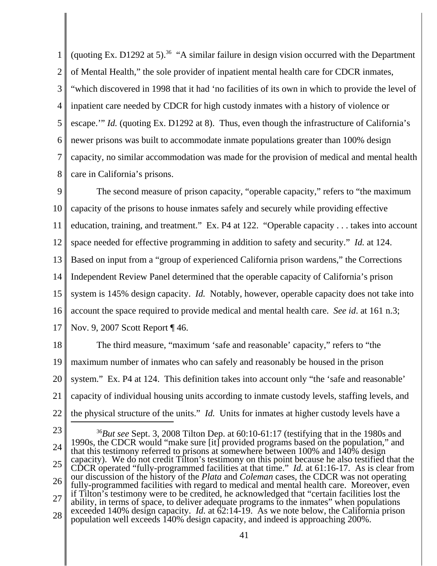1 2 3 4 5 6 7 8 (quoting Ex. D1292 at 5).<sup>36</sup> "A similar failure in design vision occurred with the Department of Mental Health," the sole provider of inpatient mental health care for CDCR inmates, "which discovered in 1998 that it had 'no facilities of its own in which to provide the level of inpatient care needed by CDCR for high custody inmates with a history of violence or escape.'" *Id.* (quoting Ex. D1292 at 8). Thus, even though the infrastructure of California's newer prisons was built to accommodate inmate populations greater than 100% design capacity, no similar accommodation was made for the provision of medical and mental health care in California's prisons.

9 10 11 12 13 14 15 16 17 The second measure of prison capacity, "operable capacity," refers to "the maximum capacity of the prisons to house inmates safely and securely while providing effective education, training, and treatment." Ex. P4 at 122. "Operable capacity . . . takes into account space needed for effective programming in addition to safety and security." *Id.* at 124. Based on input from a "group of experienced California prison wardens," the Corrections Independent Review Panel determined that the operable capacity of California's prison system is 145% design capacity. *Id.* Notably, however, operable capacity does not take into account the space required to provide medical and mental health care. *See id*. at 161 n.3; Nov. 9, 2007 Scott Report ¶ 46.

18 19 20 21 22 The third measure, "maximum 'safe and reasonable' capacity," refers to "the maximum number of inmates who can safely and reasonably be housed in the prison system." Ex. P4 at 124. This definition takes into account only "the 'safe and reasonable' capacity of individual housing units according to inmate custody levels, staffing levels, and the physical structure of the units." *Id.* Units for inmates at higher custody levels have a

23

24 25 26 27 28 <sup>36</sup>*But see* Sept. 3, 2008 Tilton Dep. at 60:10-61:17 (testifying that in the 1980s and 1990s, the CDCR would "make sure [it] provided programs based on the population," and that this testimony referred to prisons at somewhere between 100% and 140% design capacity). We do not credit Tilton's testimony on this point because he also testified that the CDCR operated "fully-programmed facilities at that time." *Id.* at 61:16-17. As is clear from our discussion of the history of the *Plata* and *Coleman* cases, the CDCR was not operating fully-programmed facilities with regard to medical and mental health care. Moreover, even if Tilton's testimony were to be credited, he acknowledged that "certain facilities lost the ability, in terms of space, to deliver adequate programs to the inmates" when populations exceeded 140% design capacity. *Id.* at 62:14-19. As we note below, the California prison population well exceeds 140% design capacity, and indeed is approaching 200%.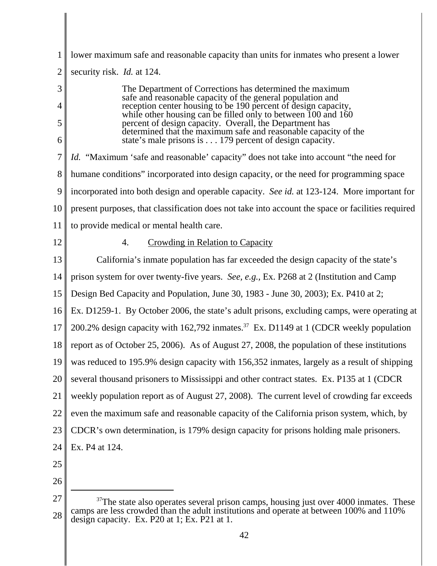| 1              | lower maximum safe and reasonable capacity than units for inmates who present a lower                                                                                                 |
|----------------|---------------------------------------------------------------------------------------------------------------------------------------------------------------------------------------|
| $\overline{2}$ | security risk. <i>Id.</i> at 124.                                                                                                                                                     |
| 3              | The Department of Corrections has determined the maximum<br>safe and reasonable capacity of the general population and                                                                |
| 4<br>5         | reception center housing to be 190 percent of design capacity,<br>while other housing can be filled only to between $100$ and $160$                                                   |
| 6              | percent of design capacity. Overall, the Department has<br>determined that the maximum safe and reasonable capacity of the<br>state's male prisons is 179 percent of design capacity. |
| 7              | <i>Id.</i> "Maximum 'safe and reasonable' capacity" does not take into account "the need for                                                                                          |
| 8              | humane conditions" incorporated into design capacity, or the need for programming space                                                                                               |
| 9              | incorporated into both design and operable capacity. See id. at 123-124. More important for                                                                                           |
| 10             | present purposes, that classification does not take into account the space or facilities required                                                                                     |
| 11             | to provide medical or mental health care.                                                                                                                                             |
| 12             | <b>Crowding in Relation to Capacity</b><br>4.                                                                                                                                         |
| 13             | California's inmate population has far exceeded the design capacity of the state's                                                                                                    |
| 14             | prison system for over twenty-five years. See, e.g., Ex. P268 at 2 (Institution and Camp                                                                                              |
| 15             | Design Bed Capacity and Population, June 30, 1983 - June 30, 2003); Ex. P410 at 2;                                                                                                    |
| 16             | Ex. D1259-1. By October 2006, the state's adult prisons, excluding camps, were operating at                                                                                           |
| 17             | 200.2% design capacity with 162,792 inmates. <sup>37</sup> Ex. D1149 at 1 (CDCR weekly population                                                                                     |
| 18             | report as of October 25, 2006). As of August 27, 2008, the population of these institutions                                                                                           |
|                | 19 was reduced to 195.9% design capacity with 156,352 inmates, largely as a result of shipping                                                                                        |
| 20             | several thousand prisoners to Mississippi and other contract states. Ex. P135 at 1 (CDCR                                                                                              |
| 21             | weekly population report as of August 27, 2008). The current level of crowding far exceeds                                                                                            |
| 22             | even the maximum safe and reasonable capacity of the California prison system, which, by                                                                                              |
| 23             | CDCR's own determination, is 179% design capacity for prisons holding male prisoners.                                                                                                 |
| 24             | Ex. P4 at 124.                                                                                                                                                                        |
| 25             |                                                                                                                                                                                       |
| 26             |                                                                                                                                                                                       |
| 27             | $37$ The state also operates several prison camps, housing just over 4000 inmates. These                                                                                              |

<sup>28</sup>  $37$ The state also operates several prison camps, housing just over 4000 inmates. These camps are less crowded than the adult institutions and operate at between 100% and 110% design capacity. Ex. P20 at 1; Ex. P21 at 1.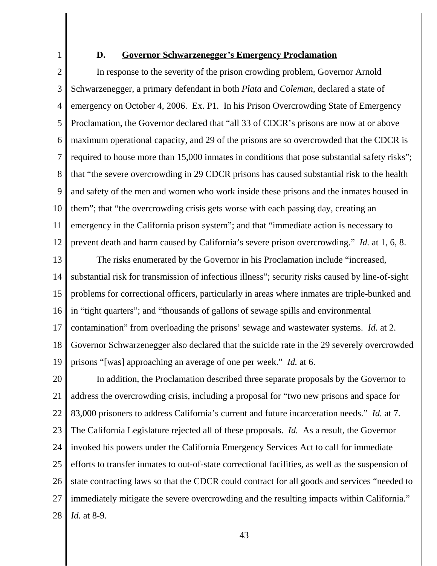1

#### **D. Governor Schwarzenegger's Emergency Proclamation**

2 3 4 5 6 7 8 9 10 11 12 In response to the severity of the prison crowding problem, Governor Arnold Schwarzenegger, a primary defendant in both *Plata* and *Coleman*, declared a state of emergency on October 4, 2006. Ex. P1. In his Prison Overcrowding State of Emergency Proclamation, the Governor declared that "all 33 of CDCR's prisons are now at or above maximum operational capacity, and 29 of the prisons are so overcrowded that the CDCR is required to house more than 15,000 inmates in conditions that pose substantial safety risks"; that "the severe overcrowding in 29 CDCR prisons has caused substantial risk to the health and safety of the men and women who work inside these prisons and the inmates housed in them"; that "the overcrowding crisis gets worse with each passing day, creating an emergency in the California prison system"; and that "immediate action is necessary to prevent death and harm caused by California's severe prison overcrowding." *Id.* at 1, 6, 8.

13 14 15 16 17 18 19 The risks enumerated by the Governor in his Proclamation include "increased, substantial risk for transmission of infectious illness"; security risks caused by line-of-sight problems for correctional officers, particularly in areas where inmates are triple-bunked and in "tight quarters"; and "thousands of gallons of sewage spills and environmental contamination" from overloading the prisons' sewage and wastewater systems. *Id.* at 2. Governor Schwarzenegger also declared that the suicide rate in the 29 severely overcrowded prisons "[was] approaching an average of one per week." *Id.* at 6.

20 21 22 23 24 25 26 27 28 In addition, the Proclamation described three separate proposals by the Governor to address the overcrowding crisis, including a proposal for "two new prisons and space for 83,000 prisoners to address California's current and future incarceration needs." *Id.* at 7. The California Legislature rejected all of these proposals. *Id.* As a result, the Governor invoked his powers under the California Emergency Services Act to call for immediate efforts to transfer inmates to out-of-state correctional facilities, as well as the suspension of state contracting laws so that the CDCR could contract for all goods and services "needed to immediately mitigate the severe overcrowding and the resulting impacts within California." *Id.* at 8-9.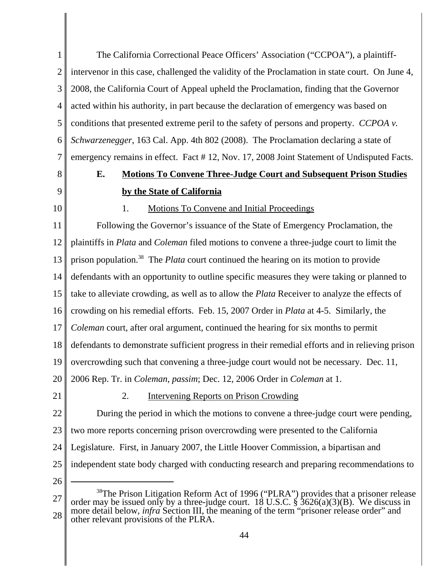1 2 3 4 5 6 7 The California Correctional Peace Officers' Association ("CCPOA"), a plaintiffintervenor in this case, challenged the validity of the Proclamation in state court. On June 4, 2008, the California Court of Appeal upheld the Proclamation, finding that the Governor acted within his authority, in part because the declaration of emergency was based on conditions that presented extreme peril to the safety of persons and property. *CCPOA v. Schwarzenegger*, 163 Cal. App. 4th 802 (2008). The Proclamation declaring a state of emergency remains in effect. Fact # 12, Nov. 17, 2008 Joint Statement of Undisputed Facts.

8 9

10

## **E. Motions To Convene Three-Judge Court and Subsequent Prison Studies by the State of California**

1. Motions To Convene and Initial Proceedings

11 12 13 14 15 16 17 18 19 20 21 22 23 Following the Governor's issuance of the State of Emergency Proclamation, the plaintiffs in *Plata* and *Coleman* filed motions to convene a three-judge court to limit the prison population.38 The *Plata* court continued the hearing on its motion to provide defendants with an opportunity to outline specific measures they were taking or planned to take to alleviate crowding, as well as to allow the *Plata* Receiver to analyze the effects of crowding on his remedial efforts. Feb. 15, 2007 Order in *Plata* at 4-5. Similarly, the *Coleman* court, after oral argument, continued the hearing for six months to permit defendants to demonstrate sufficient progress in their remedial efforts and in relieving prison overcrowding such that convening a three-judge court would not be necessary. Dec. 11, 2006 Rep. Tr. in *Coleman*, *passim*; Dec. 12, 2006 Order in *Coleman* at 1. 2. Intervening Reports on Prison Crowding During the period in which the motions to convene a three-judge court were pending, two more reports concerning prison overcrowding were presented to the California

24 Legislature. First, in January 2007, the Little Hoover Commission, a bipartisan and

- 25 independent state body charged with conducting research and preparing recommendations to
- 26

<sup>27</sup> 28 <sup>38</sup>The Prison Litigation Reform Act of 1996 ("PLRA") provides that a prisoner release order may be issued only by a three-judge court. 18 U.S.C.  $\frac{2}{3}$  3626(a)(3)(B). We discuss in more detail below, *infra* Section III, the meaning of the term "prisoner release order" and other relevant provisions of the PLRA.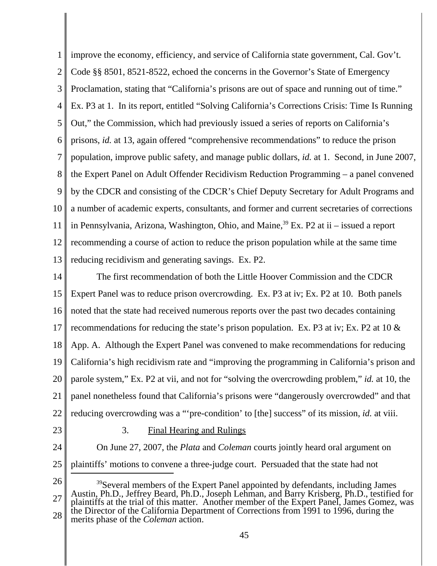1 2 3 4 5 6 7 8 9 10 11 12 13 improve the economy, efficiency, and service of California state government, Cal. Gov't. Code §§ 8501, 8521-8522, echoed the concerns in the Governor's State of Emergency Proclamation, stating that "California's prisons are out of space and running out of time." Ex. P3 at 1. In its report, entitled "Solving California's Corrections Crisis: Time Is Running Out," the Commission, which had previously issued a series of reports on California's prisons, *id.* at 13, again offered "comprehensive recommendations" to reduce the prison population, improve public safety, and manage public dollars, *id.* at 1. Second, in June 2007, the Expert Panel on Adult Offender Recidivism Reduction Programming – a panel convened by the CDCR and consisting of the CDCR's Chief Deputy Secretary for Adult Programs and a number of academic experts, consultants, and former and current secretaries of corrections in Pennsylvania, Arizona, Washington, Ohio, and Maine,  $39$  Ex. P2 at ii – issued a report recommending a course of action to reduce the prison population while at the same time reducing recidivism and generating savings. Ex. P2.

14 15 16 17 18 19 20 21 22 The first recommendation of both the Little Hoover Commission and the CDCR Expert Panel was to reduce prison overcrowding. Ex. P3 at iv; Ex. P2 at 10. Both panels noted that the state had received numerous reports over the past two decades containing recommendations for reducing the state's prison population. Ex. P3 at iv; Ex. P2 at 10 & App. A. Although the Expert Panel was convened to make recommendations for reducing California's high recidivism rate and "improving the programming in California's prison and parole system," Ex. P2 at vii, and not for "solving the overcrowding problem," *id.* at 10, the panel nonetheless found that California's prisons were "dangerously overcrowded" and that reducing overcrowding was a "'pre-condition' to [the] success" of its mission, *id.* at viii.

23

#### 3. Final Hearing and Rulings

24 25 On June 27, 2007, the *Plata* and *Coleman* courts jointly heard oral argument on plaintiffs' motions to convene a three-judge court. Persuaded that the state had not

26

27 28 <sup>39</sup>Several members of the Expert Panel appointed by defendants, including James Austin, Ph.D., Jeffrey Beard, Ph.D., Joseph Lehman, and Barry Krisberg, Ph.D., testified for plaintiffs at the trial of this matter. Another member of the Expert Panel, James Gomez, was the Director of the California Department of Corrections from 1991 to 1996, during the merits phase of the *Coleman* action.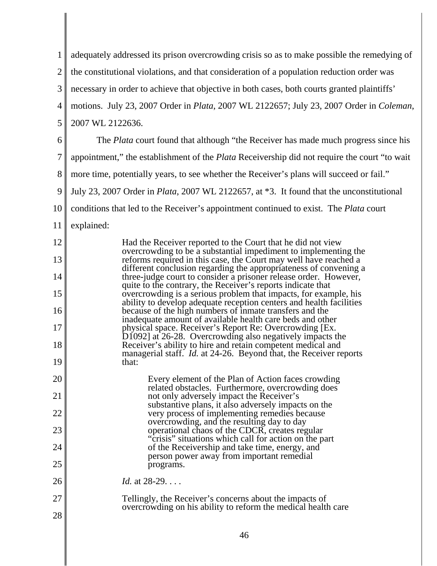|    | adequately addressed its prison overcrowding crisis so as to make possible the remedying of                                                                                                       |
|----|---------------------------------------------------------------------------------------------------------------------------------------------------------------------------------------------------|
| 2  | the constitutional violations, and that consideration of a population reduction order was                                                                                                         |
| 3  | necessary in order to achieve that objective in both cases, both courts granted plaintiffs'                                                                                                       |
| 4  | motions. July 23, 2007 Order in <i>Plata</i> , 2007 WL 2122657; July 23, 2007 Order in <i>Coleman</i> ,                                                                                           |
| 5  | 2007 WL 2122636.                                                                                                                                                                                  |
| 6  | The <i>Plata</i> court found that although "the Receiver has made much progress since his                                                                                                         |
| 7  | appointment," the establishment of the <i>Plata</i> Receivership did not require the court "to wait                                                                                               |
| 8  | more time, potentially years, to see whether the Receiver's plans will succeed or fail."                                                                                                          |
| 9  | July 23, 2007 Order in Plata, 2007 WL 2122657, at *3. It found that the unconstitutional                                                                                                          |
| 10 | conditions that led to the Receiver's appointment continued to exist. The Plata court                                                                                                             |
| 11 | explained:                                                                                                                                                                                        |
| 12 | Had the Receiver reported to the Court that he did not view<br>overcrowding to be a substantial impediment to implementing the                                                                    |
| 13 | reforms required in this case, the Court may well have reached a                                                                                                                                  |
| 14 | different conclusion regarding the appropriateness of convening a three-judge court to consider a prisoner release order. However,<br>quite to the contrary, the Receiver's reports indicate that |
| 15 | overcrowding is a serious problem that impacts, for example, his<br>ability to develop adequate reception centers and health facilities                                                           |
| 16 | because of the high numbers of inmate transfers and the<br>inadequate amount of available health care beds and other                                                                              |
| 17 | physical space. Receiver's Report Re: Overcrowding [Ex.<br>$D1092$ ] at 26-28. Overcrowding also negatively impacts the                                                                           |
| 18 | Receiver's ability to hire and retain competent medical and<br>managerial staff. <i>Id.</i> at 24-26. Beyond that, the Receiver reports                                                           |
| 19 | that:                                                                                                                                                                                             |
| 20 | Every element of the Plan of Action faces crowding<br>related obstacles. Furthermore, overcrowding does                                                                                           |
| 21 | not only adversely impact the Receiver's<br>substantive plans, it also adversely impacts on the                                                                                                   |
| 22 | very process of implementing remedies because<br>overcrowding, and the resulting day to day                                                                                                       |
| 23 | operational chaos of the CDCR, creates regular<br>"crisis" situations which call for action on the part                                                                                           |
| 24 | of the Receivership and take time, energy, and<br>person power away from important remedial                                                                                                       |
| 25 | programs.                                                                                                                                                                                         |
| 26 | <i>Id.</i> at 28-29.                                                                                                                                                                              |
| 27 | Tellingly, the Receiver's concerns about the impacts of<br>overcrowding on his ability to reform the medical health care                                                                          |
| 28 |                                                                                                                                                                                                   |
|    | 46                                                                                                                                                                                                |

 $\begin{array}{c} \hline \end{array}$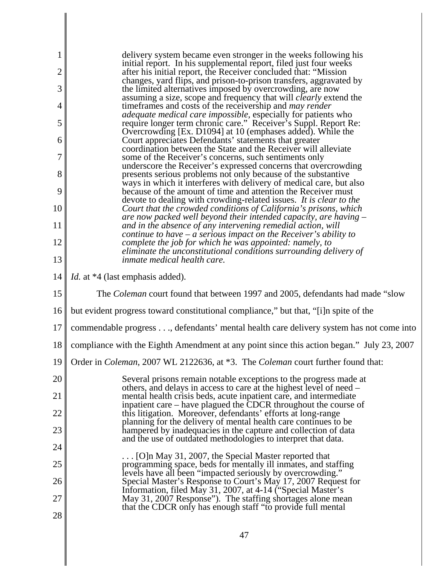| 1              | delivery system became even stronger in the weeks following his                                                                                                                                             |
|----------------|-------------------------------------------------------------------------------------------------------------------------------------------------------------------------------------------------------------|
| $\overline{c}$ | initial report. In his supplemental report, filed just four weeks<br>after his initial report, the Receiver concluded that: "Mission"<br>changes, yard flips, and prison-to-prison transfers, aggravated by |
| 3              | the limited alternatives imposed by overcrowding, are now                                                                                                                                                   |
| 4              | assuming a size, scope and frequency that will <i>clearly</i> extend the<br>time frames and costs of the receivership and <i>may render</i>                                                                 |
| 5              | <i>adequate medical care impossible, especially for patients who</i><br>require longer term chronic care." Receiver's Suppl. Report Re:                                                                     |
| 6              | Overcrowding [Ex. D1094] at 10 (emphases added). While the<br>Court appreciates Defendants' statements that greater                                                                                         |
| 7              | coordination between the State and the Receiver will alleviate<br>some of the Receiver's concerns, such sentiments only                                                                                     |
| 8              | underscore the Receiver's expressed concerns that overcrowding<br>presents serious problems not only because of the substantive                                                                             |
| 9              | ways in which it interferes with delivery of medical care, but also<br>because of the amount of time and attention the Receiver must                                                                        |
| 10             | devote to dealing with crowding-related issues. It is clear to the                                                                                                                                          |
|                | Court that the crowded conditions of California's prisons, which<br>are now packed well beyond their intended capacity, are having $-$                                                                      |
| 11             | and in the absence of any intervening remedial action, will<br>continue to have $-a$ serious impact on the Receiver's ability to                                                                            |
| 12             | complete the job for which he was appointed: namely, to<br>eliminate the unconstitutional conditions surrounding delivery of                                                                                |
| 13             | <i>inmate medical health care.</i>                                                                                                                                                                          |
| 14             | <i>Id.</i> at *4 (last emphasis added).                                                                                                                                                                     |
| 15             | The <i>Coleman</i> court found that between 1997 and 2005, defendants had made "slow"                                                                                                                       |
| 16             | but evident progress toward constitutional compliance," but that, "[i]n spite of the                                                                                                                        |
| 17             | commendable progress, defendants' mental health care delivery system has not come into                                                                                                                      |
| 18             | compliance with the Eighth Amendment at any point since this action began." July 23, 2007                                                                                                                   |
|                | 19 Order in <i>Coleman</i> , 2007 WL 2122636, at *3. The <i>Coleman</i> court further found that:                                                                                                           |
| 20             | Several prisons remain notable exceptions to the progress made at                                                                                                                                           |
| 21             | others, and delays in access to care at the highest level of need –<br>mental health crisis beds, acute inpatient care, and intermediate                                                                    |
| 22             | inpatient care – have plagued the CDCR throughout the course of<br>this litigation. Moreover, defendants' efforts at long-range                                                                             |
| 23             | planning for the delivery of mental health care continues to be<br>hampered by inadequacies in the capture and collection of data                                                                           |
| 24             | and the use of outdated methodologies to interpret that data.                                                                                                                                               |
| 25             | $\ldots$ [O]n May 31, 2007, the Special Master reported that<br>programming space, beds for mentally ill inmates, and staffing                                                                              |
| 26             | levels have all been "impacted seriously by overcrowding."<br>Special Master's Response to Court's May 17, 2007 Request for                                                                                 |
| 27             | Information, filed May 31, 2007, at 4-14 ("Special Master's<br>May 31, 2007 Response"). The staffing shortages alone mean                                                                                   |
| 28             | that the CDCR only has enough staff "to provide full mental                                                                                                                                                 |
|                |                                                                                                                                                                                                             |
|                | 47                                                                                                                                                                                                          |

 $\parallel$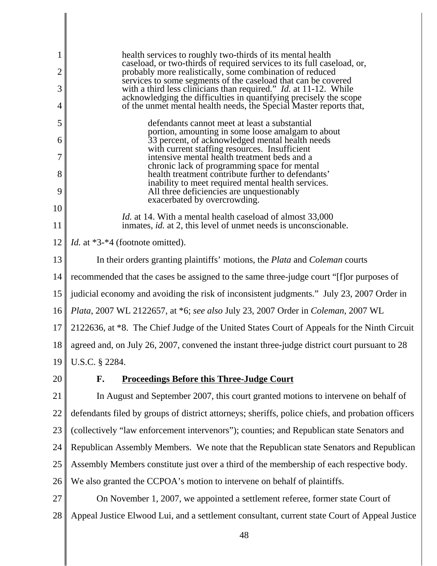| 1              | health services to roughly two-thirds of its mental health<br>caseload, or two-thirds of required services to its full caseload, or,    |
|----------------|-----------------------------------------------------------------------------------------------------------------------------------------|
| $\overline{2}$ | probably more realistically, some combination of reduced                                                                                |
| 3              | services to some segments of the caseload that can be covered<br>with a third less clinicians than required." Id. at 11-12. While       |
| $\overline{4}$ | acknowledging the difficulties in quantifying precisely the scope<br>of the unmet mental health needs, the Special Master reports that, |
| 5              | defendants cannot meet at least a substantial                                                                                           |
| 6              | portion, amounting in some loose amalgam to about<br>33 percent, of acknowledged mental health needs                                    |
| 7              | with current staffing resources. Insufficient<br>intensive mental health treatment beds and a                                           |
| 8              | chronic lack of programming space for mental<br>health treatment contribute further to defendants'                                      |
| 9              | inability to meet required mental health services.<br>All three deficiencies are unquestionably                                         |
| 10             | exacerbated by overcrowding.                                                                                                            |
| 11             | Id. at 14. With a mental health caseload of almost 33,000<br>inmates, id. at 2, this level of unmet needs is unconscionable.            |
| 12             | <i>Id.</i> at *3-*4 (footnote omitted).                                                                                                 |
| 13             | In their orders granting plaintiffs' motions, the <i>Plata</i> and <i>Coleman</i> courts                                                |
| 14             | recommended that the cases be assigned to the same three-judge court "[f] or purposes of                                                |
| 15             | judicial economy and avoiding the risk of inconsistent judgments." July 23, 2007 Order in                                               |
| 16             | Plata, 2007 WL 2122657, at *6; see also July 23, 2007 Order in Coleman, 2007 WL                                                         |
| 17             | 2122636, at *8. The Chief Judge of the United States Court of Appeals for the Ninth Circuit                                             |
| 18             | agreed and, on July 26, 2007, convened the instant three-judge district court pursuant to 28                                            |
|                | 19    U.S.C. § 2284.                                                                                                                    |
| 20             | F.<br><b>Proceedings Before this Three-Judge Court</b>                                                                                  |
| 21             | In August and September 2007, this court granted motions to intervene on behalf of                                                      |
| 22             | defendants filed by groups of district attorneys; sheriffs, police chiefs, and probation officers                                       |
| 23             | (collectively "law enforcement intervenors"); counties; and Republican state Senators and                                               |
| 24             | Republican Assembly Members. We note that the Republican state Senators and Republican                                                  |
| 25             | Assembly Members constitute just over a third of the membership of each respective body.                                                |
| 26             | We also granted the CCPOA's motion to intervene on behalf of plaintiffs.                                                                |
| 27             | On November 1, 2007, we appointed a settlement referee, former state Court of                                                           |
| 28             | Appeal Justice Elwood Lui, and a settlement consultant, current state Court of Appeal Justice                                           |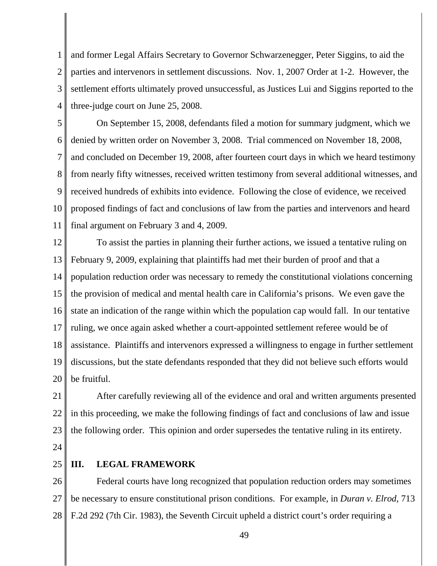1 2 3 4 and former Legal Affairs Secretary to Governor Schwarzenegger, Peter Siggins, to aid the parties and intervenors in settlement discussions. Nov. 1, 2007 Order at 1-2. However, the settlement efforts ultimately proved unsuccessful, as Justices Lui and Siggins reported to the three-judge court on June 25, 2008.

5 6 7 8 9 10 11 On September 15, 2008, defendants filed a motion for summary judgment, which we denied by written order on November 3, 2008. Trial commenced on November 18, 2008, and concluded on December 19, 2008, after fourteen court days in which we heard testimony from nearly fifty witnesses, received written testimony from several additional witnesses, and received hundreds of exhibits into evidence. Following the close of evidence, we received proposed findings of fact and conclusions of law from the parties and intervenors and heard final argument on February 3 and 4, 2009.

12 13 14 15 16 17 18 19 20 To assist the parties in planning their further actions, we issued a tentative ruling on February 9, 2009, explaining that plaintiffs had met their burden of proof and that a population reduction order was necessary to remedy the constitutional violations concerning the provision of medical and mental health care in California's prisons. We even gave the state an indication of the range within which the population cap would fall. In our tentative ruling, we once again asked whether a court-appointed settlement referee would be of assistance. Plaintiffs and intervenors expressed a willingness to engage in further settlement discussions, but the state defendants responded that they did not believe such efforts would be fruitful.

21 22 23 After carefully reviewing all of the evidence and oral and written arguments presented in this proceeding, we make the following findings of fact and conclusions of law and issue the following order. This opinion and order supersedes the tentative ruling in its entirety.

24

#### 25 **III. LEGAL FRAMEWORK**

26 27 28 Federal courts have long recognized that population reduction orders may sometimes be necessary to ensure constitutional prison conditions. For example, in *Duran v. Elrod*, 713 F.2d 292 (7th Cir. 1983), the Seventh Circuit upheld a district court's order requiring a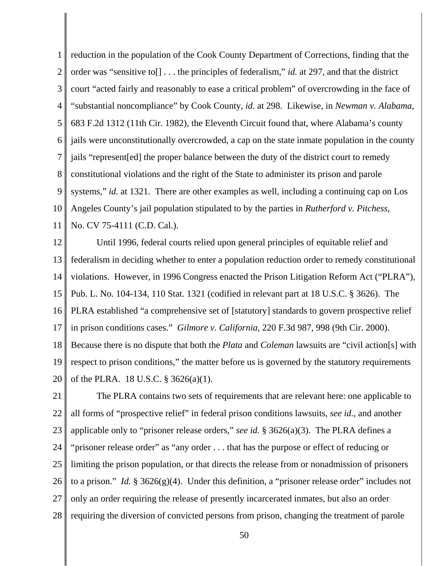1 2 3 4 5 6 7 8 9 10 11 reduction in the population of the Cook County Department of Corrections, finding that the order was "sensitive to[] . . . the principles of federalism," *id.* at 297, and that the district court "acted fairly and reasonably to ease a critical problem" of overcrowding in the face of "substantial noncompliance" by Cook County, *id.* at 298. Likewise, in *Newman v. Alabama*, 683 F.2d 1312 (11th Cir. 1982), the Eleventh Circuit found that, where Alabama's county jails were unconstitutionally overcrowded, a cap on the state inmate population in the county jails "represent[ed] the proper balance between the duty of the district court to remedy constitutional violations and the right of the State to administer its prison and parole systems," *id.* at 1321. There are other examples as well, including a continuing cap on Los Angeles County's jail population stipulated to by the parties in *Rutherford v. Pitchess,* No. CV 75-4111 (C.D. Cal.).

12 13 14 15 16 17 18 19 20 Until 1996, federal courts relied upon general principles of equitable relief and federalism in deciding whether to enter a population reduction order to remedy constitutional violations. However, in 1996 Congress enacted the Prison Litigation Reform Act ("PLRA"), Pub. L. No. 104-134, 110 Stat. 1321 (codified in relevant part at 18 U.S.C. § 3626). The PLRA established "a comprehensive set of [statutory] standards to govern prospective relief in prison conditions cases." *Gilmore v. California*, 220 F.3d 987, 998 (9th Cir. 2000). Because there is no dispute that both the *Plata* and *Coleman* lawsuits are "civil action[s] with respect to prison conditions," the matter before us is governed by the statutory requirements of the PLRA. 18 U.S.C. § 3626(a)(1).

21 22 23 24 25 26 27 28 The PLRA contains two sets of requirements that are relevant here: one applicable to all forms of "prospective relief" in federal prison conditions lawsuits, *see id.*, and another applicable only to "prisoner release orders," *see id.* § 3626(a)(3). The PLRA defines a "prisoner release order" as "any order . . . that has the purpose or effect of reducing or limiting the prison population, or that directs the release from or nonadmission of prisoners to a prison." *Id.* § 3626(g)(4). Under this definition, a "prisoner release order" includes not only an order requiring the release of presently incarcerated inmates, but also an order requiring the diversion of convicted persons from prison, changing the treatment of parole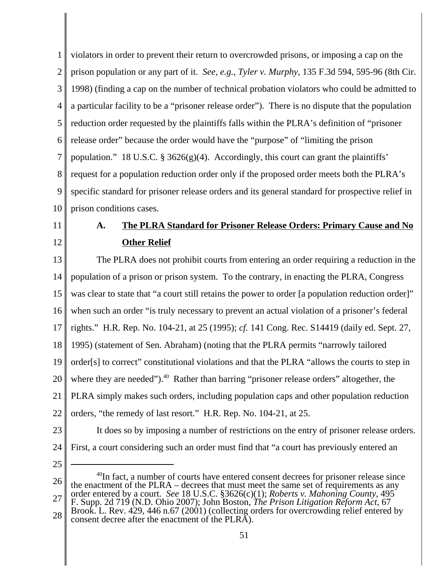1 2 3 4 5 6 7 8 9 10 violators in order to prevent their return to overcrowded prisons, or imposing a cap on the prison population or any part of it. *See, e.g.*, *Tyler v. Murphy*, 135 F.3d 594, 595-96 (8th Cir. 1998) (finding a cap on the number of technical probation violators who could be admitted to a particular facility to be a "prisoner release order"). There is no dispute that the population reduction order requested by the plaintiffs falls within the PLRA's definition of "prisoner release order" because the order would have the "purpose" of "limiting the prison population." 18 U.S.C. § 3626(g)(4). Accordingly, this court can grant the plaintiffs' request for a population reduction order only if the proposed order meets both the PLRA's specific standard for prisoner release orders and its general standard for prospective relief in prison conditions cases.

- 11
- 12

# **A. The PLRA Standard for Prisoner Release Orders: Primary Cause and No Other Relief**

13 14 15 16 17 18 19 20 21 22 The PLRA does not prohibit courts from entering an order requiring a reduction in the population of a prison or prison system. To the contrary, in enacting the PLRA, Congress was clear to state that "a court still retains the power to order [a population reduction order]" when such an order "is truly necessary to prevent an actual violation of a prisoner's federal rights." H.R. Rep. No. 104-21, at 25 (1995); *cf.* 141 Cong. Rec. S14419 (daily ed. Sept. 27, 1995) (statement of Sen. Abraham) (noting that the PLRA permits "narrowly tailored order[s] to correct" constitutional violations and that the PLRA "allows the courts to step in where they are needed").<sup>40</sup> Rather than barring "prisoner release orders" altogether, the PLRA simply makes such orders, including population caps and other population reduction orders, "the remedy of last resort." H.R. Rep. No. 104-21, at 25. It does so by imposing a number of restrictions on the entry of prisoner release orders.

- 23
- 24 25

First, a court considering such an order must find that "a court has previously entered an

28 F. Supp. 2d 719 (N.D. Ohio 2007); John Boston, *The Prison Litigation Reform Act*, 67 Brook. L. Rev. 429, 446 n.67 (2001) (collecting orders for overcrowding relief entered by consent decree after the enactment of the PLRA).

<sup>26</sup> 27  $^{40}$ In fact, a number of courts have entered consent decrees for prisoner release since the enactment of the PLRA – decrees that must meet the same set of requirements as any order entered by a court. *See* 18 U.S.C. §3626(c)(1); *Roberts v. Mahoning County*, 495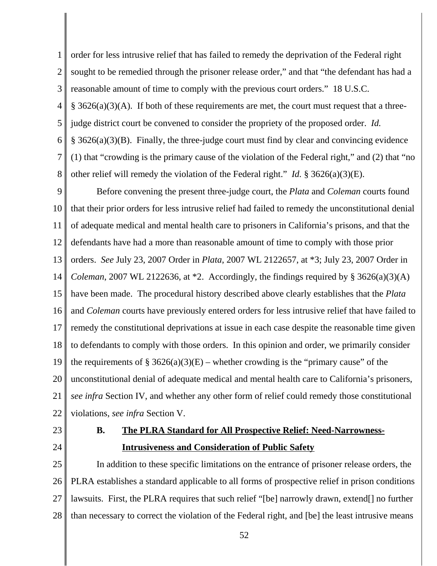1 2 3 4 5 6 7 8 order for less intrusive relief that has failed to remedy the deprivation of the Federal right sought to be remedied through the prisoner release order," and that "the defendant has had a reasonable amount of time to comply with the previous court orders." 18 U.S.C.  $§ 3626(a)(3)(A)$ . If both of these requirements are met, the court must request that a threejudge district court be convened to consider the propriety of the proposed order. *Id.* § 3626(a)(3)(B). Finally, the three-judge court must find by clear and convincing evidence (1) that "crowding is the primary cause of the violation of the Federal right," and (2) that "no other relief will remedy the violation of the Federal right." *Id.* § 3626(a)(3)(E).

9 10 11 12 13 14 15 16 17 18 19 20 21 22 Before convening the present three-judge court, the *Plata* and *Coleman* courts found that their prior orders for less intrusive relief had failed to remedy the unconstitutional denial of adequate medical and mental health care to prisoners in California's prisons, and that the defendants have had a more than reasonable amount of time to comply with those prior orders. *See* July 23, 2007 Order in *Plata*, 2007 WL 2122657, at \*3; July 23, 2007 Order in *Coleman*, 2007 WL 2122636, at  $*2$ . Accordingly, the findings required by  $\S$  3626(a)(3)(A) have been made. The procedural history described above clearly establishes that the *Plata* and *Coleman* courts have previously entered orders for less intrusive relief that have failed to remedy the constitutional deprivations at issue in each case despite the reasonable time given to defendants to comply with those orders. In this opinion and order, we primarily consider the requirements of § 3626(a)(3)(E) – whether crowding is the "primary cause" of the unconstitutional denial of adequate medical and mental health care to California's prisoners, *see infra* Section IV, and whether any other form of relief could remedy those constitutional violations, *see infra* Section V.

23

24

## **B. The PLRA Standard for All Prospective Relief: Need-Narrowness-Intrusiveness and Consideration of Public Safety**

25 26 27 28 In addition to these specific limitations on the entrance of prisoner release orders, the PLRA establishes a standard applicable to all forms of prospective relief in prison conditions lawsuits. First, the PLRA requires that such relief "[be] narrowly drawn, extend[] no further than necessary to correct the violation of the Federal right, and [be] the least intrusive means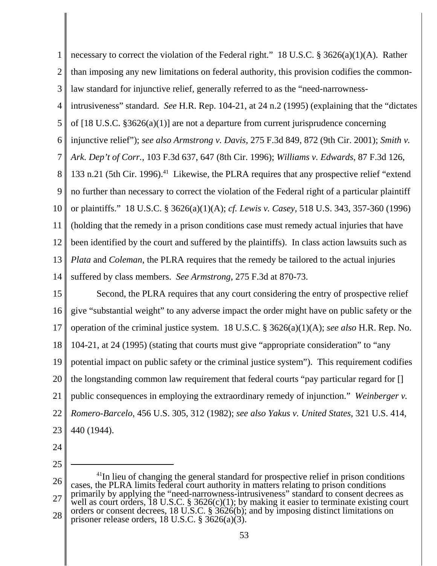1 2 3 4 5 6 7 8 9 10 11 12 13 14 necessary to correct the violation of the Federal right." 18 U.S.C. § 3626(a)(1)(A). Rather than imposing any new limitations on federal authority, this provision codifies the commonlaw standard for injunctive relief, generally referred to as the "need-narrownessintrusiveness" standard. *See* H.R. Rep. 104-21, at 24 n.2 (1995) (explaining that the "dictates of [18 U.S.C. §3626(a)(1)] are not a departure from current jurisprudence concerning injunctive relief"); *see also Armstrong v. Davis*, 275 F.3d 849, 872 (9th Cir. 2001); *Smith v. Ark. Dep't of Corr.*, 103 F.3d 637, 647 (8th Cir. 1996); *Williams v. Edwards*, 87 F.3d 126, 133 n.21 (5th Cir. 1996).<sup>41</sup> Likewise, the PLRA requires that any prospective relief "extend" no further than necessary to correct the violation of the Federal right of a particular plaintiff or plaintiffs." 18 U.S.C. § 3626(a)(1)(A); *cf. Lewis v. Casey*, 518 U.S. 343, 357-360 (1996) (holding that the remedy in a prison conditions case must remedy actual injuries that have been identified by the court and suffered by the plaintiffs). In class action lawsuits such as *Plata* and *Coleman*, the PLRA requires that the remedy be tailored to the actual injuries suffered by class members. *See Armstrong*, 275 F.3d at 870-73.

15 16 17 18 19 20 21 22 23 Second, the PLRA requires that any court considering the entry of prospective relief give "substantial weight" to any adverse impact the order might have on public safety or the operation of the criminal justice system. 18 U.S.C. § 3626(a)(1)(A); *see also* H.R. Rep. No. 104-21, at 24 (1995) (stating that courts must give "appropriate consideration" to "any potential impact on public safety or the criminal justice system"). This requirement codifies the longstanding common law requirement that federal courts "pay particular regard for [] public consequences in employing the extraordinary remedy of injunction." *Weinberger v. Romero-Barcelo*, 456 U.S. 305, 312 (1982); *see also Yakus v. United States*, 321 U.S. 414, 440 (1944).

<sup>26</sup> 27 28  $41$ In lieu of changing the general standard for prospective relief in prison conditions cases, the PLRA limits federal court authority in matters relating to prison conditions primarily by applying the "need-narrowness-intrusiveness" standard to consent decrees as well as court orders, 18 U.S.C. § 3626(c)(1); by making it easier to terminate existing court orders or consent decrees, 18 U.S.C. § 3626(b); and by imposing distinct limitations on prisoner release orders,  $18$  U.S.C.  $\S$  3626(a)(3).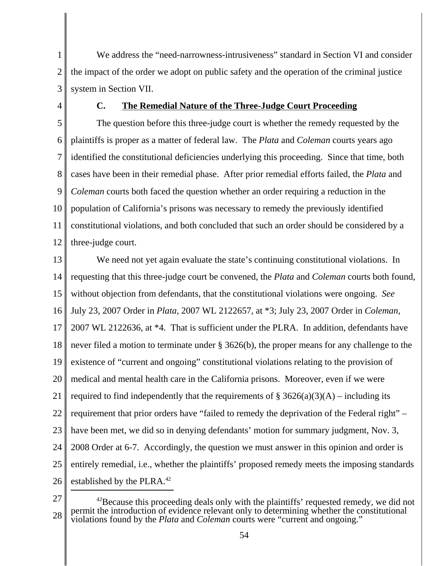1 2 3 We address the "need-narrowness-intrusiveness" standard in Section VI and consider the impact of the order we adopt on public safety and the operation of the criminal justice system in Section VII.

4

#### **C. The Remedial Nature of the Three-Judge Court Proceeding**

5 6 7 8 9 10 11 12 The question before this three-judge court is whether the remedy requested by the plaintiffs is proper as a matter of federal law. The *Plata* and *Coleman* courts years ago identified the constitutional deficiencies underlying this proceeding. Since that time, both cases have been in their remedial phase. After prior remedial efforts failed, the *Plata* and *Coleman* courts both faced the question whether an order requiring a reduction in the population of California's prisons was necessary to remedy the previously identified constitutional violations, and both concluded that such an order should be considered by a three-judge court.

13 14 15 16 17 18 19 20 21 22 23 24 25 26 We need not yet again evaluate the state's continuing constitutional violations. In requesting that this three-judge court be convened, the *Plata* and *Coleman* courts both found, without objection from defendants, that the constitutional violations were ongoing. *See* July 23, 2007 Order in *Plata*, 2007 WL 2122657, at \*3; July 23, 2007 Order in *Coleman*, 2007 WL 2122636, at \*4. That is sufficient under the PLRA. In addition, defendants have never filed a motion to terminate under § 3626(b), the proper means for any challenge to the existence of "current and ongoing" constitutional violations relating to the provision of medical and mental health care in the California prisons. Moreover, even if we were required to find independently that the requirements of  $\S 3626(a)(3)(A)$  – including its requirement that prior orders have "failed to remedy the deprivation of the Federal right" – have been met, we did so in denying defendants' motion for summary judgment, Nov. 3, 2008 Order at 6-7. Accordingly, the question we must answer in this opinion and order is entirely remedial, i.e., whether the plaintiffs' proposed remedy meets the imposing standards established by the PLRA.<sup>42</sup>

<sup>28</sup>  $42$ Because this proceeding deals only with the plaintiffs' requested remedy, we did not permit the introduction of evidence relevant only to determining whether the constitutional violations found by the *Plata* and *Coleman* courts were "current and ongoing."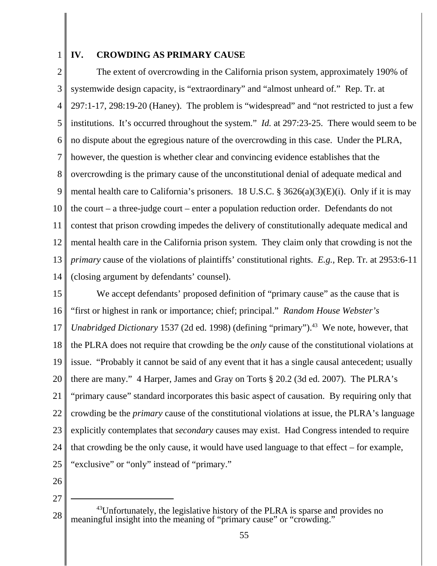1

#### **IV. CROWDING AS PRIMARY CAUSE**

2 3 4 5 6 7 8 9 10 11 12 13 14 The extent of overcrowding in the California prison system, approximately 190% of systemwide design capacity, is "extraordinary" and "almost unheard of." Rep. Tr. at 297:1-17, 298:19-20 (Haney). The problem is "widespread" and "not restricted to just a few institutions. It's occurred throughout the system." *Id.* at 297:23-25. There would seem to be no dispute about the egregious nature of the overcrowding in this case. Under the PLRA, however, the question is whether clear and convincing evidence establishes that the overcrowding is the primary cause of the unconstitutional denial of adequate medical and mental health care to California's prisoners. 18 U.S.C. § 3626(a)(3)(E)(i). Only if it is may the court – a three-judge court – enter a population reduction order. Defendants do not contest that prison crowding impedes the delivery of constitutionally adequate medical and mental health care in the California prison system. They claim only that crowding is not the *primary* cause of the violations of plaintiffs' constitutional rights. *E.g.,* Rep. Tr. at 2953:6-11 (closing argument by defendants' counsel).

15 16 17 18 19 20 21 22 23 24 25 We accept defendants' proposed definition of "primary cause" as the cause that is "first or highest in rank or importance; chief; principal." *Random House Webster's Unabridged Dictionary* 1537 (2d ed. 1998) (defining "primary").<sup>43</sup> We note, however, that the PLRA does not require that crowding be the *only* cause of the constitutional violations at issue. "Probably it cannot be said of any event that it has a single causal antecedent; usually there are many." 4 Harper, James and Gray on Torts § 20.2 (3d ed. 2007). The PLRA's "primary cause" standard incorporates this basic aspect of causation. By requiring only that crowding be the *primary* cause of the constitutional violations at issue, the PLRA's language explicitly contemplates that *secondary* causes may exist. Had Congress intended to require that crowding be the only cause, it would have used language to that effect – for example, "exclusive" or "only" instead of "primary."

26

<sup>28</sup>  $^{43}$ Unfortunately, the legislative history of the PLRA is sparse and provides no meaningful insight into the meaning of "primary cause" or "crowding."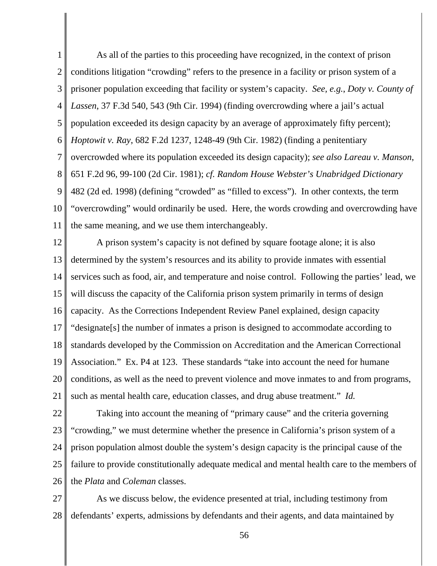1 2 3 4 5 6 7 8 9 10 11 As all of the parties to this proceeding have recognized, in the context of prison conditions litigation "crowding" refers to the presence in a facility or prison system of a prisoner population exceeding that facility or system's capacity. *See, e.g.*, *Doty v. County of Lassen*, 37 F.3d 540, 543 (9th Cir. 1994) (finding overcrowding where a jail's actual population exceeded its design capacity by an average of approximately fifty percent); *Hoptowit v. Ray*, 682 F.2d 1237, 1248-49 (9th Cir. 1982) (finding a penitentiary overcrowded where its population exceeded its design capacity); *see also Lareau v. Manson*, 651 F.2d 96, 99-100 (2d Cir. 1981); *cf. Random House Webster's Unabridged Dictionary* 482 (2d ed. 1998) (defining "crowded" as "filled to excess"). In other contexts, the term "overcrowding" would ordinarily be used. Here, the words crowding and overcrowding have the same meaning, and we use them interchangeably.

12 13 14 15 16 17 18 19 20 21 A prison system's capacity is not defined by square footage alone; it is also determined by the system's resources and its ability to provide inmates with essential services such as food, air, and temperature and noise control. Following the parties' lead, we will discuss the capacity of the California prison system primarily in terms of design capacity. As the Corrections Independent Review Panel explained, design capacity "designate[s] the number of inmates a prison is designed to accommodate according to standards developed by the Commission on Accreditation and the American Correctional Association." Ex. P4 at 123. These standards "take into account the need for humane conditions, as well as the need to prevent violence and move inmates to and from programs, such as mental health care, education classes, and drug abuse treatment." *Id.*

22 23 24 25 26 Taking into account the meaning of "primary cause" and the criteria governing "crowding," we must determine whether the presence in California's prison system of a prison population almost double the system's design capacity is the principal cause of the failure to provide constitutionally adequate medical and mental health care to the members of the *Plata* and *Coleman* classes.

27 28 As we discuss below, the evidence presented at trial, including testimony from defendants' experts, admissions by defendants and their agents, and data maintained by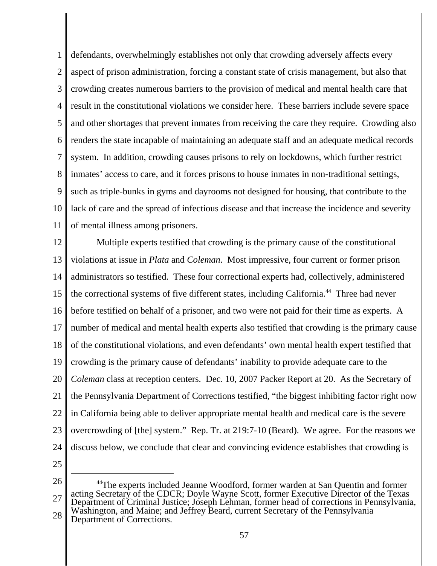1 2 3 4 5 6 7 8 9 10 11 defendants, overwhelmingly establishes not only that crowding adversely affects every aspect of prison administration, forcing a constant state of crisis management, but also that crowding creates numerous barriers to the provision of medical and mental health care that result in the constitutional violations we consider here. These barriers include severe space and other shortages that prevent inmates from receiving the care they require. Crowding also renders the state incapable of maintaining an adequate staff and an adequate medical records system. In addition, crowding causes prisons to rely on lockdowns, which further restrict inmates' access to care, and it forces prisons to house inmates in non-traditional settings, such as triple-bunks in gyms and dayrooms not designed for housing, that contribute to the lack of care and the spread of infectious disease and that increase the incidence and severity of mental illness among prisoners.

12 13 14 15 16 17 18 19 20 21 22 23 24 Multiple experts testified that crowding is the primary cause of the constitutional violations at issue in *Plata* and *Coleman*. Most impressive, four current or former prison administrators so testified. These four correctional experts had, collectively, administered the correctional systems of five different states, including California.<sup>44</sup> Three had never before testified on behalf of a prisoner, and two were not paid for their time as experts. A number of medical and mental health experts also testified that crowding is the primary cause of the constitutional violations, and even defendants' own mental health expert testified that crowding is the primary cause of defendants' inability to provide adequate care to the *Coleman* class at reception centers. Dec. 10, 2007 Packer Report at 20. As the Secretary of the Pennsylvania Department of Corrections testified, "the biggest inhibiting factor right now in California being able to deliver appropriate mental health and medical care is the severe overcrowding of [the] system." Rep. Tr. at 219:7-10 (Beard). We agree. For the reasons we discuss below, we conclude that clear and convincing evidence establishes that crowding is

<sup>26</sup> 27 28 44The experts included Jeanne Woodford, former warden at San Quentin and former acting Secretary of the CDCR; Doyle Wayne Scott, former Executive Director of the Texas Department of Criminal Justice; Joseph Lehman, former head of corrections in Pennsylvania, Washington, and Maine; and Jeffrey Beard, current Secretary of the Pennsylvania Department of Corrections.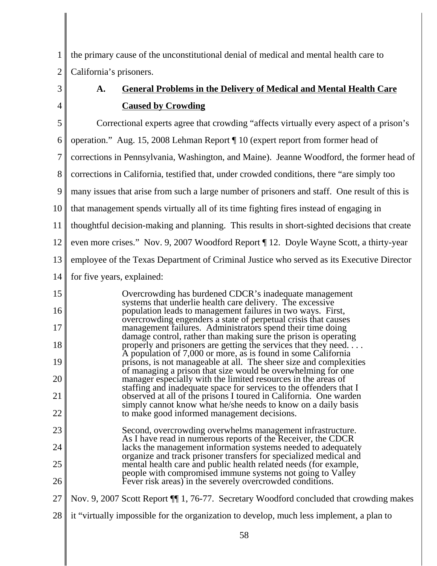1 2 the primary cause of the unconstitutional denial of medical and mental health care to California's prisoners.

## 3 4

## **A. General Problems in the Delivery of Medical and Mental Health Care Caused by Crowding**

5 6 7 8 9 10 11 12 13 14 15 16 17 18 19 20 21 22 23 24 25 26 27 Correctional experts agree that crowding "affects virtually every aspect of a prison's operation." Aug. 15, 2008 Lehman Report ¶ 10 (expert report from former head of corrections in Pennsylvania, Washington, and Maine). Jeanne Woodford, the former head of corrections in California, testified that, under crowded conditions, there "are simply too many issues that arise from such a large number of prisoners and staff. One result of this is that management spends virtually all of its time fighting fires instead of engaging in thoughtful decision-making and planning. This results in short-sighted decisions that create even more crises." Nov. 9, 2007 Woodford Report ¶ 12. Doyle Wayne Scott, a thirty-year employee of the Texas Department of Criminal Justice who served as its Executive Director for five years, explained: Overcrowding has burdened CDCR's inadequate management systems that underlie health care delivery. The excessive population leads to management failures in two ways. First, overcrowding engenders a state of perpetual crisis that causes management failures. Administrators spend their time doing damage control, rather than making sure the prison is operating properly and prisoners are getting the services that they need. . . . A population of 7,000 or more, as is found in some California prisons, is not manageable at all. The sheer size and complexities of managing a prison that size would be overwhelming for one manager especially with the limited resources in the areas of staffing and inadequate space for services to the offenders that I observed at all of the prisons I toured in California. One warden simply cannot know what he/she needs to know on a daily basis to make good informed management decisions. Second, overcrowding overwhelms management infrastructure. As I have read in numerous reports of the Receiver, the CDCR lacks the management information systems needed to adequately organize and track prisoner transfers for specialized medical and mental health care and public health related needs (for example, people with compromised immune systems not going to Valley Fever risk areas) in the severely overcrowded conditions. Nov. 9, 2007 Scott Report ¶¶ 1, 76-77. Secretary Woodford concluded that crowding makes

28 it "virtually impossible for the organization to develop, much less implement, a plan to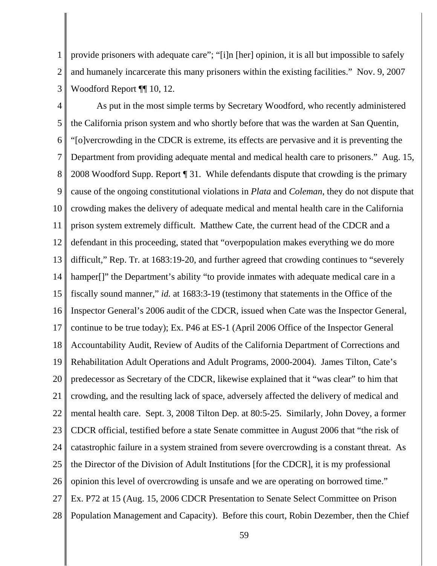1 2 3 provide prisoners with adequate care"; "[i]n [her] opinion, it is all but impossible to safely and humanely incarcerate this many prisoners within the existing facilities." Nov. 9, 2007 Woodford Report ¶¶ 10, 12.

4 5 6 7 8 9 10 11 12 13 14 15 16 17 18 19 20 21 22 23 24 25 26 27 28 As put in the most simple terms by Secretary Woodford, who recently administered the California prison system and who shortly before that was the warden at San Quentin, "[o]vercrowding in the CDCR is extreme, its effects are pervasive and it is preventing the Department from providing adequate mental and medical health care to prisoners." Aug. 15, 2008 Woodford Supp. Report ¶ 31. While defendants dispute that crowding is the primary cause of the ongoing constitutional violations in *Plata* and *Coleman*, they do not dispute that crowding makes the delivery of adequate medical and mental health care in the California prison system extremely difficult. Matthew Cate, the current head of the CDCR and a defendant in this proceeding, stated that "overpopulation makes everything we do more difficult," Rep. Tr. at 1683:19-20, and further agreed that crowding continues to "severely hamper<sup>[]"</sup> the Department's ability "to provide inmates with adequate medical care in a fiscally sound manner," *id.* at 1683:3-19 (testimony that statements in the Office of the Inspector General's 2006 audit of the CDCR, issued when Cate was the Inspector General, continue to be true today); Ex. P46 at ES-1 (April 2006 Office of the Inspector General Accountability Audit, Review of Audits of the California Department of Corrections and Rehabilitation Adult Operations and Adult Programs, 2000-2004). James Tilton, Cate's predecessor as Secretary of the CDCR, likewise explained that it "was clear" to him that crowding, and the resulting lack of space, adversely affected the delivery of medical and mental health care. Sept. 3, 2008 Tilton Dep. at 80:5-25. Similarly, John Dovey, a former CDCR official, testified before a state Senate committee in August 2006 that "the risk of catastrophic failure in a system strained from severe overcrowding is a constant threat. As the Director of the Division of Adult Institutions [for the CDCR], it is my professional opinion this level of overcrowding is unsafe and we are operating on borrowed time." Ex. P72 at 15 (Aug. 15, 2006 CDCR Presentation to Senate Select Committee on Prison Population Management and Capacity). Before this court, Robin Dezember, then the Chief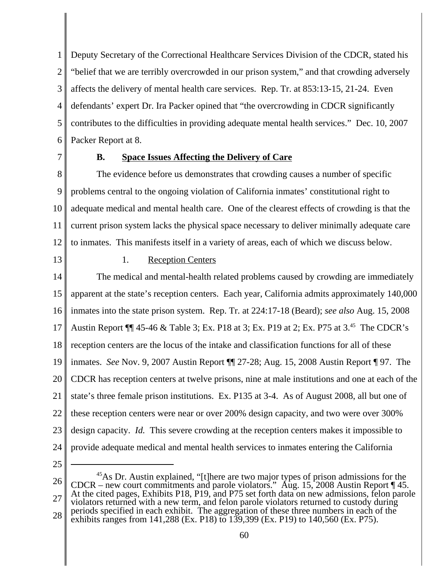1 2 3 4 5 6 Deputy Secretary of the Correctional Healthcare Services Division of the CDCR, stated his "belief that we are terribly overcrowded in our prison system," and that crowding adversely affects the delivery of mental health care services. Rep. Tr. at 853:13-15, 21-24. Even defendants' expert Dr. Ira Packer opined that "the overcrowding in CDCR significantly contributes to the difficulties in providing adequate mental health services." Dec. 10, 2007 Packer Report at 8.

7

#### **B. Space Issues Affecting the Delivery of Care**

8 9 10 11 12 The evidence before us demonstrates that crowding causes a number of specific problems central to the ongoing violation of California inmates' constitutional right to adequate medical and mental health care. One of the clearest effects of crowding is that the current prison system lacks the physical space necessary to deliver minimally adequate care to inmates. This manifests itself in a variety of areas, each of which we discuss below.

13

#### 1. Reception Centers

14 15 16 17 18 19 20 21 22 23 24 The medical and mental-health related problems caused by crowding are immediately apparent at the state's reception centers. Each year, California admits approximately 140,000 inmates into the state prison system. Rep. Tr. at 224:17-18 (Beard); *see also* Aug. 15, 2008 Austin Report ¶¶ 45-46 & Table 3; Ex. P18 at 3; Ex. P19 at 2; Ex. P75 at 3.45 The CDCR's reception centers are the locus of the intake and classification functions for all of these inmates. *See* Nov. 9, 2007 Austin Report ¶¶ 27-28; Aug. 15, 2008 Austin Report ¶ 97. The CDCR has reception centers at twelve prisons, nine at male institutions and one at each of the state's three female prison institutions. Ex. P135 at 3-4. As of August 2008, all but one of these reception centers were near or over 200% design capacity, and two were over 300% design capacity. *Id.* This severe crowding at the reception centers makes it impossible to provide adequate medical and mental health services to inmates entering the California

<sup>26</sup> 27 28 45As Dr. Austin explained, "[t]here are two major types of prison admissions for the CDCR – new court commitments and parole violators." Aug. 15, 2008 Austin Report  $\P$  45. At the cited pages, Exhibits P18, P19, and P75 set forth data on new admissions, felon parole violators returned with a new term, and felon parole violators returned to custody during periods specified in each exhibit. The aggregation of these three numbers in each of the exhibits ranges from  $141,288$  (Ex. P18) to 139,399 (Ex. P19) to 140,560 (Ex. P75).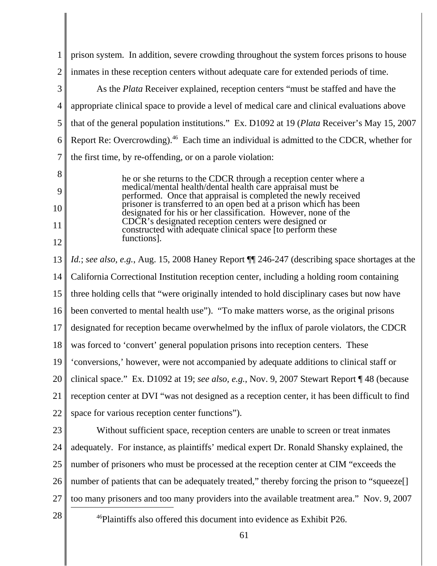|          | prison system. In addition, severe crowding throughout the system forces prisons to house                                                                                                                                                                             |
|----------|-----------------------------------------------------------------------------------------------------------------------------------------------------------------------------------------------------------------------------------------------------------------------|
| 2        | inmates in these reception centers without adequate care for extended periods of time.                                                                                                                                                                                |
| 3        | As the <i>Plata</i> Receiver explained, reception centers "must be staffed and have the                                                                                                                                                                               |
| 4        | appropriate clinical space to provide a level of medical care and clinical evaluations above                                                                                                                                                                          |
| 5        | that of the general population institutions." Ex. D1092 at 19 (Plata Receiver's May 15, 2007                                                                                                                                                                          |
| 6        | Report Re: Overcrowding). <sup>46</sup> Each time an individual is admitted to the CDCR, whether for                                                                                                                                                                  |
| 7        | the first time, by re-offending, or on a parole violation:                                                                                                                                                                                                            |
| 8<br>9   | he or she returns to the CDCR through a reception center where a<br>medical/mental health/dental health care appraisal must be<br>performed. Once that appraisal is completed the newly received<br>prisoner is transferred to an open bed at a prison which has been |
| 10<br>11 | designated for his or her classification. However, none of the<br>CDCR's designated reception centers were designed or                                                                                                                                                |
| 12       | constructed with adequate clinical space to perform these<br>functions].                                                                                                                                                                                              |
| 13       | <i>Id.; see also, e.g., Aug. 15, 2008 Haney Report [[ 246-247 (describing space shortages at the</i>                                                                                                                                                                  |
| 14       | California Correctional Institution reception center, including a holding room containing                                                                                                                                                                             |
| 15       | three holding cells that "were originally intended to hold disciplinary cases but now have                                                                                                                                                                            |
|          |                                                                                                                                                                                                                                                                       |
| 16       | been converted to mental health use"). "To make matters worse, as the original prisons                                                                                                                                                                                |
| 17       | designated for reception became overwhelmed by the influx of parole violators, the CDCR                                                                                                                                                                               |
| 18       | was forced to 'convert' general population prisons into reception centers. These                                                                                                                                                                                      |
| 19       | 'conversions,' however, were not accompanied by adequate additions to clinical staff or                                                                                                                                                                               |
| 20       | clinical space." Ex. D1092 at 19; see also, e.g., Nov. 9, 2007 Stewart Report 148 (because                                                                                                                                                                            |
| 21       | reception center at DVI "was not designed as a reception center, it has been difficult to find                                                                                                                                                                        |
| 22       | space for various reception center functions").                                                                                                                                                                                                                       |
| 23       | Without sufficient space, reception centers are unable to screen or treat inmates                                                                                                                                                                                     |
| 24       | adequately. For instance, as plaintiffs' medical expert Dr. Ronald Shansky explained, the                                                                                                                                                                             |
| 25       | number of prisoners who must be processed at the reception center at CIM "exceeds the                                                                                                                                                                                 |
| 26       | number of patients that can be adequately treated," thereby forcing the prison to "squeeze[]                                                                                                                                                                          |
| 27       | too many prisoners and too many providers into the available treatment area." Nov. 9, 2007                                                                                                                                                                            |
| 28       | <sup>46</sup> Plaintiffs also offered this document into evidence as Exhibit P26.                                                                                                                                                                                     |
|          | 61                                                                                                                                                                                                                                                                    |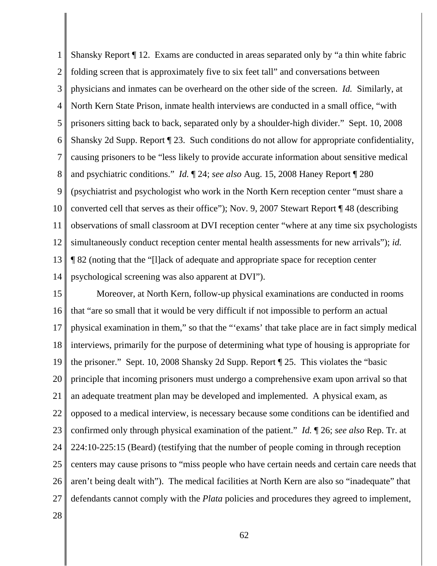1 2 3 4 5 6 7 8 9 10 11 12 13 14 Shansky Report ¶ 12. Exams are conducted in areas separated only by "a thin white fabric folding screen that is approximately five to six feet tall" and conversations between physicians and inmates can be overheard on the other side of the screen. *Id.* Similarly, at North Kern State Prison, inmate health interviews are conducted in a small office, "with prisoners sitting back to back, separated only by a shoulder-high divider." Sept. 10, 2008 Shansky 2d Supp. Report ¶ 23. Such conditions do not allow for appropriate confidentiality, causing prisoners to be "less likely to provide accurate information about sensitive medical and psychiatric conditions." *Id.* ¶ 24; *see also* Aug. 15, 2008 Haney Report ¶ 280 (psychiatrist and psychologist who work in the North Kern reception center "must share a converted cell that serves as their office"); Nov. 9, 2007 Stewart Report ¶ 48 (describing observations of small classroom at DVI reception center "where at any time six psychologists simultaneously conduct reception center mental health assessments for new arrivals"); *id.* ¶ 82 (noting that the "[l]ack of adequate and appropriate space for reception center psychological screening was also apparent at DVI").

15 16 17 18 19 20 21 22 23 24 25 26 27 Moreover, at North Kern, follow-up physical examinations are conducted in rooms that "are so small that it would be very difficult if not impossible to perform an actual physical examination in them," so that the "'exams' that take place are in fact simply medical interviews, primarily for the purpose of determining what type of housing is appropriate for the prisoner." Sept. 10, 2008 Shansky 2d Supp. Report ¶ 25. This violates the "basic principle that incoming prisoners must undergo a comprehensive exam upon arrival so that an adequate treatment plan may be developed and implemented. A physical exam, as opposed to a medical interview, is necessary because some conditions can be identified and confirmed only through physical examination of the patient." *Id.* ¶ 26; *see also* Rep. Tr. at 224:10-225:15 (Beard) (testifying that the number of people coming in through reception centers may cause prisons to "miss people who have certain needs and certain care needs that aren't being dealt with"). The medical facilities at North Kern are also so "inadequate" that defendants cannot comply with the *Plata* policies and procedures they agreed to implement,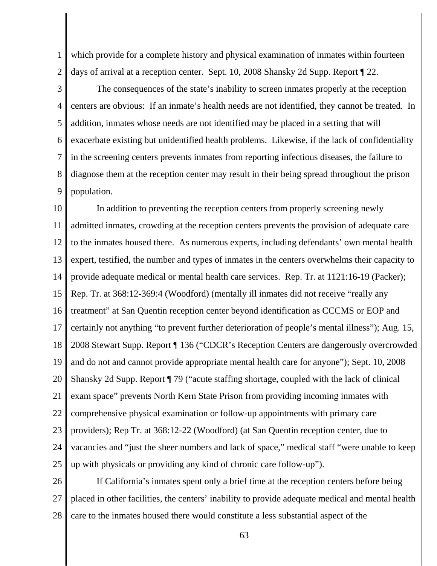1 2 which provide for a complete history and physical examination of inmates within fourteen days of arrival at a reception center. Sept. 10, 2008 Shansky 2d Supp. Report ¶ 22.

3 4 5 6 7 8 9 The consequences of the state's inability to screen inmates properly at the reception centers are obvious: If an inmate's health needs are not identified, they cannot be treated. In addition, inmates whose needs are not identified may be placed in a setting that will exacerbate existing but unidentified health problems. Likewise, if the lack of confidentiality in the screening centers prevents inmates from reporting infectious diseases, the failure to diagnose them at the reception center may result in their being spread throughout the prison population.

10 11 12 13 14 15 16 17 18 19 20 21 22 23 24 25 In addition to preventing the reception centers from properly screening newly admitted inmates, crowding at the reception centers prevents the provision of adequate care to the inmates housed there. As numerous experts, including defendants' own mental health expert, testified, the number and types of inmates in the centers overwhelms their capacity to provide adequate medical or mental health care services. Rep. Tr. at 1121:16-19 (Packer); Rep. Tr. at 368:12-369:4 (Woodford) (mentally ill inmates did not receive "really any treatment" at San Quentin reception center beyond identification as CCCMS or EOP and certainly not anything "to prevent further deterioration of people's mental illness"); Aug. 15, 2008 Stewart Supp. Report ¶ 136 ("CDCR's Reception Centers are dangerously overcrowded and do not and cannot provide appropriate mental health care for anyone"); Sept. 10, 2008 Shansky 2d Supp. Report ¶ 79 ("acute staffing shortage, coupled with the lack of clinical exam space" prevents North Kern State Prison from providing incoming inmates with comprehensive physical examination or follow-up appointments with primary care providers); Rep Tr. at 368:12-22 (Woodford) (at San Quentin reception center, due to vacancies and "just the sheer numbers and lack of space," medical staff "were unable to keep up with physicals or providing any kind of chronic care follow-up").

26 27 28 If California's inmates spent only a brief time at the reception centers before being placed in other facilities, the centers' inability to provide adequate medical and mental health care to the inmates housed there would constitute a less substantial aspect of the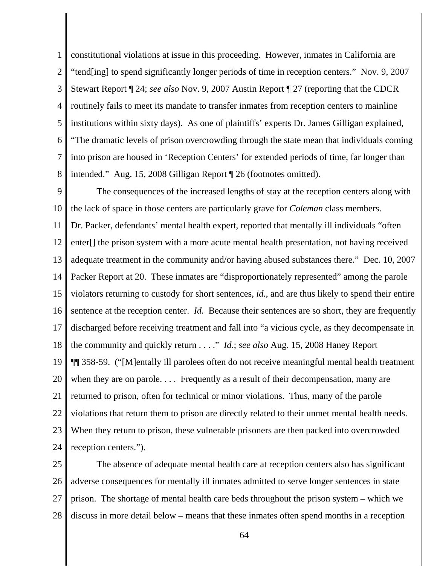1 2 3 4 5 6 7 8 constitutional violations at issue in this proceeding. However, inmates in California are "tend[ing] to spend significantly longer periods of time in reception centers." Nov. 9, 2007 Stewart Report ¶ 24; *see also* Nov. 9, 2007 Austin Report ¶ 27 (reporting that the CDCR routinely fails to meet its mandate to transfer inmates from reception centers to mainline institutions within sixty days). As one of plaintiffs' experts Dr. James Gilligan explained, "The dramatic levels of prison overcrowding through the state mean that individuals coming into prison are housed in 'Reception Centers' for extended periods of time, far longer than intended." Aug. 15, 2008 Gilligan Report ¶ 26 (footnotes omitted).

9 10 11 12 13 14 15 16 17 18 19 20 21 22 23 24 The consequences of the increased lengths of stay at the reception centers along with the lack of space in those centers are particularly grave for *Coleman* class members. Dr. Packer, defendants' mental health expert, reported that mentally ill individuals "often enter[] the prison system with a more acute mental health presentation, not having received adequate treatment in the community and/or having abused substances there." Dec. 10, 2007 Packer Report at 20. These inmates are "disproportionately represented" among the parole violators returning to custody for short sentences, *id.*, and are thus likely to spend their entire sentence at the reception center. *Id.* Because their sentences are so short, they are frequently discharged before receiving treatment and fall into "a vicious cycle, as they decompensate in the community and quickly return . . . ." *Id.*; *see also* Aug. 15, 2008 Haney Report ¶¶ 358-59. ("[M]entally ill parolees often do not receive meaningful mental health treatment when they are on parole.... Frequently as a result of their decompensation, many are returned to prison, often for technical or minor violations. Thus, many of the parole violations that return them to prison are directly related to their unmet mental health needs. When they return to prison, these vulnerable prisoners are then packed into overcrowded reception centers.").

25 26 27 28 The absence of adequate mental health care at reception centers also has significant adverse consequences for mentally ill inmates admitted to serve longer sentences in state prison. The shortage of mental health care beds throughout the prison system – which we discuss in more detail below – means that these inmates often spend months in a reception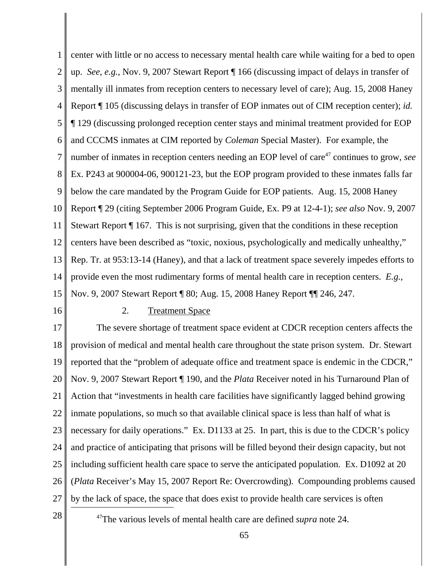1 2 3 4 5 6 7 8 9 10 11 12 13 14 15 center with little or no access to necessary mental health care while waiting for a bed to open up. *See, e.g.*, Nov. 9, 2007 Stewart Report ¶ 166 (discussing impact of delays in transfer of mentally ill inmates from reception centers to necessary level of care); Aug. 15, 2008 Haney Report ¶ 105 (discussing delays in transfer of EOP inmates out of CIM reception center); *id.* ¶ 129 (discussing prolonged reception center stays and minimal treatment provided for EOP and CCCMS inmates at CIM reported by *Coleman* Special Master). For example, the number of inmates in reception centers needing an EOP level of care<sup>47</sup> continues to grow, *see* Ex. P243 at 900004-06, 900121-23, but the EOP program provided to these inmates falls far below the care mandated by the Program Guide for EOP patients. Aug. 15, 2008 Haney Report ¶ 29 (citing September 2006 Program Guide, Ex. P9 at 12-4-1); *see also* Nov. 9, 2007 Stewart Report ¶ 167. This is not surprising, given that the conditions in these reception centers have been described as "toxic, noxious, psychologically and medically unhealthy," Rep. Tr. at 953:13-14 (Haney), and that a lack of treatment space severely impedes efforts to provide even the most rudimentary forms of mental health care in reception centers. *E.g.*, Nov. 9, 2007 Stewart Report ¶ 80; Aug. 15, 2008 Haney Report ¶¶ 246, 247.

16

#### 2. Treatment Space

17 18 19 20 21 22 23 24 25 26 27 The severe shortage of treatment space evident at CDCR reception centers affects the provision of medical and mental health care throughout the state prison system. Dr. Stewart reported that the "problem of adequate office and treatment space is endemic in the CDCR," Nov. 9, 2007 Stewart Report ¶ 190, and the *Plata* Receiver noted in his Turnaround Plan of Action that "investments in health care facilities have significantly lagged behind growing inmate populations, so much so that available clinical space is less than half of what is necessary for daily operations." Ex. D1133 at 25. In part, this is due to the CDCR's policy and practice of anticipating that prisons will be filled beyond their design capacity, but not including sufficient health care space to serve the anticipated population. Ex. D1092 at 20 (*Plata* Receiver's May 15, 2007 Report Re: Overcrowding). Compounding problems caused by the lack of space, the space that does exist to provide health care services is often

<sup>28</sup> <sup>47</sup>The various levels of mental health care are defined *supra* note 24.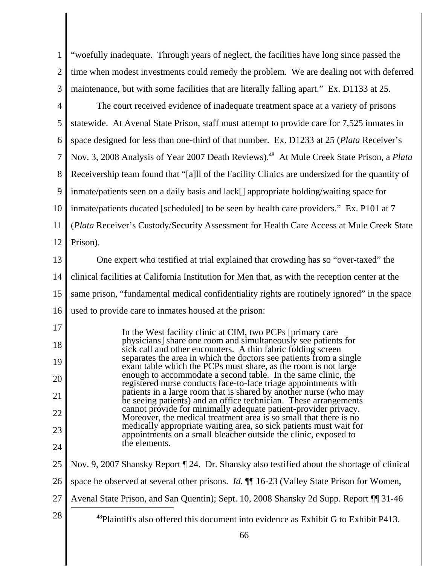| $1 \parallel$ "woefully inadequate. Through years of neglect, the facilities have long since passed the |
|---------------------------------------------------------------------------------------------------------|
| $2 \parallel$ time when modest investments could remedy the problem. We are dealing not with deferred   |
| 3    maintenance, but with some facilities that are literally falling apart." Ex. D1133 at 25.          |

4 5 6 7 8 9 10 11 12 The court received evidence of inadequate treatment space at a variety of prisons statewide. At Avenal State Prison, staff must attempt to provide care for 7,525 inmates in space designed for less than one-third of that number. Ex. D1233 at 25 (*Plata* Receiver's Nov. 3, 2008 Analysis of Year 2007 Death Reviews).<sup>48</sup> At Mule Creek State Prison, a *Plata* Receivership team found that "[a]ll of the Facility Clinics are undersized for the quantity of inmate/patients seen on a daily basis and lack[] appropriate holding/waiting space for inmate/patients ducated [scheduled] to be seen by health care providers." Ex. P101 at 7 (*Plata* Receiver's Custody/Security Assessment for Health Care Access at Mule Creek State Prison).

13 14 15 16 One expert who testified at trial explained that crowding has so "over-taxed" the clinical facilities at California Institution for Men that, as with the reception center at the same prison, "fundamental medical confidentiality rights are routinely ignored" in the space used to provide care to inmates housed at the prison:

17 18 19 20 21 22 23 24 In the West facility clinic at CIM, two PCPs [primary care physicians] share one room and simultaneously see patients for sick call and other encounters. A thin fabric folding screen separates the area in which the doctors see patients from a single exam table which the PCPs must share, as the room is not large enough to accommodate a second table. In the same clinic, the registered nurse conducts face-to-face triage appointments with patients in a large room that is shared by another nurse (who may be seeing patients) and an office technician. These arrangements cannot provide for minimally adequate patient-provider privacy. Moreover, the medical treatment area is so small that there is no medically appropriate waiting area, so sick patients must wait for appointments on a small bleacher outside the clinic, exposed to the elements.

25 26 Nov. 9, 2007 Shansky Report ¶ 24. Dr. Shansky also testified about the shortage of clinical space he observed at several other prisons. *Id.* ¶¶ 16-23 (Valley State Prison for Women,

- 27 Avenal State Prison, and San Quentin); Sept. 10, 2008 Shansky 2d Supp. Report ¶¶ 31-46
- <sup>28</sup>  $\parallel$  <sup>48</sup>Plaintiffs also offered this document into evidence as Exhibit G to Exhibit P413.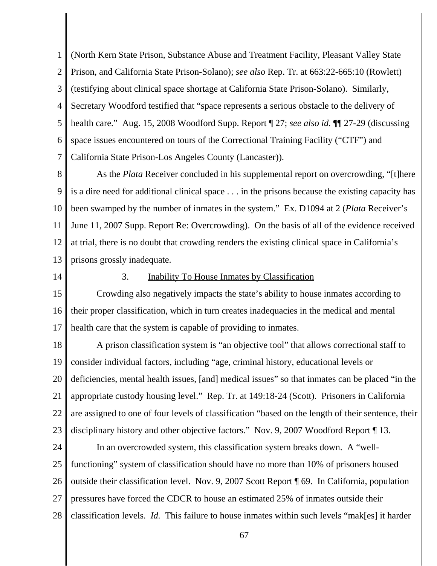1 2 3 4 5 6 7 (North Kern State Prison, Substance Abuse and Treatment Facility, Pleasant Valley State Prison, and California State Prison-Solano); *see also* Rep. Tr. at 663:22-665:10 (Rowlett) (testifying about clinical space shortage at California State Prison-Solano). Similarly, Secretary Woodford testified that "space represents a serious obstacle to the delivery of health care." Aug. 15, 2008 Woodford Supp. Report ¶ 27; *see also id.* ¶¶ 27-29 (discussing space issues encountered on tours of the Correctional Training Facility ("CTF") and California State Prison-Los Angeles County (Lancaster)).

8 9 10 11 12 13 As the *Plata* Receiver concluded in his supplemental report on overcrowding, "[t]here is a dire need for additional clinical space . . . in the prisons because the existing capacity has been swamped by the number of inmates in the system." Ex. D1094 at 2 (*Plata* Receiver's June 11, 2007 Supp. Report Re: Overcrowding). On the basis of all of the evidence received at trial, there is no doubt that crowding renders the existing clinical space in California's prisons grossly inadequate.

14

#### 3. Inability To House Inmates by Classification

15 16 17 Crowding also negatively impacts the state's ability to house inmates according to their proper classification, which in turn creates inadequacies in the medical and mental health care that the system is capable of providing to inmates.

18 19 20 21 22 23 A prison classification system is "an objective tool" that allows correctional staff to consider individual factors, including "age, criminal history, educational levels or deficiencies, mental health issues, [and] medical issues" so that inmates can be placed "in the appropriate custody housing level." Rep. Tr. at 149:18-24 (Scott). Prisoners in California are assigned to one of four levels of classification "based on the length of their sentence, their disciplinary history and other objective factors." Nov. 9, 2007 Woodford Report ¶ 13.

24 25 26 27 28 In an overcrowded system, this classification system breaks down. A "wellfunctioning" system of classification should have no more than 10% of prisoners housed outside their classification level. Nov. 9, 2007 Scott Report ¶ 69. In California, population pressures have forced the CDCR to house an estimated 25% of inmates outside their classification levels. *Id.* This failure to house inmates within such levels "mak[es] it harder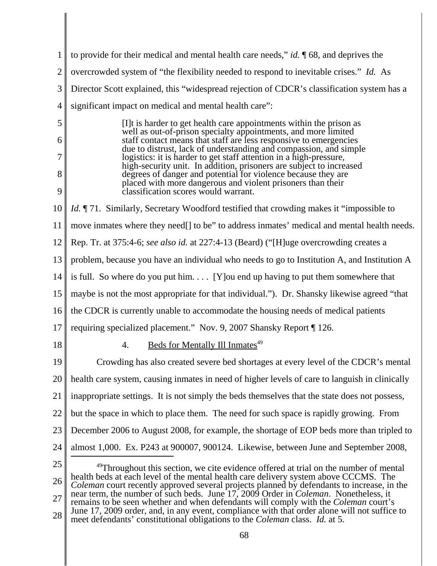1 2 3 4 5 6 7 8 9 10 11 12 13 14 15 16 17 18 19 20 21 22 23 24 25 26 <sup>49</sup>Throughout this section, we cite evidence offered at trial on the number of mental health beds at each level of the mental health care delivery system above CCCMS. The *Coleman* court recently approved several projects planned by defendants to increase, in the to provide for their medical and mental health care needs," *id.* ¶ 68, and deprives the overcrowded system of "the flexibility needed to respond to inevitable crises." *Id.* As Director Scott explained, this "widespread rejection of CDCR's classification system has a significant impact on medical and mental health care": [I]t is harder to get health care appointments within the prison as well as out-of-prison specialty appointments, and more limited staff contact means that staff are less responsive to emergencies due to distrust, lack of understanding and compassion, and simple logistics: it is harder to get staff attention in a high-pressure, high-security unit. In addition, prisoners are subject to increased degrees of danger and potential for violence because they are placed with more dangerous and violent prisoners than their classification scores would warrant. *Id.* ¶ 71. Similarly, Secretary Woodford testified that crowding makes it "impossible to move inmates where they need<sup>[]</sup> to be" to address inmates' medical and mental health needs. Rep. Tr. at 375:4-6; *see also id.* at 227:4-13 (Beard) ("[H]uge overcrowding creates a problem, because you have an individual who needs to go to Institution A, and Institution A is full. So where do you put him.  $\ldots$  [Y] ou end up having to put them somewhere that maybe is not the most appropriate for that individual."). Dr. Shansky likewise agreed "that the CDCR is currently unable to accommodate the housing needs of medical patients requiring specialized placement." Nov. 9, 2007 Shansky Report ¶ 126. 4. Beds for Mentally Ill Inmates $^{49}$ Crowding has also created severe bed shortages at every level of the CDCR's mental health care system, causing inmates in need of higher levels of care to languish in clinically inappropriate settings. It is not simply the beds themselves that the state does not possess, but the space in which to place them. The need for such space is rapidly growing. From December 2006 to August 2008, for example, the shortage of EOP beds more than tripled to almost 1,000. Ex. P243 at 900007, 900124. Likewise, between June and September 2008,

27 28 near term, the number of such beds. June 17, 2009 Order in *Coleman*. Nonetheless, it remains to be seen whether and when defendants will comply with the *Coleman* court's June 17, 2009 order, and, in any event, compliance with that order alone will not suffice to meet defendants' constitutional obligations to the *Coleman* class. *Id.* at 5.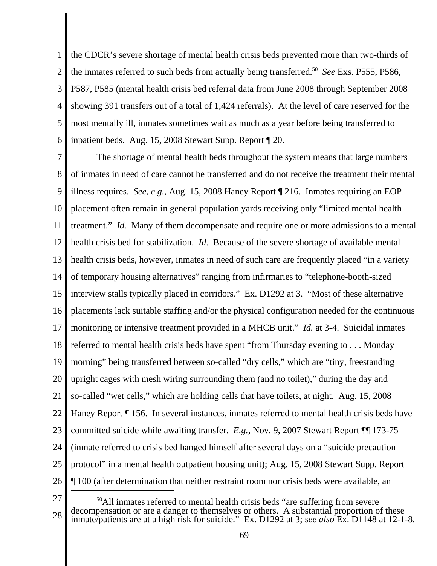1 2 3 4 5 6 the CDCR's severe shortage of mental health crisis beds prevented more than two-thirds of the inmates referred to such beds from actually being transferred.50 *See* Exs. P555, P586, P587, P585 (mental health crisis bed referral data from June 2008 through September 2008 showing 391 transfers out of a total of 1,424 referrals). At the level of care reserved for the most mentally ill, inmates sometimes wait as much as a year before being transferred to inpatient beds. Aug. 15, 2008 Stewart Supp. Report ¶ 20.

7 8 9 10 11 12 13 14 15 16 17 18 19 20 21 22 23 24 25 26 The shortage of mental health beds throughout the system means that large numbers of inmates in need of care cannot be transferred and do not receive the treatment their mental illness requires. *See, e.g.*, Aug. 15, 2008 Haney Report ¶ 216. Inmates requiring an EOP placement often remain in general population yards receiving only "limited mental health treatment." *Id.* Many of them decompensate and require one or more admissions to a mental health crisis bed for stabilization. *Id.* Because of the severe shortage of available mental health crisis beds, however, inmates in need of such care are frequently placed "in a variety" of temporary housing alternatives" ranging from infirmaries to "telephone-booth-sized interview stalls typically placed in corridors." Ex. D1292 at 3. "Most of these alternative placements lack suitable staffing and/or the physical configuration needed for the continuous monitoring or intensive treatment provided in a MHCB unit." *Id.* at 3-4. Suicidal inmates referred to mental health crisis beds have spent "from Thursday evening to . . . Monday morning" being transferred between so-called "dry cells," which are "tiny, freestanding upright cages with mesh wiring surrounding them (and no toilet)," during the day and so-called "wet cells," which are holding cells that have toilets, at night. Aug. 15, 2008 Haney Report ¶ 156. In several instances, inmates referred to mental health crisis beds have committed suicide while awaiting transfer. *E.g.*, Nov. 9, 2007 Stewart Report ¶¶ 173-75 (inmate referred to crisis bed hanged himself after several days on a "suicide precaution protocol" in a mental health outpatient housing unit); Aug. 15, 2008 Stewart Supp. Report ¶ 100 (after determination that neither restraint room nor crisis beds were available, an

<sup>28</sup> <sup>50</sup>All inmates referred to mental health crisis beds "are suffering from severe decompensation or are a danger to themselves or others. A substantial proportion of these inmate/patients are at a high risk for suicide." Ex. D1292 at 3; *see also* Ex. D1148 at 12-1-8.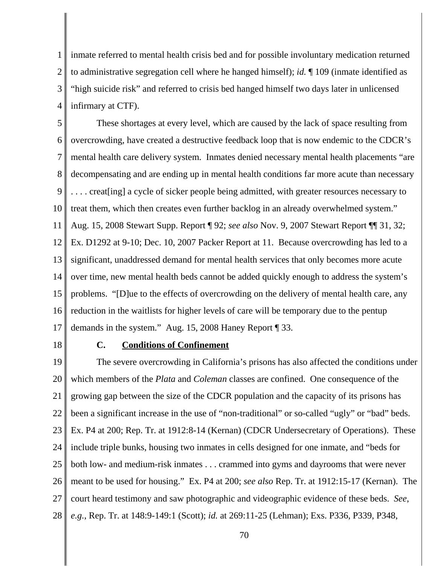1 2 3 4 inmate referred to mental health crisis bed and for possible involuntary medication returned to administrative segregation cell where he hanged himself); *id.* ¶ 109 (inmate identified as "high suicide risk" and referred to crisis bed hanged himself two days later in unlicensed infirmary at CTF).

5 6 7 8 9 10 11 12 13 14 15 16 17 These shortages at every level, which are caused by the lack of space resulting from overcrowding, have created a destructive feedback loop that is now endemic to the CDCR's mental health care delivery system. Inmates denied necessary mental health placements "are decompensating and are ending up in mental health conditions far more acute than necessary .... creat [ing] a cycle of sicker people being admitted, with greater resources necessary to treat them, which then creates even further backlog in an already overwhelmed system." Aug. 15, 2008 Stewart Supp. Report ¶ 92; *see also* Nov. 9, 2007 Stewart Report ¶¶ 31, 32; Ex. D1292 at 9-10; Dec. 10, 2007 Packer Report at 11. Because overcrowding has led to a significant, unaddressed demand for mental health services that only becomes more acute over time, new mental health beds cannot be added quickly enough to address the system's problems. "[D]ue to the effects of overcrowding on the delivery of mental health care, any reduction in the waitlists for higher levels of care will be temporary due to the pentup demands in the system." Aug. 15, 2008 Haney Report ¶ 33.

18

#### **C. Conditions of Confinement**

19 20 21 22 23 24 25 26 27 28 The severe overcrowding in California's prisons has also affected the conditions under which members of the *Plata* and *Coleman* classes are confined. One consequence of the growing gap between the size of the CDCR population and the capacity of its prisons has been a significant increase in the use of "non-traditional" or so-called "ugly" or "bad" beds. Ex. P4 at 200; Rep. Tr. at 1912:8-14 (Kernan) (CDCR Undersecretary of Operations). These include triple bunks, housing two inmates in cells designed for one inmate, and "beds for both low- and medium-risk inmates . . . crammed into gyms and dayrooms that were never meant to be used for housing." Ex. P4 at 200; *see also* Rep. Tr. at 1912:15-17 (Kernan). The court heard testimony and saw photographic and videographic evidence of these beds. *See*, *e.g.*, Rep. Tr. at 148:9-149:1 (Scott); *id.* at 269:11-25 (Lehman); Exs. P336, P339, P348,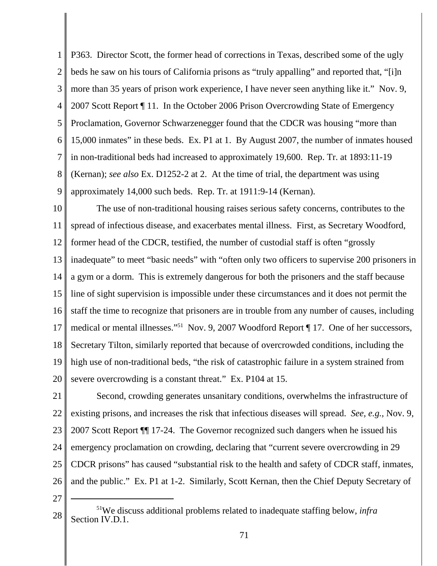1 2 3 4 5 6 7 8 9 P363. Director Scott, the former head of corrections in Texas, described some of the ugly beds he saw on his tours of California prisons as "truly appalling" and reported that, "[i]n more than 35 years of prison work experience, I have never seen anything like it." Nov. 9, 2007 Scott Report ¶ 11. In the October 2006 Prison Overcrowding State of Emergency Proclamation, Governor Schwarzenegger found that the CDCR was housing "more than 15,000 inmates" in these beds. Ex. P1 at 1. By August 2007, the number of inmates housed in non-traditional beds had increased to approximately 19,600. Rep. Tr. at 1893:11-19 (Kernan); *see also* Ex. D1252-2 at 2. At the time of trial, the department was using approximately 14,000 such beds. Rep. Tr. at 1911:9-14 (Kernan).

10 11 12 13 14 15 16 17 18 19 20 The use of non-traditional housing raises serious safety concerns, contributes to the spread of infectious disease, and exacerbates mental illness. First, as Secretary Woodford, former head of the CDCR, testified, the number of custodial staff is often "grossly inadequate" to meet "basic needs" with "often only two officers to supervise 200 prisoners in a gym or a dorm. This is extremely dangerous for both the prisoners and the staff because line of sight supervision is impossible under these circumstances and it does not permit the staff the time to recognize that prisoners are in trouble from any number of causes, including medical or mental illnesses."51 Nov. 9, 2007 Woodford Report ¶ 17. One of her successors, Secretary Tilton, similarly reported that because of overcrowded conditions, including the high use of non-traditional beds, "the risk of catastrophic failure in a system strained from severe overcrowding is a constant threat." Ex. P104 at 15.

21 22 23 24 25 26 Second, crowding generates unsanitary conditions, overwhelms the infrastructure of existing prisons, and increases the risk that infectious diseases will spread. *See, e.g.,* Nov. 9, 2007 Scott Report ¶¶ 17-24. The Governor recognized such dangers when he issued his emergency proclamation on crowding, declaring that "current severe overcrowding in 29 CDCR prisons" has caused "substantial risk to the health and safety of CDCR staff, inmates, and the public." Ex. P1 at 1-2. Similarly, Scott Kernan, then the Chief Deputy Secretary of

<sup>28</sup> 51We discuss additional problems related to inadequate staffing below, *infra* Section IV.D.1.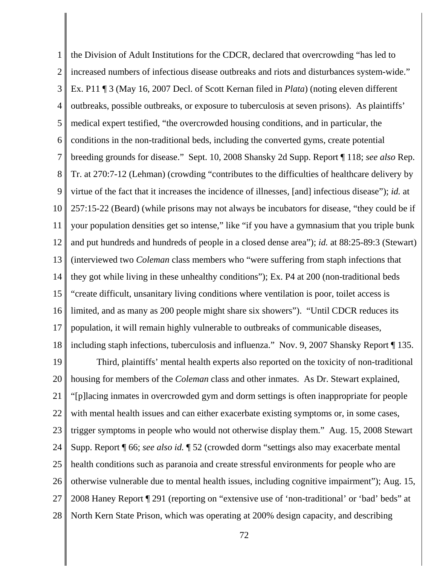1 2 3 4 5 6 7 8 9 10 11 12 13 14 15 16 17 18 the Division of Adult Institutions for the CDCR, declared that overcrowding "has led to increased numbers of infectious disease outbreaks and riots and disturbances system-wide." Ex. P11 ¶ 3 (May 16, 2007 Decl. of Scott Kernan filed in *Plata*) (noting eleven different outbreaks, possible outbreaks, or exposure to tuberculosis at seven prisons). As plaintiffs' medical expert testified, "the overcrowded housing conditions, and in particular, the conditions in the non-traditional beds, including the converted gyms, create potential breeding grounds for disease." Sept. 10, 2008 Shansky 2d Supp. Report ¶ 118; *see also* Rep. Tr. at 270:7-12 (Lehman) (crowding "contributes to the difficulties of healthcare delivery by virtue of the fact that it increases the incidence of illnesses, [and] infectious disease"); *id.* at 257:15-22 (Beard) (while prisons may not always be incubators for disease, "they could be if your population densities get so intense," like "if you have a gymnasium that you triple bunk and put hundreds and hundreds of people in a closed dense area"); *id.* at 88:25-89:3 (Stewart) (interviewed two *Coleman* class members who "were suffering from staph infections that they got while living in these unhealthy conditions"); Ex. P4 at 200 (non-traditional beds "create difficult, unsanitary living conditions where ventilation is poor, toilet access is limited, and as many as 200 people might share six showers"). "Until CDCR reduces its population, it will remain highly vulnerable to outbreaks of communicable diseases, including staph infections, tuberculosis and influenza." Nov. 9, 2007 Shansky Report ¶ 135.

19 20 21 22 23 24 25 26 27 28 Third, plaintiffs' mental health experts also reported on the toxicity of non-traditional housing for members of the *Coleman* class and other inmates. As Dr. Stewart explained, "[p]lacing inmates in overcrowded gym and dorm settings is often inappropriate for people with mental health issues and can either exacerbate existing symptoms or, in some cases, trigger symptoms in people who would not otherwise display them." Aug. 15, 2008 Stewart Supp. Report ¶ 66; *see also id.* ¶ 52 (crowded dorm "settings also may exacerbate mental health conditions such as paranoia and create stressful environments for people who are otherwise vulnerable due to mental health issues, including cognitive impairment"); Aug. 15, 2008 Haney Report ¶ 291 (reporting on "extensive use of 'non-traditional' or 'bad' beds" at North Kern State Prison, which was operating at 200% design capacity, and describing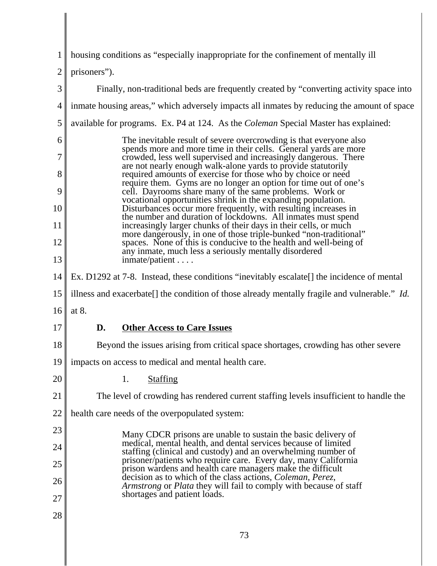| 1              | housing conditions as "especially inappropriate for the confinement of mentally ill                                                                                                         |
|----------------|---------------------------------------------------------------------------------------------------------------------------------------------------------------------------------------------|
| $\overline{2}$ | prisoners").                                                                                                                                                                                |
| 3              | Finally, non-traditional beds are frequently created by "converting activity space into                                                                                                     |
| $\overline{4}$ | inmate housing areas," which adversely impacts all inmates by reducing the amount of space                                                                                                  |
| 5              | available for programs. Ex. P4 at 124. As the <i>Coleman</i> Special Master has explained:                                                                                                  |
| 6              | The inevitable result of severe overcrowding is that everyone also<br>spends more and more time in their cells. General yards are more                                                      |
| 7              | crowded, less well supervised and increasingly dangerous. There<br>are not nearly enough walk-alone yards to provide statutorily                                                            |
| 8<br>9         | required amounts of exercise for those who by choice or need<br>require them. Gyms are no longer an option for time out of one's<br>cell. Dayrooms share many of the same problems. Work or |
| 10             | vocational opportunities shrink in the expanding population.<br>Disturbances occur more frequently, with resulting increases in                                                             |
| 11             | the number and duration of lockdowns. All inmates must spend<br>increasingly larger chunks of their days in their cells, or much                                                            |
| 12             | more dangerously, in one of those triple-bunked "non-traditional"<br>spaces. None of this is conducive to the health and well-being of                                                      |
| 13             | any inmate, much less a seriously mentally disordered<br>$imrate/patient \dots$                                                                                                             |
| 14             | Ex. D1292 at 7-8. Instead, these conditions "inevitably escalate[] the incidence of mental                                                                                                  |
| 15             | illness and exacerbate[] the condition of those already mentally fragile and vulnerable." Id.                                                                                               |
| 16             | at 8.                                                                                                                                                                                       |
| 17             | <b>Other Access to Care Issues</b><br>D.                                                                                                                                                    |
| 18             | Beyond the issues arising from critical space shortages, crowding has other severe                                                                                                          |
| 19             | impacts on access to medical and mental health care.                                                                                                                                        |
| 20             | 1.<br><b>Staffing</b>                                                                                                                                                                       |
| 21             | The level of crowding has rendered current staffing levels insufficient to handle the                                                                                                       |
| 22             | health care needs of the overpopulated system:                                                                                                                                              |
| 23             | Many CDCR prisons are unable to sustain the basic delivery of                                                                                                                               |
| 24             | medical, mental health, and dental services because of limited<br>staffing (clinical and custody) and an overwhelming number of                                                             |
| 25             | prisoner/patients who require care. Every day, many California<br>prison wardens and health care managers make the difficult                                                                |
| 26             | decision as to which of the class actions, Coleman, Perez,<br>Armstrong or Plata they will fail to comply with because of staff<br>shortages and patient loads.                             |
| 27             |                                                                                                                                                                                             |
| 28             |                                                                                                                                                                                             |
|                | 73                                                                                                                                                                                          |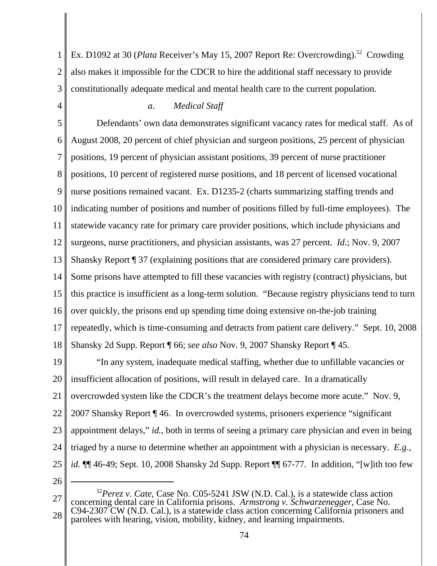1 2 3 Ex. D1092 at 30 (*Plata* Receiver's May 15, 2007 Report Re: Overcrowding).<sup>52</sup> Crowding also makes it impossible for the CDCR to hire the additional staff necessary to provide constitutionally adequate medical and mental health care to the current population.

4

# *a. Medical Staff*

5 6 7 8 9 10 11 12 13 14 15 16 17 18 Defendants' own data demonstrates significant vacancy rates for medical staff. As of August 2008, 20 percent of chief physician and surgeon positions, 25 percent of physician positions, 19 percent of physician assistant positions, 39 percent of nurse practitioner positions, 10 percent of registered nurse positions, and 18 percent of licensed vocational nurse positions remained vacant. Ex. D1235-2 (charts summarizing staffing trends and indicating number of positions and number of positions filled by full-time employees). The statewide vacancy rate for primary care provider positions, which include physicians and surgeons, nurse practitioners, and physician assistants, was 27 percent. *Id.*; Nov. 9, 2007 Shansky Report ¶ 37 (explaining positions that are considered primary care providers). Some prisons have attempted to fill these vacancies with registry (contract) physicians, but this practice is insufficient as a long-term solution. "Because registry physicians tend to turn over quickly, the prisons end up spending time doing extensive on-the-job training repeatedly, which is time-consuming and detracts from patient care delivery." Sept. 10, 2008 Shansky 2d Supp. Report ¶ 66; *see also* Nov. 9, 2007 Shansky Report ¶ 45.

19 20 21 22 23 24 25 "In any system, inadequate medical staffing, whether due to unfillable vacancies or insufficient allocation of positions, will result in delayed care. In a dramatically overcrowded system like the CDCR's the treatment delays become more acute." Nov. 9, 2007 Shansky Report ¶ 46. In overcrowded systems, prisoners experience "significant appointment delays," *id.*, both in terms of seeing a primary care physician and even in being triaged by a nurse to determine whether an appointment with a physician is necessary. *E.g., id.* ¶¶ 46-49; Sept. 10, 2008 Shansky 2d Supp. Report ¶¶ 67-77. In addition, "[w]ith too few

26

27 28 <sup>52</sup>*Perez v. Cate*, Case No. C05-5241 JSW (N.D. Cal.), is a statewide class action concerning dental care in California prisons. *Armstrong v. Schwarzenegger*, Case No. C94-2307 CW (N.D. Cal.), is a statewide class action concerning California prisoners and parolees with hearing, vision, mobility, kidney, and learning impairments.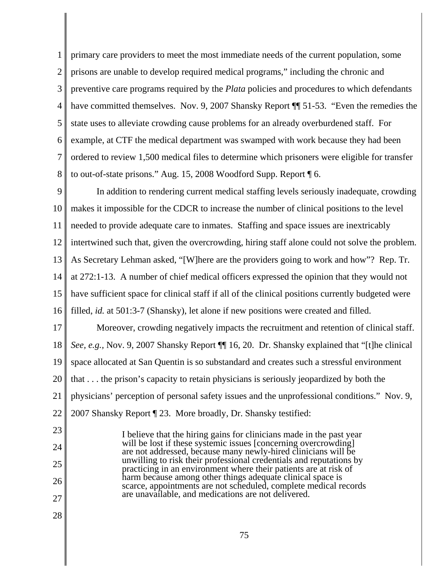1 2 3 4 5 6 7 8 primary care providers to meet the most immediate needs of the current population, some prisons are unable to develop required medical programs," including the chronic and preventive care programs required by the *Plata* policies and procedures to which defendants have committed themselves. Nov. 9, 2007 Shansky Report  $\P$  51-53. "Even the remedies the state uses to alleviate crowding cause problems for an already overburdened staff. For example, at CTF the medical department was swamped with work because they had been ordered to review 1,500 medical files to determine which prisoners were eligible for transfer to out-of-state prisons." Aug. 15, 2008 Woodford Supp. Report ¶ 6.

9 10 11 12 13 14 15 16 In addition to rendering current medical staffing levels seriously inadequate, crowding makes it impossible for the CDCR to increase the number of clinical positions to the level needed to provide adequate care to inmates. Staffing and space issues are inextricably intertwined such that, given the overcrowding, hiring staff alone could not solve the problem. As Secretary Lehman asked, "[W]here are the providers going to work and how"? Rep. Tr. at 272:1-13. A number of chief medical officers expressed the opinion that they would not have sufficient space for clinical staff if all of the clinical positions currently budgeted were filled, *id.* at 501:3-7 (Shansky), let alone if new positions were created and filled.

17 18 19 20 21 22 Moreover, crowding negatively impacts the recruitment and retention of clinical staff. *See, e.g.,* Nov. 9, 2007 Shansky Report ¶¶ 16, 20. Dr. Shansky explained that "[t]he clinical space allocated at San Quentin is so substandard and creates such a stressful environment that . . . the prison's capacity to retain physicians is seriously jeopardized by both the physicians' perception of personal safety issues and the unprofessional conditions." Nov. 9, 2007 Shansky Report ¶ 23. More broadly, Dr. Shansky testified:

> I believe that the hiring gains for clinicians made in the past year will be lost if these systemic issues [concerning overcrowding] are not addressed, because many newly-hired clinicians will be unwilling to risk their professional credentials and reputations by practicing in an environment where their patients are at risk of harm because among other things adequate clinical space is scarce, appointments are not scheduled, complete medical records are unavailable, and medications are not delivered.

27 28

23

24

25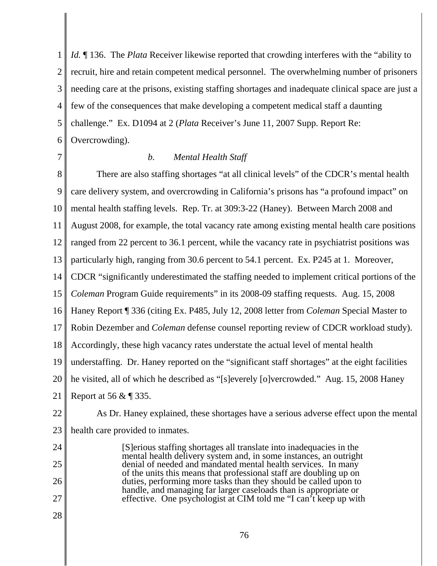1 2 3 4 5 6 *Id.* 136. The *Plata* Receiver likewise reported that crowding interferes with the "ability to" recruit, hire and retain competent medical personnel. The overwhelming number of prisoners needing care at the prisons, existing staffing shortages and inadequate clinical space are just a few of the consequences that make developing a competent medical staff a daunting challenge." Ex. D1094 at 2 (*Plata* Receiver's June 11, 2007 Supp. Report Re: Overcrowding).

7

# *b. Mental Health Staff*

8 9 10 11 12 13 14 15 16 17 18 19 20 21 22 23 24 25 26 There are also staffing shortages "at all clinical levels" of the CDCR's mental health care delivery system, and overcrowding in California's prisons has "a profound impact" on mental health staffing levels. Rep. Tr. at 309:3-22 (Haney). Between March 2008 and August 2008, for example, the total vacancy rate among existing mental health care positions ranged from 22 percent to 36.1 percent, while the vacancy rate in psychiatrist positions was particularly high, ranging from 30.6 percent to 54.1 percent. Ex. P245 at 1. Moreover, CDCR "significantly underestimated the staffing needed to implement critical portions of the *Coleman* Program Guide requirements" in its 2008-09 staffing requests. Aug. 15, 2008 Haney Report ¶ 336 (citing Ex. P485, July 12, 2008 letter from *Coleman* Special Master to Robin Dezember and *Coleman* defense counsel reporting review of CDCR workload study). Accordingly, these high vacancy rates understate the actual level of mental health understaffing. Dr. Haney reported on the "significant staff shortages" at the eight facilities he visited, all of which he described as "[s]everely [o]vercrowded." Aug. 15, 2008 Haney Report at 56 & ¶ 335. As Dr. Haney explained, these shortages have a serious adverse effect upon the mental health care provided to inmates. [S]erious staffing shortages all translate into inadequacies in the mental health delivery system and, in some instances, an outright denial of needed and mandated mental health services. In many of the units this means that professional staff are doubling up on duties, performing more tasks than they should be called upon to

27 28 handle, and managing far larger caseloads than is appropriate or effective. One psychologist at CIM told me "I can't keep up with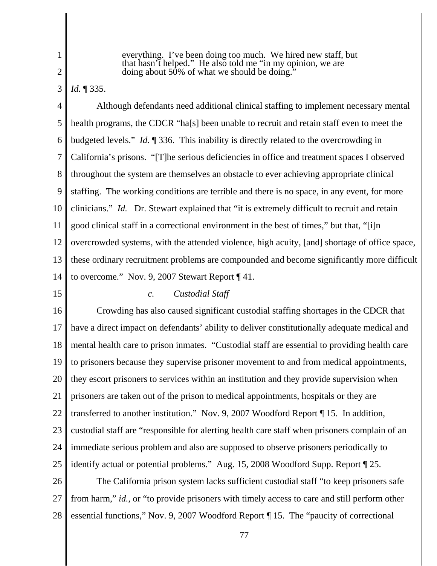3

everything. I've been doing too much. We hired new staff, but that hasn't helped." He also told me "in my opinion, we are doing about 50% of what we should be doing."

*Id.* ¶ 335.

4 5 6 7 8 9 10 11 12 13 14 Although defendants need additional clinical staffing to implement necessary mental health programs, the CDCR "ha[s] been unable to recruit and retain staff even to meet the budgeted levels." *Id.* ¶ 336. This inability is directly related to the overcrowding in California's prisons. "[T]he serious deficiencies in office and treatment spaces I observed throughout the system are themselves an obstacle to ever achieving appropriate clinical staffing. The working conditions are terrible and there is no space, in any event, for more clinicians." *Id.* Dr. Stewart explained that "it is extremely difficult to recruit and retain good clinical staff in a correctional environment in the best of times," but that, "[i]n overcrowded systems, with the attended violence, high acuity, [and] shortage of office space, these ordinary recruitment problems are compounded and become significantly more difficult to overcome." Nov. 9, 2007 Stewart Report ¶ 41.

15

### *c. Custodial Staff*

16 17 18 19 20 21 22 23 24 25 Crowding has also caused significant custodial staffing shortages in the CDCR that have a direct impact on defendants' ability to deliver constitutionally adequate medical and mental health care to prison inmates. "Custodial staff are essential to providing health care to prisoners because they supervise prisoner movement to and from medical appointments, they escort prisoners to services within an institution and they provide supervision when prisoners are taken out of the prison to medical appointments, hospitals or they are transferred to another institution." Nov. 9, 2007 Woodford Report ¶ 15. In addition, custodial staff are "responsible for alerting health care staff when prisoners complain of an immediate serious problem and also are supposed to observe prisoners periodically to identify actual or potential problems." Aug. 15, 2008 Woodford Supp. Report ¶ 25.

26 27 28 The California prison system lacks sufficient custodial staff "to keep prisoners safe from harm," *id.*, or "to provide prisoners with timely access to care and still perform other essential functions," Nov. 9, 2007 Woodford Report ¶ 15. The "paucity of correctional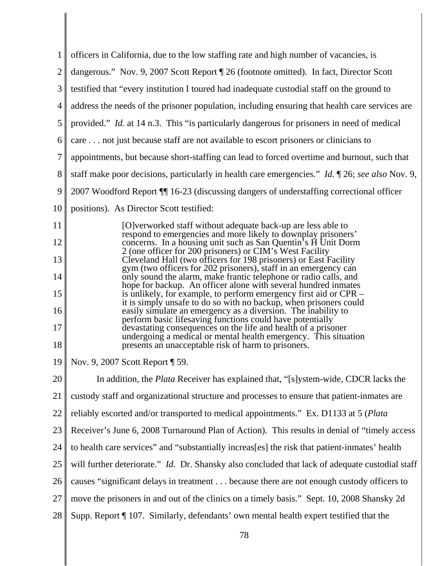| $\mathbf 1$      | officers in California, due to the low staffing rate and high number of vacancies, is                                                  |
|------------------|----------------------------------------------------------------------------------------------------------------------------------------|
| $\overline{2}$   | dangerous." Nov. 9, 2007 Scott Report ¶ 26 (footnote omitted). In fact, Director Scott                                                 |
| 3                | testified that "every institution I toured had inadequate custodial staff on the ground to                                             |
| 4                | address the needs of the prisoner population, including ensuring that health care services are                                         |
| 5                | provided." <i>Id.</i> at 14 n.3. This "is particularly dangerous for prisoners in need of medical                                      |
| 6                | care not just because staff are not available to escort prisoners or clinicians to                                                     |
| $\boldsymbol{7}$ | appointments, but because short-staffing can lead to forced overtime and burnout, such that                                            |
| 8                | staff make poor decisions, particularly in health care emergencies." <i>Id.</i> 126; see also Nov. 9,                                  |
| 9                | 2007 Woodford Report ¶ 16-23 (discussing dangers of understaffing correctional officer                                                 |
| 10               | positions). As Director Scott testified:                                                                                               |
| 11               | [O]verworked staff without adequate back-up are less able to<br>respond to emergencies and more likely to downplay prisoners'          |
| 12               | concerns. In a housing unit such as San Quentin's H Unit Dorm<br>2 (one officer for 200 prisoners) or CIM's West Facility              |
| 13               | Cleveland Hall (two officers for 198 prisoners) or East Facility<br>gym (two officers for 202 prisoners), staff in an emergency can    |
| 14               | only sound the alarm, make frantic telephone or radio calls, and<br>hope for backup. An officer alone with several hundred inmates     |
| 15               | is unlikely, for example, to perform emergency first aid or CPR -<br>it is simply unsafe to do so with no backup, when prisoners could |
| 16               | easily simulate an emergency as a diversion. The inability to<br>perform basic lifesaving functions could have potentially             |
| 17               | devastating consequences on the life and health of a prisoner<br>undergoing a medical or mental health emergency. This situation       |
| 18               | presents an unacceptable risk of harm to prisoners.                                                                                    |
| 19               | Nov. 9, 2007 Scott Report [ 59.                                                                                                        |
| 20               | In addition, the <i>Plata</i> Receiver has explained that, "[s]ystem-wide, CDCR lacks the                                              |
| 21               | custody staff and organizational structure and processes to ensure that patient-inmates are                                            |
| 22               | reliably escorted and/or transported to medical appointments." Ex. D1133 at 5 (Plata                                                   |
| 23               | Receiver's June 6, 2008 Turnaround Plan of Action). This results in denial of "timely access                                           |
| 24               | to health care services" and "substantially increas[es] the risk that patient-inmates' health                                          |
| 25               | will further deteriorate." Id. Dr. Shansky also concluded that lack of adequate custodial staff                                        |
| 26               | causes "significant delays in treatment because there are not enough custody officers to                                               |
| 27               | move the prisoners in and out of the clinics on a timely basis." Sept. 10, 2008 Shansky 2d                                             |
| 28               | Supp. Report ¶ 107. Similarly, defendants' own mental health expert testified that the                                                 |
|                  |                                                                                                                                        |

 $\mathsf I$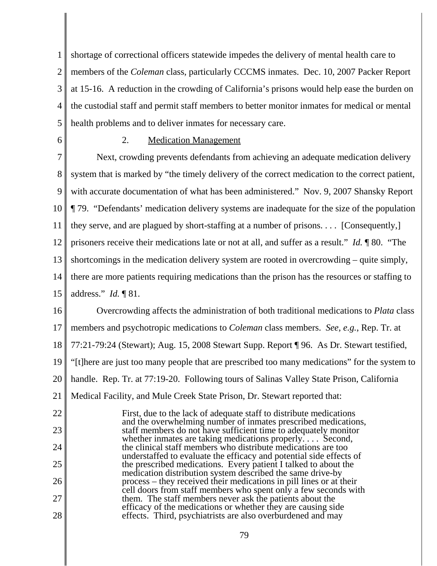1 2 3 4 5 shortage of correctional officers statewide impedes the delivery of mental health care to members of the *Coleman* class, particularly CCCMS inmates. Dec. 10, 2007 Packer Report at 15-16. A reduction in the crowding of California's prisons would help ease the burden on the custodial staff and permit staff members to better monitor inmates for medical or mental health problems and to deliver inmates for necessary care.

6

28

# 2. Medication Management

7 8 9 10 11 12 13 14 15 Next, crowding prevents defendants from achieving an adequate medication delivery system that is marked by "the timely delivery of the correct medication to the correct patient, with accurate documentation of what has been administered." Nov. 9, 2007 Shansky Report ¶ 79. "Defendants' medication delivery systems are inadequate for the size of the population they serve, and are plagued by short-staffing at a number of prisons. . . . [Consequently,] prisoners receive their medications late or not at all, and suffer as a result." *Id.* ¶ 80. "The shortcomings in the medication delivery system are rooted in overcrowding – quite simply, there are more patients requiring medications than the prison has the resources or staffing to address." *Id.* ¶ 81.

16 17 18 19 20 21 22 23 24 25 26 27 Overcrowding affects the administration of both traditional medications to *Plata* class members and psychotropic medications to *Coleman* class members. *See, e.g.*, Rep. Tr. at 77:21-79:24 (Stewart); Aug. 15, 2008 Stewart Supp. Report ¶ 96. As Dr. Stewart testified, "[t]here are just too many people that are prescribed too many medications" for the system to handle. Rep. Tr. at 77:19-20. Following tours of Salinas Valley State Prison, California Medical Facility, and Mule Creek State Prison, Dr. Stewart reported that: First, due to the lack of adequate staff to distribute medications and the overwhelming number of inmates prescribed medications, staff members do not have sufficient time to adequately monitor whether inmates are taking medications properly.... Second, the clinical staff members who distribute medications are too understaffed to evaluate the efficacy and potential side effects of the prescribed medications. Every patient I talked to about the medication distribution system described the same drive-by process – they received their medications in pill lines or at their cell doors from staff members who spent only a few seconds with them. The staff members never ask the patients about the

efficacy of the medications or whether they are causing side effects. Third, psychiatrists are also overburdened and may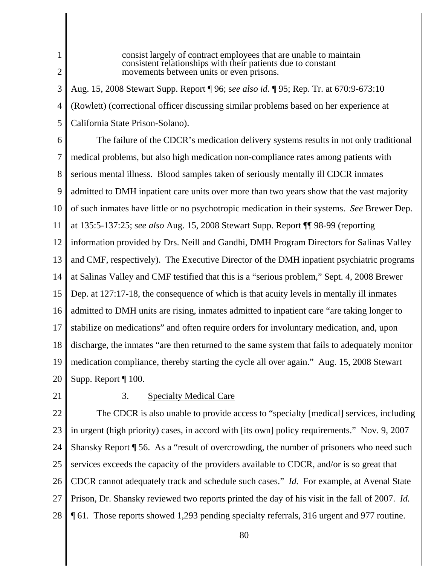1

consist largely of contract employees that are unable to maintain consistent relationships with their patients due to constant movements between units or even prisons.

3 4 5 Aug. 15, 2008 Stewart Supp. Report ¶ 96; s*ee also id.* ¶ 95; Rep. Tr. at 670:9-673:10 (Rowlett) (correctional officer discussing similar problems based on her experience at California State Prison-Solano).

- 6 7 8 9 10 11 12 13 14 15 16 17 18 19 20 The failure of the CDCR's medication delivery systems results in not only traditional medical problems, but also high medication non-compliance rates among patients with serious mental illness. Blood samples taken of seriously mentally ill CDCR inmates admitted to DMH inpatient care units over more than two years show that the vast majority of such inmates have little or no psychotropic medication in their systems. *See* Brewer Dep. at 135:5-137:25; *see also* Aug. 15, 2008 Stewart Supp. Report ¶¶ 98-99 (reporting information provided by Drs. Neill and Gandhi, DMH Program Directors for Salinas Valley and CMF, respectively). The Executive Director of the DMH inpatient psychiatric programs at Salinas Valley and CMF testified that this is a "serious problem," Sept. 4, 2008 Brewer Dep. at 127:17-18, the consequence of which is that acuity levels in mentally ill inmates admitted to DMH units are rising, inmates admitted to inpatient care "are taking longer to stabilize on medications" and often require orders for involuntary medication, and, upon discharge, the inmates "are then returned to the same system that fails to adequately monitor medication compliance, thereby starting the cycle all over again." Aug. 15, 2008 Stewart Supp. Report ¶ 100.
- 21

# 3. Specialty Medical Care

22 23 24 25 26 27 28 The CDCR is also unable to provide access to "specialty [medical] services, including in urgent (high priority) cases, in accord with [its own] policy requirements." Nov. 9, 2007 Shansky Report ¶ 56. As a "result of overcrowding, the number of prisoners who need such services exceeds the capacity of the providers available to CDCR, and/or is so great that CDCR cannot adequately track and schedule such cases." *Id.* For example, at Avenal State Prison, Dr. Shansky reviewed two reports printed the day of his visit in the fall of 2007. *Id.* ¶ 61. Those reports showed 1,293 pending specialty referrals, 316 urgent and 977 routine.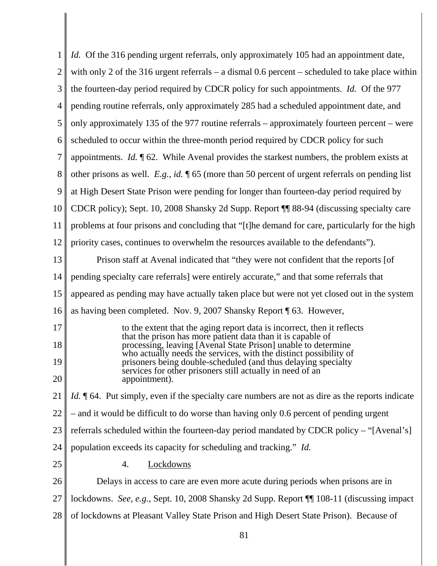| 1              | <i>Id.</i> Of the 316 pending urgent referrals, only approximately 105 had an appointment date,                                        |
|----------------|----------------------------------------------------------------------------------------------------------------------------------------|
| $\overline{2}$ | with only 2 of the 316 urgent referrals $-$ a dismal 0.6 percent $-$ scheduled to take place within                                    |
| 3              | the fourteen-day period required by CDCR policy for such appointments. <i>Id.</i> Of the 977                                           |
| 4              | pending routine referrals, only approximately 285 had a scheduled appointment date, and                                                |
| 5              | only approximately 135 of the 977 routine referrals – approximately fourteen percent – were                                            |
| 6              | scheduled to occur within the three-month period required by CDCR policy for such                                                      |
| 7              | appointments. <i>Id.</i> $\mathcal{A}$ 62. While Avenal provides the starkest numbers, the problem exists at                           |
| 8              | other prisons as well. E.g., id. $\sqrt{\phantom{a}}$ 65 (more than 50 percent of urgent referrals on pending list                     |
| 9              | at High Desert State Prison were pending for longer than fourteen-day period required by                                               |
| 10             | CDCR policy); Sept. 10, 2008 Shansky 2d Supp. Report ¶ 88-94 (discussing specialty care                                                |
| 11             | problems at four prisons and concluding that "[t] the demand for care, particularly for the high                                       |
| 12             | priority cases, continues to overwhelm the resources available to the defendants".                                                     |
| 13             | Prison staff at Avenal indicated that "they were not confident that the reports [of                                                    |
| 14             | pending specialty care referrals] were entirely accurate," and that some referrals that                                                |
| 15             | appeared as pending may have actually taken place but were not yet closed out in the system                                            |
| 16             | as having been completed. Nov. 9, 2007 Shansky Report ¶ 63. However,                                                                   |
| 17             | to the extent that the aging report data is incorrect, then it reflects<br>that the prison has more patient data than it is capable of |
| 18             | processing, leaving [Avenal State Prison] unable to determine<br>who actually needs the services, with the distinct possibility of     |
| 19             | prisoners being double-scheduled (and thus delaying specialty<br>services for other prisoners still actually in need of an             |
| 20             | appointment)                                                                                                                           |
| 21             | <i>Id.</i> 164. Put simply, even if the specialty care numbers are not as dire as the reports indicate                                 |
| 22             | - and it would be difficult to do worse than having only 0.6 percent of pending urgent                                                 |
| 23             | referrals scheduled within the fourteen-day period mandated by CDCR policy – "[Avenal's]                                               |
| 24             | population exceeds its capacity for scheduling and tracking." Id.                                                                      |
| 25             | Lockdowns<br>4.                                                                                                                        |
| 26             | Delays in access to care are even more acute during periods when prisons are in                                                        |
| 27             | lockdowns. See, e.g., Sept. 10, 2008 Shansky 2d Supp. Report ¶ 108-11 (discussing impact                                               |
| 28             | of lockdowns at Pleasant Valley State Prison and High Desert State Prison). Because of                                                 |
|                |                                                                                                                                        |

I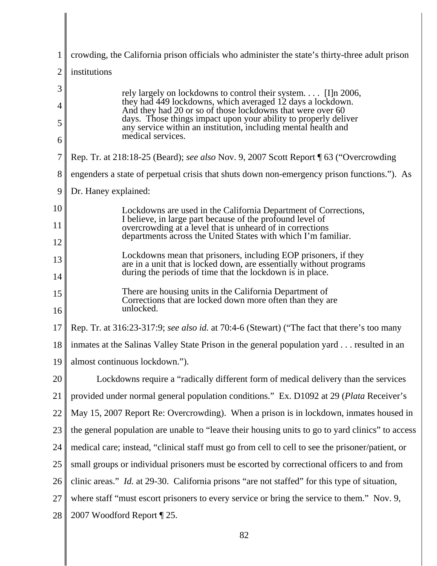| 1                | crowding, the California prison officials who administer the state's thirty-three adult prison                                                                                                                                                                                                                                                        |
|------------------|-------------------------------------------------------------------------------------------------------------------------------------------------------------------------------------------------------------------------------------------------------------------------------------------------------------------------------------------------------|
| 2                | institutions                                                                                                                                                                                                                                                                                                                                          |
| 3<br>4<br>5<br>6 | rely largely on lockdowns to control their system $[I]$ n 2006,<br>they had 449 lockdowns, which averaged 12 days a lockdown.<br>And they had 20 or so of those lockdowns that were over 60<br>days. Those things impact upon your ability to properly deliver<br>any service within an institution, including mental health and<br>medical services. |
| 7                | Rep. Tr. at 218:18-25 (Beard); see also Nov. 9, 2007 Scott Report [ 63 ("Overcrowding                                                                                                                                                                                                                                                                 |
| 8                | engenders a state of perpetual crisis that shuts down non-emergency prison functions."). As                                                                                                                                                                                                                                                           |
| 9                | Dr. Haney explained:                                                                                                                                                                                                                                                                                                                                  |
| 10               | Lockdowns are used in the California Department of Corrections,                                                                                                                                                                                                                                                                                       |
| 11               | I believe, in large part because of the profound level of<br>overcrowding at a level that is unheard of in corrections                                                                                                                                                                                                                                |
| 12               | departments across the United States with which I'm familiar.                                                                                                                                                                                                                                                                                         |
| 13<br>14         | Lockdowns mean that prisoners, including EOP prisoners, if they<br>are in a unit that is locked down, are essentially without programs<br>during the periods of time that the lockdown is in place.                                                                                                                                                   |
| 15<br>16         | There are housing units in the California Department of<br>Corrections that are locked down more often than they are<br>unlocked.                                                                                                                                                                                                                     |
| 17               | Rep. Tr. at 316:23-317:9; see also id. at 70:4-6 (Stewart) ("The fact that there's too many                                                                                                                                                                                                                                                           |
| 18               | inmates at the Salinas Valley State Prison in the general population yard resulted in an                                                                                                                                                                                                                                                              |
| 19               | almost continuous lockdown.").                                                                                                                                                                                                                                                                                                                        |
| 20               | Lockdowns require a "radically different form of medical delivery than the services                                                                                                                                                                                                                                                                   |
| 21               | provided under normal general population conditions." Ex. D1092 at 29 (Plata Receiver's                                                                                                                                                                                                                                                               |
| 22               | May 15, 2007 Report Re: Overcrowding). When a prison is in lockdown, inmates housed in                                                                                                                                                                                                                                                                |
| 23               | the general population are unable to "leave their housing units to go to yard clinics" to access                                                                                                                                                                                                                                                      |
| 24               | medical care; instead, "clinical staff must go from cell to cell to see the prisoner/patient, or                                                                                                                                                                                                                                                      |
| 25               | small groups or individual prisoners must be escorted by correctional officers to and from                                                                                                                                                                                                                                                            |
| 26               | clinic areas." <i>Id.</i> at 29-30. California prisons "are not staffed" for this type of situation,                                                                                                                                                                                                                                                  |
| 27               | where staff "must escort prisoners to every service or bring the service to them." Nov. 9,                                                                                                                                                                                                                                                            |
| 28               | 2007 Woodford Report [25.                                                                                                                                                                                                                                                                                                                             |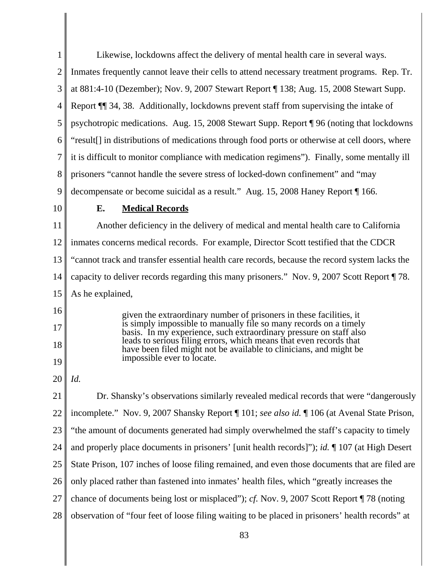| $\mathbf{1}$   | Likewise, lockdowns affect the delivery of mental health care in several ways.                                                           |
|----------------|------------------------------------------------------------------------------------------------------------------------------------------|
| $\overline{c}$ | Inmates frequently cannot leave their cells to attend necessary treatment programs. Rep. Tr.                                             |
| 3              | at 881:4-10 (Dezember); Nov. 9, 2007 Stewart Report ¶ 138; Aug. 15, 2008 Stewart Supp.                                                   |
| 4              | Report ¶ 34, 38. Additionally, lockdowns prevent staff from supervising the intake of                                                    |
| 5              | psychotropic medications. Aug. 15, 2008 Stewart Supp. Report ¶ 96 (noting that lockdowns                                                 |
| 6              | "result <sup>[]</sup> in distributions of medications through food ports or otherwise at cell doors, where                               |
| 7              | it is difficult to monitor compliance with medication regimens"). Finally, some mentally ill                                             |
| 8              | prisoners "cannot handle the severe stress of locked-down confinement" and "may                                                          |
| 9              | decompensate or become suicidal as a result." Aug. 15, 2008 Haney Report [166.]                                                          |
| 10             | <b>Medical Records</b><br>Е.                                                                                                             |
| 11             | Another deficiency in the delivery of medical and mental health care to California                                                       |
| 12             | inmates concerns medical records. For example, Director Scott testified that the CDCR                                                    |
| 13             | "cannot track and transfer essential health care records, because the record system lacks the                                            |
| 14             | capacity to deliver records regarding this many prisoners." Nov. 9, 2007 Scott Report 178.                                               |
| 15             | As he explained,                                                                                                                         |
| 16             | given the extraordinary number of prisoners in these facilities, it                                                                      |
| 17             | is simply impossible to manually file so many records on a timely<br>basis. In my experience, such extraordinary pressure on staff also  |
| 18             | leads to serious filing errors, which means that even records that<br>have been filed might not be available to clinicians, and might be |
| 19             | impossible ever to locate.                                                                                                               |
| 20             | Id.                                                                                                                                      |
| 21             | Dr. Shansky's observations similarly revealed medical records that were "dangerously                                                     |
| 22             | incomplete." Nov. 9, 2007 Shansky Report   101; see also id.   106 (at Avenal State Prison,                                              |
| 23             | "the amount of documents generated had simply overwhelmed the staff's capacity to timely                                                 |
| 24             | and properly place documents in prisoners' [unit health records]"); id. ¶ 107 (at High Desert                                            |
| 25             | State Prison, 107 inches of loose filing remained, and even those documents that are filed are                                           |
| 26             | only placed rather than fastened into inmates' health files, which "greatly increases the                                                |
| 27             | chance of documents being lost or misplaced"); cf. Nov. 9, 2007 Scott Report ¶ 78 (noting                                                |
|                |                                                                                                                                          |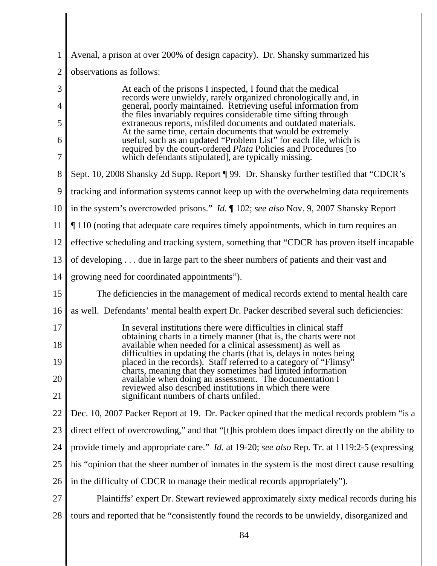| 1              | Avenal, a prison at over 200% of design capacity). Dr. Shansky summarized his                                                                                                                     |
|----------------|---------------------------------------------------------------------------------------------------------------------------------------------------------------------------------------------------|
| $\overline{2}$ | observations as follows:                                                                                                                                                                          |
| 3<br>4         | At each of the prisons I inspected, I found that the medical<br>records were unwieldy, rarely organized chronologically and, in<br>general, poorly maintained. Retrieving useful information from |
| 5              | the files invariably requires considerable time sifting through<br>extraneous reports, misfiled documents and outdated materials.                                                                 |
| 6              | At the same time, certain documents that would be extremely<br>useful, such as an updated "Problem List" for each file, which is                                                                  |
| 7              | required by the court-ordered <i>Plata</i> Policies and Procedures [to<br>which defendants stipulated], are typically missing.                                                                    |
| 8              | Sept. 10, 2008 Shansky 2d Supp. Report [99. Dr. Shansky further testified that "CDCR's                                                                                                            |
| 9              | tracking and information systems cannot keep up with the overwhelming data requirements                                                                                                           |
| 10             | in the system's overcrowded prisons." <i>Id.</i> 102; see also Nov. 9, 2007 Shansky Report                                                                                                        |
| 11             | 110 (noting that adequate care requires timely appointments, which in turn requires an                                                                                                            |
| 12             | effective scheduling and tracking system, something that "CDCR has proven itself incapable                                                                                                        |
| 13             | of developing due in large part to the sheer numbers of patients and their vast and                                                                                                               |
| 14             | growing need for coordinated appointments").                                                                                                                                                      |
| 15             | The deficiencies in the management of medical records extend to mental health care                                                                                                                |
| 16             | as well. Defendants' mental health expert Dr. Packer described several such deficiencies:                                                                                                         |
| 17             | In several institutions there were difficulties in clinical staff<br>obtaining charts in a timely manner (that is, the charts were not                                                            |
| 18             | available when needed for a clinical assessment) as well as<br>difficulties in updating the charts (that is, delays in notes being                                                                |
| 19             | placed in the records). Staff referred to a category of "Flimsy"<br>charts, meaning that they sometimes had limited information                                                                   |
| 20             | available when doing an assessment. The documentation I<br>reviewed also described institutions in which there were                                                                               |
| 21             | significant numbers of charts unfiled.                                                                                                                                                            |
| 22             | Dec. 10, 2007 Packer Report at 19. Dr. Packer opined that the medical records problem "is a                                                                                                       |
| 23             | direct effect of overcrowding," and that "[t]his problem does impact directly on the ability to                                                                                                   |
| 24             | provide timely and appropriate care." <i>Id.</i> at 19-20; see also Rep. Tr. at 1119:2-5 (expressing                                                                                              |
| 25             | his "opinion that the sheer number of inmates in the system is the most direct cause resulting                                                                                                    |
| 26             | in the difficulty of CDCR to manage their medical records appropriately").                                                                                                                        |
| 27             | Plaintiffs' expert Dr. Stewart reviewed approximately sixty medical records during his                                                                                                            |
| 28             | tours and reported that he "consistently found the records to be unwieldy, disorganized and                                                                                                       |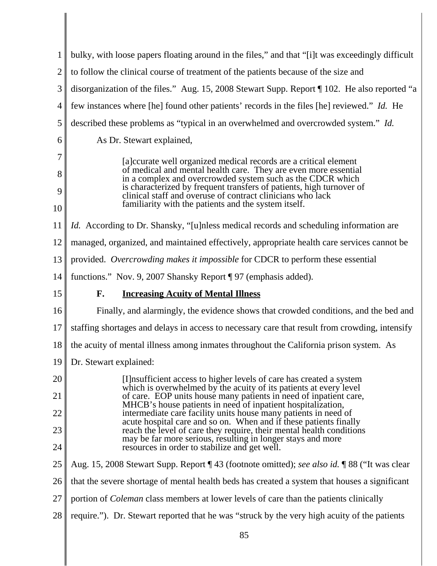| 1              | bulky, with loose papers floating around in the files," and that "[i]t was exceedingly difficult                                                                                                   |
|----------------|----------------------------------------------------------------------------------------------------------------------------------------------------------------------------------------------------|
| $\overline{2}$ | to follow the clinical course of treatment of the patients because of the size and                                                                                                                 |
| 3              | disorganization of the files." Aug. 15, 2008 Stewart Supp. Report [102. He also reported "a                                                                                                        |
| 4              | few instances where [he] found other patients' records in the files [he] reviewed." <i>Id.</i> He                                                                                                  |
| 5              | described these problems as "typical in an overwhelmed and overcrowded system." Id.                                                                                                                |
| 6              | As Dr. Stewart explained,                                                                                                                                                                          |
| 7<br>8         | [a] courate well organized medical records are a critical element<br>of medical and mental health care. They are even more essential<br>in a complex and overcrowded system such as the CDCR which |
| 9<br>10        | is characterized by frequent transfers of patients, high turnover of<br>clinical staff and overuse of contract clinicians who lack<br>familiarity with the patients and the system itself.         |
| 11             | <i>Id.</i> According to Dr. Shansky, "[u]nless medical records and scheduling information are                                                                                                      |
| 12             | managed, organized, and maintained effectively, appropriate health care services cannot be                                                                                                         |
| 13             | provided. Overcrowding makes it impossible for CDCR to perform these essential                                                                                                                     |
| 14             | functions." Nov. 9, 2007 Shansky Report ¶ 97 (emphasis added).                                                                                                                                     |
| 15             | F.<br><b>Increasing Acuity of Mental Illness</b>                                                                                                                                                   |
| 16             | Finally, and alarmingly, the evidence shows that crowded conditions, and the bed and                                                                                                               |
| 17             | staffing shortages and delays in access to necessary care that result from crowding, intensify                                                                                                     |
| 18             | the acuity of mental illness among inmates throughout the California prison system. As                                                                                                             |
| 19             | Dr. Stewart explained:                                                                                                                                                                             |
| 20             | [I] insufficient access to higher levels of care has created a system<br>which is overwhelmed by the acuity of its patients at every level                                                         |
| 21             | of care. EOP units house many patients in need of inpatient care,<br>MHCB's house patients in need of inpatient hospitalization,                                                                   |
| 22             | intermediate care facility units house many patients in need of<br>acute hospital care and so on. When and if these patients finally                                                               |
| 23             | reach the level of care they require, their mental health conditions<br>may be far more serious, resulting in longer stays and more                                                                |
| 24             | resources in order to stabilize and get well.                                                                                                                                                      |
| 25             | Aug. 15, 2008 Stewart Supp. Report ¶ 43 (footnote omitted); see also id. ¶ 88 ("It was clear                                                                                                       |
| 26             | that the severe shortage of mental health beds has created a system that houses a significant                                                                                                      |
| 27             | portion of <i>Coleman</i> class members at lower levels of care than the patients clinically                                                                                                       |
| 28             | require."). Dr. Stewart reported that he was "struck by the very high acuity of the patients                                                                                                       |
|                | 85                                                                                                                                                                                                 |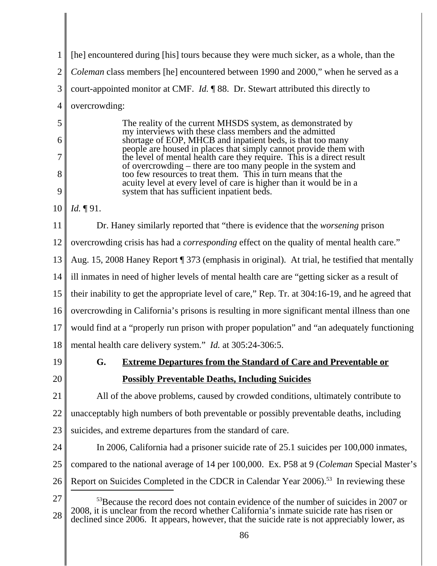| 1              | [he] encountered during [his] tours because they were much sicker, as a whole, than the                                                                                                      |
|----------------|----------------------------------------------------------------------------------------------------------------------------------------------------------------------------------------------|
| $\overline{2}$ | Coleman class members [he] encountered between 1990 and 2000," when he served as a                                                                                                           |
| 3              | court-appointed monitor at CMF. <i>Id.</i> $\llbracket$ 88. Dr. Stewart attributed this directly to                                                                                          |
| $\overline{4}$ | overcrowding:                                                                                                                                                                                |
| 5              | The reality of the current MHSDS system, as demonstrated by<br>my interviews with these class members and the admitted                                                                       |
| 6              | shortage of EOP, MHCB and inpatient beds, is that too many<br>people are housed in places that simply cannot provide them with                                                               |
| 7              | the level of mental health care they require. This is a direct result<br>of overcrowding – there are too many people in the system and                                                       |
| 8              | too few resources to treat them. This in turn means that the<br>acuity level at every level of care is higher than it would be in a                                                          |
| 9              | system that has sufficient inpatient beds.                                                                                                                                                   |
| 10             | Id. 191.                                                                                                                                                                                     |
| 11             | Dr. Haney similarly reported that "there is evidence that the <i>worsening</i> prison                                                                                                        |
| 12             | overcrowding crisis has had a <i>corresponding</i> effect on the quality of mental health care."                                                                                             |
| 13             | Aug. 15, 2008 Haney Report ¶ 373 (emphasis in original). At trial, he testified that mentally                                                                                                |
| 14             | ill inmates in need of higher levels of mental health care are "getting sicker as a result of                                                                                                |
| 15             | their inability to get the appropriate level of care," Rep. Tr. at 304:16-19, and he agreed that                                                                                             |
| 16             | overcrowding in California's prisons is resulting in more significant mental illness than one                                                                                                |
| 17             | would find at a "properly run prison with proper population" and "an adequately functioning                                                                                                  |
| 18             | mental health care delivery system." <i>Id.</i> at 305:24-306:5.                                                                                                                             |
| 19             | G.<br><b>Extreme Departures from the Standard of Care and Preventable or</b>                                                                                                                 |
| 20             | <b>Possibly Preventable Deaths, Including Suicides</b>                                                                                                                                       |
| 21             | All of the above problems, caused by crowded conditions, ultimately contribute to                                                                                                            |
| 22             | unacceptably high numbers of both preventable or possibly preventable deaths, including                                                                                                      |
| 23             | suicides, and extreme departures from the standard of care.                                                                                                                                  |
| 24             | In 2006, California had a prisoner suicide rate of 25.1 suicides per 100,000 inmates,                                                                                                        |
| 25             | compared to the national average of 14 per 100,000. Ex. P58 at 9 (Coleman Special Master's                                                                                                   |
| 26             | Report on Suicides Completed in the CDCR in Calendar Year 2006). <sup>53</sup> In reviewing these                                                                                            |
| 27<br>28       | <sup>53</sup> Because the record does not contain evidence of the number of suicides in 2007 or<br>2008, it is unclear from the record whether California's inmate suicide rate has risen or |
|                | declined since 2006. It appears, however, that the suicide rate is not appreciably lower, as<br>86                                                                                           |
|                |                                                                                                                                                                                              |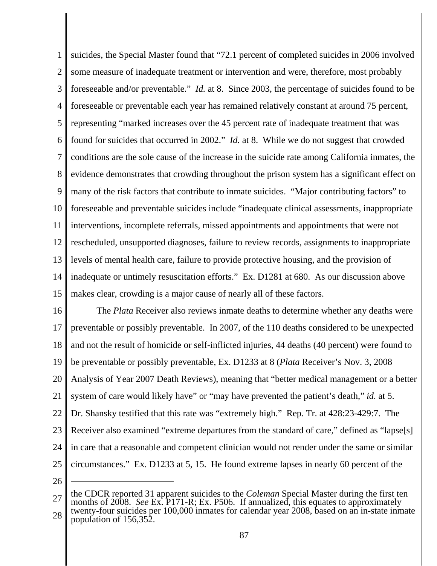1 2 3 4 5 6 7 8 9 10 11 12 13 14 15 suicides, the Special Master found that "72.1 percent of completed suicides in 2006 involved some measure of inadequate treatment or intervention and were, therefore, most probably foreseeable and/or preventable." *Id.* at 8. Since 2003, the percentage of suicides found to be foreseeable or preventable each year has remained relatively constant at around 75 percent, representing "marked increases over the 45 percent rate of inadequate treatment that was found for suicides that occurred in 2002." *Id.* at 8. While we do not suggest that crowded conditions are the sole cause of the increase in the suicide rate among California inmates, the evidence demonstrates that crowding throughout the prison system has a significant effect on many of the risk factors that contribute to inmate suicides. "Major contributing factors" to foreseeable and preventable suicides include "inadequate clinical assessments, inappropriate interventions, incomplete referrals, missed appointments and appointments that were not rescheduled, unsupported diagnoses, failure to review records, assignments to inappropriate levels of mental health care, failure to provide protective housing, and the provision of inadequate or untimely resuscitation efforts." Ex. D1281 at 680. As our discussion above makes clear, crowding is a major cause of nearly all of these factors.

16 17 18 19 20 21 22 23 24 25 The *Plata* Receiver also reviews inmate deaths to determine whether any deaths were preventable or possibly preventable. In 2007, of the 110 deaths considered to be unexpected and not the result of homicide or self-inflicted injuries, 44 deaths (40 percent) were found to be preventable or possibly preventable, Ex. D1233 at 8 (*Plata* Receiver's Nov. 3, 2008 Analysis of Year 2007 Death Reviews), meaning that "better medical management or a better system of care would likely have" or "may have prevented the patient's death," *id.* at 5. Dr. Shansky testified that this rate was "extremely high." Rep. Tr. at 428:23-429:7. The Receiver also examined "extreme departures from the standard of care," defined as "lapse[s] in care that a reasonable and competent clinician would not render under the same or similar circumstances." Ex. D1233 at 5, 15. He found extreme lapses in nearly 60 percent of the

<sup>27</sup> 28 the CDCR reported 31 apparent suicides to the *Coleman* Special Master during the first ten months of 2008. *See* Ex. P171-R; Ex. P506. If annualized, this equates to approximately twenty-four suicides per 100,000 inmates for calendar year 2008, based on an in-state inmate population of 156,352.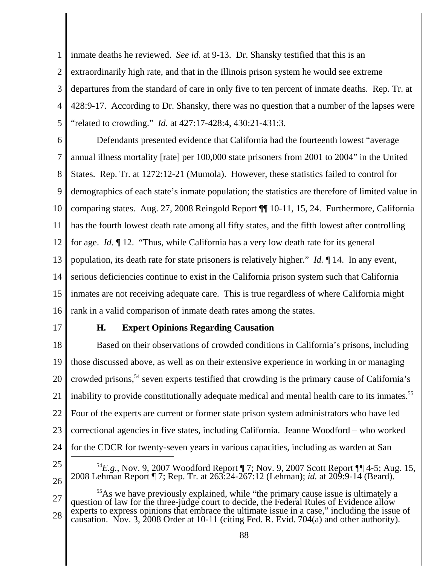1 2 3 4 5 inmate deaths he reviewed. *See id.* at 9-13. Dr. Shansky testified that this is an extraordinarily high rate, and that in the Illinois prison system he would see extreme departures from the standard of care in only five to ten percent of inmate deaths. Rep. Tr. at 428:9-17. According to Dr. Shansky, there was no question that a number of the lapses were "related to crowding." *Id.* at 427:17-428:4, 430:21-431:3.

6 7 8 9 10 11 12 13 14 15 16 Defendants presented evidence that California had the fourteenth lowest "average annual illness mortality [rate] per 100,000 state prisoners from 2001 to 2004" in the United States. Rep. Tr. at 1272:12-21 (Mumola). However, these statistics failed to control for demographics of each state's inmate population; the statistics are therefore of limited value in comparing states. Aug. 27, 2008 Reingold Report ¶¶ 10-11, 15, 24. Furthermore, California has the fourth lowest death rate among all fifty states, and the fifth lowest after controlling for age. *Id.* ¶ 12. "Thus, while California has a very low death rate for its general population, its death rate for state prisoners is relatively higher." *Id.* ¶ 14. In any event, serious deficiencies continue to exist in the California prison system such that California inmates are not receiving adequate care. This is true regardless of where California might rank in a valid comparison of inmate death rates among the states.

17

# **H. Expert Opinions Regarding Causation**

18 19 20 21 22 23 24 Based on their observations of crowded conditions in California's prisons, including those discussed above, as well as on their extensive experience in working in or managing crowded prisons,<sup>54</sup> seven experts testified that crowding is the primary cause of California's inability to provide constitutionally adequate medical and mental health care to its inmates.<sup>55</sup> Four of the experts are current or former state prison system administrators who have led correctional agencies in five states, including California. Jeanne Woodford – who worked for the CDCR for twenty-seven years in various capacities, including as warden at San

25

- <sup>54</sup>*E.g.*, Nov. 9, 2007 Woodford Report ¶ 7; Nov. 9, 2007 Scott Report ¶¶ 4-5; Aug. 15, 2008 Lehman Report ¶ 7; Rep. Tr. at 263:24-267:12 (Lehman); *id.* at 209:9-14 (Beard).
- 27 28 <sup>55</sup>As we have previously explained, while "the primary cause issue is ultimately a question of law for the three-judge court to decide, the Federal Rules of Evidence allow experts to express opinions that embrace the ultimate issue in a case," including the issue of causation. Nov. 3, 2008 Order at 10-11 (citing Fed. R. Evid. 704(a) and other authority).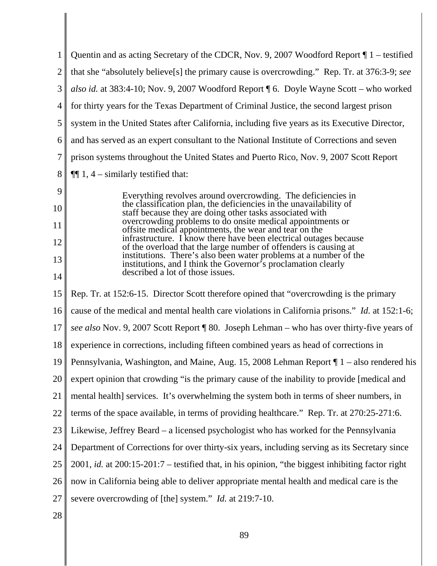| 1              | Quentin and as acting Secretary of the CDCR, Nov. 9, 2007 Woodford Report $\P 1$ – testified                                          |
|----------------|---------------------------------------------------------------------------------------------------------------------------------------|
| $\overline{2}$ | that she "absolutely believe[s] the primary cause is overcrowding." Rep. Tr. at 376:3-9; see                                          |
| 3              | also id. at 383:4-10; Nov. 9, 2007 Woodford Report   6. Doyle Wayne Scott - who worked                                                |
| $\overline{4}$ | for thirty years for the Texas Department of Criminal Justice, the second largest prison                                              |
| 5              | system in the United States after California, including five years as its Executive Director,                                         |
| 6              | and has served as an expert consultant to the National Institute of Corrections and seven                                             |
| 7              | prison systems throughout the United States and Puerto Rico, Nov. 9, 2007 Scott Report                                                |
| 8              | $\P\P$ 1, 4 – similarly testified that:                                                                                               |
| 9              | Everything revolves around overcrowding. The deficiencies in                                                                          |
| 10             | the classification plan, the deficiencies in the unavailability of<br>staff because they are doing other tasks associated with        |
| 11             | overcrowding problems to do onsite medical appointments or<br>offsite medical appointments, the wear and tear on the                  |
| 12             | infrastructure. I know there have been electrical outages because<br>of the overload that the large number of offenders is causing at |
| 13             | institutions. There's also been water problems at a number of the<br>institutions, and I think the Governor's proclamation clearly    |
| 14             | described a lot of those issues.                                                                                                      |
| 15             | Rep. Tr. at 152:6-15. Director Scott therefore opined that "overcrowding is the primary                                               |
| 16             | cause of the medical and mental health care violations in California prisons." <i>Id.</i> at 152:1-6;                                 |
| 17             | see also Nov. 9, 2007 Scott Report ¶ 80. Joseph Lehman - who has over thirty-five years of                                            |
| 18             | experience in corrections, including fifteen combined years as head of corrections in                                                 |
| 19             | Pennsylvania, Washington, and Maine, Aug. 15, 2008 Lehman Report $\P$ 1 – also rendered his                                           |
| 20             | expert opinion that crowding "is the primary cause of the inability to provide [medical and                                           |
| 21             | mental health] services. It's overwhelming the system both in terms of sheer numbers, in                                              |
| 22             | terms of the space available, in terms of providing healthcare." Rep. Tr. at 270:25-271:6.                                            |
| 23             | Likewise, Jeffrey Beard – a licensed psychologist who has worked for the Pennsylvania                                                 |
| 24             | Department of Corrections for over thirty-six years, including serving as its Secretary since                                         |
| 25             | 2001, id. at 200:15-201:7 – testified that, in his opinion, "the biggest inhibiting factor right                                      |
| 26             | now in California being able to deliver appropriate mental health and medical care is the                                             |
| 27             | severe overcrowding of [the] system." <i>Id.</i> at 219:7-10.                                                                         |
| 28             |                                                                                                                                       |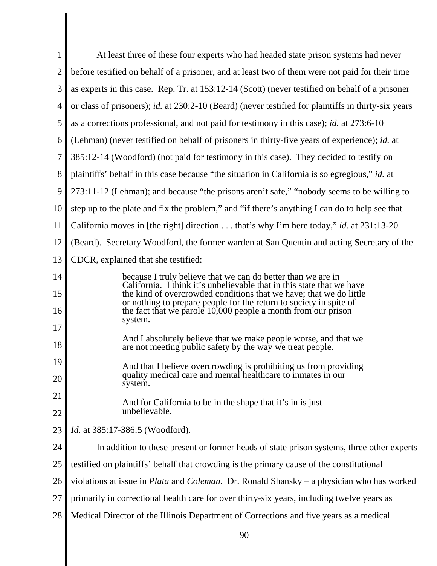| 1              | At least three of these four experts who had headed state prison systems had never                                                                                                                                   |
|----------------|----------------------------------------------------------------------------------------------------------------------------------------------------------------------------------------------------------------------|
| $\overline{2}$ | before testified on behalf of a prisoner, and at least two of them were not paid for their time                                                                                                                      |
| 3              | as experts in this case. Rep. Tr. at 153:12-14 (Scott) (never testified on behalf of a prisoner                                                                                                                      |
| 4              | or class of prisoners); id. at 230:2-10 (Beard) (never testified for plaintiffs in thirty-six years                                                                                                                  |
| 5              | as a corrections professional, and not paid for testimony in this case); id. at 273:6-10                                                                                                                             |
| 6              | (Lehman) (never testified on behalf of prisoners in thirty-five years of experience); id. at                                                                                                                         |
| 7              | 385:12-14 (Woodford) (not paid for testimony in this case). They decided to testify on                                                                                                                               |
| 8              | plaintiffs' behalf in this case because "the situation in California is so egregious," id. at                                                                                                                        |
| 9              | 273:11-12 (Lehman); and because "the prisons aren't safe," "nobody seems to be willing to                                                                                                                            |
| 10             | step up to the plate and fix the problem," and "if there's anything I can do to help see that                                                                                                                        |
| 11             | California moves in [the right] direction that's why I'm here today," id. at 231:13-20                                                                                                                               |
| 12             | (Beard). Secretary Woodford, the former warden at San Quentin and acting Secretary of the                                                                                                                            |
| 13             | CDCR, explained that she testified:                                                                                                                                                                                  |
| 14             | because I truly believe that we can do better than we are in<br>California. I think it's unbelievable that in this state that we have                                                                                |
| 15<br>16       | the kind of overcrowded conditions that we have; that we do little<br>or nothing to prepare people for the return to society in spite of<br>the fact that we parole 10,000 people a month from our prison<br>system. |
| 17             |                                                                                                                                                                                                                      |
| 18             | And I absolutely believe that we make people worse, and that we<br>are not meeting public safety by the way we treat people.                                                                                         |
| 19             | And that I believe overcrowding is prohibiting us from providing<br>quality medical care and mental healthcare to inmates in our                                                                                     |
| 20             | system.                                                                                                                                                                                                              |
| 21<br>22       | And for California to be in the shape that it's in is just<br>unbelievable.                                                                                                                                          |
| 23             | <i>Id.</i> at 385:17-386:5 (Woodford).                                                                                                                                                                               |
| 24             | In addition to these present or former heads of state prison systems, three other experts                                                                                                                            |
| 25             | testified on plaintiffs' behalf that crowding is the primary cause of the constitutional                                                                                                                             |
| 26             | violations at issue in <i>Plata</i> and <i>Coleman</i> . Dr. Ronald Shansky – a physician who has worked                                                                                                             |
| 27             | primarily in correctional health care for over thirty-six years, including twelve years as                                                                                                                           |
| 28             | Medical Director of the Illinois Department of Corrections and five years as a medical                                                                                                                               |

 $\begin{array}{c} \hline \end{array}$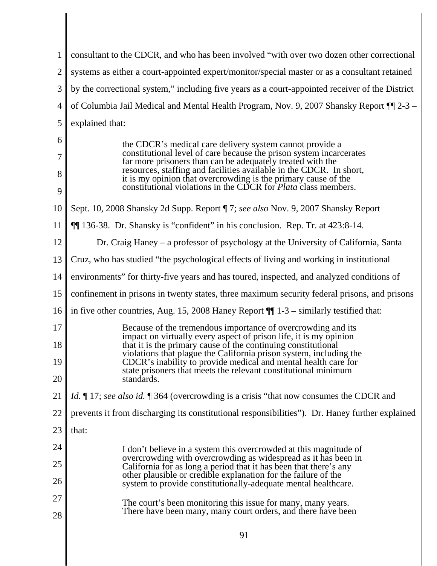| $\mathbf{1}$   | consultant to the CDCR, and who has been involved "with over two dozen other correctional                                                                                                                      |
|----------------|----------------------------------------------------------------------------------------------------------------------------------------------------------------------------------------------------------------|
| $\overline{2}$ | systems as either a court-appointed expert/monitor/special master or as a consultant retained                                                                                                                  |
| 3              | by the correctional system," including five years as a court-appointed receiver of the District                                                                                                                |
| $\overline{4}$ | of Columbia Jail Medical and Mental Health Program, Nov. 9, 2007 Shansky Report 11 2-3 –                                                                                                                       |
| 5              | explained that:                                                                                                                                                                                                |
| 6              | the CDCR's medical care delivery system cannot provide a                                                                                                                                                       |
| 7              | constitutional level of care because the prison system incarcerates<br>far more prisoners than can be adequately treated with the                                                                              |
| 8<br>9         | resources, staffing and facilities available in the CDCR. In short,<br>it is my opinion that overcrowding is the primary cause of the<br>constitutional violations in the CDCR for <i>Plata</i> class members. |
| 10             | Sept. 10, 2008 Shansky 2d Supp. Report ¶ 7; see also Nov. 9, 2007 Shansky Report                                                                                                                               |
| 11             | <b>[14]</b> 136-38. Dr. Shansky is "confident" in his conclusion. Rep. Tr. at 423:8-14.                                                                                                                        |
| 12             | Dr. Craig Haney – a professor of psychology at the University of California, Santa                                                                                                                             |
| 13             | Cruz, who has studied "the psychological effects of living and working in institutional                                                                                                                        |
| 14             | environments" for thirty-five years and has toured, inspected, and analyzed conditions of                                                                                                                      |
| 15             | confinement in prisons in twenty states, three maximum security federal prisons, and prisons                                                                                                                   |
| 16             | in five other countries, Aug. 15, 2008 Haney Report $\P$ 1-3 – similarly testified that:                                                                                                                       |
| 17             | Because of the tremendous importance of overcrowding and its<br>impact on virtually every aspect of prison life, it is my opinion                                                                              |
| 18             | that it is the primary cause of the continuing constitutional<br>violations that plague the California prison system, including the                                                                            |
| 19             | CDCR's inability to provide medical and mental health care for<br>state prisoners that meets the relevant constitutional minimum                                                                               |
| 20             | standards.                                                                                                                                                                                                     |
| 21             | <i>Id.</i> 17; see also id. 1364 (overcrowding is a crisis "that now consumes the CDCR and                                                                                                                     |
| 22             | prevents it from discharging its constitutional responsibilities"). Dr. Haney further explained                                                                                                                |
| 23             | that:                                                                                                                                                                                                          |
| 24             | I don't believe in a system this overcrowded at this magnitude of                                                                                                                                              |
| 25             | overcrowding with overcrowding as widespread as it has been in<br>California for as long a period that it has been that there's any                                                                            |
| 26             | other plausible or credible explanation for the failure of the<br>system to provide constitutionally-adequate mental healthcare.                                                                               |
| 27             | The court's been monitoring this issue for many, many years.                                                                                                                                                   |
| 28             | There have been many, many court orders, and there have been                                                                                                                                                   |

║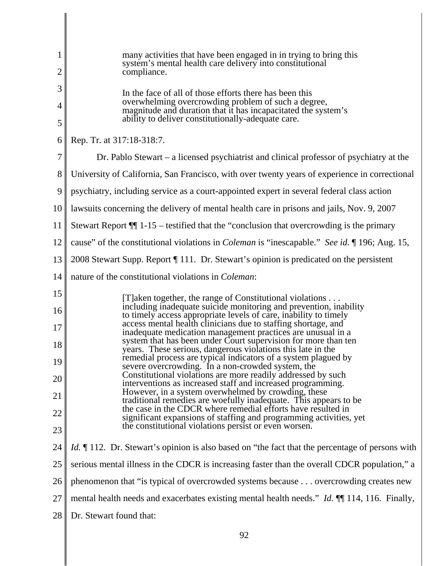| 1<br>$\overline{2}$ | many activities that have been engaged in in trying to bring this<br>system's mental health care delivery into constitutional<br>compliance.                                                   |
|---------------------|------------------------------------------------------------------------------------------------------------------------------------------------------------------------------------------------|
| 3<br>4              | In the face of all of those efforts there has been this<br>overwhelming overcrowding problem of such a degree,<br>magnitude and duration that it has incapacitated the system's                |
| 5                   | ability to deliver constitutionally-adequate care.                                                                                                                                             |
| 6                   | Rep. Tr. at 317:18-318:7.                                                                                                                                                                      |
| 7                   | Dr. Pablo Stewart – a licensed psychiatrist and clinical professor of psychiatry at the                                                                                                        |
| 8                   | University of California, San Francisco, with over twenty years of experience in correctional                                                                                                  |
| 9                   | psychiatry, including service as a court-appointed expert in several federal class action                                                                                                      |
| 10                  | lawsuits concerning the delivery of mental health care in prisons and jails, Nov. 9, 2007                                                                                                      |
| 11                  | Stewart Report $\P$ 1-15 – testified that the "conclusion that overcrowding is the primary                                                                                                     |
| 12                  | cause" of the constitutional violations in <i>Coleman</i> is "inescapable." See id. ¶ 196; Aug. 15,                                                                                            |
| 13                  | 2008 Stewart Supp. Report ¶ 111. Dr. Stewart's opinion is predicated on the persistent                                                                                                         |
| 14                  | nature of the constitutional violations in <i>Coleman</i> :                                                                                                                                    |
| 15                  | [T]aken together, the range of Constitutional violations                                                                                                                                       |
| 16                  | including inadequate suicide monitoring and prevention, inability<br>to timely access appropriate levels of care, inability to timely                                                          |
| 17                  | access mental health clinicians due to staffing shortage, and<br>inadequate medication management practices are unusual in a<br>system that has been under Court supervision for more than ten |
| 18                  | years. These serious, dangerous violations this late in the<br>remedial process are typical indicators of a system plagued by                                                                  |
| 19                  | severe overcrowding. In a non-crowded system, the<br>Constitutional violations are more readily addressed by such                                                                              |
| 20                  | interventions as increased staff and increased programming.<br>However, in a system overwhelmed by crowding, these                                                                             |
| 21                  | traditional remedies are woefully inadequate. This appears to be<br>the case in the CDCR where remedial efforts have resulted in                                                               |
| 22<br>23            | significant expansions of staffing and programming activities, yet<br>the constitutional violations persist or even worsen.                                                                    |
| 24                  | <i>Id.</i> 112. Dr. Stewart's opinion is also based on "the fact that the percentage of persons with                                                                                           |
|                     |                                                                                                                                                                                                |
| 25                  | serious mental illness in the CDCR is increasing faster than the overall CDCR population," a                                                                                                   |
| 26                  | phenomenon that "is typical of overcrowded systems because overcrowding creates new                                                                                                            |
| 27                  | mental health needs and exacerbates existing mental health needs." <i>Id.</i> ¶ 114, 116. Finally,                                                                                             |
| 28                  | Dr. Stewart found that:                                                                                                                                                                        |

 $\begin{array}{c} \hline \end{array}$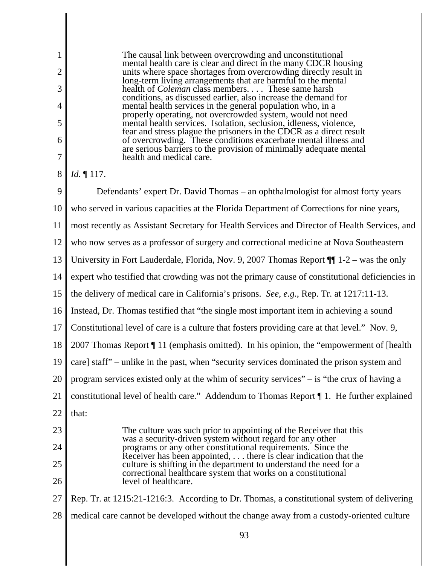The causal link between overcrowding and unconstitutional mental health care is clear and direct in the many CDCR housing units where space shortages from overcrowding directly result in long-term living arrangements that are harmful to the mental health of *Coleman* class members. . . . These same harsh conditions, as discussed earlier, also increase the demand for mental health services in the general population who, in a properly operating, not overcrowded system, would not need mental health services. Isolation, seclusion, idleness, violence, fear and stress plague the prisoners in the CDCR as a direct result of overcrowding. These conditions exacerbate mental illness and are serious barriers to the provision of minimally adequate mental health and medical care.

#### 8 *Id.* ¶ 117.

1

2

3

4

5

6

7

9 10 11 12 13 14 15 16 17 18 19 20 21 22 23 24 25 26 27 28 Defendants' expert Dr. David Thomas – an ophthalmologist for almost forty years who served in various capacities at the Florida Department of Corrections for nine years, most recently as Assistant Secretary for Health Services and Director of Health Services, and who now serves as a professor of surgery and correctional medicine at Nova Southeastern University in Fort Lauderdale, Florida, Nov. 9, 2007 Thomas Report ¶¶ 1-2 – was the only expert who testified that crowding was not the primary cause of constitutional deficiencies in the delivery of medical care in California's prisons. *See, e.g.*, Rep. Tr. at 1217:11-13. Instead, Dr. Thomas testified that "the single most important item in achieving a sound Constitutional level of care is a culture that fosters providing care at that level." Nov. 9, 2007 Thomas Report ¶ 11 (emphasis omitted). In his opinion, the "empowerment of [health care] staff" – unlike in the past, when "security services dominated the prison system and program services existed only at the whim of security services" – is "the crux of having a constitutional level of health care." Addendum to Thomas Report ¶ 1. He further explained that: The culture was such prior to appointing of the Receiver that this was a security-driven system without regard for any other programs or any other constitutional requirements. Since the Receiver has been appointed, . . . there is clear indication that the culture is shifting in the department to understand the need for a correctional healthcare system that works on a constitutional level of healthcare. Rep. Tr. at 1215:21-1216:3. According to Dr. Thomas, a constitutional system of delivering medical care cannot be developed without the change away from a custody-oriented culture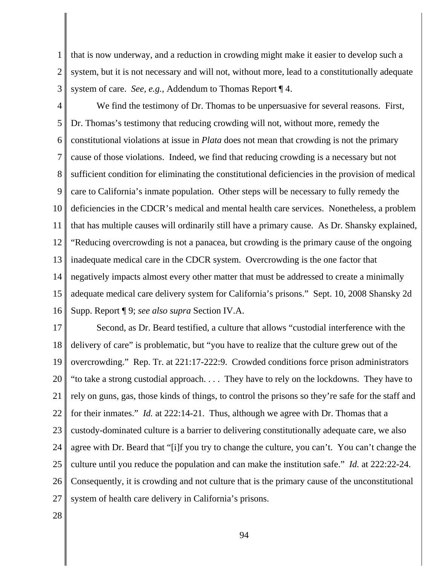1 2 that is now underway, and a reduction in crowding might make it easier to develop such a system, but it is not necessary and will not, without more, lead to a constitutionally adequate system of care. *See, e.g.*, Addendum to Thomas Report ¶ 4.

3

4 5 6 7 8 9 10 11 12 13 14 15 16 We find the testimony of Dr. Thomas to be unpersuasive for several reasons. First, Dr. Thomas's testimony that reducing crowding will not, without more, remedy the constitutional violations at issue in *Plata* does not mean that crowding is not the primary cause of those violations. Indeed, we find that reducing crowding is a necessary but not sufficient condition for eliminating the constitutional deficiencies in the provision of medical care to California's inmate population. Other steps will be necessary to fully remedy the deficiencies in the CDCR's medical and mental health care services. Nonetheless, a problem that has multiple causes will ordinarily still have a primary cause. As Dr. Shansky explained, "Reducing overcrowding is not a panacea, but crowding is the primary cause of the ongoing inadequate medical care in the CDCR system. Overcrowding is the one factor that negatively impacts almost every other matter that must be addressed to create a minimally adequate medical care delivery system for California's prisons." Sept. 10, 2008 Shansky 2d Supp. Report ¶ 9; *see also supra* Section IV.A.

17 18 19 20 21 22 23 24 25 26 27 Second, as Dr. Beard testified, a culture that allows "custodial interference with the delivery of care" is problematic, but "you have to realize that the culture grew out of the overcrowding." Rep. Tr. at 221:17-222:9. Crowded conditions force prison administrators "to take a strong custodial approach. . . . They have to rely on the lockdowns. They have to rely on guns, gas, those kinds of things, to control the prisons so they're safe for the staff and for their inmates." *Id.* at 222:14-21. Thus, although we agree with Dr. Thomas that a custody-dominated culture is a barrier to delivering constitutionally adequate care, we also agree with Dr. Beard that "[i]f you try to change the culture, you can't. You can't change the culture until you reduce the population and can make the institution safe." *Id.* at 222:22-24. Consequently, it is crowding and not culture that is the primary cause of the unconstitutional system of health care delivery in California's prisons.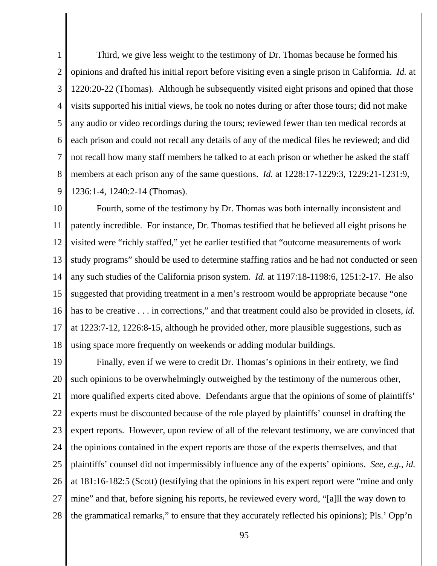1 2 3 4 5 6 7 8 9 Third, we give less weight to the testimony of Dr. Thomas because he formed his opinions and drafted his initial report before visiting even a single prison in California. *Id.* at 1220:20-22 (Thomas). Although he subsequently visited eight prisons and opined that those visits supported his initial views, he took no notes during or after those tours; did not make any audio or video recordings during the tours; reviewed fewer than ten medical records at each prison and could not recall any details of any of the medical files he reviewed; and did not recall how many staff members he talked to at each prison or whether he asked the staff members at each prison any of the same questions. *Id.* at 1228:17-1229:3, 1229:21-1231:9, 1236:1-4, 1240:2-14 (Thomas).

10 11 12 13 14 15 16 17 18 Fourth, some of the testimony by Dr. Thomas was both internally inconsistent and patently incredible. For instance, Dr. Thomas testified that he believed all eight prisons he visited were "richly staffed," yet he earlier testified that "outcome measurements of work study programs" should be used to determine staffing ratios and he had not conducted or seen any such studies of the California prison system. *Id.* at 1197:18-1198:6, 1251:2-17. He also suggested that providing treatment in a men's restroom would be appropriate because "one has to be creative . . . in corrections," and that treatment could also be provided in closets, *id.* at 1223:7-12, 1226:8-15, although he provided other, more plausible suggestions, such as using space more frequently on weekends or adding modular buildings.

19 20 21 22 23 24 25 26 27 28 Finally, even if we were to credit Dr. Thomas's opinions in their entirety, we find such opinions to be overwhelmingly outweighed by the testimony of the numerous other, more qualified experts cited above. Defendants argue that the opinions of some of plaintiffs' experts must be discounted because of the role played by plaintiffs' counsel in drafting the expert reports. However, upon review of all of the relevant testimony, we are convinced that the opinions contained in the expert reports are those of the experts themselves, and that plaintiffs' counsel did not impermissibly influence any of the experts' opinions. *See, e.g.*, *id.* at 181:16-182:5 (Scott) (testifying that the opinions in his expert report were "mine and only mine" and that, before signing his reports, he reviewed every word, "[a]ll the way down to the grammatical remarks," to ensure that they accurately reflected his opinions); Pls.' Opp'n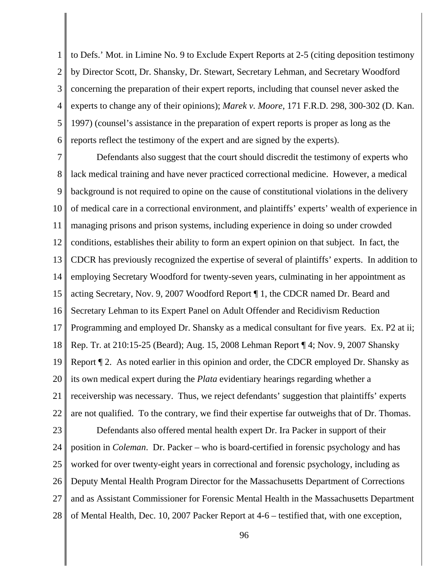1 2 3 4 5 6 to Defs.' Mot. in Limine No. 9 to Exclude Expert Reports at 2-5 (citing deposition testimony by Director Scott, Dr. Shansky, Dr. Stewart, Secretary Lehman, and Secretary Woodford concerning the preparation of their expert reports, including that counsel never asked the experts to change any of their opinions); *Marek v. Moore*, 171 F.R.D. 298, 300-302 (D. Kan. 1997) (counsel's assistance in the preparation of expert reports is proper as long as the reports reflect the testimony of the expert and are signed by the experts).

7 8 9 10 11 12 13 14 15 16 17 18 19 20 21 22 Defendants also suggest that the court should discredit the testimony of experts who lack medical training and have never practiced correctional medicine. However, a medical background is not required to opine on the cause of constitutional violations in the delivery of medical care in a correctional environment, and plaintiffs' experts' wealth of experience in managing prisons and prison systems, including experience in doing so under crowded conditions, establishes their ability to form an expert opinion on that subject. In fact, the CDCR has previously recognized the expertise of several of plaintiffs' experts. In addition to employing Secretary Woodford for twenty-seven years, culminating in her appointment as acting Secretary, Nov. 9, 2007 Woodford Report ¶ 1, the CDCR named Dr. Beard and Secretary Lehman to its Expert Panel on Adult Offender and Recidivism Reduction Programming and employed Dr. Shansky as a medical consultant for five years. Ex. P2 at ii; Rep. Tr. at 210:15-25 (Beard); Aug. 15, 2008 Lehman Report ¶ 4; Nov. 9, 2007 Shansky Report ¶ 2. As noted earlier in this opinion and order, the CDCR employed Dr. Shansky as its own medical expert during the *Plata* evidentiary hearings regarding whether a receivership was necessary. Thus, we reject defendants' suggestion that plaintiffs' experts are not qualified. To the contrary, we find their expertise far outweighs that of Dr. Thomas.

23 24 25 26 27 28 Defendants also offered mental health expert Dr. Ira Packer in support of their position in *Coleman*. Dr. Packer – who is board-certified in forensic psychology and has worked for over twenty-eight years in correctional and forensic psychology, including as Deputy Mental Health Program Director for the Massachusetts Department of Corrections and as Assistant Commissioner for Forensic Mental Health in the Massachusetts Department of Mental Health, Dec. 10, 2007 Packer Report at 4-6 – testified that, with one exception,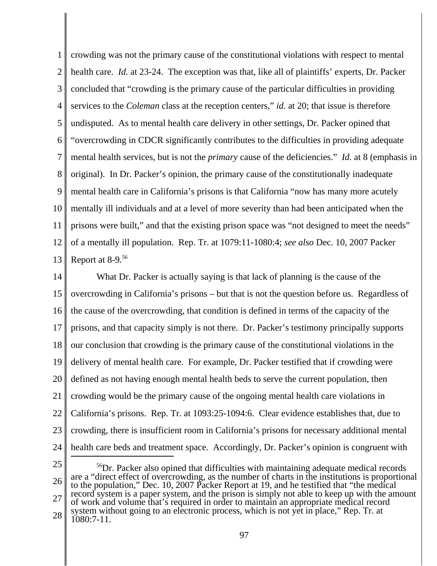1 2 3 4 5 6 7 8 9 10 11 12 13 crowding was not the primary cause of the constitutional violations with respect to mental health care. *Id.* at 23-24. The exception was that, like all of plaintiffs' experts, Dr. Packer concluded that "crowding is the primary cause of the particular difficulties in providing services to the *Coleman* class at the reception centers," *id.* at 20; that issue is therefore undisputed. As to mental health care delivery in other settings, Dr. Packer opined that "overcrowding in CDCR significantly contributes to the difficulties in providing adequate mental health services, but is not the *primary* cause of the deficiencies." *Id.* at 8 (emphasis in original). In Dr. Packer's opinion, the primary cause of the constitutionally inadequate mental health care in California's prisons is that California "now has many more acutely mentally ill individuals and at a level of more severity than had been anticipated when the prisons were built," and that the existing prison space was "not designed to meet the needs" of a mentally ill population. Rep. Tr. at 1079:11-1080:4; *see also* Dec. 10, 2007 Packer Report at 8-9.56

14 15 16 17 18 19 20 21 22 23 24 What Dr. Packer is actually saying is that lack of planning is the cause of the overcrowding in California's prisons – but that is not the question before us. Regardless of the cause of the overcrowding, that condition is defined in terms of the capacity of the prisons, and that capacity simply is not there. Dr. Packer's testimony principally supports our conclusion that crowding is the primary cause of the constitutional violations in the delivery of mental health care. For example, Dr. Packer testified that if crowding were defined as not having enough mental health beds to serve the current population, then crowding would be the primary cause of the ongoing mental health care violations in California's prisons. Rep. Tr. at 1093:25-1094:6. Clear evidence establishes that, due to crowding, there is insufficient room in California's prisons for necessary additional mental health care beds and treatment space. Accordingly, Dr. Packer's opinion is congruent with

25

26 27 28 <sup>56</sup>Dr. Packer also opined that difficulties with maintaining adequate medical records are a "direct effect of overcrowding, as the number of charts in the institutions is proportional to the population," Dec. 10, 2007 Packer Report at 19, and he testified that "the medical record system is a paper system, and the prison is simply not able to keep up with the amount of work and volume that's required in order to maintain an appropriate medical record system without going to an electronic process, which is not yet in place," Rep. Tr. at 1080:7-11.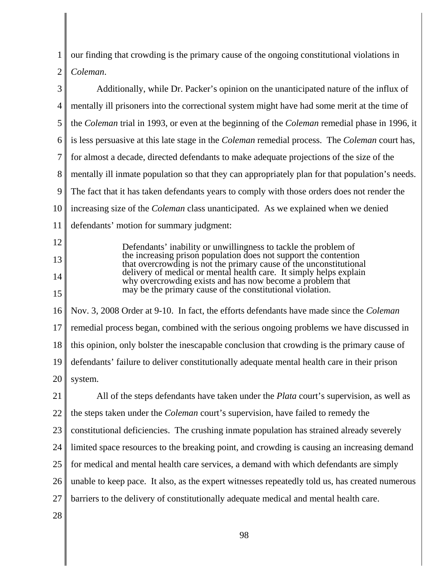1 2 our finding that crowding is the primary cause of the ongoing constitutional violations in *Coleman*.

| 3  | Additionally, while Dr. Packer's opinion on the unanticipated nature of the influx of                                                  |
|----|----------------------------------------------------------------------------------------------------------------------------------------|
| 4  | mentally ill prisoners into the correctional system might have had some merit at the time of                                           |
| 5  | the <i>Coleman</i> trial in 1993, or even at the beginning of the <i>Coleman</i> remedial phase in 1996, it                            |
| 6  | is less persuasive at this late stage in the <i>Coleman</i> remedial process. The <i>Coleman</i> court has,                            |
| 7  | for almost a decade, directed defendants to make adequate projections of the size of the                                               |
| 8  | mentally ill inmate population so that they can appropriately plan for that population's needs.                                        |
| 9  | The fact that it has taken defendants years to comply with those orders does not render the                                            |
| 10 | increasing size of the <i>Coleman</i> class unanticipated. As we explained when we denied                                              |
| 11 | defendants' motion for summary judgment:                                                                                               |
| 12 | Defendants' inability or unwillingness to tackle the problem of                                                                        |
| 13 | the increasing prison population does not support the contention<br>that overcrowding is not the primary cause of the unconstitutional |
| 14 | delivery of medical or mental health care. It simply helps explain<br>why overcrowding exists and has now become a problem that        |
| 15 | may be the primary cause of the constitutional violation.                                                                              |
| 16 | Nov. 3, 2008 Order at 9-10. In fact, the efforts defendants have made since the Coleman                                                |
| 17 | remedial process began, combined with the serious ongoing problems we have discussed in                                                |
| 18 | this opinion, only bolster the inescapable conclusion that crowding is the primary cause of                                            |
| 19 | defendants' failure to deliver constitutionally adequate mental health care in their prison                                            |
| 20 | system.                                                                                                                                |
| 21 | All of the steps defendants have taken under the <i>Plata</i> court's supervision, as well as                                          |
| 22 | the steps taken under the <i>Coleman</i> court's supervision, have failed to remedy the                                                |
| 23 | constitutional deficiencies. The crushing inmate population has strained already severely                                              |
| 24 | limited space resources to the breaking point, and crowding is causing an increasing demand                                            |
| 25 | for medical and mental health care services, a demand with which defendants are simply                                                 |
| 26 | unable to keep pace. It also, as the expert witnesses repeatedly told us, has created numerous                                         |
| 27 | barriers to the delivery of constitutionally adequate medical and mental health care.                                                  |
| 28 |                                                                                                                                        |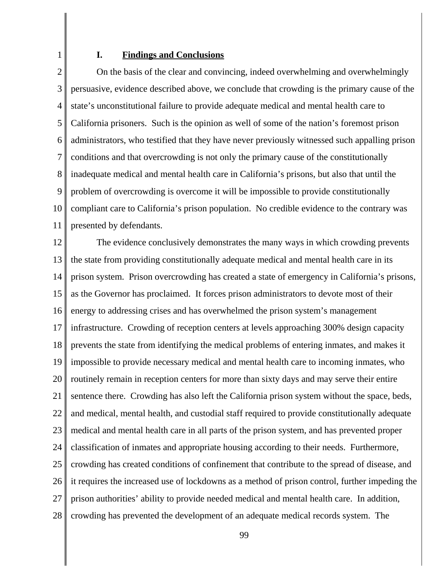1

### **I. Findings and Conclusions**

3 4 5 6 7 8 9 10 11 On the basis of the clear and convincing, indeed overwhelming and overwhelmingly persuasive, evidence described above, we conclude that crowding is the primary cause of the state's unconstitutional failure to provide adequate medical and mental health care to California prisoners. Such is the opinion as well of some of the nation's foremost prison administrators, who testified that they have never previously witnessed such appalling prison conditions and that overcrowding is not only the primary cause of the constitutionally inadequate medical and mental health care in California's prisons, but also that until the problem of overcrowding is overcome it will be impossible to provide constitutionally compliant care to California's prison population. No credible evidence to the contrary was presented by defendants.

12 13 14 15 16 17 18 19 20 21 22 23 24 25 26 27 28 The evidence conclusively demonstrates the many ways in which crowding prevents the state from providing constitutionally adequate medical and mental health care in its prison system. Prison overcrowding has created a state of emergency in California's prisons, as the Governor has proclaimed. It forces prison administrators to devote most of their energy to addressing crises and has overwhelmed the prison system's management infrastructure. Crowding of reception centers at levels approaching 300% design capacity prevents the state from identifying the medical problems of entering inmates, and makes it impossible to provide necessary medical and mental health care to incoming inmates, who routinely remain in reception centers for more than sixty days and may serve their entire sentence there. Crowding has also left the California prison system without the space, beds, and medical, mental health, and custodial staff required to provide constitutionally adequate medical and mental health care in all parts of the prison system, and has prevented proper classification of inmates and appropriate housing according to their needs. Furthermore, crowding has created conditions of confinement that contribute to the spread of disease, and it requires the increased use of lockdowns as a method of prison control, further impeding the prison authorities' ability to provide needed medical and mental health care. In addition, crowding has prevented the development of an adequate medical records system. The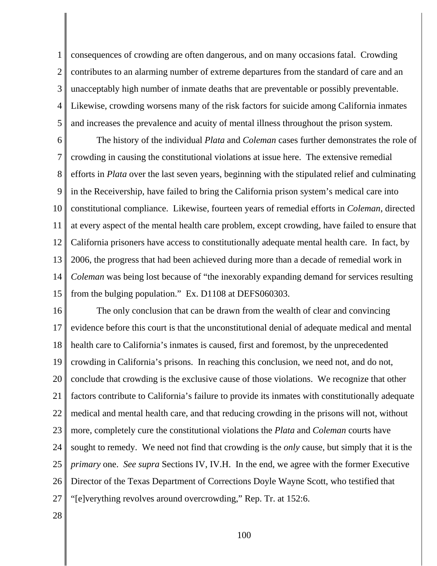1 2 3 4 5 consequences of crowding are often dangerous, and on many occasions fatal. Crowding contributes to an alarming number of extreme departures from the standard of care and an unacceptably high number of inmate deaths that are preventable or possibly preventable. Likewise, crowding worsens many of the risk factors for suicide among California inmates and increases the prevalence and acuity of mental illness throughout the prison system.

6 7 8 9 10 11 12 13 14 15 The history of the individual *Plata* and *Coleman* cases further demonstrates the role of crowding in causing the constitutional violations at issue here. The extensive remedial efforts in *Plata* over the last seven years, beginning with the stipulated relief and culminating in the Receivership, have failed to bring the California prison system's medical care into constitutional compliance. Likewise, fourteen years of remedial efforts in *Coleman*, directed at every aspect of the mental health care problem, except crowding, have failed to ensure that California prisoners have access to constitutionally adequate mental health care. In fact, by 2006, the progress that had been achieved during more than a decade of remedial work in *Coleman* was being lost because of "the inexorably expanding demand for services resulting from the bulging population." Ex. D1108 at DEFS060303.

16 17 18 19 20 21 22 23 24 25 26 27 The only conclusion that can be drawn from the wealth of clear and convincing evidence before this court is that the unconstitutional denial of adequate medical and mental health care to California's inmates is caused, first and foremost, by the unprecedented crowding in California's prisons. In reaching this conclusion, we need not, and do not, conclude that crowding is the exclusive cause of those violations. We recognize that other factors contribute to California's failure to provide its inmates with constitutionally adequate medical and mental health care, and that reducing crowding in the prisons will not, without more, completely cure the constitutional violations the *Plata* and *Coleman* courts have sought to remedy. We need not find that crowding is the *only* cause, but simply that it is the *primary* one. *See supra* Sections IV, IV.H. In the end, we agree with the former Executive Director of the Texas Department of Corrections Doyle Wayne Scott, who testified that "[e]verything revolves around overcrowding," Rep. Tr. at 152:6.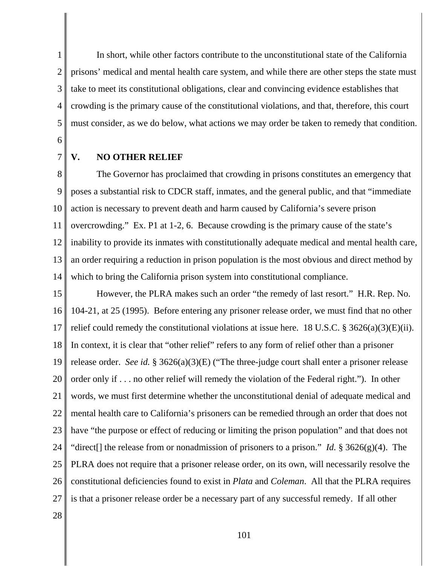2 3 4 5 In short, while other factors contribute to the unconstitutional state of the California prisons' medical and mental health care system, and while there are other steps the state must take to meet its constitutional obligations, clear and convincing evidence establishes that crowding is the primary cause of the constitutional violations, and that, therefore, this court must consider, as we do below, what actions we may order be taken to remedy that condition.

6 7

1

# **V. NO OTHER RELIEF**

8 9 10 11 12 13 14 The Governor has proclaimed that crowding in prisons constitutes an emergency that poses a substantial risk to CDCR staff, inmates, and the general public, and that "immediate action is necessary to prevent death and harm caused by California's severe prison overcrowding." Ex. P1 at 1-2, 6. Because crowding is the primary cause of the state's inability to provide its inmates with constitutionally adequate medical and mental health care, an order requiring a reduction in prison population is the most obvious and direct method by which to bring the California prison system into constitutional compliance.

15 16 17 18 19 20 21 22 23 24 25 26 27 However, the PLRA makes such an order "the remedy of last resort." H.R. Rep. No. 104-21, at 25 (1995). Before entering any prisoner release order, we must find that no other relief could remedy the constitutional violations at issue here. 18 U.S.C. § 3626(a)(3)(E)(ii). In context, it is clear that "other relief" refers to any form of relief other than a prisoner release order. *See id.* § 3626(a)(3)(E) ("The three-judge court shall enter a prisoner release order only if . . . no other relief will remedy the violation of the Federal right."). In other words, we must first determine whether the unconstitutional denial of adequate medical and mental health care to California's prisoners can be remedied through an order that does not have "the purpose or effect of reducing or limiting the prison population" and that does not "direct[] the release from or nonadmission of prisoners to a prison." *Id.* § 3626(g)(4). The PLRA does not require that a prisoner release order, on its own, will necessarily resolve the constitutional deficiencies found to exist in *Plata* and *Coleman*. All that the PLRA requires is that a prisoner release order be a necessary part of any successful remedy. If all other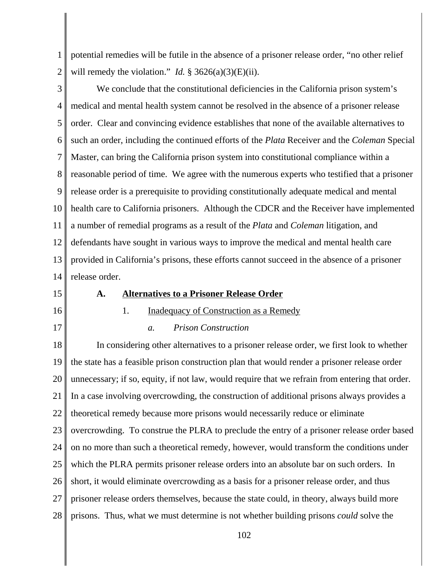1 2 potential remedies will be futile in the absence of a prisoner release order, "no other relief will remedy the violation." *Id.*  $\S 3626(a)(3)(E)(ii)$ .

3 4 5 6 7 8 9 10 11 12 13 14 We conclude that the constitutional deficiencies in the California prison system's medical and mental health system cannot be resolved in the absence of a prisoner release order. Clear and convincing evidence establishes that none of the available alternatives to such an order, including the continued efforts of the *Plata* Receiver and the *Coleman* Special Master, can bring the California prison system into constitutional compliance within a reasonable period of time. We agree with the numerous experts who testified that a prisoner release order is a prerequisite to providing constitutionally adequate medical and mental health care to California prisoners. Although the CDCR and the Receiver have implemented a number of remedial programs as a result of the *Plata* and *Coleman* litigation, and defendants have sought in various ways to improve the medical and mental health care provided in California's prisons, these efforts cannot succeed in the absence of a prisoner release order.

15

16

17

### **A. Alternatives to a Prisoner Release Order**

1. Inadequacy of Construction as a Remedy

# *a. Prison Construction*

18 19 20 21 22 23 24 25 26 27 28 In considering other alternatives to a prisoner release order, we first look to whether the state has a feasible prison construction plan that would render a prisoner release order unnecessary; if so, equity, if not law, would require that we refrain from entering that order. In a case involving overcrowding, the construction of additional prisons always provides a theoretical remedy because more prisons would necessarily reduce or eliminate overcrowding. To construe the PLRA to preclude the entry of a prisoner release order based on no more than such a theoretical remedy, however, would transform the conditions under which the PLRA permits prisoner release orders into an absolute bar on such orders. In short, it would eliminate overcrowding as a basis for a prisoner release order, and thus prisoner release orders themselves, because the state could, in theory, always build more prisons. Thus, what we must determine is not whether building prisons *could* solve the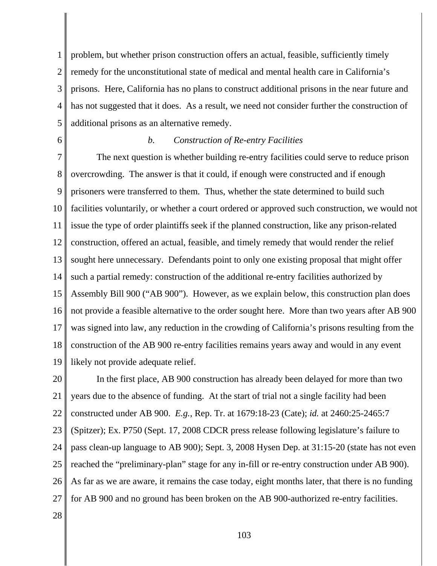1 2 3 4 5 problem, but whether prison construction offers an actual, feasible, sufficiently timely remedy for the unconstitutional state of medical and mental health care in California's prisons. Here, California has no plans to construct additional prisons in the near future and has not suggested that it does. As a result, we need not consider further the construction of additional prisons as an alternative remedy.

6

#### *b. Construction of Re-entry Facilities*

7 8 9 10 11 12 13 14 15 16 17 18 19 The next question is whether building re-entry facilities could serve to reduce prison overcrowding. The answer is that it could, if enough were constructed and if enough prisoners were transferred to them. Thus, whether the state determined to build such facilities voluntarily, or whether a court ordered or approved such construction, we would not issue the type of order plaintiffs seek if the planned construction, like any prison-related construction, offered an actual, feasible, and timely remedy that would render the relief sought here unnecessary. Defendants point to only one existing proposal that might offer such a partial remedy: construction of the additional re-entry facilities authorized by Assembly Bill 900 ("AB 900"). However, as we explain below, this construction plan does not provide a feasible alternative to the order sought here. More than two years after AB 900 was signed into law, any reduction in the crowding of California's prisons resulting from the construction of the AB 900 re-entry facilities remains years away and would in any event likely not provide adequate relief.

20 21 22 23 24 25 26 27 In the first place, AB 900 construction has already been delayed for more than two years due to the absence of funding. At the start of trial not a single facility had been constructed under AB 900. *E.g.*, Rep. Tr. at 1679:18-23 (Cate); *id.* at 2460:25-2465:7 (Spitzer); Ex. P750 (Sept. 17, 2008 CDCR press release following legislature's failure to pass clean-up language to AB 900); Sept. 3, 2008 Hysen Dep. at 31:15-20 (state has not even reached the "preliminary-plan" stage for any in-fill or re-entry construction under AB 900). As far as we are aware, it remains the case today, eight months later, that there is no funding for AB 900 and no ground has been broken on the AB 900-authorized re-entry facilities.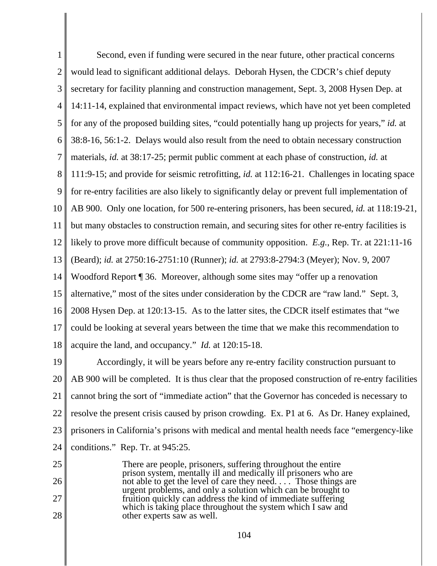1 2 3 4 5 6 7 8 9 10 11 12 13 14 15 16 17 18 Second, even if funding were secured in the near future, other practical concerns would lead to significant additional delays. Deborah Hysen, the CDCR's chief deputy secretary for facility planning and construction management, Sept. 3, 2008 Hysen Dep. at 14:11-14, explained that environmental impact reviews, which have not yet been completed for any of the proposed building sites, "could potentially hang up projects for years," *id.* at 38:8-16, 56:1-2. Delays would also result from the need to obtain necessary construction materials, *id.* at 38:17-25; permit public comment at each phase of construction, *id.* at 111:9-15; and provide for seismic retrofitting, *id.* at 112:16-21. Challenges in locating space for re-entry facilities are also likely to significantly delay or prevent full implementation of AB 900. Only one location, for 500 re-entering prisoners, has been secured, *id.* at 118:19-21, but many obstacles to construction remain, and securing sites for other re-entry facilities is likely to prove more difficult because of community opposition. *E.g.*, Rep. Tr. at 221:11-16 (Beard); *id.* at 2750:16-2751:10 (Runner); *id.* at 2793:8-2794:3 (Meyer); Nov. 9, 2007 Woodford Report ¶ 36. Moreover, although some sites may "offer up a renovation alternative," most of the sites under consideration by the CDCR are "raw land." Sept. 3, 2008 Hysen Dep. at 120:13-15. As to the latter sites, the CDCR itself estimates that "we could be looking at several years between the time that we make this recommendation to acquire the land, and occupancy." *Id.* at 120:15-18.

19 20 21 22 23 24 Accordingly, it will be years before any re-entry facility construction pursuant to AB 900 will be completed. It is thus clear that the proposed construction of re-entry facilities cannot bring the sort of "immediate action" that the Governor has conceded is necessary to resolve the present crisis caused by prison crowding. Ex. P1 at 6. As Dr. Haney explained, prisoners in California's prisons with medical and mental health needs face "emergency-like conditions." Rep. Tr. at 945:25.

25 26 27 28 There are people, prisoners, suffering throughout the entire prison system, mentally ill and medically ill prisoners who are not able to get the level of care they need. . . Those things are urgent problems, and only a solution which can be brought to fruition quickly can address the kind of immediate suffering which is taking place throughout the system which I saw and other experts saw as well.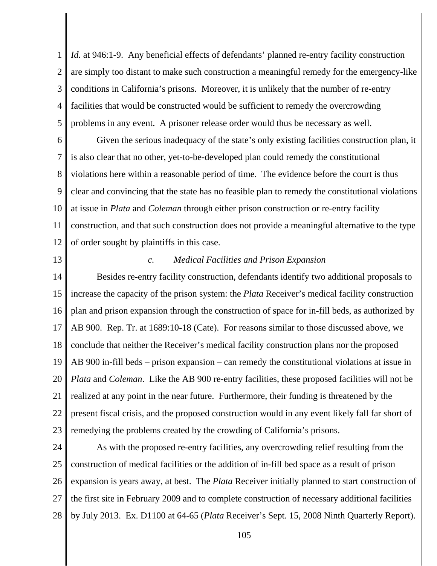1 2 3 4 5 *Id.* at 946:1-9. Any beneficial effects of defendants' planned re-entry facility construction are simply too distant to make such construction a meaningful remedy for the emergency-like conditions in California's prisons. Moreover, it is unlikely that the number of re-entry facilities that would be constructed would be sufficient to remedy the overcrowding problems in any event. A prisoner release order would thus be necessary as well.

6 7 8 9 10 11 12 Given the serious inadequacy of the state's only existing facilities construction plan, it is also clear that no other, yet-to-be-developed plan could remedy the constitutional violations here within a reasonable period of time. The evidence before the court is thus clear and convincing that the state has no feasible plan to remedy the constitutional violations at issue in *Plata* and *Coleman* through either prison construction or re-entry facility construction, and that such construction does not provide a meaningful alternative to the type of order sought by plaintiffs in this case.

13

## *c. Medical Facilities and Prison Expansion*

14 15 16 17 18 19 20 21 22 23 Besides re-entry facility construction, defendants identify two additional proposals to increase the capacity of the prison system: the *Plata* Receiver's medical facility construction plan and prison expansion through the construction of space for in-fill beds, as authorized by AB 900. Rep. Tr. at 1689:10-18 (Cate). For reasons similar to those discussed above, we conclude that neither the Receiver's medical facility construction plans nor the proposed AB 900 in-fill beds – prison expansion – can remedy the constitutional violations at issue in *Plata* and *Coleman*. Like the AB 900 re-entry facilities, these proposed facilities will not be realized at any point in the near future. Furthermore, their funding is threatened by the present fiscal crisis, and the proposed construction would in any event likely fall far short of remedying the problems created by the crowding of California's prisons.

24 25 26 27 28 As with the proposed re-entry facilities, any overcrowding relief resulting from the construction of medical facilities or the addition of in-fill bed space as a result of prison expansion is years away, at best. The *Plata* Receiver initially planned to start construction of the first site in February 2009 and to complete construction of necessary additional facilities by July 2013. Ex. D1100 at 64-65 (*Plata* Receiver's Sept. 15, 2008 Ninth Quarterly Report).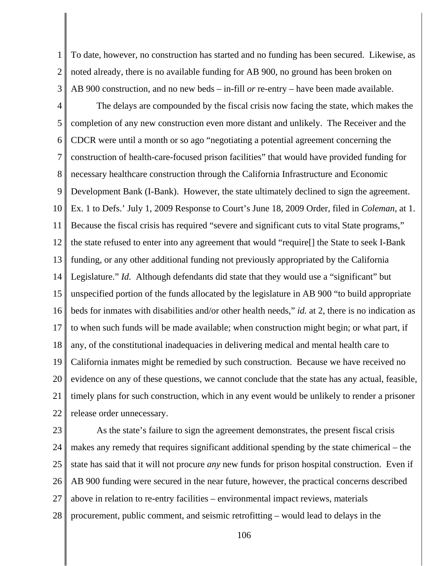1 2 3 To date, however, no construction has started and no funding has been secured. Likewise, as noted already, there is no available funding for AB 900, no ground has been broken on AB 900 construction, and no new beds – in-fill *or* re-entry – have been made available.

4 5 6 7 8 9 10 11 12 13 14 15 16 17 18 19 20 21 22 The delays are compounded by the fiscal crisis now facing the state, which makes the completion of any new construction even more distant and unlikely. The Receiver and the CDCR were until a month or so ago "negotiating a potential agreement concerning the construction of health-care-focused prison facilities" that would have provided funding for necessary healthcare construction through the California Infrastructure and Economic Development Bank (I-Bank). However, the state ultimately declined to sign the agreement. Ex. 1 to Defs.' July 1, 2009 Response to Court's June 18, 2009 Order, filed in *Coleman*, at 1. Because the fiscal crisis has required "severe and significant cuts to vital State programs," the state refused to enter into any agreement that would "require[] the State to seek I-Bank funding, or any other additional funding not previously appropriated by the California Legislature." *Id.* Although defendants did state that they would use a "significant" but unspecified portion of the funds allocated by the legislature in AB 900 "to build appropriate beds for inmates with disabilities and/or other health needs," *id.* at 2, there is no indication as to when such funds will be made available; when construction might begin; or what part, if any, of the constitutional inadequacies in delivering medical and mental health care to California inmates might be remedied by such construction. Because we have received no evidence on any of these questions, we cannot conclude that the state has any actual, feasible, timely plans for such construction, which in any event would be unlikely to render a prisoner release order unnecessary.

23 24 25 26 27 28 As the state's failure to sign the agreement demonstrates, the present fiscal crisis makes any remedy that requires significant additional spending by the state chimerical – the state has said that it will not procure *any* new funds for prison hospital construction. Even if AB 900 funding were secured in the near future, however, the practical concerns described above in relation to re-entry facilities – environmental impact reviews, materials procurement, public comment, and seismic retrofitting – would lead to delays in the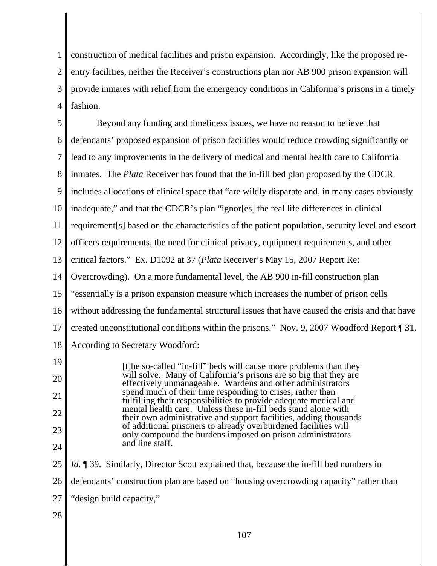1 2 3 4 construction of medical facilities and prison expansion. Accordingly, like the proposed reentry facilities, neither the Receiver's constructions plan nor AB 900 prison expansion will provide inmates with relief from the emergency conditions in California's prisons in a timely fashion.

| 5  | Beyond any funding and timeliness issues, we have no reason to believe that                                                                                                                       |
|----|---------------------------------------------------------------------------------------------------------------------------------------------------------------------------------------------------|
| 6  | defendants' proposed expansion of prison facilities would reduce crowding significantly or                                                                                                        |
| 7  | lead to any improvements in the delivery of medical and mental health care to California                                                                                                          |
| 8  | inmates. The <i>Plata</i> Receiver has found that the in-fill bed plan proposed by the CDCR                                                                                                       |
| 9  | includes allocations of clinical space that "are wildly disparate and, in many cases obviously                                                                                                    |
| 10 | inadequate," and that the CDCR's plan "ignor[es] the real life differences in clinical                                                                                                            |
| 11 | requirement[s] based on the characteristics of the patient population, security level and escort                                                                                                  |
| 12 | officers requirements, the need for clinical privacy, equipment requirements, and other                                                                                                           |
| 13 | critical factors." Ex. D1092 at 37 (Plata Receiver's May 15, 2007 Report Re:                                                                                                                      |
| 14 | Overcrowding). On a more fundamental level, the AB 900 in-fill construction plan                                                                                                                  |
| 15 | "essentially is a prison expansion measure which increases the number of prison cells                                                                                                             |
| 16 | without addressing the fundamental structural issues that have caused the crisis and that have                                                                                                    |
| 17 | created unconstitutional conditions within the prisons." Nov. 9, 2007 Woodford Report [31.                                                                                                        |
| 18 | According to Secretary Woodford:                                                                                                                                                                  |
| 19 | [t]he so-called "in-fill" beds will cause more problems than they                                                                                                                                 |
| 20 | will solve. Many of California's prisons are so big that they are<br>effectively unmanageable. Wardens and other administrators                                                                   |
| 21 | spend much of their time responding to crises, rather than<br>fulfilling their responsibilities to provide adequate medical and<br>mental health care. Unless these in-fill beds stand alone with |
| 22 | their own administrative and support facilities, adding thousands                                                                                                                                 |
| 23 | of additional prisoners to already overburdened facilities will<br>only compound the burdens imposed on prison administrators                                                                     |
| 24 | and line staff.                                                                                                                                                                                   |
| 25 | <i>Id.</i> 139. Similarly, Director Scott explained that, because the in-fill bed numbers in                                                                                                      |
| 26 | defendants' construction plan are based on "housing overcrowding capacity" rather than                                                                                                            |
| 27 | "design build capacity,"                                                                                                                                                                          |
| 28 |                                                                                                                                                                                                   |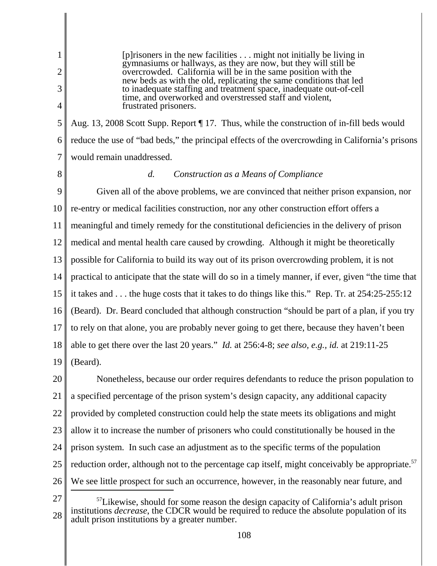1 2 3 4 5 6 7 8 9 10 11 12 13 14 15 16 17 18 19 20 21 22 23 24 25 [p]risoners in the new facilities . . . might not initially be living in gymnasiums or hallways, as they are now, but they will still be overcrowded. California will be in the same position with the new beds as with the old, replicating the same conditions that led to inadequate staffing and treatment space, inadequate out-of-cell time, and overworked and overstressed staff and violent, frustrated prisoners. Aug. 13, 2008 Scott Supp. Report ¶ 17. Thus, while the construction of in-fill beds would reduce the use of "bad beds," the principal effects of the overcrowding in California's prisons would remain unaddressed. *d. Construction as a Means of Compliance* Given all of the above problems, we are convinced that neither prison expansion, nor re-entry or medical facilities construction, nor any other construction effort offers a meaningful and timely remedy for the constitutional deficiencies in the delivery of prison medical and mental health care caused by crowding. Although it might be theoretically possible for California to build its way out of its prison overcrowding problem, it is not practical to anticipate that the state will do so in a timely manner, if ever, given "the time that it takes and . . . the huge costs that it takes to do things like this." Rep. Tr. at 254:25-255:12 (Beard). Dr. Beard concluded that although construction "should be part of a plan, if you try to rely on that alone, you are probably never going to get there, because they haven't been able to get there over the last 20 years." *Id.* at 256:4-8; *see also, e.g., id.* at 219:11-25 (Beard). Nonetheless, because our order requires defendants to reduce the prison population to a specified percentage of the prison system's design capacity, any additional capacity provided by completed construction could help the state meets its obligations and might allow it to increase the number of prisoners who could constitutionally be housed in the prison system. In such case an adjustment as to the specific terms of the population reduction order, although not to the percentage cap itself, might conceivably be appropriate.<sup>57</sup>

- 26
- 27 28 <sup>57</sup>Likewise, should for some reason the design capacity of California's adult prison institutions *decrease*, the CDCR would be required to reduce the absolute population of its adult prison institutions by a greater number.

We see little prospect for such an occurrence, however, in the reasonably near future, and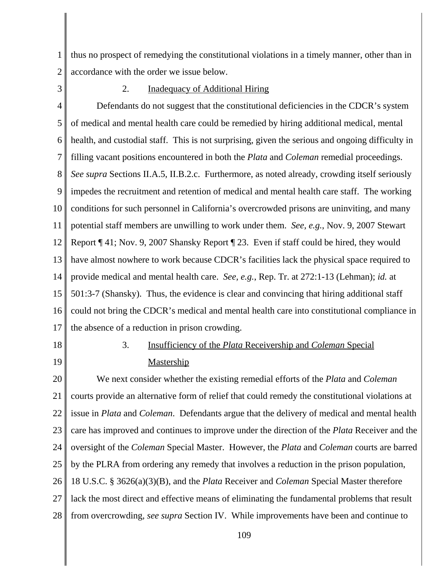1 2 thus no prospect of remedying the constitutional violations in a timely manner, other than in accordance with the order we issue below.

3

#### 2. **Inadequacy of Additional Hiring**

4 5 6 7 8 9 10 11 12 13 14 15 16 17 Defendants do not suggest that the constitutional deficiencies in the CDCR's system of medical and mental health care could be remedied by hiring additional medical, mental health, and custodial staff. This is not surprising, given the serious and ongoing difficulty in filling vacant positions encountered in both the *Plata* and *Coleman* remedial proceedings. *See supra* Sections II.A.5, II.B.2.c. Furthermore, as noted already, crowding itself seriously impedes the recruitment and retention of medical and mental health care staff. The working conditions for such personnel in California's overcrowded prisons are uninviting, and many potential staff members are unwilling to work under them. *See, e.g.*, Nov. 9, 2007 Stewart Report ¶ 41; Nov. 9, 2007 Shansky Report ¶ 23. Even if staff could be hired, they would have almost nowhere to work because CDCR's facilities lack the physical space required to provide medical and mental health care. *See, e.g.*, Rep. Tr. at 272:1-13 (Lehman); *id.* at 501:3-7 (Shansky). Thus, the evidence is clear and convincing that hiring additional staff could not bring the CDCR's medical and mental health care into constitutional compliance in the absence of a reduction in prison crowding.

18

19

# 3. Insufficiency of the *Plata* Receivership and *Coleman* Special **Mastership**

20 21 22 23 24 25 26 27 28 We next consider whether the existing remedial efforts of the *Plata* and *Coleman* courts provide an alternative form of relief that could remedy the constitutional violations at issue in *Plata* and *Coleman*. Defendants argue that the delivery of medical and mental health care has improved and continues to improve under the direction of the *Plata* Receiver and the oversight of the *Coleman* Special Master. However, the *Plata* and *Coleman* courts are barred by the PLRA from ordering any remedy that involves a reduction in the prison population, 18 U.S.C. § 3626(a)(3)(B), and the *Plata* Receiver and *Coleman* Special Master therefore lack the most direct and effective means of eliminating the fundamental problems that result from overcrowding, *see supra* Section IV. While improvements have been and continue to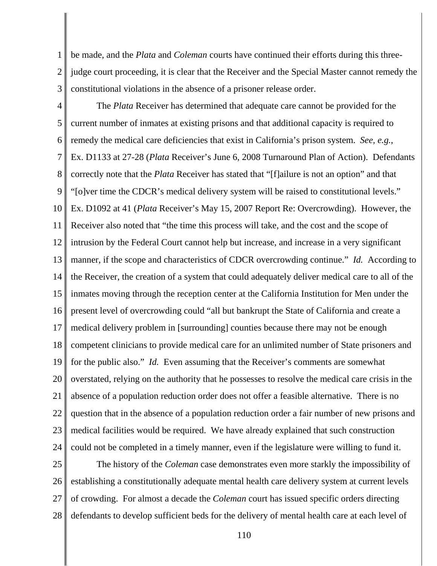1 2 3 be made, and the *Plata* and *Coleman* courts have continued their efforts during this threejudge court proceeding, it is clear that the Receiver and the Special Master cannot remedy the constitutional violations in the absence of a prisoner release order.

4 5 6 7 8 9 10 11 12 13 14 15 16 17 18 19 20 21 22 23 24 The *Plata* Receiver has determined that adequate care cannot be provided for the current number of inmates at existing prisons and that additional capacity is required to remedy the medical care deficiencies that exist in California's prison system. *See, e.g.*, Ex. D1133 at 27-28 (*Plata* Receiver's June 6, 2008 Turnaround Plan of Action). Defendants correctly note that the *Plata* Receiver has stated that "[f]ailure is not an option" and that "[o]ver time the CDCR's medical delivery system will be raised to constitutional levels." Ex. D1092 at 41 (*Plata* Receiver's May 15, 2007 Report Re: Overcrowding). However, the Receiver also noted that "the time this process will take, and the cost and the scope of intrusion by the Federal Court cannot help but increase, and increase in a very significant manner, if the scope and characteristics of CDCR overcrowding continue." *Id.* According to the Receiver, the creation of a system that could adequately deliver medical care to all of the inmates moving through the reception center at the California Institution for Men under the present level of overcrowding could "all but bankrupt the State of California and create a medical delivery problem in [surrounding] counties because there may not be enough competent clinicians to provide medical care for an unlimited number of State prisoners and for the public also." *Id.* Even assuming that the Receiver's comments are somewhat overstated, relying on the authority that he possesses to resolve the medical care crisis in the absence of a population reduction order does not offer a feasible alternative. There is no question that in the absence of a population reduction order a fair number of new prisons and medical facilities would be required. We have already explained that such construction could not be completed in a timely manner, even if the legislature were willing to fund it.

25 26 27 28 The history of the *Coleman* case demonstrates even more starkly the impossibility of establishing a constitutionally adequate mental health care delivery system at current levels of crowding. For almost a decade the *Coleman* court has issued specific orders directing defendants to develop sufficient beds for the delivery of mental health care at each level of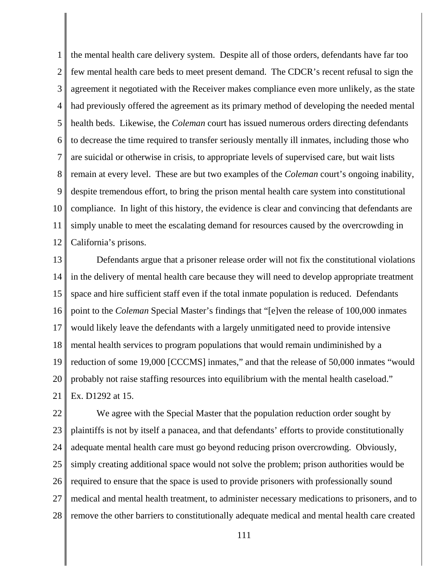1 2 3 4 5 6 7 8 9 10 11 12 the mental health care delivery system. Despite all of those orders, defendants have far too few mental health care beds to meet present demand. The CDCR's recent refusal to sign the agreement it negotiated with the Receiver makes compliance even more unlikely, as the state had previously offered the agreement as its primary method of developing the needed mental health beds. Likewise, the *Coleman* court has issued numerous orders directing defendants to decrease the time required to transfer seriously mentally ill inmates, including those who are suicidal or otherwise in crisis, to appropriate levels of supervised care, but wait lists remain at every level. These are but two examples of the *Coleman* court's ongoing inability, despite tremendous effort, to bring the prison mental health care system into constitutional compliance. In light of this history, the evidence is clear and convincing that defendants are simply unable to meet the escalating demand for resources caused by the overcrowding in California's prisons.

13 14 15 16 17 18 19 20 21 Defendants argue that a prisoner release order will not fix the constitutional violations in the delivery of mental health care because they will need to develop appropriate treatment space and hire sufficient staff even if the total inmate population is reduced. Defendants point to the *Coleman* Special Master's findings that "[e]ven the release of 100,000 inmates would likely leave the defendants with a largely unmitigated need to provide intensive mental health services to program populations that would remain undiminished by a reduction of some 19,000 [CCCMS] inmates," and that the release of 50,000 inmates "would probably not raise staffing resources into equilibrium with the mental health caseload." Ex. D1292 at 15.

22 23 24 25 26 27 28 We agree with the Special Master that the population reduction order sought by plaintiffs is not by itself a panacea, and that defendants' efforts to provide constitutionally adequate mental health care must go beyond reducing prison overcrowding. Obviously, simply creating additional space would not solve the problem; prison authorities would be required to ensure that the space is used to provide prisoners with professionally sound medical and mental health treatment, to administer necessary medications to prisoners, and to remove the other barriers to constitutionally adequate medical and mental health care created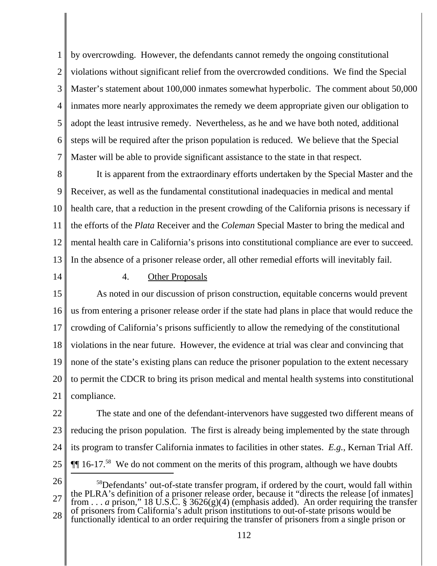1 2 3 4 5 6 7 by overcrowding. However, the defendants cannot remedy the ongoing constitutional violations without significant relief from the overcrowded conditions. We find the Special Master's statement about 100,000 inmates somewhat hyperbolic. The comment about 50,000 inmates more nearly approximates the remedy we deem appropriate given our obligation to adopt the least intrusive remedy. Nevertheless, as he and we have both noted, additional steps will be required after the prison population is reduced. We believe that the Special Master will be able to provide significant assistance to the state in that respect.

8 9 10 11 12 13 It is apparent from the extraordinary efforts undertaken by the Special Master and the Receiver, as well as the fundamental constitutional inadequacies in medical and mental health care, that a reduction in the present crowding of the California prisons is necessary if the efforts of the *Plata* Receiver and the *Coleman* Special Master to bring the medical and mental health care in California's prisons into constitutional compliance are ever to succeed. In the absence of a prisoner release order, all other remedial efforts will inevitably fail.

14

## 4. Other Proposals

15 16 17 18 19 20 21 As noted in our discussion of prison construction, equitable concerns would prevent us from entering a prisoner release order if the state had plans in place that would reduce the crowding of California's prisons sufficiently to allow the remedying of the constitutional violations in the near future. However, the evidence at trial was clear and convincing that none of the state's existing plans can reduce the prisoner population to the extent necessary to permit the CDCR to bring its prison medical and mental health systems into constitutional compliance.

22 23 24 25 The state and one of the defendant-intervenors have suggested two different means of reducing the prison population. The first is already being implemented by the state through its program to transfer California inmates to facilities in other states. *E.g.,* Kernan Trial Aff.  $\P$  $16$ -17.<sup>58</sup> We do not comment on the merits of this program, although we have doubts

26

27 28 <sup>58</sup>Defendants' out-of-state transfer program, if ordered by the court, would fall within the PLRA's definition of a prisoner release order, because it "directs the release [of inmates] from . . . *a* prison," 18 U.S.C. § 3626(g)(4) (emphasis added). An order requiring the transfer of prisoners from California's adult prison institutions to out-of-state prisons would be functionally identical to an order requiring the transfer of prisoners from a single prison or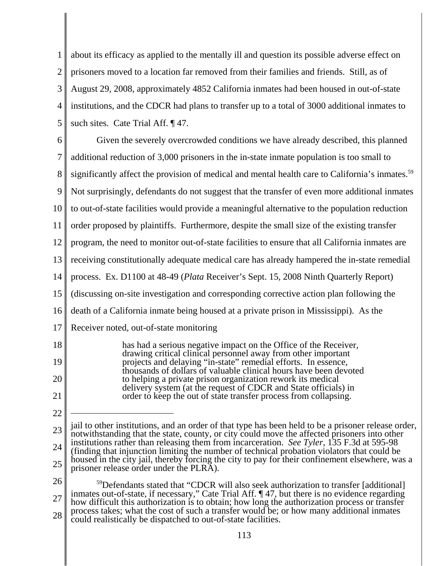1 2 3 4 5 about its efficacy as applied to the mentally ill and question its possible adverse effect on prisoners moved to a location far removed from their families and friends. Still, as of August 29, 2008, approximately 4852 California inmates had been housed in out-of-state institutions, and the CDCR had plans to transfer up to a total of 3000 additional inmates to such sites. Cate Trial Aff. ¶ 47.

6 7 8 9 10 11 12 13 14 15 16 17 18 19 20 21 22 23 jail to other institutions, and an order of that type has been held to be a prisoner release order, notwithstanding that the state, county, or city could move the affected prisoners into other Given the severely overcrowded conditions we have already described, this planned additional reduction of 3,000 prisoners in the in-state inmate population is too small to significantly affect the provision of medical and mental health care to California's inmates.<sup>59</sup> Not surprisingly, defendants do not suggest that the transfer of even more additional inmates to out-of-state facilities would provide a meaningful alternative to the population reduction order proposed by plaintiffs. Furthermore, despite the small size of the existing transfer program, the need to monitor out-of-state facilities to ensure that all California inmates are receiving constitutionally adequate medical care has already hampered the in-state remedial process. Ex. D1100 at 48-49 (*Plata* Receiver's Sept. 15, 2008 Ninth Quarterly Report) (discussing on-site investigation and corresponding corrective action plan following the death of a California inmate being housed at a private prison in Mississippi). As the Receiver noted, out-of-state monitoring has had a serious negative impact on the Office of the Receiver, drawing critical clinical personnel away from other important projects and delaying "in-state" remedial efforts. In essence, thousands of dollars of valuable clinical hours have been devoted to helping a private prison organization rework its medical delivery system (at the request of CDCR and State officials) in order to keep the out of state transfer process from collapsing.

- 24 25 institutions rather than releasing them from incarceration. *See Tyler*, 135 F.3d at 595-98 (finding that injunction limiting the number of technical probation violators that could be housed in the city jail, thereby forcing the city to pay for their confinement elsewhere, was a prisoner release order under the PLRA).
- 26 27 28 <sup>59</sup>Defendants stated that "CDCR will also seek authorization to transfer [additional] inmates out-of-state, if necessary," Cate Trial Aff. ¶ 47, but there is no evidence regarding how difficult this authorization is to obtain; how long the authorization process or transfer process takes; what the cost of such a transfer would be; or how many additional inmates could realistically be dispatched to out-of-state facilities.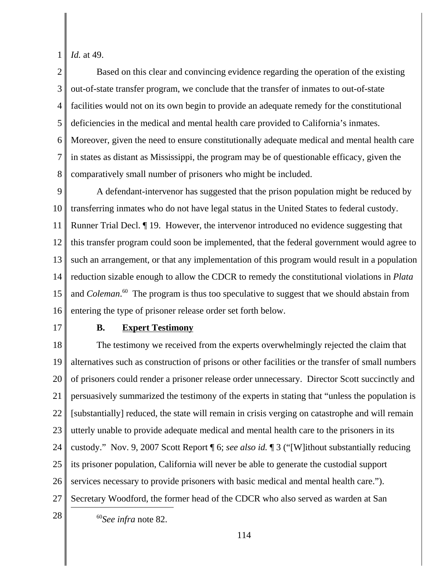1 *Id.* at 49.

2 3 4 5 6 7 8 Based on this clear and convincing evidence regarding the operation of the existing out-of-state transfer program, we conclude that the transfer of inmates to out-of-state facilities would not on its own begin to provide an adequate remedy for the constitutional deficiencies in the medical and mental health care provided to California's inmates. Moreover, given the need to ensure constitutionally adequate medical and mental health care in states as distant as Mississippi, the program may be of questionable efficacy, given the comparatively small number of prisoners who might be included.

9 10 11 12 13 14 15 16 A defendant-intervenor has suggested that the prison population might be reduced by transferring inmates who do not have legal status in the United States to federal custody. Runner Trial Decl. ¶ 19. However, the intervenor introduced no evidence suggesting that this transfer program could soon be implemented, that the federal government would agree to such an arrangement, or that any implementation of this program would result in a population reduction sizable enough to allow the CDCR to remedy the constitutional violations in *Plata* and *Coleman*. 60 The program is thus too speculative to suggest that we should abstain from entering the type of prisoner release order set forth below.

17

## **B. Expert Testimony**

18 19 20 21 22 23 24 25 26 27  $28 \parallel$  <sup>60</sup>*See infra* note 82. The testimony we received from the experts overwhelmingly rejected the claim that alternatives such as construction of prisons or other facilities or the transfer of small numbers of prisoners could render a prisoner release order unnecessary. Director Scott succinctly and persuasively summarized the testimony of the experts in stating that "unless the population is [substantially] reduced, the state will remain in crisis verging on catastrophe and will remain utterly unable to provide adequate medical and mental health care to the prisoners in its custody." Nov. 9, 2007 Scott Report ¶ 6; *see also id.* ¶ 3 ("[W]ithout substantially reducing its prisoner population, California will never be able to generate the custodial support services necessary to provide prisoners with basic medical and mental health care."). Secretary Woodford, the former head of the CDCR who also served as warden at San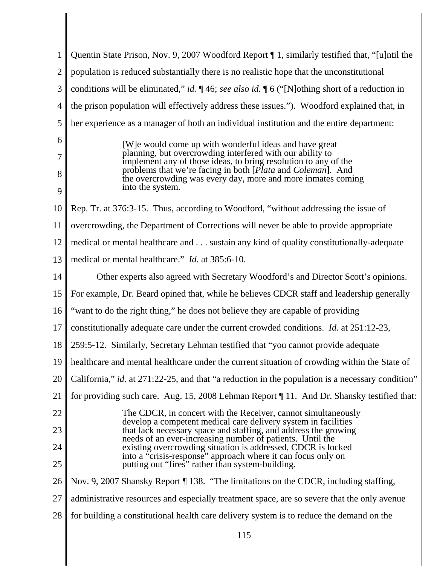| 1              | Quentin State Prison, Nov. 9, 2007 Woodford Report 1, similarly testified that, "[u]ntil the                                                |
|----------------|---------------------------------------------------------------------------------------------------------------------------------------------|
| $\overline{c}$ | population is reduced substantially there is no realistic hope that the unconstitutional                                                    |
| 3              | conditions will be eliminated," id. $\P$ 46; see also id. $\P$ 6 ("[N]othing short of a reduction in                                        |
| 4              | the prison population will effectively address these issues."). Woodford explained that, in                                                 |
| 5              | her experience as a manager of both an individual institution and the entire department:                                                    |
| 6              | [W] e would come up with wonderful ideas and have great                                                                                     |
| 7              | planning, but overcrowding interfered with our ability to<br>implement any of those ideas, to bring resolution to any of the                |
| 8              | problems that we're facing in both [ <i>Plata</i> and <i>Coleman</i> ]. And<br>the overcrowding was every day, more and more inmates coming |
| 9              | into the system.                                                                                                                            |
| 10             | Rep. Tr. at 376:3-15. Thus, according to Woodford, "without addressing the issue of                                                         |
| 11             | overcrowding, the Department of Corrections will never be able to provide appropriate                                                       |
| 12             | medical or mental healthcare and sustain any kind of quality constitutionally-adequate                                                      |
| 13             | medical or mental healthcare." <i>Id.</i> at 385:6-10.                                                                                      |
| 14             | Other experts also agreed with Secretary Woodford's and Director Scott's opinions.                                                          |
| 15             | For example, Dr. Beard opined that, while he believes CDCR staff and leadership generally                                                   |
| 16             | "want to do the right thing," he does not believe they are capable of providing                                                             |
| 17             | constitutionally adequate care under the current crowded conditions. <i>Id.</i> at 251:12-23,                                               |
| 18             | 259:5-12. Similarly, Secretary Lehman testified that "you cannot provide adequate"                                                          |
|                | 19    healthcare and mental healthcare under the current situation of crowding within the State of                                          |
| 20             | California," id. at 271:22-25, and that "a reduction in the population is a necessary condition"                                            |
| 21             | for providing such care. Aug. 15, 2008 Lehman Report 11. And Dr. Shansky testified that:                                                    |
| 22             | The CDCR, in concert with the Receiver, cannot simultaneously<br>develop a competent medical care delivery system in facilities             |
| 23             | that lack necessary space and staffing, and address the growing<br>needs of an ever-increasing number of patients. Until the                |
| 24             | existing overcrowding situation is addressed, CDCR is locked<br>into a "crisis-response" approach where it can focus only on                |
| 25             | putting out "fires" rather than system-building.                                                                                            |
| 26             | Nov. 9, 2007 Shansky Report ¶ 138. "The limitations on the CDCR, including staffing,                                                        |
| 27             | administrative resources and especially treatment space, are so severe that the only avenue                                                 |
| 28             | for building a constitutional health care delivery system is to reduce the demand on the                                                    |
|                | 115                                                                                                                                         |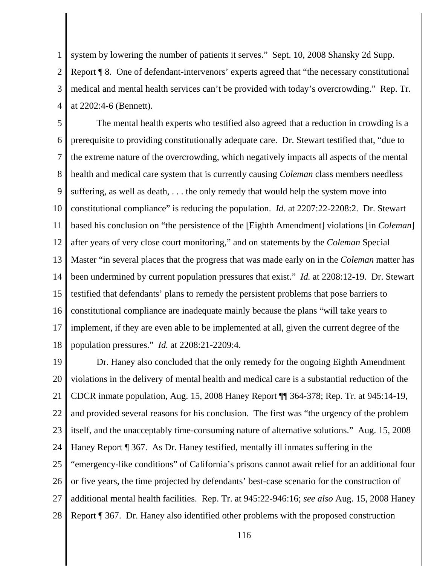1 2 3 4 system by lowering the number of patients it serves." Sept. 10, 2008 Shansky 2d Supp. Report ¶ 8. One of defendant-intervenors' experts agreed that "the necessary constitutional medical and mental health services can't be provided with today's overcrowding." Rep. Tr. at 2202:4-6 (Bennett).

5 6 7 8 9 10 11 12 13 14 15 16 17 18 The mental health experts who testified also agreed that a reduction in crowding is a prerequisite to providing constitutionally adequate care. Dr. Stewart testified that, "due to the extreme nature of the overcrowding, which negatively impacts all aspects of the mental health and medical care system that is currently causing *Coleman* class members needless suffering, as well as death, . . . the only remedy that would help the system move into constitutional compliance" is reducing the population. *Id.* at 2207:22-2208:2. Dr. Stewart based his conclusion on "the persistence of the [Eighth Amendment] violations [in *Coleman*] after years of very close court monitoring," and on statements by the *Coleman* Special Master "in several places that the progress that was made early on in the *Coleman* matter has been undermined by current population pressures that exist." *Id.* at 2208:12-19. Dr. Stewart testified that defendants' plans to remedy the persistent problems that pose barriers to constitutional compliance are inadequate mainly because the plans "will take years to implement, if they are even able to be implemented at all, given the current degree of the population pressures." *Id.* at 2208:21-2209:4.

19 20 21 22 23 24 25 26 27 28 Dr. Haney also concluded that the only remedy for the ongoing Eighth Amendment violations in the delivery of mental health and medical care is a substantial reduction of the CDCR inmate population, Aug. 15, 2008 Haney Report ¶¶ 364-378; Rep. Tr. at 945:14-19, and provided several reasons for his conclusion. The first was "the urgency of the problem itself, and the unacceptably time-consuming nature of alternative solutions." Aug. 15, 2008 Haney Report ¶ 367. As Dr. Haney testified, mentally ill inmates suffering in the "emergency-like conditions" of California's prisons cannot await relief for an additional four or five years, the time projected by defendants' best-case scenario for the construction of additional mental health facilities. Rep. Tr. at 945:22-946:16; *see also* Aug. 15, 2008 Haney Report ¶ 367. Dr. Haney also identified other problems with the proposed construction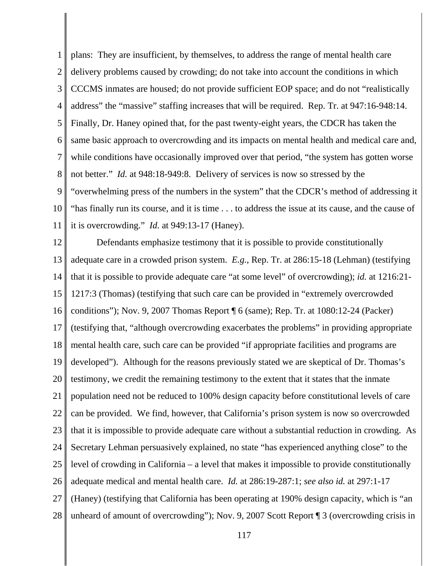1 2 3 4 5 6 7 8 9 10 11 plans: They are insufficient, by themselves, to address the range of mental health care delivery problems caused by crowding; do not take into account the conditions in which CCCMS inmates are housed; do not provide sufficient EOP space; and do not "realistically address" the "massive" staffing increases that will be required. Rep. Tr. at 947:16-948:14. Finally, Dr. Haney opined that, for the past twenty-eight years, the CDCR has taken the same basic approach to overcrowding and its impacts on mental health and medical care and, while conditions have occasionally improved over that period, "the system has gotten worse not better." *Id.* at 948:18-949:8. Delivery of services is now so stressed by the "overwhelming press of the numbers in the system" that the CDCR's method of addressing it "has finally run its course, and it is time . . . to address the issue at its cause, and the cause of it is overcrowding." *Id.* at 949:13-17 (Haney).

12 13 14 15 16 17 18 19 20 21 22 23 24 25 26 27 28 Defendants emphasize testimony that it is possible to provide constitutionally adequate care in a crowded prison system. *E.g.*, Rep. Tr. at 286:15-18 (Lehman) (testifying that it is possible to provide adequate care "at some level" of overcrowding); *id.* at 1216:21- 1217:3 (Thomas) (testifying that such care can be provided in "extremely overcrowded conditions"); Nov. 9, 2007 Thomas Report ¶ 6 (same); Rep. Tr. at 1080:12-24 (Packer) (testifying that, "although overcrowding exacerbates the problems" in providing appropriate mental health care, such care can be provided "if appropriate facilities and programs are developed"). Although for the reasons previously stated we are skeptical of Dr. Thomas's testimony, we credit the remaining testimony to the extent that it states that the inmate population need not be reduced to 100% design capacity before constitutional levels of care can be provided. We find, however, that California's prison system is now so overcrowded that it is impossible to provide adequate care without a substantial reduction in crowding. As Secretary Lehman persuasively explained, no state "has experienced anything close" to the level of crowding in California – a level that makes it impossible to provide constitutionally adequate medical and mental health care. *Id.* at 286:19-287:1; *see also id.* at 297:1-17 (Haney) (testifying that California has been operating at 190% design capacity, which is "an unheard of amount of overcrowding"); Nov. 9, 2007 Scott Report ¶ 3 (overcrowding crisis in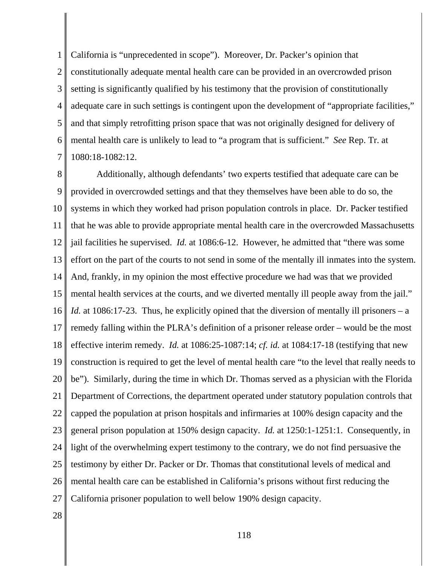1 2 3 4 5 6 7 California is "unprecedented in scope"). Moreover, Dr. Packer's opinion that constitutionally adequate mental health care can be provided in an overcrowded prison setting is significantly qualified by his testimony that the provision of constitutionally adequate care in such settings is contingent upon the development of "appropriate facilities," and that simply retrofitting prison space that was not originally designed for delivery of mental health care is unlikely to lead to "a program that is sufficient." *See* Rep. Tr. at 1080:18-1082:12.

8 9 10 11 12 13 14 15 16 17 18 19 20 21 22 23 24 25 26 27 Additionally, although defendants' two experts testified that adequate care can be provided in overcrowded settings and that they themselves have been able to do so, the systems in which they worked had prison population controls in place. Dr. Packer testified that he was able to provide appropriate mental health care in the overcrowded Massachusetts jail facilities he supervised. *Id.* at 1086:6-12. However, he admitted that "there was some effort on the part of the courts to not send in some of the mentally ill inmates into the system. And, frankly, in my opinion the most effective procedure we had was that we provided mental health services at the courts, and we diverted mentally ill people away from the jail." *Id.* at 1086:17-23. Thus, he explicitly opined that the diversion of mentally ill prisoners – a remedy falling within the PLRA's definition of a prisoner release order – would be the most effective interim remedy. *Id.* at 1086:25-1087:14; *cf. id.* at 1084:17-18 (testifying that new construction is required to get the level of mental health care "to the level that really needs to be"). Similarly, during the time in which Dr. Thomas served as a physician with the Florida Department of Corrections, the department operated under statutory population controls that capped the population at prison hospitals and infirmaries at 100% design capacity and the general prison population at 150% design capacity. *Id.* at 1250:1-1251:1. Consequently, in light of the overwhelming expert testimony to the contrary, we do not find persuasive the testimony by either Dr. Packer or Dr. Thomas that constitutional levels of medical and mental health care can be established in California's prisons without first reducing the California prisoner population to well below 190% design capacity.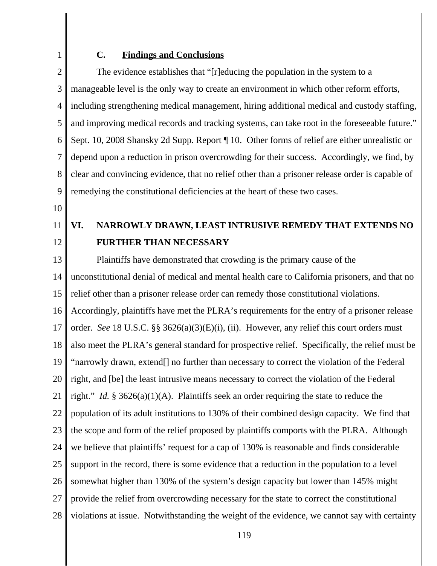2

1

#### **C. Findings and Conclusions**

3 4 5 6 7 8 9 The evidence establishes that "[r]educing the population in the system to a manageable level is the only way to create an environment in which other reform efforts, including strengthening medical management, hiring additional medical and custody staffing, and improving medical records and tracking systems, can take root in the foreseeable future." Sept. 10, 2008 Shansky 2d Supp. Report ¶ 10. Other forms of relief are either unrealistic or depend upon a reduction in prison overcrowding for their success. Accordingly, we find, by clear and convincing evidence, that no relief other than a prisoner release order is capable of remedying the constitutional deficiencies at the heart of these two cases.

10

11 12

# **VI. NARROWLY DRAWN, LEAST INTRUSIVE REMEDY THAT EXTENDS NO FURTHER THAN NECESSARY**

13 14 15 16 17 18 19 20 21 22 23 24 25 26 27 28 Plaintiffs have demonstrated that crowding is the primary cause of the unconstitutional denial of medical and mental health care to California prisoners, and that no relief other than a prisoner release order can remedy those constitutional violations. Accordingly, plaintiffs have met the PLRA's requirements for the entry of a prisoner release order. *See* 18 U.S.C. §§ 3626(a)(3)(E)(i), (ii). However, any relief this court orders must also meet the PLRA's general standard for prospective relief. Specifically, the relief must be "narrowly drawn, extend[] no further than necessary to correct the violation of the Federal right, and [be] the least intrusive means necessary to correct the violation of the Federal right." *Id.* § 3626(a)(1)(A). Plaintiffs seek an order requiring the state to reduce the population of its adult institutions to 130% of their combined design capacity. We find that the scope and form of the relief proposed by plaintiffs comports with the PLRA. Although we believe that plaintiffs' request for a cap of 130% is reasonable and finds considerable support in the record, there is some evidence that a reduction in the population to a level somewhat higher than 130% of the system's design capacity but lower than 145% might provide the relief from overcrowding necessary for the state to correct the constitutional violations at issue. Notwithstanding the weight of the evidence, we cannot say with certainty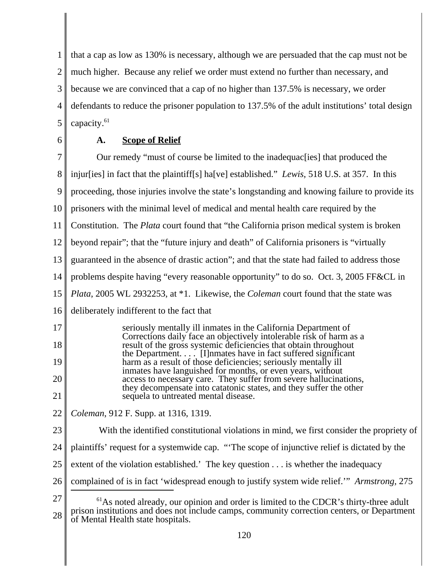1 2 3 4 5 that a cap as low as 130% is necessary, although we are persuaded that the cap must not be much higher. Because any relief we order must extend no further than necessary, and because we are convinced that a cap of no higher than 137.5% is necessary, we order defendants to reduce the prisoner population to 137.5% of the adult institutions' total design capacity.<sup>61</sup>

6

# **A. Scope of Relief**

7 8 9 10 11 12 13 14 15 16 17 18 19 20 21 22 23 24 25 26 27 28  $<sup>61</sup>$ As noted already, our opinion and order is limited to the CDCR's thirty-three adult</sup> prison institutions and does not include camps, community correction centers, or Department of Mental Health state hospitals. Our remedy "must of course be limited to the inadequac[ies] that produced the injur[ies] in fact that the plaintiff[s] ha[ve] established." *Lewis*, 518 U.S. at 357. In this proceeding, those injuries involve the state's longstanding and knowing failure to provide its prisoners with the minimal level of medical and mental health care required by the Constitution. The *Plata* court found that "the California prison medical system is broken beyond repair"; that the "future injury and death" of California prisoners is "virtually guaranteed in the absence of drastic action"; and that the state had failed to address those problems despite having "every reasonable opportunity" to do so. Oct. 3, 2005 FF&CL in *Plata*, 2005 WL 2932253, at \*1. Likewise, the *Coleman* court found that the state was deliberately indifferent to the fact that seriously mentally ill inmates in the California Department of Corrections daily face an objectively intolerable risk of harm as a result of the gross systemic deficiencies that obtain throughout the Department.  $\ldots$ . [I]nmates have in fact suffered significant harm as a result of those deficiencies; seriously mentally ill inmates have languished for months, or even years, without access to necessary care. They suffer from severe hallucinations, they decompensate into catatonic states, and they suffer the other sequela to untreated mental disease. *Coleman*, 912 F. Supp. at 1316, 1319. With the identified constitutional violations in mind, we first consider the propriety of plaintiffs' request for a systemwide cap. "'The scope of injunctive relief is dictated by the extent of the violation established.' The key question . . . is whether the inadequacy complained of is in fact 'widespread enough to justify system wide relief.'" *Armstrong*, 275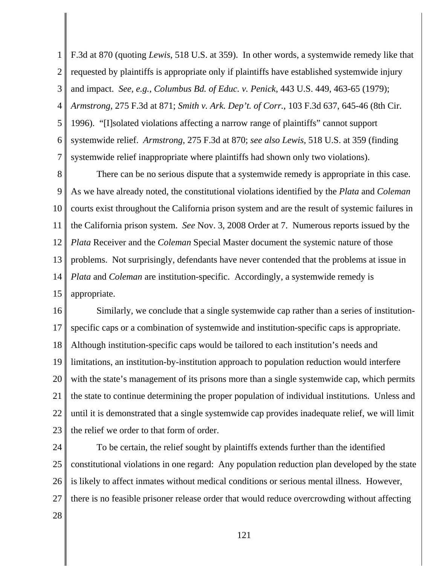1 2 3 4 5 6 7 F.3d at 870 (quoting *Lewis*, 518 U.S. at 359). In other words, a systemwide remedy like that requested by plaintiffs is appropriate only if plaintiffs have established systemwide injury and impact. *See, e.g.*, *Columbus Bd. of Educ. v. Penick*, 443 U.S. 449, 463-65 (1979); *Armstrong*, 275 F.3d at 871; *Smith v. Ark. Dep't. of Corr.*, 103 F.3d 637, 645-46 (8th Cir. 1996). "[I]solated violations affecting a narrow range of plaintiffs" cannot support systemwide relief. *Armstrong*, 275 F.3d at 870; *see also Lewis*, 518 U.S. at 359 (finding systemwide relief inappropriate where plaintiffs had shown only two violations).

8 9 10 11 12 13 14 15 There can be no serious dispute that a systemwide remedy is appropriate in this case. As we have already noted, the constitutional violations identified by the *Plata* and *Coleman* courts exist throughout the California prison system and are the result of systemic failures in the California prison system. *See* Nov. 3, 2008 Order at 7. Numerous reports issued by the *Plata* Receiver and the *Coleman* Special Master document the systemic nature of those problems. Not surprisingly, defendants have never contended that the problems at issue in *Plata* and *Coleman* are institution-specific. Accordingly, a systemwide remedy is appropriate.

16 17 18 19 20 21 22 23 Similarly, we conclude that a single systemwide cap rather than a series of institutionspecific caps or a combination of systemwide and institution-specific caps is appropriate. Although institution-specific caps would be tailored to each institution's needs and limitations, an institution-by-institution approach to population reduction would interfere with the state's management of its prisons more than a single systemwide cap, which permits the state to continue determining the proper population of individual institutions. Unless and until it is demonstrated that a single systemwide cap provides inadequate relief, we will limit the relief we order to that form of order.

24 25 26 27 To be certain, the relief sought by plaintiffs extends further than the identified constitutional violations in one regard: Any population reduction plan developed by the state is likely to affect inmates without medical conditions or serious mental illness. However, there is no feasible prisoner release order that would reduce overcrowding without affecting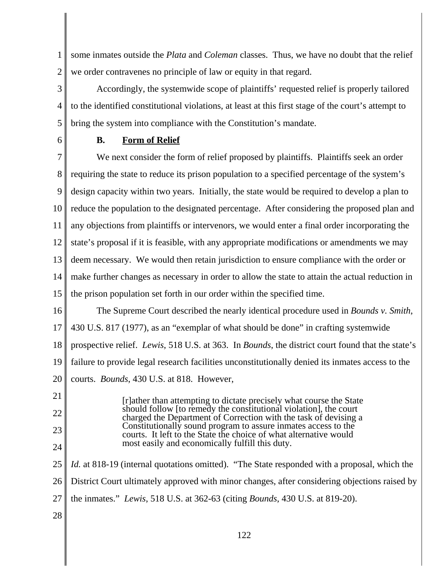1 2 some inmates outside the *Plata* and *Coleman* classes. Thus, we have no doubt that the relief we order contravenes no principle of law or equity in that regard.

3 4 5 Accordingly, the systemwide scope of plaintiffs' requested relief is properly tailored to the identified constitutional violations, at least at this first stage of the court's attempt to bring the system into compliance with the Constitution's mandate.

6

# **B. Form of Relief**

7 8 9 10 11 12 13 14 15 We next consider the form of relief proposed by plaintiffs. Plaintiffs seek an order requiring the state to reduce its prison population to a specified percentage of the system's design capacity within two years. Initially, the state would be required to develop a plan to reduce the population to the designated percentage. After considering the proposed plan and any objections from plaintiffs or intervenors, we would enter a final order incorporating the state's proposal if it is feasible, with any appropriate modifications or amendments we may deem necessary. We would then retain jurisdiction to ensure compliance with the order or make further changes as necessary in order to allow the state to attain the actual reduction in the prison population set forth in our order within the specified time.

16 17 18 19 20 The Supreme Court described the nearly identical procedure used in *Bounds v. Smith*, 430 U.S. 817 (1977), as an "exemplar of what should be done" in crafting systemwide prospective relief. *Lewis*, 518 U.S. at 363. In *Bounds*, the district court found that the state's failure to provide legal research facilities unconstitutionally denied its inmates access to the courts. *Bounds*, 430 U.S. at 818. However,

[r]ather than attempting to dictate precisely what course the State

22

21

23

24

25

should follow [to remedy the constitutional violation], the court charged the Department of Correction with the task of devising a Constitutionally sound program to assure inmates access to the courts. It left to the State the choice of what alternative would most easily and economically fulfill this duty. *Id.* at 818-19 (internal quotations omitted). "The State responded with a proposal, which the

26 District Court ultimately approved with minor changes, after considering objections raised by

- 27 the inmates." *Lewis*, 518 U.S. at 362-63 (citing *Bounds*, 430 U.S. at 819-20).
- 28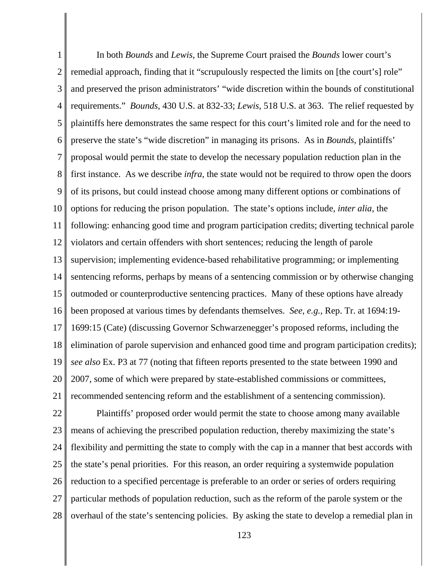1 2 3 4 5 6 7 8 9 10 11 12 13 14 15 16 17 18 19 20 21 In both *Bounds* and *Lewis*, the Supreme Court praised the *Bounds* lower court's remedial approach, finding that it "scrupulously respected the limits on [the court's] role" and preserved the prison administrators' "wide discretion within the bounds of constitutional requirements." *Bounds*, 430 U.S. at 832-33; *Lewis*, 518 U.S. at 363. The relief requested by plaintiffs here demonstrates the same respect for this court's limited role and for the need to preserve the state's "wide discretion" in managing its prisons. As in *Bounds*, plaintiffs' proposal would permit the state to develop the necessary population reduction plan in the first instance. As we describe *infra*, the state would not be required to throw open the doors of its prisons, but could instead choose among many different options or combinations of options for reducing the prison population. The state's options include, *inter alia*, the following: enhancing good time and program participation credits; diverting technical parole violators and certain offenders with short sentences; reducing the length of parole supervision; implementing evidence-based rehabilitative programming; or implementing sentencing reforms, perhaps by means of a sentencing commission or by otherwise changing outmoded or counterproductive sentencing practices. Many of these options have already been proposed at various times by defendants themselves. *See, e.g.*, Rep. Tr. at 1694:19- 1699:15 (Cate) (discussing Governor Schwarzenegger's proposed reforms, including the elimination of parole supervision and enhanced good time and program participation credits); *see also* Ex. P3 at 77 (noting that fifteen reports presented to the state between 1990 and 2007, some of which were prepared by state-established commissions or committees, recommended sentencing reform and the establishment of a sentencing commission).

22 23 24 25 26 27 28 Plaintiffs' proposed order would permit the state to choose among many available means of achieving the prescribed population reduction, thereby maximizing the state's flexibility and permitting the state to comply with the cap in a manner that best accords with the state's penal priorities. For this reason, an order requiring a systemwide population reduction to a specified percentage is preferable to an order or series of orders requiring particular methods of population reduction, such as the reform of the parole system or the overhaul of the state's sentencing policies. By asking the state to develop a remedial plan in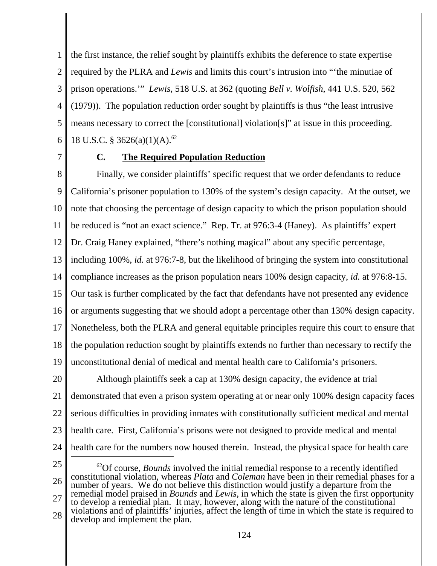1 2 3 4 5 6 the first instance, the relief sought by plaintiffs exhibits the deference to state expertise required by the PLRA and *Lewis* and limits this court's intrusion into "'the minutiae of prison operations.'" *Lewis*, 518 U.S. at 362 (quoting *Bell v. Wolfish*, 441 U.S. 520, 562 (1979)). The population reduction order sought by plaintiffs is thus "the least intrusive means necessary to correct the [constitutional] violation[s]" at issue in this proceeding. 18 U.S.C. § 3626(a)(1)(A).<sup>62</sup>

7

# **C. The Required Population Reduction**

8 9 10 11 12 13 14 15 16 17 18 19 Finally, we consider plaintiffs' specific request that we order defendants to reduce California's prisoner population to 130% of the system's design capacity. At the outset, we note that choosing the percentage of design capacity to which the prison population should be reduced is "not an exact science." Rep. Tr. at 976:3-4 (Haney). As plaintiffs' expert Dr. Craig Haney explained, "there's nothing magical" about any specific percentage, including 100%, *id.* at 976:7-8, but the likelihood of bringing the system into constitutional compliance increases as the prison population nears 100% design capacity, *id.* at 976:8-15. Our task is further complicated by the fact that defendants have not presented any evidence or arguments suggesting that we should adopt a percentage other than 130% design capacity. Nonetheless, both the PLRA and general equitable principles require this court to ensure that the population reduction sought by plaintiffs extends no further than necessary to rectify the unconstitutional denial of medical and mental health care to California's prisoners.

20 21 22 23 24 Although plaintiffs seek a cap at 130% design capacity, the evidence at trial demonstrated that even a prison system operating at or near only 100% design capacity faces serious difficulties in providing inmates with constitutionally sufficient medical and mental health care. First, California's prisons were not designed to provide medical and mental health care for the numbers now housed therein. Instead, the physical space for health care

25

26 27 28 <sup>62</sup>Of course, *Bounds* involved the initial remedial response to a recently identified constitutional violation, whereas *Plata* and *Coleman* have been in their remedial phases for a number of years. We do not believe this distinction would justify a departure from the remedial model praised in *Bounds* and *Lewis*, in which the state is given the first opportunity to develop a remedial plan. It may, however, along with the nature of the constitutional violations and of plaintiffs' injuries, affect the length of time in which the state is required to develop and implement the plan.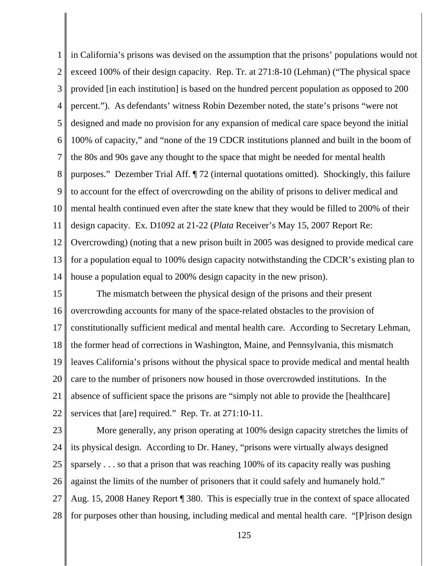1 2 3 4 5 6 7 8 9 10 11 12 13 14 in California's prisons was devised on the assumption that the prisons' populations would not exceed 100% of their design capacity. Rep. Tr. at 271:8-10 (Lehman) ("The physical space provided [in each institution] is based on the hundred percent population as opposed to 200 percent."). As defendants' witness Robin Dezember noted, the state's prisons "were not designed and made no provision for any expansion of medical care space beyond the initial 100% of capacity," and "none of the 19 CDCR institutions planned and built in the boom of the 80s and 90s gave any thought to the space that might be needed for mental health purposes." Dezember Trial Aff. ¶ 72 (internal quotations omitted). Shockingly, this failure to account for the effect of overcrowding on the ability of prisons to deliver medical and mental health continued even after the state knew that they would be filled to 200% of their design capacity. Ex. D1092 at 21-22 (*Plata* Receiver's May 15, 2007 Report Re: Overcrowding) (noting that a new prison built in 2005 was designed to provide medical care for a population equal to 100% design capacity notwithstanding the CDCR's existing plan to house a population equal to 200% design capacity in the new prison).

15 16 17 18 19 20 21 22 The mismatch between the physical design of the prisons and their present overcrowding accounts for many of the space-related obstacles to the provision of constitutionally sufficient medical and mental health care. According to Secretary Lehman, the former head of corrections in Washington, Maine, and Pennsylvania, this mismatch leaves California's prisons without the physical space to provide medical and mental health care to the number of prisoners now housed in those overcrowded institutions. In the absence of sufficient space the prisons are "simply not able to provide the [healthcare] services that [are] required." Rep. Tr. at 271:10-11.

23 24 25 26 27 28 More generally, any prison operating at 100% design capacity stretches the limits of its physical design. According to Dr. Haney, "prisons were virtually always designed sparsely . . . so that a prison that was reaching 100% of its capacity really was pushing against the limits of the number of prisoners that it could safely and humanely hold." Aug. 15, 2008 Haney Report ¶ 380. This is especially true in the context of space allocated for purposes other than housing, including medical and mental health care. "[P]rison design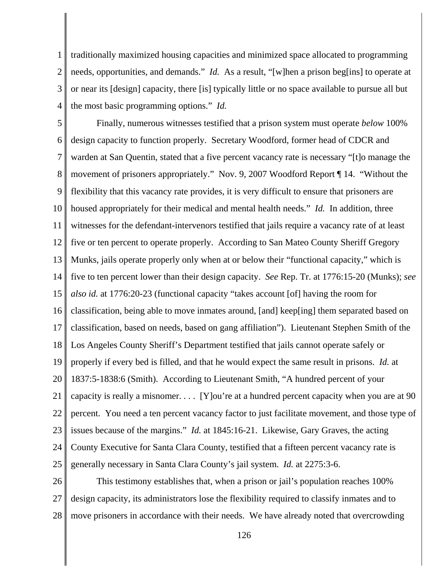1 2 3 4 traditionally maximized housing capacities and minimized space allocated to programming needs, opportunities, and demands." *Id.* As a result, "[w]hen a prison beg[ins] to operate at or near its [design] capacity, there [is] typically little or no space available to pursue all but the most basic programming options." *Id.*

5 6 7 8 9 10 11 12 13 14 15 16 17 18 19 20 21 22 23 24 25 Finally, numerous witnesses testified that a prison system must operate *below* 100% design capacity to function properly. Secretary Woodford, former head of CDCR and warden at San Quentin, stated that a five percent vacancy rate is necessary "[t]o manage the movement of prisoners appropriately." Nov. 9, 2007 Woodford Report ¶ 14. "Without the flexibility that this vacancy rate provides, it is very difficult to ensure that prisoners are housed appropriately for their medical and mental health needs." *Id.* In addition, three witnesses for the defendant-intervenors testified that jails require a vacancy rate of at least five or ten percent to operate properly. According to San Mateo County Sheriff Gregory Munks, jails operate properly only when at or below their "functional capacity," which is five to ten percent lower than their design capacity. *See* Rep. Tr. at 1776:15-20 (Munks); *see also id.* at 1776:20-23 (functional capacity "takes account [of] having the room for classification, being able to move inmates around, [and] keep[ing] them separated based on classification, based on needs, based on gang affiliation"). Lieutenant Stephen Smith of the Los Angeles County Sheriff's Department testified that jails cannot operate safely or properly if every bed is filled, and that he would expect the same result in prisons. *Id.* at 1837:5-1838:6 (Smith). According to Lieutenant Smith, "A hundred percent of your capacity is really a misnomer. . . . [Y]ou're at a hundred percent capacity when you are at 90 percent. You need a ten percent vacancy factor to just facilitate movement, and those type of issues because of the margins." *Id.* at 1845:16-21. Likewise, Gary Graves, the acting County Executive for Santa Clara County, testified that a fifteen percent vacancy rate is generally necessary in Santa Clara County's jail system. *Id.* at 2275:3-6.

26 27 28 This testimony establishes that, when a prison or jail's population reaches 100% design capacity, its administrators lose the flexibility required to classify inmates and to move prisoners in accordance with their needs. We have already noted that overcrowding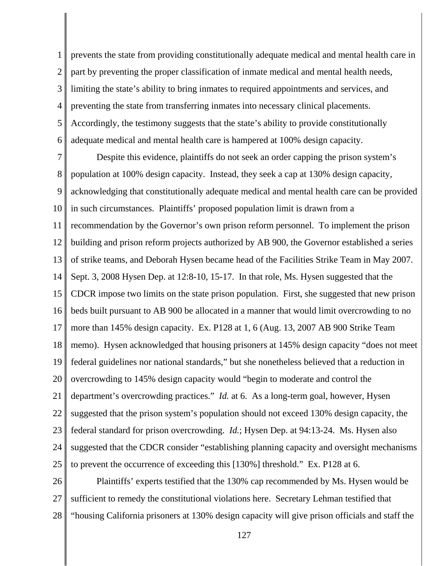1 2 3 4 5 6 prevents the state from providing constitutionally adequate medical and mental health care in part by preventing the proper classification of inmate medical and mental health needs, limiting the state's ability to bring inmates to required appointments and services, and preventing the state from transferring inmates into necessary clinical placements. Accordingly, the testimony suggests that the state's ability to provide constitutionally adequate medical and mental health care is hampered at 100% design capacity.

7 8 9 10 11 12 13 14 15 16 17 18 19 20 21 22 23 24 25 Despite this evidence, plaintiffs do not seek an order capping the prison system's population at 100% design capacity. Instead, they seek a cap at 130% design capacity, acknowledging that constitutionally adequate medical and mental health care can be provided in such circumstances. Plaintiffs' proposed population limit is drawn from a recommendation by the Governor's own prison reform personnel. To implement the prison building and prison reform projects authorized by AB 900, the Governor established a series of strike teams, and Deborah Hysen became head of the Facilities Strike Team in May 2007. Sept. 3, 2008 Hysen Dep. at 12:8-10, 15-17. In that role, Ms. Hysen suggested that the CDCR impose two limits on the state prison population. First, she suggested that new prison beds built pursuant to AB 900 be allocated in a manner that would limit overcrowding to no more than 145% design capacity. Ex. P128 at 1, 6 (Aug. 13, 2007 AB 900 Strike Team memo). Hysen acknowledged that housing prisoners at 145% design capacity "does not meet federal guidelines nor national standards," but she nonetheless believed that a reduction in overcrowding to 145% design capacity would "begin to moderate and control the department's overcrowding practices." *Id.* at 6. As a long-term goal, however, Hysen suggested that the prison system's population should not exceed 130% design capacity, the federal standard for prison overcrowding. *Id.*; Hysen Dep. at 94:13-24. Ms. Hysen also suggested that the CDCR consider "establishing planning capacity and oversight mechanisms to prevent the occurrence of exceeding this [130%] threshold." Ex. P128 at 6.

26 27 28 Plaintiffs' experts testified that the 130% cap recommended by Ms. Hysen would be sufficient to remedy the constitutional violations here. Secretary Lehman testified that "housing California prisoners at 130% design capacity will give prison officials and staff the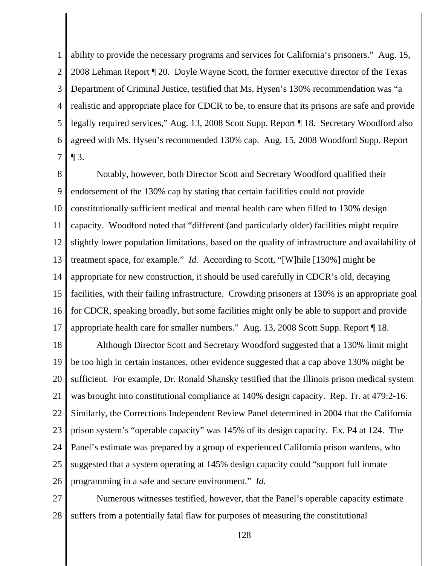1 2 3 4 5 6 7 ability to provide the necessary programs and services for California's prisoners." Aug. 15, 2008 Lehman Report ¶ 20. Doyle Wayne Scott, the former executive director of the Texas Department of Criminal Justice, testified that Ms. Hysen's 130% recommendation was "a realistic and appropriate place for CDCR to be, to ensure that its prisons are safe and provide legally required services," Aug. 13, 2008 Scott Supp. Report ¶ 18. Secretary Woodford also agreed with Ms. Hysen's recommended 130% cap. Aug. 15, 2008 Woodford Supp. Report  $\P$  3.

8 9 10 11 12 13 14 15 16 17 Notably, however, both Director Scott and Secretary Woodford qualified their endorsement of the 130% cap by stating that certain facilities could not provide constitutionally sufficient medical and mental health care when filled to 130% design capacity. Woodford noted that "different (and particularly older) facilities might require slightly lower population limitations, based on the quality of infrastructure and availability of treatment space, for example." *Id.* According to Scott, "[W]hile [130%] might be appropriate for new construction, it should be used carefully in CDCR's old, decaying facilities, with their failing infrastructure. Crowding prisoners at 130% is an appropriate goal for CDCR, speaking broadly, but some facilities might only be able to support and provide appropriate health care for smaller numbers." Aug. 13, 2008 Scott Supp. Report ¶ 18.

18 19 20 21 22 23 24 25 26 Although Director Scott and Secretary Woodford suggested that a 130% limit might be too high in certain instances, other evidence suggested that a cap above 130% might be sufficient. For example, Dr. Ronald Shansky testified that the Illinois prison medical system was brought into constitutional compliance at 140% design capacity. Rep. Tr. at 479:2-16. Similarly, the Corrections Independent Review Panel determined in 2004 that the California prison system's "operable capacity" was 145% of its design capacity. Ex. P4 at 124. The Panel's estimate was prepared by a group of experienced California prison wardens, who suggested that a system operating at 145% design capacity could "support full inmate programming in a safe and secure environment." *Id.*

27 28 Numerous witnesses testified, however, that the Panel's operable capacity estimate suffers from a potentially fatal flaw for purposes of measuring the constitutional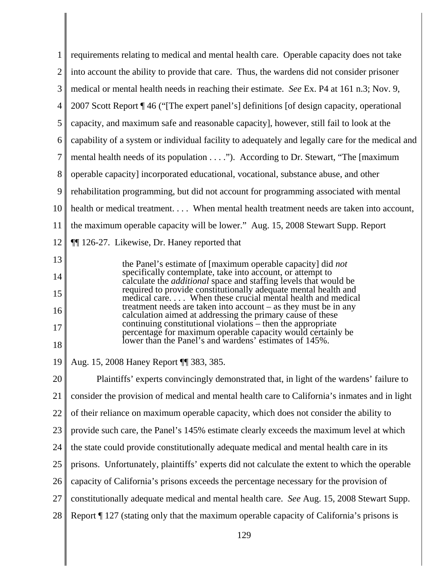| 1              | requirements relating to medical and mental health care. Operable capacity does not take                                                                                          |
|----------------|-----------------------------------------------------------------------------------------------------------------------------------------------------------------------------------|
| $\overline{2}$ | into account the ability to provide that care. Thus, the wardens did not consider prisoner                                                                                        |
| 3              | medical or mental health needs in reaching their estimate. See Ex. P4 at 161 n.3; Nov. 9,                                                                                         |
| $\overline{4}$ | 2007 Scott Report ¶ 46 ("[The expert panel's] definitions [of design capacity, operational                                                                                        |
| 5              | capacity, and maximum safe and reasonable capacity], however, still fail to look at the                                                                                           |
| 6              | capability of a system or individual facility to adequately and legally care for the medical and                                                                                  |
| 7              | mental health needs of its population"). According to Dr. Stewart, "The [maximum]                                                                                                 |
| 8              | operable capacity] incorporated educational, vocational, substance abuse, and other                                                                                               |
| 9              | rehabilitation programming, but did not account for programming associated with mental                                                                                            |
| 10             | health or medical treatment When mental health treatment needs are taken into account,                                                                                            |
| 11             | the maximum operable capacity will be lower." Aug. 15, 2008 Stewart Supp. Report                                                                                                  |
| 12             | <b>1126-27.</b> Likewise, Dr. Haney reported that                                                                                                                                 |
| 13             | the Panel's estimate of [maximum operable capacity] did <i>not</i>                                                                                                                |
| 14             | specifically contemplate, take into account, or attempt to<br>calculate the <i>additional</i> space and staffing levels that would be                                             |
| 15             | required to provide constitutionally adequate mental health and<br>medical care When these crucial mental health and medical                                                      |
| 16             | treatment needs are taken into account $-$ as they must be in any<br>calculation aimed at addressing the primary cause of these                                                   |
| 17             | continuing constitutional violations – then the appropriate<br>percentage for maximum operable capacity would certainly be lower than the Panel's and wardens' estimates of 145%. |
| 18             |                                                                                                                                                                                   |
| 19             | Aug. 15, 2008 Haney Report ¶ 383, 385.                                                                                                                                            |
| 20             | Plaintiffs' experts convincingly demonstrated that, in light of the wardens' failure to                                                                                           |
| 21             | consider the provision of medical and mental health care to California's inmates and in light                                                                                     |
| 22             | of their reliance on maximum operable capacity, which does not consider the ability to                                                                                            |
| 23             | provide such care, the Panel's 145% estimate clearly exceeds the maximum level at which                                                                                           |
| 24             | the state could provide constitutionally adequate medical and mental health care in its                                                                                           |
| 25             | prisons. Unfortunately, plaintiffs' experts did not calculate the extent to which the operable                                                                                    |
| 26             | capacity of California's prisons exceeds the percentage necessary for the provision of                                                                                            |
| 27             | constitutionally adequate medical and mental health care. See Aug. 15, 2008 Stewart Supp.                                                                                         |
| 28             | Report ¶ 127 (stating only that the maximum operable capacity of California's prisons is                                                                                          |
|                |                                                                                                                                                                                   |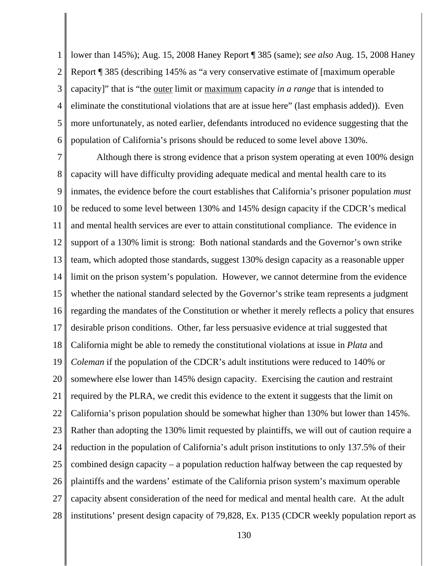1 2 3 4 5 6 lower than 145%); Aug. 15, 2008 Haney Report ¶ 385 (same); *see also* Aug. 15, 2008 Haney Report ¶ 385 (describing 145% as "a very conservative estimate of [maximum operable capacity]" that is "the outer limit or maximum capacity *in a range* that is intended to eliminate the constitutional violations that are at issue here" (last emphasis added)). Even more unfortunately, as noted earlier, defendants introduced no evidence suggesting that the population of California's prisons should be reduced to some level above 130%.

7 8 9 10 11 12 13 14 15 16 17 18 19 20 21 22 23 24 25 26 27 28 Although there is strong evidence that a prison system operating at even 100% design capacity will have difficulty providing adequate medical and mental health care to its inmates, the evidence before the court establishes that California's prisoner population *must* be reduced to some level between 130% and 145% design capacity if the CDCR's medical and mental health services are ever to attain constitutional compliance. The evidence in support of a 130% limit is strong: Both national standards and the Governor's own strike team, which adopted those standards, suggest 130% design capacity as a reasonable upper limit on the prison system's population. However, we cannot determine from the evidence whether the national standard selected by the Governor's strike team represents a judgment regarding the mandates of the Constitution or whether it merely reflects a policy that ensures desirable prison conditions. Other, far less persuasive evidence at trial suggested that California might be able to remedy the constitutional violations at issue in *Plata* and *Coleman* if the population of the CDCR's adult institutions were reduced to 140% or somewhere else lower than 145% design capacity. Exercising the caution and restraint required by the PLRA, we credit this evidence to the extent it suggests that the limit on California's prison population should be somewhat higher than 130% but lower than 145%. Rather than adopting the 130% limit requested by plaintiffs, we will out of caution require a reduction in the population of California's adult prison institutions to only 137.5% of their combined design capacity – a population reduction halfway between the cap requested by plaintiffs and the wardens' estimate of the California prison system's maximum operable capacity absent consideration of the need for medical and mental health care. At the adult institutions' present design capacity of 79,828, Ex. P135 (CDCR weekly population report as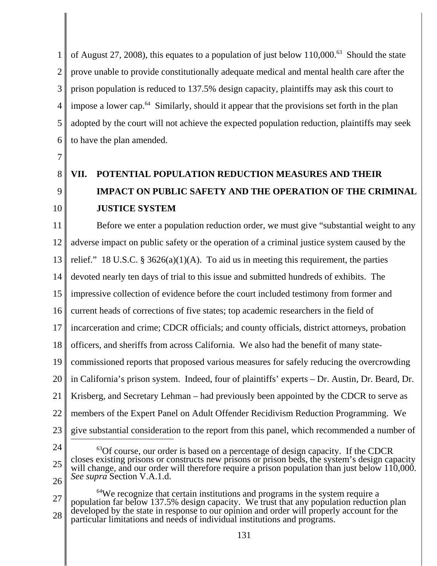1 2 3 4 5 6 of August 27, 2008), this equates to a population of just below 110,000.<sup>63</sup> Should the state prove unable to provide constitutionally adequate medical and mental health care after the prison population is reduced to 137.5% design capacity, plaintiffs may ask this court to impose a lower cap.<sup>64</sup> Similarly, should it appear that the provisions set forth in the plan adopted by the court will not achieve the expected population reduction, plaintiffs may seek to have the plan amended.

7

8

#### 9 10 **VII. POTENTIAL POPULATION REDUCTION MEASURES AND THEIR IMPACT ON PUBLIC SAFETY AND THE OPERATION OF THE CRIMINAL JUSTICE SYSTEM**

11 12 13 14 15 16 17 18 19 20 21 22 23 Before we enter a population reduction order, we must give "substantial weight to any adverse impact on public safety or the operation of a criminal justice system caused by the relief." 18 U.S.C. § 3626(a)(1)(A). To aid us in meeting this requirement, the parties devoted nearly ten days of trial to this issue and submitted hundreds of exhibits. The impressive collection of evidence before the court included testimony from former and current heads of corrections of five states; top academic researchers in the field of incarceration and crime; CDCR officials; and county officials, district attorneys, probation officers, and sheriffs from across California. We also had the benefit of many statecommissioned reports that proposed various measures for safely reducing the overcrowding in California's prison system. Indeed, four of plaintiffs' experts – Dr. Austin, Dr. Beard, Dr. Krisberg, and Secretary Lehman – had previously been appointed by the CDCR to serve as members of the Expert Panel on Adult Offender Recidivism Reduction Programming. We give substantial consideration to the report from this panel, which recommended a number of

<sup>24</sup> 25 26  $^{63}$ Of course, our order is based on a percentage of design capacity. If the CDCR closes existing prisons or constructs new prisons or prison beds, the system's design capacity will change, and our order will therefore require a prison population than just below 110,000. *See supra* Section V.A.1.d.

<sup>27</sup> 28 <sup>64</sup>We recognize that certain institutions and programs in the system require a population far below 137.5% design capacity. We trust that any population reduction plan developed by the state in response to our opinion and order will properly account for the particular limitations and needs of individual institutions and programs.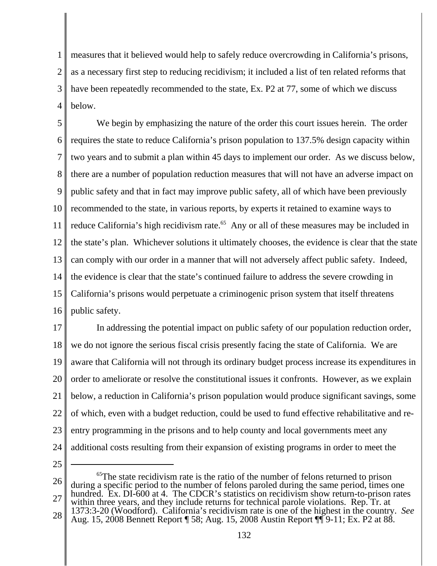1 2 3 4 measures that it believed would help to safely reduce overcrowding in California's prisons, as a necessary first step to reducing recidivism; it included a list of ten related reforms that have been repeatedly recommended to the state, Ex. P2 at 77, some of which we discuss below.

5 6 7 8 9 10 11 12 13 14 15 16 We begin by emphasizing the nature of the order this court issues herein. The order requires the state to reduce California's prison population to 137.5% design capacity within two years and to submit a plan within 45 days to implement our order. As we discuss below, there are a number of population reduction measures that will not have an adverse impact on public safety and that in fact may improve public safety, all of which have been previously recommended to the state, in various reports, by experts it retained to examine ways to reduce California's high recidivism rate.<sup>65</sup> Any or all of these measures may be included in the state's plan. Whichever solutions it ultimately chooses, the evidence is clear that the state can comply with our order in a manner that will not adversely affect public safety. Indeed, the evidence is clear that the state's continued failure to address the severe crowding in California's prisons would perpetuate a criminogenic prison system that itself threatens public safety.

17 18 19 20 21 22 23 24 In addressing the potential impact on public safety of our population reduction order, we do not ignore the serious fiscal crisis presently facing the state of California. We are aware that California will not through its ordinary budget process increase its expenditures in order to ameliorate or resolve the constitutional issues it confronts. However, as we explain below, a reduction in California's prison population would produce significant savings, some of which, even with a budget reduction, could be used to fund effective rehabilitative and reentry programming in the prisons and to help county and local governments meet any additional costs resulting from their expansion of existing programs in order to meet the

25

26 27 28 <sup>65</sup>The state recidivism rate is the ratio of the number of felons returned to prison during a specific period to the number of felons paroled during the same period, times one hundred. Ex. DI-600 at 4. The CDCR's statistics on recidivism show return-to-prison rates within three years, and they include returns for technical parole violations. Rep. Tr. at 1373:3-20 (Woodford). California's recidivism rate is one of the highest in the country. *See* Aug. 15, 2008 Bennett Report ¶ 58; Aug. 15, 2008 Austin Report ¶¶ 9-11; Ex. P2 at 88.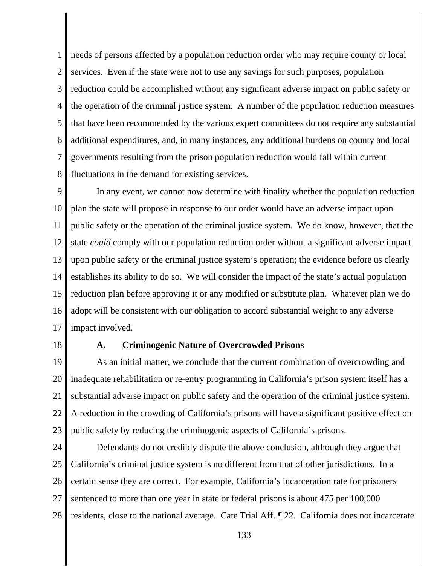1 2 3 4 5 6 7 8 needs of persons affected by a population reduction order who may require county or local services. Even if the state were not to use any savings for such purposes, population reduction could be accomplished without any significant adverse impact on public safety or the operation of the criminal justice system. A number of the population reduction measures that have been recommended by the various expert committees do not require any substantial additional expenditures, and, in many instances, any additional burdens on county and local governments resulting from the prison population reduction would fall within current fluctuations in the demand for existing services.

9 10 11 12 13 14 15 16 17 In any event, we cannot now determine with finality whether the population reduction plan the state will propose in response to our order would have an adverse impact upon public safety or the operation of the criminal justice system. We do know, however, that the state *could* comply with our population reduction order without a significant adverse impact upon public safety or the criminal justice system's operation; the evidence before us clearly establishes its ability to do so. We will consider the impact of the state's actual population reduction plan before approving it or any modified or substitute plan. Whatever plan we do adopt will be consistent with our obligation to accord substantial weight to any adverse impact involved.

18

#### **A. Criminogenic Nature of Overcrowded Prisons**

19 20 21 22 23 As an initial matter, we conclude that the current combination of overcrowding and inadequate rehabilitation or re-entry programming in California's prison system itself has a substantial adverse impact on public safety and the operation of the criminal justice system. A reduction in the crowding of California's prisons will have a significant positive effect on public safety by reducing the criminogenic aspects of California's prisons.

24 25 26 27 28 Defendants do not credibly dispute the above conclusion, although they argue that California's criminal justice system is no different from that of other jurisdictions. In a certain sense they are correct. For example, California's incarceration rate for prisoners sentenced to more than one year in state or federal prisons is about 475 per 100,000 residents, close to the national average. Cate Trial Aff. ¶ 22. California does not incarcerate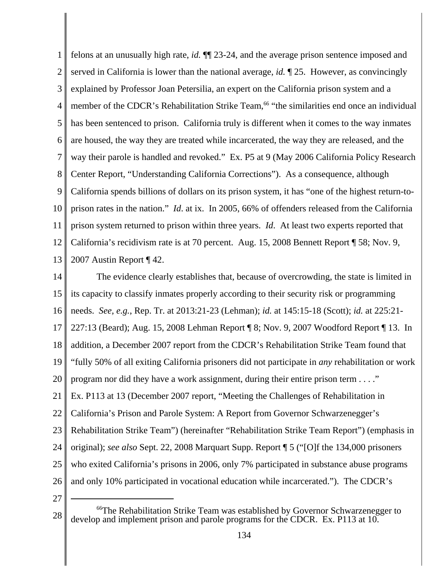1 2 3 4 5 6 7 8 9 10 11 12 13 felons at an unusually high rate, *id.* ¶¶ 23-24, and the average prison sentence imposed and served in California is lower than the national average, *id.* ¶ 25. However, as convincingly explained by Professor Joan Petersilia, an expert on the California prison system and a member of the CDCR's Rehabilitation Strike Team,<sup>66</sup> "the similarities end once an individual has been sentenced to prison. California truly is different when it comes to the way inmates are housed, the way they are treated while incarcerated, the way they are released, and the way their parole is handled and revoked." Ex. P5 at 9 (May 2006 California Policy Research Center Report, "Understanding California Corrections"). As a consequence, although California spends billions of dollars on its prison system, it has "one of the highest return-toprison rates in the nation." *Id*. at ix. In 2005, 66% of offenders released from the California prison system returned to prison within three years. *Id*. At least two experts reported that California's recidivism rate is at 70 percent. Aug. 15, 2008 Bennett Report ¶ 58; Nov. 9, 2007 Austin Report ¶ 42.

14 15 16 17 18 19 20 21 22 23 24 25 26 The evidence clearly establishes that, because of overcrowding, the state is limited in its capacity to classify inmates properly according to their security risk or programming needs. *See, e.g.*, Rep. Tr. at 2013:21-23 (Lehman); *id.* at 145:15-18 (Scott); *id.* at 225:21- 227:13 (Beard); Aug. 15, 2008 Lehman Report ¶ 8; Nov. 9, 2007 Woodford Report ¶ 13. In addition, a December 2007 report from the CDCR's Rehabilitation Strike Team found that "fully 50% of all exiting California prisoners did not participate in *any* rehabilitation or work program nor did they have a work assignment, during their entire prison term . . . ." Ex. P113 at 13 (December 2007 report, "Meeting the Challenges of Rehabilitation in California's Prison and Parole System: A Report from Governor Schwarzenegger's Rehabilitation Strike Team") (hereinafter "Rehabilitation Strike Team Report") (emphasis in original); *see also* Sept. 22, 2008 Marquart Supp. Report ¶ 5 ("[O]f the 134,000 prisoners who exited California's prisons in 2006, only 7% participated in substance abuse programs and only 10% participated in vocational education while incarcerated."). The CDCR's

<sup>28</sup> <sup>66</sup>The Rehabilitation Strike Team was established by Governor Schwarzenegger to develop and implement prison and parole programs for the CDCR. Ex. P113 at 10.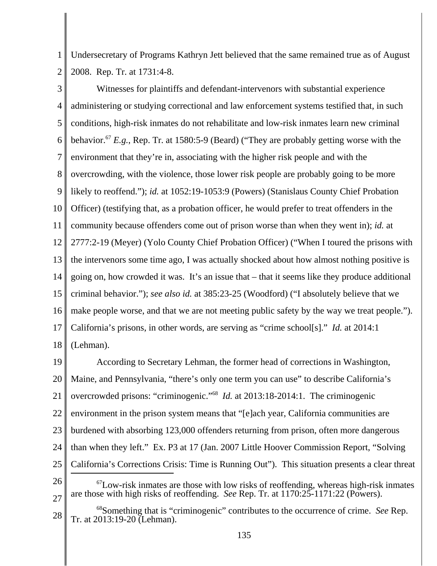1 2 Undersecretary of Programs Kathryn Jett believed that the same remained true as of August 2008. Rep. Tr. at 1731:4-8.

3 4 5 6 7 8 9 10 11 12 13 14 15 16 17 18 Witnesses for plaintiffs and defendant-intervenors with substantial experience administering or studying correctional and law enforcement systems testified that, in such conditions, high-risk inmates do not rehabilitate and low-risk inmates learn new criminal behavior.67 *E.g.*, Rep. Tr. at 1580:5-9 (Beard) ("They are probably getting worse with the environment that they're in, associating with the higher risk people and with the overcrowding, with the violence, those lower risk people are probably going to be more likely to reoffend."); *id.* at 1052:19-1053:9 (Powers) (Stanislaus County Chief Probation Officer) (testifying that, as a probation officer, he would prefer to treat offenders in the community because offenders come out of prison worse than when they went in); *id.* at 2777:2-19 (Meyer) (Yolo County Chief Probation Officer) ("When I toured the prisons with the intervenors some time ago, I was actually shocked about how almost nothing positive is going on, how crowded it was. It's an issue that – that it seems like they produce additional criminal behavior."); *see also id.* at 385:23-25 (Woodford) ("I absolutely believe that we make people worse, and that we are not meeting public safety by the way we treat people."). California's prisons, in other words, are serving as "crime school[s]." *Id.* at 2014:1 (Lehman).

19 20 21 22 23 24 25 26 27  $^{67}$ Low-risk inmates are those with low risks of reoffending, whereas high-risk inmates are those with high risks of reoffending. *See* Rep. Tr. at 1170:25-1171:22 (Powers). According to Secretary Lehman, the former head of corrections in Washington, Maine, and Pennsylvania, "there's only one term you can use" to describe California's overcrowded prisons: "criminogenic."68 *Id.* at 2013:18-2014:1. The criminogenic environment in the prison system means that "[e]ach year, California communities are burdened with absorbing 123,000 offenders returning from prison, often more dangerous than when they left." Ex. P3 at 17 (Jan. 2007 Little Hoover Commission Report, "Solving California's Corrections Crisis: Time is Running Out"). This situation presents a clear threat

<sup>28</sup> 68Something that is "criminogenic" contributes to the occurrence of crime. *See* Rep. Tr. at 2013:19-20 (Lehman).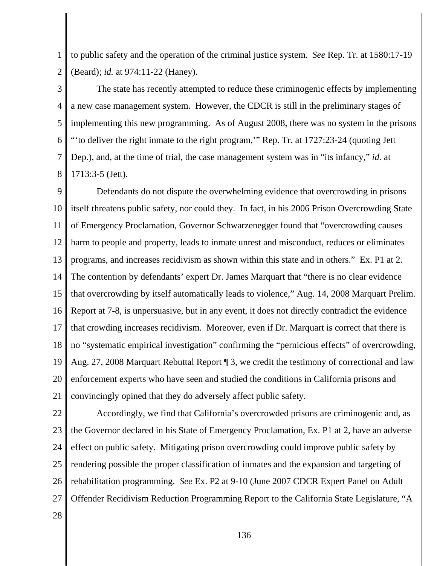1 2 to public safety and the operation of the criminal justice system. *See* Rep. Tr. at 1580:17-19 (Beard); *id.* at 974:11-22 (Haney).

3 4 5 6 7 8 The state has recently attempted to reduce these criminogenic effects by implementing a new case management system. However, the CDCR is still in the preliminary stages of implementing this new programming. As of August 2008, there was no system in the prisons "'to deliver the right inmate to the right program,'" Rep. Tr. at 1727:23-24 (quoting Jett Dep.), and, at the time of trial, the case management system was in "its infancy," *id.* at 1713:3-5 (Jett).

9 10 11 12 13 14 15 16 17 18 19 20 21 Defendants do not dispute the overwhelming evidence that overcrowding in prisons itself threatens public safety, nor could they. In fact, in his 2006 Prison Overcrowding State of Emergency Proclamation, Governor Schwarzenegger found that "overcrowding causes harm to people and property, leads to inmate unrest and misconduct, reduces or eliminates programs, and increases recidivism as shown within this state and in others." Ex. P1 at 2. The contention by defendants' expert Dr. James Marquart that "there is no clear evidence that overcrowding by itself automatically leads to violence," Aug. 14, 2008 Marquart Prelim. Report at 7-8, is unpersuasive, but in any event, it does not directly contradict the evidence that crowding increases recidivism. Moreover, even if Dr. Marquart is correct that there is no "systematic empirical investigation" confirming the "pernicious effects" of overcrowding, Aug. 27, 2008 Marquart Rebuttal Report ¶ 3, we credit the testimony of correctional and law enforcement experts who have seen and studied the conditions in California prisons and convincingly opined that they do adversely affect public safety.

22 23 24 25 26 27 Accordingly, we find that California's overcrowded prisons are criminogenic and, as the Governor declared in his State of Emergency Proclamation, Ex. P1 at 2, have an adverse effect on public safety. Mitigating prison overcrowding could improve public safety by rendering possible the proper classification of inmates and the expansion and targeting of rehabilitation programming. *See* Ex. P2 at 9-10 (June 2007 CDCR Expert Panel on Adult Offender Recidivism Reduction Programming Report to the California State Legislature, "A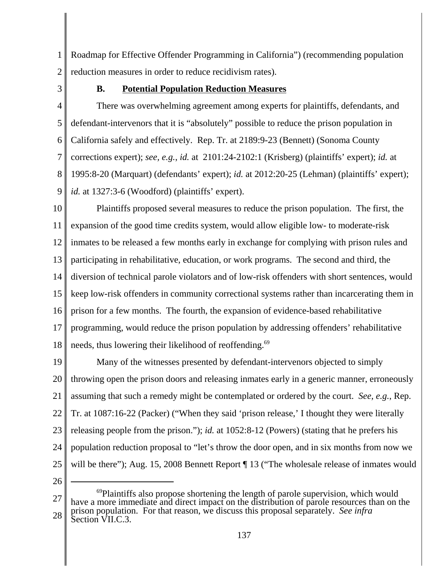1 2 Roadmap for Effective Offender Programming in California") (recommending population reduction measures in order to reduce recidivism rates).

3

# **B. Potential Population Reduction Measures**

4 5 6 7 8 9 There was overwhelming agreement among experts for plaintiffs, defendants, and defendant-intervenors that it is "absolutely" possible to reduce the prison population in California safely and effectively. Rep. Tr. at 2189:9-23 (Bennett) (Sonoma County corrections expert); *see, e.g.*, *id.* at 2101:24-2102:1 (Krisberg) (plaintiffs' expert); *id.* at 1995:8-20 (Marquart) (defendants' expert); *id.* at 2012:20-25 (Lehman) (plaintiffs' expert); *id.* at 1327:3-6 (Woodford) (plaintiffs' expert).

10 11 12 13 14 15 16 17 18 Plaintiffs proposed several measures to reduce the prison population. The first, the expansion of the good time credits system, would allow eligible low- to moderate-risk inmates to be released a few months early in exchange for complying with prison rules and participating in rehabilitative, education, or work programs. The second and third, the diversion of technical parole violators and of low-risk offenders with short sentences, would keep low-risk offenders in community correctional systems rather than incarcerating them in prison for a few months. The fourth, the expansion of evidence-based rehabilitative programming, would reduce the prison population by addressing offenders' rehabilitative needs, thus lowering their likelihood of reoffending.<sup>69</sup>

19 20 21 22 23 24 25 Many of the witnesses presented by defendant-intervenors objected to simply throwing open the prison doors and releasing inmates early in a generic manner, erroneously assuming that such a remedy might be contemplated or ordered by the court. *See, e.g.*, Rep. Tr. at 1087:16-22 (Packer) ("When they said 'prison release,' I thought they were literally releasing people from the prison."); *id.* at 1052:8-12 (Powers) (stating that he prefers his population reduction proposal to "let's throw the door open, and in six months from now we will be there"); Aug. 15, 2008 Bennett Report  $\P$  13 ("The wholesale release of inmates would

<sup>27</sup> 28 <sup>69</sup>Plaintiffs also propose shortening the length of parole supervision, which would have a more immediate and direct impact on the distribution of parole resources than on the prison population. For that reason, we discuss this proposal separately. *See infra* Section VII.C.3.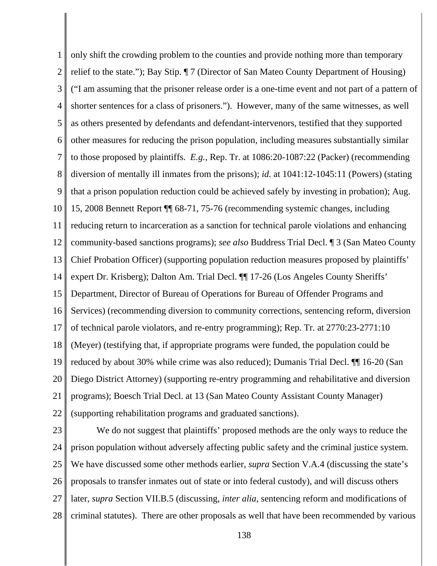1 2 3 4 5 6 7 8 9 10 11 12 13 14 15 16 17 18 19 20 21 22 only shift the crowding problem to the counties and provide nothing more than temporary relief to the state."); Bay Stip. ¶ 7 (Director of San Mateo County Department of Housing) ("I am assuming that the prisoner release order is a one-time event and not part of a pattern of shorter sentences for a class of prisoners."). However, many of the same witnesses, as well as others presented by defendants and defendant-intervenors, testified that they supported other measures for reducing the prison population, including measures substantially similar to those proposed by plaintiffs. *E.g.*, Rep. Tr. at 1086:20-1087:22 (Packer) (recommending diversion of mentally ill inmates from the prisons); *id.* at 1041:12-1045:11 (Powers) (stating that a prison population reduction could be achieved safely by investing in probation); Aug. 15, 2008 Bennett Report ¶¶ 68-71, 75-76 (recommending systemic changes, including reducing return to incarceration as a sanction for technical parole violations and enhancing community-based sanctions programs); *see also* Buddress Trial Decl. ¶ 3 (San Mateo County Chief Probation Officer) (supporting population reduction measures proposed by plaintiffs' expert Dr. Krisberg); Dalton Am. Trial Decl. ¶¶ 17-26 (Los Angeles County Sheriffs' Department, Director of Bureau of Operations for Bureau of Offender Programs and Services) (recommending diversion to community corrections, sentencing reform, diversion of technical parole violators, and re-entry programming); Rep. Tr. at 2770:23-2771:10 (Meyer) (testifying that, if appropriate programs were funded, the population could be reduced by about 30% while crime was also reduced); Dumanis Trial Decl. ¶¶ 16-20 (San Diego District Attorney) (supporting re-entry programming and rehabilitative and diversion programs); Boesch Trial Decl. at 13 (San Mateo County Assistant County Manager) (supporting rehabilitation programs and graduated sanctions).

23 24 25 26 27 28 We do not suggest that plaintiffs' proposed methods are the only ways to reduce the prison population without adversely affecting public safety and the criminal justice system. We have discussed some other methods earlier, *supra* Section V.A.4 (discussing the state's proposals to transfer inmates out of state or into federal custody), and will discuss others later, *supra* Section VII.B.5 (discussing, *inter alia*, sentencing reform and modifications of criminal statutes). There are other proposals as well that have been recommended by various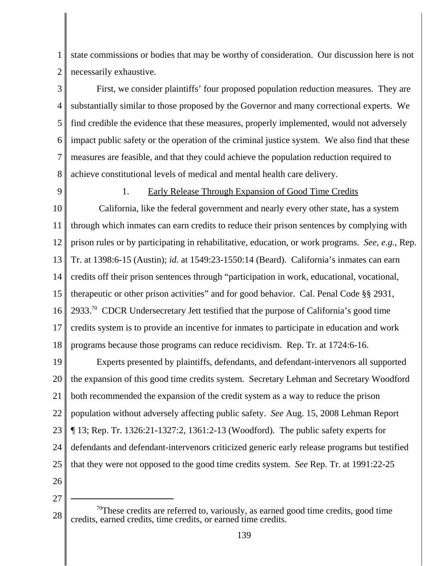1 2 state commissions or bodies that may be worthy of consideration. Our discussion here is not necessarily exhaustive.

3 4 5 6 7 8 First, we consider plaintiffs' four proposed population reduction measures. They are substantially similar to those proposed by the Governor and many correctional experts. We find credible the evidence that these measures, properly implemented, would not adversely impact public safety or the operation of the criminal justice system. We also find that these measures are feasible, and that they could achieve the population reduction required to achieve constitutional levels of medical and mental health care delivery.

9

## 1. Early Release Through Expansion of Good Time Credits

10 11 12 13 14 15 16 17 18 California, like the federal government and nearly every other state, has a system through which inmates can earn credits to reduce their prison sentences by complying with prison rules or by participating in rehabilitative, education, or work programs. *See, e.g.*, Rep. Tr. at 1398:6-15 (Austin); *id.* at 1549:23-1550:14 (Beard). California's inmates can earn credits off their prison sentences through "participation in work, educational, vocational, therapeutic or other prison activities" and for good behavior. Cal. Penal Code §§ 2931, 2933.<sup>70</sup> CDCR Undersecretary Jett testified that the purpose of California's good time credits system is to provide an incentive for inmates to participate in education and work programs because those programs can reduce recidivism. Rep. Tr. at 1724:6-16.

19 20 21 22 23 24 25 Experts presented by plaintiffs, defendants, and defendant-intervenors all supported the expansion of this good time credits system. Secretary Lehman and Secretary Woodford both recommended the expansion of the credit system as a way to reduce the prison population without adversely affecting public safety. *See* Aug. 15, 2008 Lehman Report ¶ 13; Rep. Tr. 1326:21-1327:2, 1361:2-13 (Woodford). The public safety experts for defendants and defendant-intervenors criticized generic early release programs but testified that they were not opposed to the good time credits system. *See* Rep. Tr. at 1991:22-25

26

<sup>28</sup>  $70$ These credits are referred to, variously, as earned good time credits, good time credits, earned credits, time credits, or earned time credits.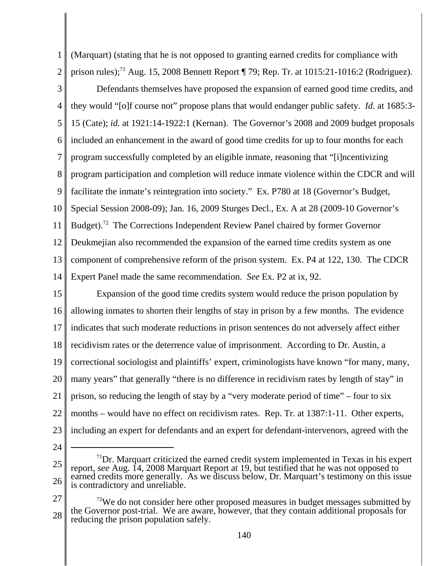1 2 (Marquart) (stating that he is not opposed to granting earned credits for compliance with prison rules);<sup>71</sup> Aug. 15, 2008 Bennett Report  $\P$  79; Rep. Tr. at 1015:21-1016:2 (Rodriguez).

- 3 4 5 6 7 8 9 10 11 12 13 14 Defendants themselves have proposed the expansion of earned good time credits, and they would "[o]f course not" propose plans that would endanger public safety. *Id.* at 1685:3- 15 (Cate); *id.* at 1921:14-1922:1 (Kernan). The Governor's 2008 and 2009 budget proposals included an enhancement in the award of good time credits for up to four months for each program successfully completed by an eligible inmate, reasoning that "[i]ncentivizing program participation and completion will reduce inmate violence within the CDCR and will facilitate the inmate's reintegration into society." Ex. P780 at 18 (Governor's Budget, Special Session 2008-09); Jan. 16, 2009 Sturges Decl., Ex. A at 28 (2009-10 Governor's Budget).<sup>72</sup> The Corrections Independent Review Panel chaired by former Governor Deukmejian also recommended the expansion of the earned time credits system as one component of comprehensive reform of the prison system. Ex. P4 at 122, 130. The CDCR Expert Panel made the same recommendation. *See* Ex. P2 at ix, 92.
- 15 16 17 18 19 20 21 22 23 Expansion of the good time credits system would reduce the prison population by allowing inmates to shorten their lengths of stay in prison by a few months. The evidence indicates that such moderate reductions in prison sentences do not adversely affect either recidivism rates or the deterrence value of imprisonment. According to Dr. Austin, a correctional sociologist and plaintiffs' expert, criminologists have known "for many, many, many years" that generally "there is no difference in recidivism rates by length of stay" in prison, so reducing the length of stay by a "very moderate period of time" – four to six months – would have no effect on recidivism rates. Rep. Tr. at 1387:1-11. Other experts, including an expert for defendants and an expert for defendant-intervenors, agreed with the
- 24

<sup>25</sup> 26  $1^{71}$ Dr. Marquart criticized the earned credit system implemented in Texas in his expert report, *see* Aug. 14, 2008 Marquart Report at 19, but testified that he was not opposed to earned credits more generally. As we discuss below, Dr. Marquart's testimony on this issue is contradictory and unreliable.

<sup>27</sup> 28  $72$ We do not consider here other proposed measures in budget messages submitted by the Governor post-trial. We are aware, however, that they contain additional proposals for reducing the prison population safely.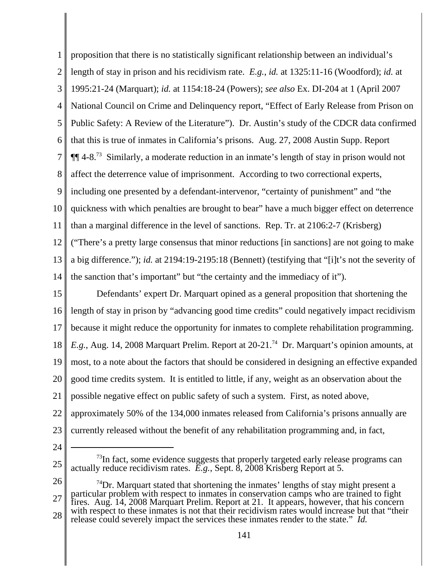1 2 3 4 5 6 7 8 9 10 11 12 13 14 proposition that there is no statistically significant relationship between an individual's length of stay in prison and his recidivism rate. *E.g.*, *id.* at 1325:11-16 (Woodford); *id.* at 1995:21-24 (Marquart); *id.* at 1154:18-24 (Powers); *see also* Ex. DI-204 at 1 (April 2007 National Council on Crime and Delinquency report, "Effect of Early Release from Prison on Public Safety: A Review of the Literature"). Dr. Austin's study of the CDCR data confirmed that this is true of inmates in California's prisons. Aug. 27, 2008 Austin Supp. Report  $\P$  $\P$  4-8.<sup>73</sup> Similarly, a moderate reduction in an inmate's length of stay in prison would not affect the deterrence value of imprisonment. According to two correctional experts, including one presented by a defendant-intervenor, "certainty of punishment" and "the quickness with which penalties are brought to bear" have a much bigger effect on deterrence than a marginal difference in the level of sanctions. Rep. Tr. at 2106:2-7 (Krisberg) ("There's a pretty large consensus that minor reductions [in sanctions] are not going to make a big difference."); *id.* at 2194:19-2195:18 (Bennett) (testifying that "[i]t's not the severity of the sanction that's important" but "the certainty and the immediacy of it").

15 16 17 18 19 20 21 22 23 Defendants' expert Dr. Marquart opined as a general proposition that shortening the length of stay in prison by "advancing good time credits" could negatively impact recidivism because it might reduce the opportunity for inmates to complete rehabilitation programming. *E.g.*, Aug. 14, 2008 Marquart Prelim. Report at 20-21.<sup>74</sup> Dr. Marquart's opinion amounts, at most, to a note about the factors that should be considered in designing an effective expanded good time credits system. It is entitled to little, if any, weight as an observation about the possible negative effect on public safety of such a system. First, as noted above, approximately 50% of the 134,000 inmates released from California's prisons annually are currently released without the benefit of any rehabilitation programming and, in fact,

24

 $^{73}$ In fact, some evidence suggests that properly targeted early release programs can actually reduce recidivism rates. *E.g.*, Sept. 8, 2008 Krisberg Report at 5.

<sup>26</sup> 27 28  $74$ Dr. Marquart stated that shortening the inmates' lengths of stay might present a particular problem with respect to inmates in conservation camps who are trained to fight fires. Aug. 14, 2008 Marquart Prelim. Report at 21. It appears, however, that his concern with respect to these inmates is not that their recidivism rates would increase but that "their release could severely impact the services these inmates render to the state." *Id.*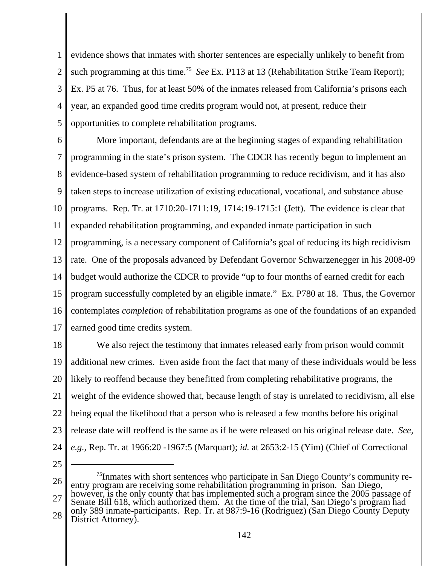1 2 3 4 5 evidence shows that inmates with shorter sentences are especially unlikely to benefit from such programming at this time.<sup>75</sup> *See* Ex. P113 at 13 (Rehabilitation Strike Team Report); Ex. P5 at 76. Thus, for at least 50% of the inmates released from California's prisons each year, an expanded good time credits program would not, at present, reduce their opportunities to complete rehabilitation programs.

6 7 8 9 10 11 12 13 14 15 16 17 More important, defendants are at the beginning stages of expanding rehabilitation programming in the state's prison system. The CDCR has recently begun to implement an evidence-based system of rehabilitation programming to reduce recidivism, and it has also taken steps to increase utilization of existing educational, vocational, and substance abuse programs. Rep. Tr. at 1710:20-1711:19, 1714:19-1715:1 (Jett). The evidence is clear that expanded rehabilitation programming, and expanded inmate participation in such programming, is a necessary component of California's goal of reducing its high recidivism rate. One of the proposals advanced by Defendant Governor Schwarzenegger in his 2008-09 budget would authorize the CDCR to provide "up to four months of earned credit for each program successfully completed by an eligible inmate." Ex. P780 at 18. Thus, the Governor contemplates *completion* of rehabilitation programs as one of the foundations of an expanded earned good time credits system.

18 19 20 21 22 23 24 We also reject the testimony that inmates released early from prison would commit additional new crimes. Even aside from the fact that many of these individuals would be less likely to reoffend because they benefitted from completing rehabilitative programs, the weight of the evidence showed that, because length of stay is unrelated to recidivism, all else being equal the likelihood that a person who is released a few months before his original release date will reoffend is the same as if he were released on his original release date. *See, e.g.*, Rep. Tr. at 1966:20 -1967:5 (Marquart); *id.* at 2653:2-15 (Yim) (Chief of Correctional

25

26 27 28  $<sup>75</sup>$ Inmates with short sentences who participate in San Diego County's community re-</sup> entry program are receiving some rehabilitation programming in prison. San Diego, however, is the only county that has implemented such a program since the 2005 passage of Senate Bill 618, which authorized them. At the time of the trial, San Diego's program had only 389 inmate-participants. Rep. Tr. at 987:9-16 (Rodriguez) (San Diego County Deputy

District Attorney).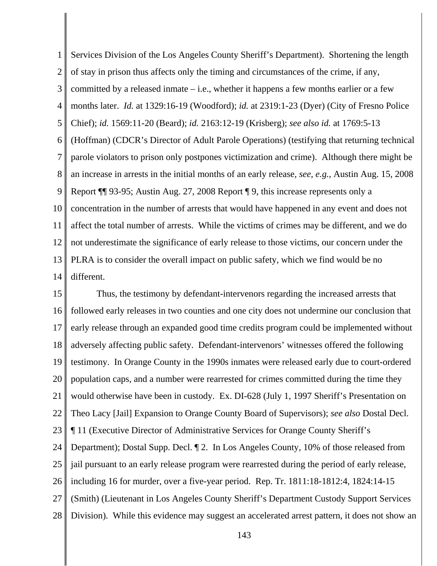1 2 3 4 5 6 7 8 9 10 11 12 13 14 Services Division of the Los Angeles County Sheriff's Department). Shortening the length of stay in prison thus affects only the timing and circumstances of the crime, if any, committed by a released inmate – i.e., whether it happens a few months earlier or a few months later. *Id.* at 1329:16-19 (Woodford); *id.* at 2319:1-23 (Dyer) (City of Fresno Police Chief); *id.* 1569:11-20 (Beard); *id.* 2163:12-19 (Krisberg); *see also id.* at 1769:5-13 (Hoffman) (CDCR's Director of Adult Parole Operations) (testifying that returning technical parole violators to prison only postpones victimization and crime). Although there might be an increase in arrests in the initial months of an early release, *see, e.g.*, Austin Aug. 15, 2008 Report ¶¶ 93-95; Austin Aug. 27, 2008 Report ¶ 9, this increase represents only a concentration in the number of arrests that would have happened in any event and does not affect the total number of arrests. While the victims of crimes may be different, and we do not underestimate the significance of early release to those victims, our concern under the PLRA is to consider the overall impact on public safety, which we find would be no different.

15 16 17 18 19 20 21 22 23 24 25 26 27 28 Thus, the testimony by defendant-intervenors regarding the increased arrests that followed early releases in two counties and one city does not undermine our conclusion that early release through an expanded good time credits program could be implemented without adversely affecting public safety. Defendant-intervenors' witnesses offered the following testimony. In Orange County in the 1990s inmates were released early due to court-ordered population caps, and a number were rearrested for crimes committed during the time they would otherwise have been in custody. Ex. DI-628 (July 1, 1997 Sheriff's Presentation on Theo Lacy [Jail] Expansion to Orange County Board of Supervisors); *see also* Dostal Decl. ¶ 11 (Executive Director of Administrative Services for Orange County Sheriff's Department); Dostal Supp. Decl. ¶ 2. In Los Angeles County, 10% of those released from jail pursuant to an early release program were rearrested during the period of early release, including 16 for murder, over a five-year period. Rep. Tr. 1811:18-1812:4, 1824:14-15 (Smith) (Lieutenant in Los Angeles County Sheriff's Department Custody Support Services Division). While this evidence may suggest an accelerated arrest pattern, it does not show an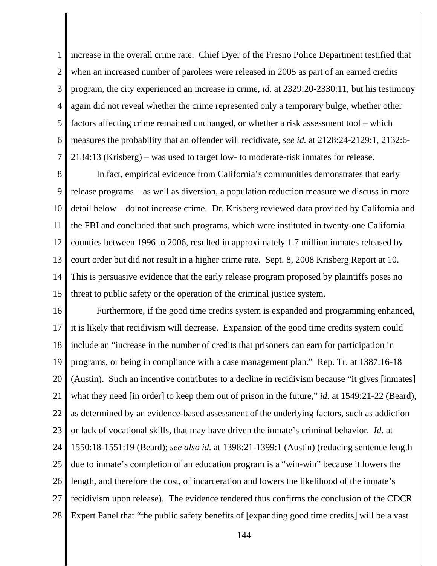1 2 3 4 5 6 7 increase in the overall crime rate. Chief Dyer of the Fresno Police Department testified that when an increased number of parolees were released in 2005 as part of an earned credits program, the city experienced an increase in crime, *id.* at 2329:20-2330:11, but his testimony again did not reveal whether the crime represented only a temporary bulge, whether other factors affecting crime remained unchanged, or whether a risk assessment tool – which measures the probability that an offender will recidivate, *see id.* at 2128:24-2129:1, 2132:6- 2134:13 (Krisberg) – was used to target low- to moderate-risk inmates for release.

8 9 10 11 12 13 14 15 In fact, empirical evidence from California's communities demonstrates that early release programs – as well as diversion, a population reduction measure we discuss in more detail below – do not increase crime. Dr. Krisberg reviewed data provided by California and the FBI and concluded that such programs, which were instituted in twenty-one California counties between 1996 to 2006, resulted in approximately 1.7 million inmates released by court order but did not result in a higher crime rate. Sept. 8, 2008 Krisberg Report at 10. This is persuasive evidence that the early release program proposed by plaintiffs poses no threat to public safety or the operation of the criminal justice system.

16 17 18 19 20 21 22 23 24 25 26 27 28 Furthermore, if the good time credits system is expanded and programming enhanced, it is likely that recidivism will decrease. Expansion of the good time credits system could include an "increase in the number of credits that prisoners can earn for participation in programs, or being in compliance with a case management plan." Rep. Tr. at 1387:16-18 (Austin). Such an incentive contributes to a decline in recidivism because "it gives [inmates] what they need [in order] to keep them out of prison in the future," *id.* at 1549:21-22 (Beard), as determined by an evidence-based assessment of the underlying factors, such as addiction or lack of vocational skills, that may have driven the inmate's criminal behavior. *Id.* at 1550:18-1551:19 (Beard); *see also id.* at 1398:21-1399:1 (Austin) (reducing sentence length due to inmate's completion of an education program is a "win-win" because it lowers the length, and therefore the cost, of incarceration and lowers the likelihood of the inmate's recidivism upon release). The evidence tendered thus confirms the conclusion of the CDCR Expert Panel that "the public safety benefits of [expanding good time credits] will be a vast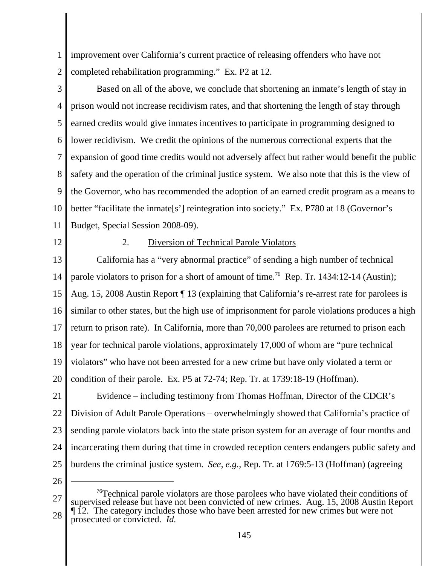1 2 improvement over California's current practice of releasing offenders who have not completed rehabilitation programming." Ex. P2 at 12.

3 4 5 6 7 8 9 10 11 Based on all of the above, we conclude that shortening an inmate's length of stay in prison would not increase recidivism rates, and that shortening the length of stay through earned credits would give inmates incentives to participate in programming designed to lower recidivism. We credit the opinions of the numerous correctional experts that the expansion of good time credits would not adversely affect but rather would benefit the public safety and the operation of the criminal justice system. We also note that this is the view of the Governor, who has recommended the adoption of an earned credit program as a means to better "facilitate the inmate<sup>[s']</sup> reintegration into society." Ex. P780 at 18 (Governor's Budget, Special Session 2008-09).

12

# 2. Diversion of Technical Parole Violators

13 14 15 16 17 18 19 20 California has a "very abnormal practice" of sending a high number of technical parole violators to prison for a short of amount of time.<sup>76</sup> Rep. Tr. 1434:12-14 (Austin); Aug. 15, 2008 Austin Report ¶ 13 (explaining that California's re-arrest rate for parolees is similar to other states, but the high use of imprisonment for parole violations produces a high return to prison rate). In California, more than 70,000 parolees are returned to prison each year for technical parole violations, approximately 17,000 of whom are "pure technical violators" who have not been arrested for a new crime but have only violated a term or condition of their parole. Ex. P5 at 72-74; Rep. Tr. at 1739:18-19 (Hoffman).

21 22 23 24 25 Evidence – including testimony from Thomas Hoffman, Director of the CDCR's Division of Adult Parole Operations – overwhelmingly showed that California's practice of sending parole violators back into the state prison system for an average of four months and incarcerating them during that time in crowded reception centers endangers public safety and burdens the criminal justice system. *See, e.g.*, Rep. Tr. at 1769:5-13 (Hoffman) (agreeing

26

27 28  $76$ Technical parole violators are those parolees who have violated their conditions of supervised release but have not been convicted of new crimes. Aug. 15, 2008 Austin Report ¶ 12. The category includes those who have been arrested for new crimes but were not prosecuted or convicted. *Id.*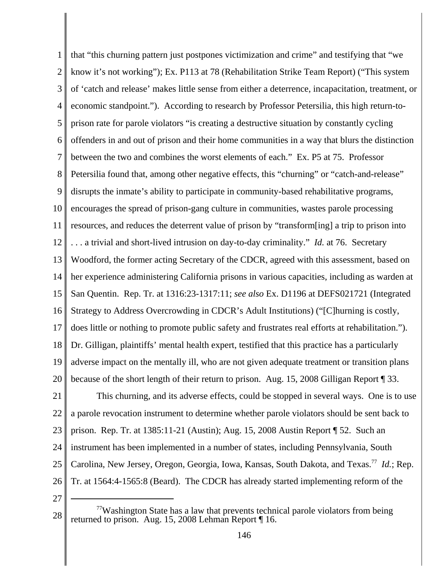1 2 3 4 5 6 7 8 9 10 11 12 13 14 15 16 17 18 19 20 that "this churning pattern just postpones victimization and crime" and testifying that "we know it's not working"); Ex. P113 at 78 (Rehabilitation Strike Team Report) ("This system of 'catch and release' makes little sense from either a deterrence, incapacitation, treatment, or economic standpoint."). According to research by Professor Petersilia, this high return-toprison rate for parole violators "is creating a destructive situation by constantly cycling offenders in and out of prison and their home communities in a way that blurs the distinction between the two and combines the worst elements of each." Ex. P5 at 75. Professor Petersilia found that, among other negative effects, this "churning" or "catch-and-release" disrupts the inmate's ability to participate in community-based rehabilitative programs, encourages the spread of prison-gang culture in communities, wastes parole processing resources, and reduces the deterrent value of prison by "transform[ing] a trip to prison into . . . a trivial and short-lived intrusion on day-to-day criminality." *Id.* at 76. Secretary Woodford, the former acting Secretary of the CDCR, agreed with this assessment, based on her experience administering California prisons in various capacities, including as warden at San Quentin. Rep. Tr. at 1316:23-1317:11; *see also* Ex. D1196 at DEFS021721 (Integrated Strategy to Address Overcrowding in CDCR's Adult Institutions) ("[C]hurning is costly, does little or nothing to promote public safety and frustrates real efforts at rehabilitation."). Dr. Gilligan, plaintiffs' mental health expert, testified that this practice has a particularly adverse impact on the mentally ill, who are not given adequate treatment or transition plans because of the short length of their return to prison. Aug. 15, 2008 Gilligan Report ¶ 33.

21 22 23 24 25 26 This churning, and its adverse effects, could be stopped in several ways. One is to use a parole revocation instrument to determine whether parole violators should be sent back to prison. Rep. Tr. at 1385:11-21 (Austin); Aug. 15, 2008 Austin Report ¶ 52. Such an instrument has been implemented in a number of states, including Pennsylvania, South Carolina, New Jersey, Oregon, Georgia, Iowa, Kansas, South Dakota, and Texas.<sup>77</sup> *Id.*; Rep. Tr. at 1564:4-1565:8 (Beard). The CDCR has already started implementing reform of the

<sup>28</sup>  $77$ Washington State has a law that prevents technical parole violators from being returned to prison. Aug. 15, 2008 Lehman Report ¶ 16.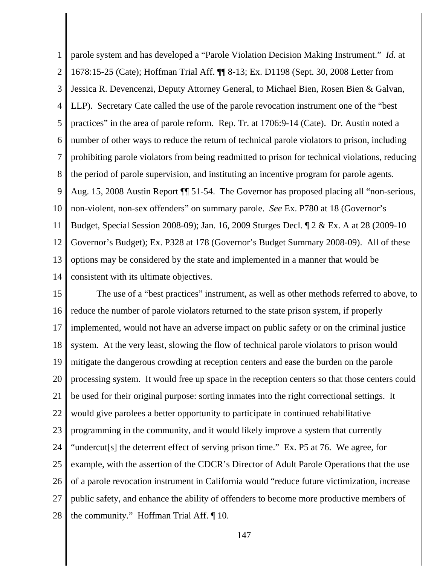1 2 3 4 5 6 7 8 9 10 11 12 13 14 parole system and has developed a "Parole Violation Decision Making Instrument." *Id.* at 1678:15-25 (Cate); Hoffman Trial Aff. ¶¶ 8-13; Ex. D1198 (Sept. 30, 2008 Letter from Jessica R. Devencenzi, Deputy Attorney General, to Michael Bien, Rosen Bien & Galvan, LLP). Secretary Cate called the use of the parole revocation instrument one of the "best practices" in the area of parole reform. Rep. Tr. at 1706:9-14 (Cate). Dr. Austin noted a number of other ways to reduce the return of technical parole violators to prison, including prohibiting parole violators from being readmitted to prison for technical violations, reducing the period of parole supervision, and instituting an incentive program for parole agents. Aug. 15, 2008 Austin Report ¶¶ 51-54. The Governor has proposed placing all "non-serious, non-violent, non-sex offenders" on summary parole. *See* Ex. P780 at 18 (Governor's Budget, Special Session 2008-09); Jan. 16, 2009 Sturges Decl. ¶ 2 & Ex. A at 28 (2009-10 Governor's Budget); Ex. P328 at 178 (Governor's Budget Summary 2008-09). All of these options may be considered by the state and implemented in a manner that would be consistent with its ultimate objectives.

15 16 17 18 19 20 21 22 23 24 25 26 27 28 The use of a "best practices" instrument, as well as other methods referred to above, to reduce the number of parole violators returned to the state prison system, if properly implemented, would not have an adverse impact on public safety or on the criminal justice system. At the very least, slowing the flow of technical parole violators to prison would mitigate the dangerous crowding at reception centers and ease the burden on the parole processing system. It would free up space in the reception centers so that those centers could be used for their original purpose: sorting inmates into the right correctional settings. It would give parolees a better opportunity to participate in continued rehabilitative programming in the community, and it would likely improve a system that currently "undercut[s] the deterrent effect of serving prison time." Ex. P5 at 76. We agree, for example, with the assertion of the CDCR's Director of Adult Parole Operations that the use of a parole revocation instrument in California would "reduce future victimization, increase public safety, and enhance the ability of offenders to become more productive members of the community." Hoffman Trial Aff. ¶ 10.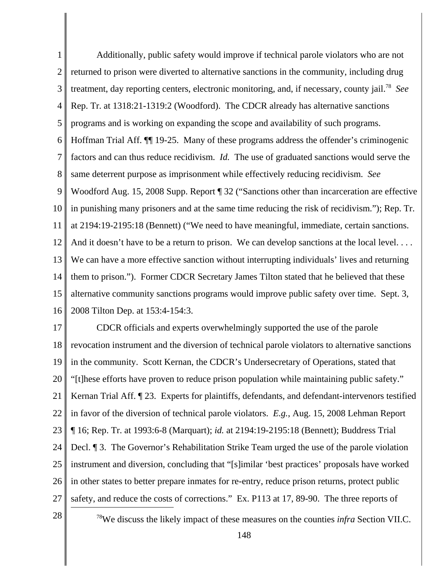1 2 3 4 5 6 7 8 9 10 11 12 13 14 15 16 Additionally, public safety would improve if technical parole violators who are not returned to prison were diverted to alternative sanctions in the community, including drug treatment, day reporting centers, electronic monitoring, and, if necessary, county jail.78 *See* Rep. Tr. at 1318:21-1319:2 (Woodford). The CDCR already has alternative sanctions programs and is working on expanding the scope and availability of such programs. Hoffman Trial Aff. ¶¶ 19-25. Many of these programs address the offender's criminogenic factors and can thus reduce recidivism. *Id.* The use of graduated sanctions would serve the same deterrent purpose as imprisonment while effectively reducing recidivism. *See* Woodford Aug. 15, 2008 Supp. Report ¶ 32 ("Sanctions other than incarceration are effective in punishing many prisoners and at the same time reducing the risk of recidivism."); Rep. Tr. at 2194:19-2195:18 (Bennett) ("We need to have meaningful, immediate, certain sanctions. And it doesn't have to be a return to prison. We can develop sanctions at the local level... We can have a more effective sanction without interrupting individuals' lives and returning them to prison."). Former CDCR Secretary James Tilton stated that he believed that these alternative community sanctions programs would improve public safety over time. Sept. 3, 2008 Tilton Dep. at 153:4-154:3.

17 18 19 20 21 22 23 24 25 26 27 CDCR officials and experts overwhelmingly supported the use of the parole revocation instrument and the diversion of technical parole violators to alternative sanctions in the community. Scott Kernan, the CDCR's Undersecretary of Operations, stated that "[t]hese efforts have proven to reduce prison population while maintaining public safety." Kernan Trial Aff. [23. Experts for plaintiffs, defendants, and defendant-intervenors testified in favor of the diversion of technical parole violators. *E.g.*, Aug. 15, 2008 Lehman Report ¶ 16; Rep. Tr. at 1993:6-8 (Marquart); *id.* at 2194:19-2195:18 (Bennett); Buddress Trial Decl. ¶ 3. The Governor's Rehabilitation Strike Team urged the use of the parole violation instrument and diversion, concluding that "[s]imilar 'best practices' proposals have worked in other states to better prepare inmates for re-entry, reduce prison returns, protect public safety, and reduce the costs of corrections." Ex. P113 at 17, 89-90. The three reports of

<sup>28</sup> <sup>78</sup>We discuss the likely impact of these measures on the counties *infra* Section VII.C.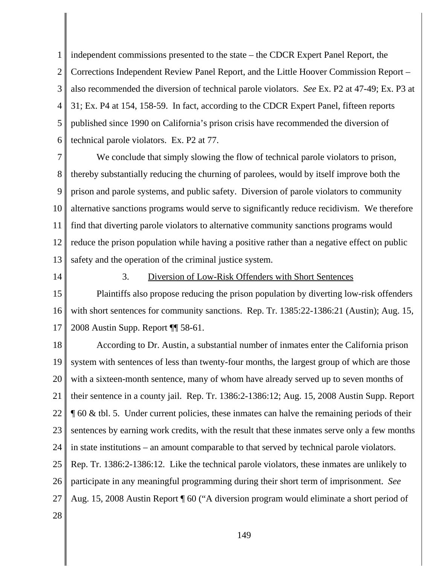1 2 3 4 5 6 independent commissions presented to the state – the CDCR Expert Panel Report, the Corrections Independent Review Panel Report, and the Little Hoover Commission Report – also recommended the diversion of technical parole violators. *See* Ex. P2 at 47-49; Ex. P3 at 31; Ex. P4 at 154, 158-59. In fact, according to the CDCR Expert Panel, fifteen reports published since 1990 on California's prison crisis have recommended the diversion of technical parole violators. Ex. P2 at 77.

7 8 9 10 11 12 13 We conclude that simply slowing the flow of technical parole violators to prison, thereby substantially reducing the churning of parolees, would by itself improve both the prison and parole systems, and public safety. Diversion of parole violators to community alternative sanctions programs would serve to significantly reduce recidivism. We therefore find that diverting parole violators to alternative community sanctions programs would reduce the prison population while having a positive rather than a negative effect on public safety and the operation of the criminal justice system.

14

### 3. Diversion of Low-Risk Offenders with Short Sentences

15 16 17 Plaintiffs also propose reducing the prison population by diverting low-risk offenders with short sentences for community sanctions. Rep. Tr. 1385:22-1386:21 (Austin); Aug. 15, 2008 Austin Supp. Report ¶¶ 58-61.

18 19 20 21 22 23 24 25 26 27 According to Dr. Austin, a substantial number of inmates enter the California prison system with sentences of less than twenty-four months, the largest group of which are those with a sixteen-month sentence, many of whom have already served up to seven months of their sentence in a county jail. Rep. Tr. 1386:2-1386:12; Aug. 15, 2008 Austin Supp. Report ¶ 60 & tbl. 5. Under current policies, these inmates can halve the remaining periods of their sentences by earning work credits, with the result that these inmates serve only a few months in state institutions – an amount comparable to that served by technical parole violators. Rep. Tr. 1386:2-1386:12*.* Like the technical parole violators, these inmates are unlikely to participate in any meaningful programming during their short term of imprisonment. *See* Aug. 15, 2008 Austin Report ¶ 60 ("A diversion program would eliminate a short period of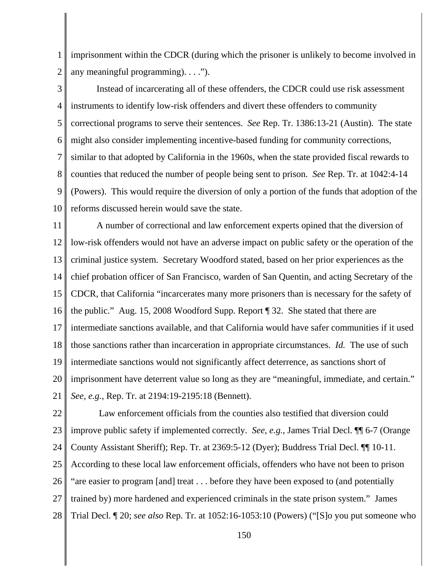1 2 imprisonment within the CDCR (during which the prisoner is unlikely to become involved in any meaningful programming). . . .").

3 4 5 6 7 8 9 10 Instead of incarcerating all of these offenders, the CDCR could use risk assessment instruments to identify low-risk offenders and divert these offenders to community correctional programs to serve their sentences. *See* Rep. Tr. 1386:13-21 (Austin). The state might also consider implementing incentive-based funding for community corrections, similar to that adopted by California in the 1960s, when the state provided fiscal rewards to counties that reduced the number of people being sent to prison. *See* Rep. Tr. at 1042:4-14 (Powers). This would require the diversion of only a portion of the funds that adoption of the reforms discussed herein would save the state.

11 12 13 14 15 16 17 18 19 20 21 A number of correctional and law enforcement experts opined that the diversion of low-risk offenders would not have an adverse impact on public safety or the operation of the criminal justice system.Secretary Woodford stated, based on her prior experiences as the chief probation officer of San Francisco, warden of San Quentin, and acting Secretary of the CDCR, that California "incarcerates many more prisoners than is necessary for the safety of the public." Aug. 15, 2008 Woodford Supp. Report ¶ 32. She stated that there are intermediate sanctions available, and that California would have safer communities if it used those sanctions rather than incarceration in appropriate circumstances. *Id.* The use of such intermediate sanctions would not significantly affect deterrence, as sanctions short of imprisonment have deterrent value so long as they are "meaningful, immediate, and certain." *See, e.g.*, Rep. Tr. at 2194:19-2195:18 (Bennett).

22 23 24 25 26 27 28 Law enforcement officials from the counties also testified that diversion could improve public safety if implemented correctly. *See, e.g.*, James Trial Decl. ¶¶ 6-7 (Orange County Assistant Sheriff); Rep. Tr. at 2369:5-12 (Dyer); Buddress Trial Decl. ¶¶ 10-11. According to these local law enforcement officials, offenders who have not been to prison "are easier to program [and] treat . . . before they have been exposed to (and potentially trained by) more hardened and experienced criminals in the state prison system." James Trial Decl. ¶ 20; *see also* Rep. Tr. at 1052:16-1053:10 (Powers) ("[S]o you put someone who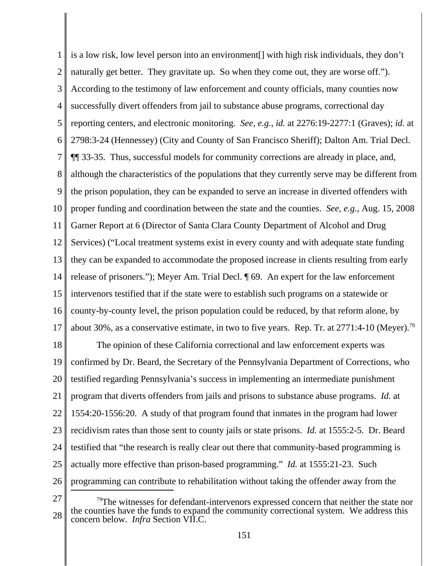1 2 3 4 5 6 7 8 9 10 11 12 13 14 15 16 17 is a low risk, low level person into an environment[] with high risk individuals, they don't naturally get better. They gravitate up. So when they come out, they are worse off."). According to the testimony of law enforcement and county officials, many counties now successfully divert offenders from jail to substance abuse programs, correctional day reporting centers, and electronic monitoring. *See, e.g.*, *id.* at 2276:19-2277:1 (Graves); *id.* at 2798:3-24 (Hennessey) (City and County of San Francisco Sheriff); Dalton Am. Trial Decl. ¶¶ 33-35. Thus, successful models for community corrections are already in place, and, although the characteristics of the populations that they currently serve may be different from the prison population, they can be expanded to serve an increase in diverted offenders with proper funding and coordination between the state and the counties. *See, e.g.*, Aug. 15, 2008 Garner Report at 6 (Director of Santa Clara County Department of Alcohol and Drug Services) ("Local treatment systems exist in every county and with adequate state funding they can be expanded to accommodate the proposed increase in clients resulting from early release of prisoners."); Meyer Am. Trial Decl. ¶ 69. An expert for the law enforcement intervenors testified that if the state were to establish such programs on a statewide or county-by-county level, the prison population could be reduced, by that reform alone, by about 30%, as a conservative estimate, in two to five years. Rep. Tr. at  $2771:4-10$  (Meyer).<sup>79</sup>

18 19 20 21 22 23 24 25 26 The opinion of these California correctional and law enforcement experts was confirmed by Dr. Beard, the Secretary of the Pennsylvania Department of Corrections, who testified regarding Pennsylvania's success in implementing an intermediate punishment program that diverts offenders from jails and prisons to substance abuse programs. *Id.* at 1554:20-1556:20. A study of that program found that inmates in the program had lower recidivism rates than those sent to county jails or state prisons. *Id.* at 1555:2-5. Dr. Beard testified that "the research is really clear out there that community-based programming is actually more effective than prison-based programming." *Id.* at 1555:21-23. Such programming can contribute to rehabilitation without taking the offender away from the

<sup>27</sup> 28  $79$ The witnesses for defendant-intervenors expressed concern that neither the state nor the counties have the funds to expand the community correctional system. We address this concern below. *Infra* Section VII.C.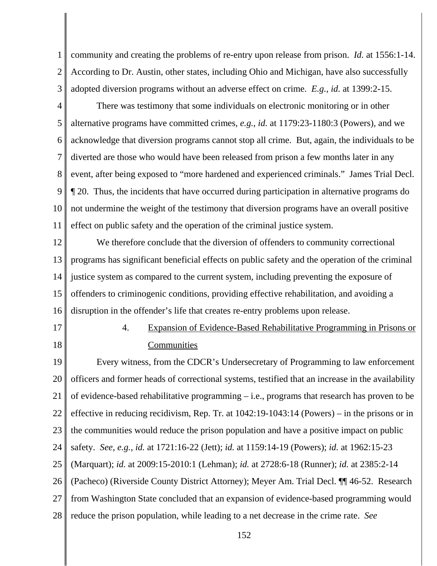1 2 3 community and creating the problems of re-entry upon release from prison. *Id.* at 1556:1-14. According to Dr. Austin, other states, including Ohio and Michigan, have also successfully adopted diversion programs without an adverse effect on crime. *E.g.*, *id.* at 1399:2-15.

4 5 6 7 8 9 10 11 There was testimony that some individuals on electronic monitoring or in other alternative programs have committed crimes, *e.g.*, *id.* at 1179:23-1180:3 (Powers), and we acknowledge that diversion programs cannot stop all crime. But, again, the individuals to be diverted are those who would have been released from prison a few months later in any event, after being exposed to "more hardened and experienced criminals." James Trial Decl. ¶ 20. Thus, the incidents that have occurred during participation in alternative programs do not undermine the weight of the testimony that diversion programs have an overall positive effect on public safety and the operation of the criminal justice system.

12 13 14 15 16 We therefore conclude that the diversion of offenders to community correctional programs has significant beneficial effects on public safety and the operation of the criminal justice system as compared to the current system, including preventing the exposure of offenders to criminogenic conditions, providing effective rehabilitation, and avoiding a disruption in the offender's life that creates re-entry problems upon release.

17 18

# 4. Expansion of Evidence-Based Rehabilitative Programming in Prisons or **Communities**

19 20 21 22 23 24 25 26 27 28 Every witness, from the CDCR's Undersecretary of Programming to law enforcement officers and former heads of correctional systems, testified that an increase in the availability of evidence-based rehabilitative programming – i.e., programs that research has proven to be effective in reducing recidivism, Rep. Tr. at 1042:19-1043:14 (Powers) – in the prisons or in the communities would reduce the prison population and have a positive impact on public safety. *See, e.g.*, *id.* at 1721:16-22 (Jett); *id.* at 1159:14-19 (Powers); *id.* at 1962:15-23 (Marquart); *id.* at 2009:15-2010:1 (Lehman); *id.* at 2728:6-18 (Runner); *id.* at 2385:2-14 (Pacheco) (Riverside County District Attorney); Meyer Am. Trial Decl. ¶¶ 46-52. Research from Washington State concluded that an expansion of evidence-based programming would reduce the prison population, while leading to a net decrease in the crime rate. *See*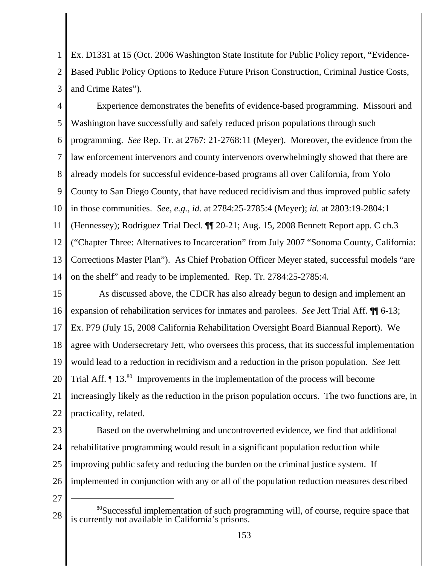1 2 3 Ex. D1331 at 15 (Oct. 2006 Washington State Institute for Public Policy report, "Evidence-Based Public Policy Options to Reduce Future Prison Construction, Criminal Justice Costs, and Crime Rates").

4 5 6 7 8 9 10 11 12 13 14 Experience demonstrates the benefits of evidence-based programming. Missouri and Washington have successfully and safely reduced prison populations through such programming. *See* Rep. Tr. at 2767: 21-2768:11 (Meyer). Moreover, the evidence from the law enforcement intervenors and county intervenors overwhelmingly showed that there are already models for successful evidence-based programs all over California, from Yolo County to San Diego County, that have reduced recidivism and thus improved public safety in those communities. *See, e.g.*, *id.* at 2784:25-2785:4 (Meyer); *id.* at 2803:19-2804:1 (Hennessey); Rodriguez Trial Decl. ¶¶ 20-21; Aug. 15, 2008 Bennett Report app. C ch.3 ("Chapter Three: Alternatives to Incarceration" from July 2007 "Sonoma County, California: Corrections Master Plan"). As Chief Probation Officer Meyer stated, successful models "are on the shelf" and ready to be implemented. Rep. Tr. 2784:25-2785:4.

15 16 17 18 19 20 21 22 As discussed above, the CDCR has also already begun to design and implement an expansion of rehabilitation services for inmates and parolees. *See* Jett Trial Aff. ¶¶ 6-13; Ex. P79 (July 15, 2008 California Rehabilitation Oversight Board Biannual Report). We agree with Undersecretary Jett, who oversees this process, that its successful implementation would lead to a reduction in recidivism and a reduction in the prison population. *See* Jett Trial Aff.  $\P$  13.<sup>80</sup> Improvements in the implementation of the process will become increasingly likely as the reduction in the prison population occurs. The two functions are, in practicality, related.

23

24 25 Based on the overwhelming and uncontroverted evidence, we find that additional rehabilitative programming would result in a significant population reduction while improving public safety and reducing the burden on the criminal justice system. If implemented in conjunction with any or all of the population reduction measures described

<sup>28</sup> 80Successful implementation of such programming will, of course, require space that is currently not available in California's prisons.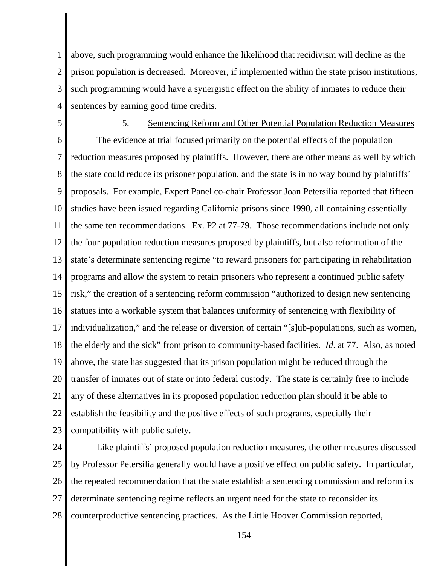1 2 3 4 above, such programming would enhance the likelihood that recidivism will decline as the prison population is decreased. Moreover, if implemented within the state prison institutions, such programming would have a synergistic effect on the ability of inmates to reduce their sentences by earning good time credits.

5

# 5. Sentencing Reform and Other Potential Population Reduction Measures

6 7 8 9 10 11 12 13 14 15 16 17 18 19 20 21 22 23 The evidence at trial focused primarily on the potential effects of the population reduction measures proposed by plaintiffs. However, there are other means as well by which the state could reduce its prisoner population, and the state is in no way bound by plaintiffs' proposals. For example, Expert Panel co-chair Professor Joan Petersilia reported that fifteen studies have been issued regarding California prisons since 1990, all containing essentially the same ten recommendations. Ex. P2 at 77-79. Those recommendations include not only the four population reduction measures proposed by plaintiffs, but also reformation of the state's determinate sentencing regime "to reward prisoners for participating in rehabilitation programs and allow the system to retain prisoners who represent a continued public safety risk," the creation of a sentencing reform commission "authorized to design new sentencing statues into a workable system that balances uniformity of sentencing with flexibility of individualization," and the release or diversion of certain "[s]ub-populations, such as women, the elderly and the sick" from prison to community-based facilities. *Id*. at 77. Also, as noted above, the state has suggested that its prison population might be reduced through the transfer of inmates out of state or into federal custody. The state is certainly free to include any of these alternatives in its proposed population reduction plan should it be able to establish the feasibility and the positive effects of such programs, especially their compatibility with public safety.

24 25 26 27 28 Like plaintiffs' proposed population reduction measures, the other measures discussed by Professor Petersilia generally would have a positive effect on public safety. In particular, the repeated recommendation that the state establish a sentencing commission and reform its determinate sentencing regime reflects an urgent need for the state to reconsider its counterproductive sentencing practices. As the Little Hoover Commission reported,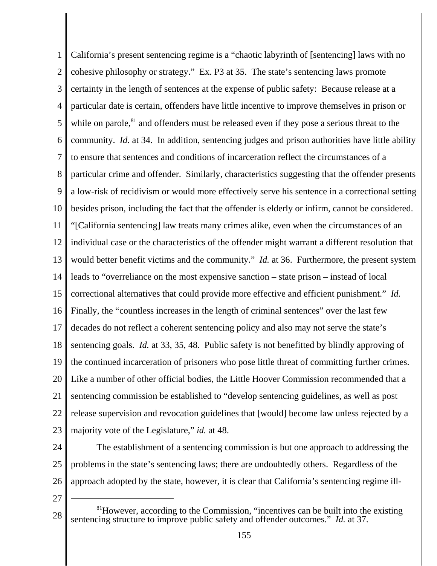1 2 3 4 5 6 7 8 9 10 11 12 13 14 15 16 17 18 19 20 21 22 23 California's present sentencing regime is a "chaotic labyrinth of [sentencing] laws with no cohesive philosophy or strategy." Ex. P3 at 35. The state's sentencing laws promote certainty in the length of sentences at the expense of public safety: Because release at a particular date is certain, offenders have little incentive to improve themselves in prison or while on parole, $81$  and offenders must be released even if they pose a serious threat to the community. *Id.* at 34. In addition, sentencing judges and prison authorities have little ability to ensure that sentences and conditions of incarceration reflect the circumstances of a particular crime and offender. Similarly, characteristics suggesting that the offender presents a low-risk of recidivism or would more effectively serve his sentence in a correctional setting besides prison, including the fact that the offender is elderly or infirm, cannot be considered. "[California sentencing] law treats many crimes alike, even when the circumstances of an individual case or the characteristics of the offender might warrant a different resolution that would better benefit victims and the community." *Id.* at 36. Furthermore, the present system leads to "overreliance on the most expensive sanction – state prison – instead of local correctional alternatives that could provide more effective and efficient punishment." *Id.* Finally, the "countless increases in the length of criminal sentences" over the last few decades do not reflect a coherent sentencing policy and also may not serve the state's sentencing goals. *Id.* at 33, 35, 48. Public safety is not benefitted by blindly approving of the continued incarceration of prisoners who pose little threat of committing further crimes. Like a number of other official bodies, the Little Hoover Commission recommended that a sentencing commission be established to "develop sentencing guidelines, as well as post release supervision and revocation guidelines that [would] become law unless rejected by a majority vote of the Legislature," *id.* at 48.

24 25 26 The establishment of a sentencing commission is but one approach to addressing the problems in the state's sentencing laws; there are undoubtedly others. Regardless of the approach adopted by the state, however, it is clear that California's sentencing regime ill-

<sup>28</sup> <sup>81</sup>However, according to the Commission, "incentives can be built into the existing sentencing structure to improve public safety and offender outcomes." *Id.* at 37.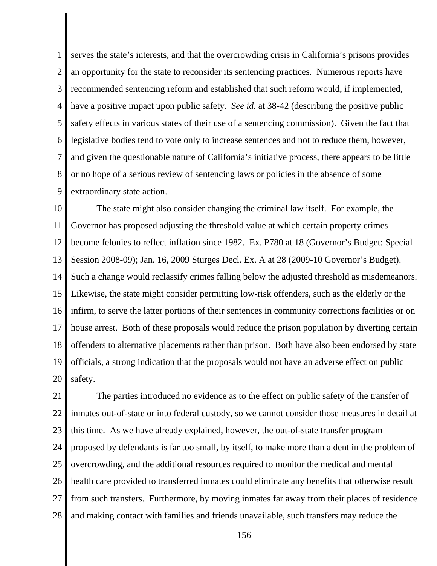1 2 3 4 5 6 7 8 9 serves the state's interests, and that the overcrowding crisis in California's prisons provides an opportunity for the state to reconsider its sentencing practices. Numerous reports have recommended sentencing reform and established that such reform would, if implemented, have a positive impact upon public safety. *See id.* at 38-42 (describing the positive public safety effects in various states of their use of a sentencing commission). Given the fact that legislative bodies tend to vote only to increase sentences and not to reduce them, however, and given the questionable nature of California's initiative process, there appears to be little or no hope of a serious review of sentencing laws or policies in the absence of some extraordinary state action.

10 11 12 13 14 15 16 17 18 19 20 The state might also consider changing the criminal law itself. For example, the Governor has proposed adjusting the threshold value at which certain property crimes become felonies to reflect inflation since 1982. Ex. P780 at 18 (Governor's Budget: Special Session 2008-09); Jan. 16, 2009 Sturges Decl. Ex. A at 28 (2009-10 Governor's Budget). Such a change would reclassify crimes falling below the adjusted threshold as misdemeanors. Likewise, the state might consider permitting low-risk offenders, such as the elderly or the infirm, to serve the latter portions of their sentences in community corrections facilities or on house arrest. Both of these proposals would reduce the prison population by diverting certain offenders to alternative placements rather than prison. Both have also been endorsed by state officials, a strong indication that the proposals would not have an adverse effect on public safety.

21 22 23 24 25 26 27 28 The parties introduced no evidence as to the effect on public safety of the transfer of inmates out-of-state or into federal custody, so we cannot consider those measures in detail at this time. As we have already explained, however, the out-of-state transfer program proposed by defendants is far too small, by itself, to make more than a dent in the problem of overcrowding, and the additional resources required to monitor the medical and mental health care provided to transferred inmates could eliminate any benefits that otherwise result from such transfers. Furthermore, by moving inmates far away from their places of residence and making contact with families and friends unavailable, such transfers may reduce the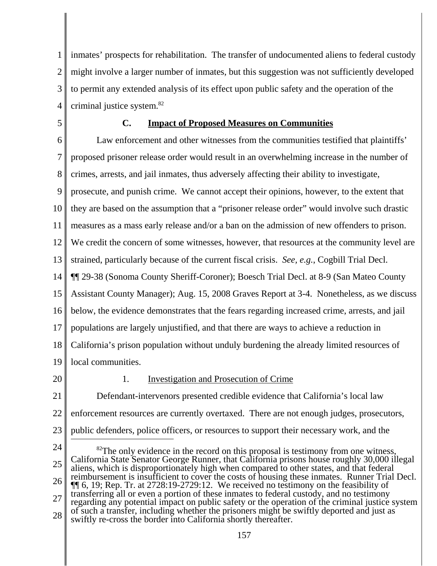1 2 3 4 inmates' prospects for rehabilitation. The transfer of undocumented aliens to federal custody might involve a larger number of inmates, but this suggestion was not sufficiently developed to permit any extended analysis of its effect upon public safety and the operation of the criminal justice system.82

5

## **C. Impact of Proposed Measures on Communities**

6 7 8 9 10 11 12 13 14 15 16 17 18 19 Law enforcement and other witnesses from the communities testified that plaintiffs' proposed prisoner release order would result in an overwhelming increase in the number of crimes, arrests, and jail inmates, thus adversely affecting their ability to investigate, prosecute, and punish crime. We cannot accept their opinions, however, to the extent that they are based on the assumption that a "prisoner release order" would involve such drastic measures as a mass early release and/or a ban on the admission of new offenders to prison. We credit the concern of some witnesses, however, that resources at the community level are strained, particularly because of the current fiscal crisis. *See, e.g.*, Cogbill Trial Decl. ¶¶ 29-38 (Sonoma County Sheriff-Coroner); Boesch Trial Decl. at 8-9 (San Mateo County Assistant County Manager); Aug. 15, 2008 Graves Report at 3-4. Nonetheless, as we discuss below, the evidence demonstrates that the fears regarding increased crime, arrests, and jail populations are largely unjustified, and that there are ways to achieve a reduction in California's prison population without unduly burdening the already limited resources of local communities.

20

### 1. Investigation and Prosecution of Crime

21 22 23 Defendant-intervenors presented credible evidence that California's local law enforcement resources are currently overtaxed. There are not enough judges, prosecutors, public defenders, police officers, or resources to support their necessary work, and the

<sup>24</sup> 25 26 27 28  $82$ The only evidence in the record on this proposal is testimony from one witness, California State Senator George Runner, that California prisons house roughly 30,000 illegal aliens, which is disproportionately high when compared to other states, and that federal reimbursement is insufficient to cover the costs of housing these inmates. Runner Trial Decl. ¶¶ 6, 19; Rep. Tr. at 2728:19-2729:12. We received no testimony on the feasibility of transferring all or even a portion of these inmates to federal custody, and no testimony regarding any potential impact on public safety or the operation of the criminal justice system of such a transfer, including whether the prisoners might be swiftly deported and just as swiftly re-cross the border into California shortly thereafter.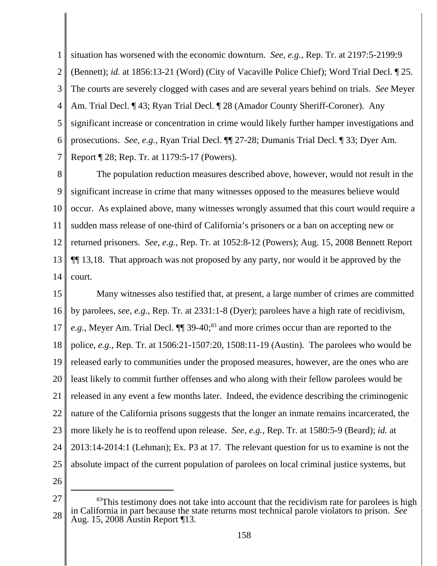1 2 3 4 5 6 7 situation has worsened with the economic downturn. *See, e.g.*, Rep. Tr. at 2197:5-2199:9 (Bennett); *id.* at 1856:13-21 (Word) (City of Vacaville Police Chief); Word Trial Decl. ¶ 25. The courts are severely clogged with cases and are several years behind on trials. *See* Meyer Am. Trial Decl. ¶ 43; Ryan Trial Decl. ¶ 28 (Amador County Sheriff-Coroner). Any significant increase or concentration in crime would likely further hamper investigations and prosecutions. *See, e.g.*, Ryan Trial Decl. ¶¶ 27-28; Dumanis Trial Decl. ¶ 33; Dyer Am. Report ¶ 28; Rep. Tr. at 1179:5-17 (Powers).

8 9 10 11 12 13 14 The population reduction measures described above, however, would not result in the significant increase in crime that many witnesses opposed to the measures believe would occur. As explained above, many witnesses wrongly assumed that this court would require a sudden mass release of one-third of California's prisoners or a ban on accepting new or returned prisoners. *See, e.g.*, Rep. Tr. at 1052:8-12 (Powers); Aug. 15, 2008 Bennett Report ¶¶ 13,18. That approach was not proposed by any party, nor would it be approved by the court.

15 16 17 18 19 20 21 22 23 24 25 Many witnesses also testified that, at present, a large number of crimes are committed by parolees, *see, e.g.*, Rep. Tr. at 2331:1-8 (Dyer); parolees have a high rate of recidivism, *e.g.*, Meyer Am. Trial Decl. **[14** 39-40;<sup>83</sup> and more crimes occur than are reported to the police, *e.g.*, Rep. Tr. at 1506:21-1507:20, 1508:11-19 (Austin). The parolees who would be released early to communities under the proposed measures, however, are the ones who are least likely to commit further offenses and who along with their fellow parolees would be released in any event a few months later. Indeed, the evidence describing the criminogenic nature of the California prisons suggests that the longer an inmate remains incarcerated, the more likely he is to reoffend upon release. *See*, *e.g.*, Rep. Tr. at 1580:5-9 (Beard); *id.* at 2013:14-2014:1 (Lehman); Ex. P3 at 17. The relevant question for us to examine is not the absolute impact of the current population of parolees on local criminal justice systems, but

<sup>27</sup> 28 <sup>83</sup>This testimony does not take into account that the recidivism rate for parolees is high in California in part because the state returns most technical parole violators to prison. *See* Aug. 15, 2008 Austin Report ¶13.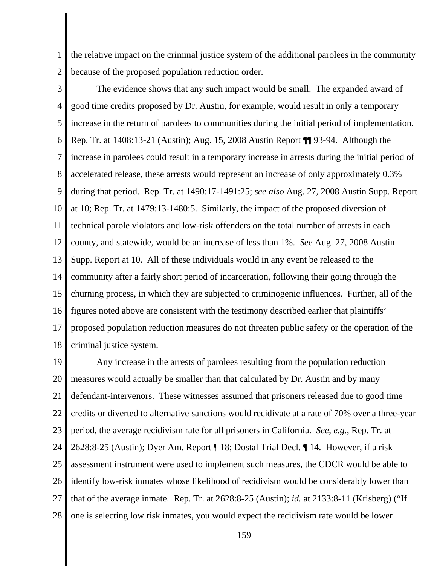1 2 the relative impact on the criminal justice system of the additional parolees in the community because of the proposed population reduction order.

3 4 5 6 7 8 9 10 11 12 13 14 15 16 17 18 The evidence shows that any such impact would be small. The expanded award of good time credits proposed by Dr. Austin, for example, would result in only a temporary increase in the return of parolees to communities during the initial period of implementation. Rep. Tr. at 1408:13-21 (Austin); Aug. 15, 2008 Austin Report ¶¶ 93-94. Although the increase in parolees could result in a temporary increase in arrests during the initial period of accelerated release, these arrests would represent an increase of only approximately 0.3% during that period. Rep. Tr. at 1490:17-1491:25; *see also* Aug. 27, 2008 Austin Supp. Report at 10; Rep. Tr. at 1479:13-1480:5. Similarly, the impact of the proposed diversion of technical parole violators and low-risk offenders on the total number of arrests in each county, and statewide, would be an increase of less than 1%. *See* Aug. 27, 2008 Austin Supp. Report at 10. All of these individuals would in any event be released to the community after a fairly short period of incarceration, following their going through the churning process, in which they are subjected to criminogenic influences. Further, all of the figures noted above are consistent with the testimony described earlier that plaintiffs' proposed population reduction measures do not threaten public safety or the operation of the criminal justice system.

19 20 21 22 23 24 25 26 27 28 Any increase in the arrests of parolees resulting from the population reduction measures would actually be smaller than that calculated by Dr. Austin and by many defendant-intervenors. These witnesses assumed that prisoners released due to good time credits or diverted to alternative sanctions would recidivate at a rate of 70% over a three-year period, the average recidivism rate for all prisoners in California. *See, e.g.*, Rep. Tr. at 2628:8-25 (Austin); Dyer Am. Report ¶ 18; Dostal Trial Decl. ¶ 14. However, if a risk assessment instrument were used to implement such measures, the CDCR would be able to identify low-risk inmates whose likelihood of recidivism would be considerably lower than that of the average inmate. Rep. Tr. at 2628:8-25 (Austin); *id.* at 2133:8-11 (Krisberg) ("If one is selecting low risk inmates, you would expect the recidivism rate would be lower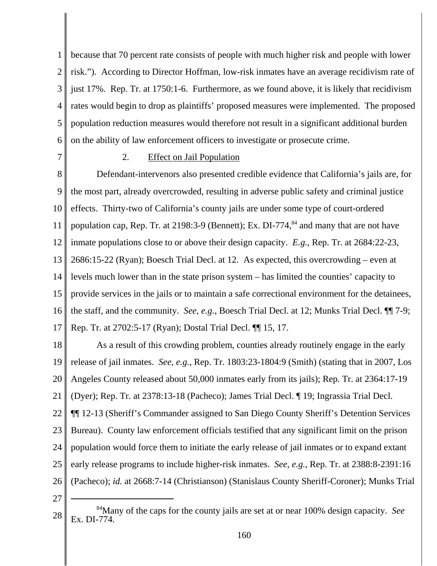1 2 3 4 5 6 because that 70 percent rate consists of people with much higher risk and people with lower risk."). According to Director Hoffman, low-risk inmates have an average recidivism rate of just 17%. Rep. Tr. at 1750:1-6. Furthermore, as we found above, it is likely that recidivism rates would begin to drop as plaintiffs' proposed measures were implemented. The proposed population reduction measures would therefore not result in a significant additional burden on the ability of law enforcement officers to investigate or prosecute crime.

7

## 2. Effect on Jail Population

8 9 10 11 12 13 14 15 16 17 Defendant-intervenors also presented credible evidence that California's jails are, for the most part, already overcrowded, resulting in adverse public safety and criminal justice effects. Thirty-two of California's county jails are under some type of court-ordered population cap, Rep. Tr. at 2198:3-9 (Bennett); Ex. DI-774, $^{84}$  and many that are not have inmate populations close to or above their design capacity. *E.g.*, Rep. Tr. at 2684:22-23, 2686:15-22 (Ryan); Boesch Trial Decl. at 12. As expected, this overcrowding – even at levels much lower than in the state prison system – has limited the counties' capacity to provide services in the jails or to maintain a safe correctional environment for the detainees, the staff, and the community. *See, e.g.*, Boesch Trial Decl. at 12; Munks Trial Decl. ¶¶ 7-9; Rep. Tr. at 2702:5-17 (Ryan); Dostal Trial Decl. ¶¶ 15, 17.

18 19 20 21 22 23 24 25 26 As a result of this crowding problem, counties already routinely engage in the early release of jail inmates. *See, e.g.*, Rep. Tr. 1803:23-1804:9 (Smith) (stating that in 2007, Los Angeles County released about 50,000 inmates early from its jails); Rep. Tr. at 2364:17-19 (Dyer); Rep. Tr. at 2378:13-18 (Pacheco); James Trial Decl. ¶ 19; Ingrassia Trial Decl. ¶¶ 12-13 (Sheriff's Commander assigned to San Diego County Sheriff's Detention Services Bureau). County law enforcement officials testified that any significant limit on the prison population would force them to initiate the early release of jail inmates or to expand extant early release programs to include higher-risk inmates. *See, e.g.*, Rep. Tr. at 2388:8-2391:16 (Pacheco); *id.* at 2668:7-14 (Christianson) (Stanislaus County Sheriff-Coroner); Munks Trial

<sup>28</sup> 84Many of the caps for the county jails are set at or near 100% design capacity. *See* Ex. DI-774.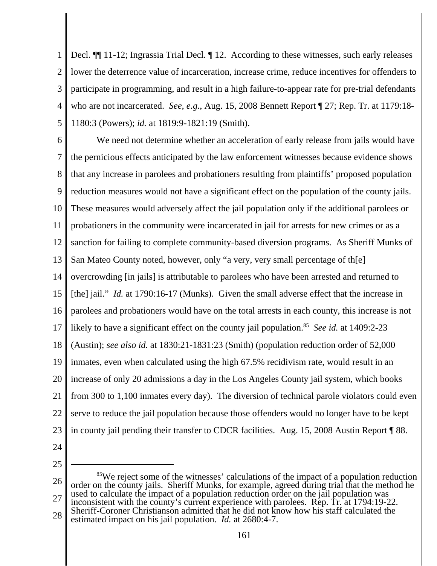1 2 3 4 5 Decl.  $\P$  11-12; Ingrassia Trial Decl.  $\P$  12. According to these witnesses, such early releases lower the deterrence value of incarceration, increase crime, reduce incentives for offenders to participate in programming, and result in a high failure-to-appear rate for pre-trial defendants who are not incarcerated. *See, e.g.*, Aug. 15, 2008 Bennett Report ¶ 27; Rep. Tr. at 1179:18- 1180:3 (Powers); *id.* at 1819:9-1821:19 (Smith).

6 7 8 9 10 11 12 13 14 15 16 17 18 19 20 21 22 23 We need not determine whether an acceleration of early release from jails would have the pernicious effects anticipated by the law enforcement witnesses because evidence shows that any increase in parolees and probationers resulting from plaintiffs' proposed population reduction measures would not have a significant effect on the population of the county jails. These measures would adversely affect the jail population only if the additional parolees or probationers in the community were incarcerated in jail for arrests for new crimes or as a sanction for failing to complete community-based diversion programs. As Sheriff Munks of San Mateo County noted, however, only "a very, very small percentage of th[e] overcrowding [in jails] is attributable to parolees who have been arrested and returned to [the] jail." *Id.* at 1790:16-17 (Munks). Given the small adverse effect that the increase in parolees and probationers would have on the total arrests in each county, this increase is not likely to have a significant effect on the county jail population.<sup>85</sup> *See id.* at 1409:2-23 (Austin); *see also id.* at 1830:21-1831:23 (Smith) (population reduction order of 52,000 inmates, even when calculated using the high 67.5% recidivism rate, would result in an increase of only 20 admissions a day in the Los Angeles County jail system, which books from 300 to 1,100 inmates every day). The diversion of technical parole violators could even serve to reduce the jail population because those offenders would no longer have to be kept in county jail pending their transfer to CDCR facilities. Aug. 15, 2008 Austin Report ¶ 88.

24

<sup>26</sup> 27 <sup>85</sup>We reject some of the witnesses' calculations of the impact of a population reduction order on the county jails. Sheriff Munks, for example, agreed during trial that the method he used to calculate the impact of a population reduction order on the jail population was inconsistent with the county's current experience with parolees. Rep. Tr. at 1794:19-22. Sheriff-Coroner Christianson admitted that he did not know how his staff calculated the

<sup>28</sup> estimated impact on his jail population. *Id.* at 2680:4-7.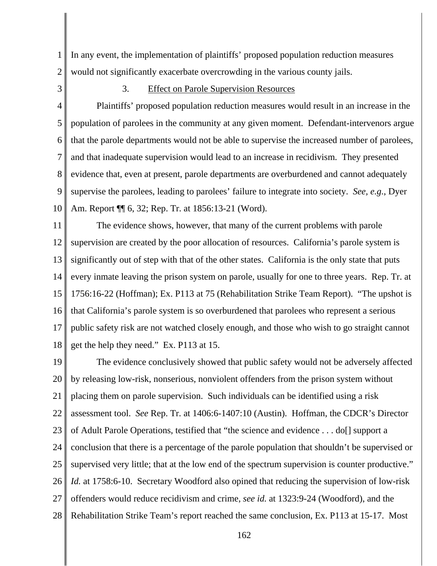1 2 In any event, the implementation of plaintiffs' proposed population reduction measures would not significantly exacerbate overcrowding in the various county jails.

3

# 3. Effect on Parole Supervision Resources

4 5 6 7 8 9 10 Plaintiffs' proposed population reduction measures would result in an increase in the population of parolees in the community at any given moment. Defendant-intervenors argue that the parole departments would not be able to supervise the increased number of parolees, and that inadequate supervision would lead to an increase in recidivism. They presented evidence that, even at present, parole departments are overburdened and cannot adequately supervise the parolees, leading to parolees' failure to integrate into society. *See, e.g.*, Dyer Am. Report ¶¶ 6, 32; Rep. Tr. at 1856:13-21 (Word).

11 12 13 14 15 16 17 18 The evidence shows, however, that many of the current problems with parole supervision are created by the poor allocation of resources. California's parole system is significantly out of step with that of the other states. California is the only state that puts every inmate leaving the prison system on parole, usually for one to three years. Rep. Tr. at 1756:16-22 (Hoffman); Ex. P113 at 75 (Rehabilitation Strike Team Report). "The upshot is that California's parole system is so overburdened that parolees who represent a serious public safety risk are not watched closely enough, and those who wish to go straight cannot get the help they need." Ex. P113 at 15.

19 20 21 22 23 24 25 26 27 28 The evidence conclusively showed that public safety would not be adversely affected by releasing low-risk, nonserious, nonviolent offenders from the prison system without placing them on parole supervision. Such individuals can be identified using a risk assessment tool. *See* Rep. Tr. at 1406:6-1407:10 (Austin). Hoffman, the CDCR's Director of Adult Parole Operations, testified that "the science and evidence . . . do[] support a conclusion that there is a percentage of the parole population that shouldn't be supervised or supervised very little; that at the low end of the spectrum supervision is counter productive." *Id.* at 1758:6-10. Secretary Woodford also opined that reducing the supervision of low-risk offenders would reduce recidivism and crime, *see id.* at 1323:9-24 (Woodford), and the Rehabilitation Strike Team's report reached the same conclusion, Ex. P113 at 15-17. Most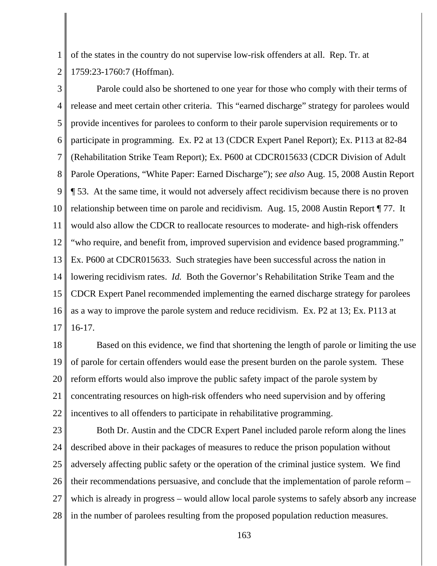1 2 of the states in the country do not supervise low-risk offenders at all. Rep. Tr. at 1759:23-1760:7 (Hoffman).

3 4 5 6 7 8 9 10 11 12 13 14 15 16 17 Parole could also be shortened to one year for those who comply with their terms of release and meet certain other criteria. This "earned discharge" strategy for parolees would provide incentives for parolees to conform to their parole supervision requirements or to participate in programming. Ex. P2 at 13 (CDCR Expert Panel Report); Ex. P113 at 82-84 (Rehabilitation Strike Team Report); Ex. P600 at CDCR015633 (CDCR Division of Adult Parole Operations, "White Paper: Earned Discharge"); *see also* Aug. 15, 2008 Austin Report ¶ 53. At the same time, it would not adversely affect recidivism because there is no proven relationship between time on parole and recidivism. Aug. 15, 2008 Austin Report ¶ 77. It would also allow the CDCR to reallocate resources to moderate- and high-risk offenders "who require, and benefit from, improved supervision and evidence based programming." Ex. P600 at CDCR015633. Such strategies have been successful across the nation in lowering recidivism rates. *Id.* Both the Governor's Rehabilitation Strike Team and the CDCR Expert Panel recommended implementing the earned discharge strategy for parolees as a way to improve the parole system and reduce recidivism. Ex. P2 at 13; Ex. P113 at 16-17.

18 19 20 21 22 Based on this evidence, we find that shortening the length of parole or limiting the use of parole for certain offenders would ease the present burden on the parole system. These reform efforts would also improve the public safety impact of the parole system by concentrating resources on high-risk offenders who need supervision and by offering incentives to all offenders to participate in rehabilitative programming.

23 24 25 26 27 28 Both Dr. Austin and the CDCR Expert Panel included parole reform along the lines described above in their packages of measures to reduce the prison population without adversely affecting public safety or the operation of the criminal justice system. We find their recommendations persuasive, and conclude that the implementation of parole reform – which is already in progress – would allow local parole systems to safely absorb any increase in the number of parolees resulting from the proposed population reduction measures.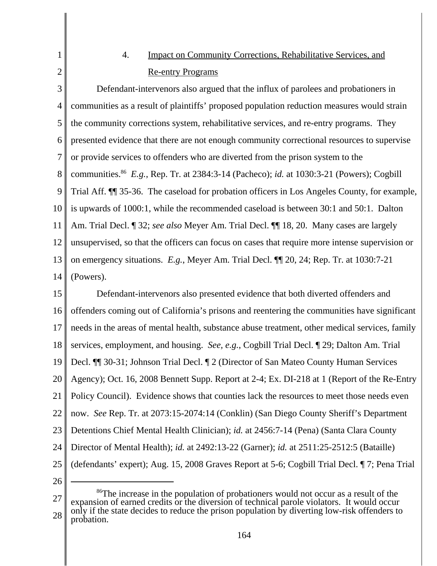# 4. Impact on Community Corrections, Rehabilitative Services, and Re-entry Programs

3 4 5 6 7 8 9 10 11 12 13 14 Defendant-intervenors also argued that the influx of parolees and probationers in communities as a result of plaintiffs' proposed population reduction measures would strain the community corrections system, rehabilitative services, and re-entry programs. They presented evidence that there are not enough community correctional resources to supervise or provide services to offenders who are diverted from the prison system to the communities.<sup>86</sup> *E.g.*, Rep. Tr. at 2384:3-14 (Pacheco); *id.* at 1030:3-21 (Powers); Cogbill Trial Aff. ¶¶ 35-36. The caseload for probation officers in Los Angeles County, for example, is upwards of 1000:1, while the recommended caseload is between 30:1 and 50:1. Dalton Am. Trial Decl. ¶ 32; *see also* Meyer Am. Trial Decl. ¶¶ 18, 20. Many cases are largely unsupervised, so that the officers can focus on cases that require more intense supervision or on emergency situations. *E.g.*, Meyer Am. Trial Decl. ¶¶ 20, 24; Rep. Tr. at 1030:7-21 (Powers).

15 16 17 18 19 20 21 22 23 24 25 Defendant-intervenors also presented evidence that both diverted offenders and offenders coming out of California's prisons and reentering the communities have significant needs in the areas of mental health, substance abuse treatment, other medical services, family services, employment, and housing. *See, e.g.*, Cogbill Trial Decl. ¶ 29; Dalton Am. Trial Decl. ¶¶ 30-31; Johnson Trial Decl. ¶ 2 (Director of San Mateo County Human Services Agency); Oct. 16, 2008 Bennett Supp. Report at 2-4; Ex. DI-218 at 1 (Report of the Re-Entry Policy Council). Evidence shows that counties lack the resources to meet those needs even now. *See* Rep. Tr. at 2073:15-2074:14 (Conklin) (San Diego County Sheriff's Department Detentions Chief Mental Health Clinician); *id.* at 2456:7-14 (Pena) (Santa Clara County Director of Mental Health); *id.* at 2492:13-22 (Garner); *id.* at 2511:25-2512:5 (Bataille) (defendants' expert); Aug. 15, 2008 Graves Report at 5-6; Cogbill Trial Decl. ¶ 7; Pena Trial

26

1

<sup>27</sup> 28 <sup>86</sup>The increase in the population of probationers would not occur as a result of the expansion of earned credits or the diversion of technical parole violators. It would occur only if the state decides to reduce the prison population by diverting low-risk offenders to probation.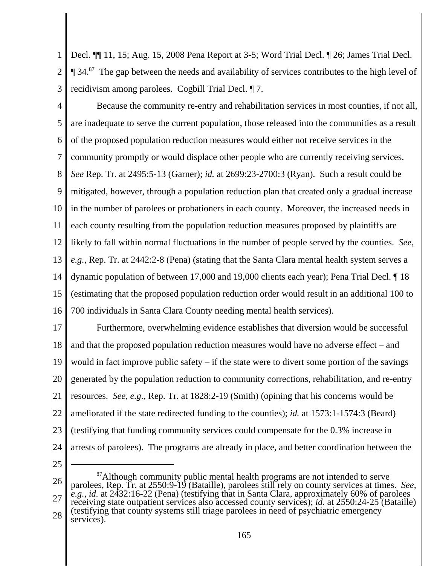1 2 3 Decl. ¶¶ 11, 15; Aug. 15, 2008 Pena Report at 3-5; Word Trial Decl. ¶ 26; James Trial Decl.  $\P$  34.<sup>87</sup> The gap between the needs and availability of services contributes to the high level of recidivism among parolees. Cogbill Trial Decl. ¶ 7.

Because the community re-entry and rehabilitation services in most counties, if not all, are inadequate to serve the current population, those released into the communities as a result of the proposed population reduction measures would either not receive services in the

7 community promptly or would displace other people who are currently receiving services.

8 *See* Rep. Tr. at 2495:5-13 (Garner); *id.* at 2699:23-2700:3 (Ryan). Such a result could be

9 mitigated, however, through a population reduction plan that created only a gradual increase

10 in the number of parolees or probationers in each county. Moreover, the increased needs in

11 each county resulting from the population reduction measures proposed by plaintiffs are

12 likely to fall within normal fluctuations in the number of people served by the counties. *See,*

13 *e.g.*, Rep. Tr. at 2442:2-8 (Pena) (stating that the Santa Clara mental health system serves a

14 dynamic population of between 17,000 and 19,000 clients each year); Pena Trial Decl. ¶ 18

15 16 (estimating that the proposed population reduction order would result in an additional 100 to 700 individuals in Santa Clara County needing mental health services).

17 18 19 20 21 22 23 24 Furthermore, overwhelming evidence establishes that diversion would be successful and that the proposed population reduction measures would have no adverse effect – and would in fact improve public safety  $-$  if the state were to divert some portion of the savings generated by the population reduction to community corrections, rehabilitation, and re-entry resources. *See, e.g.*, Rep. Tr. at 1828:2-19 (Smith) (opining that his concerns would be ameliorated if the state redirected funding to the counties); *id.* at 1573:1-1574:3 (Beard) (testifying that funding community services could compensate for the 0.3% increase in arrests of parolees). The programs are already in place, and better coordination between the

25

4

5

6

26 27 28 <sup>87</sup>Although community public mental health programs are not intended to serve parolees, Rep. Tr. at 2550:9-19 (Bataille), parolees still rely on county services at times. *See, e.g.*, *id.* at 2432:16-22 (Pena) (testifying that in Santa Clara, approximately 60% of parolees receiving state outpatient services also accessed county services); *id.* at 2550:24-25 (Bataille) (testifying that county systems still triage parolees in need of psychiatric emergency services).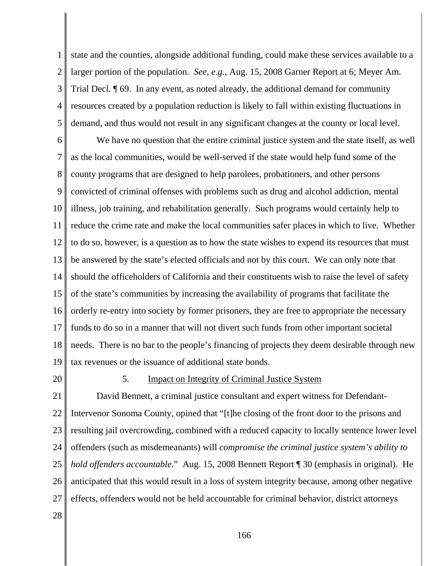1 2 3 4 5 state and the counties, alongside additional funding, could make these services available to a larger portion of the population. *See, e.g.*, Aug. 15, 2008 Garner Report at 6; Meyer Am. Trial Decl. ¶ 69. In any event, as noted already, the additional demand for community resources created by a population reduction is likely to fall within existing fluctuations in demand, and thus would not result in any significant changes at the county or local level.

6 7 8 9 10 11 12 13 14 15 16 17 18 19 We have no question that the entire criminal justice system and the state itself, as well as the local communities, would be well-served if the state would help fund some of the county programs that are designed to help parolees, probationers, and other persons convicted of criminal offenses with problems such as drug and alcohol addiction, mental illness, job training, and rehabilitation generally. Such programs would certainly help to reduce the crime rate and make the local communities safer places in which to live. Whether to do so, however, is a question as to how the state wishes to expend its resources that must be answered by the state's elected officials and not by this court. We can only note that should the officeholders of California and their constituents wish to raise the level of safety of the state's communities by increasing the availability of programs that facilitate the orderly re-entry into society by former prisoners, they are free to appropriate the necessary funds to do so in a manner that will not divert such funds from other important societal needs. There is no bar to the people's financing of projects they deem desirable through new tax revenues or the issuance of additional state bonds.

20

### 5. Impact on Integrity of Criminal Justice System

21 22 23 24 25 26 27 David Bennett, a criminal justice consultant and expert witness for Defendant-Intervenor Sonoma County, opined that "[t]he closing of the front door to the prisons and resulting jail overcrowding, combined with a reduced capacity to locally sentence lower level offenders (such as misdemeanants) will *compromise the criminal justice system's ability to hold offenders accountable*." Aug. 15, 2008 Bennett Report ¶ 30 (emphasis in original). He anticipated that this would result in a loss of system integrity because, among other negative effects, offenders would not be held accountable for criminal behavior, district attorneys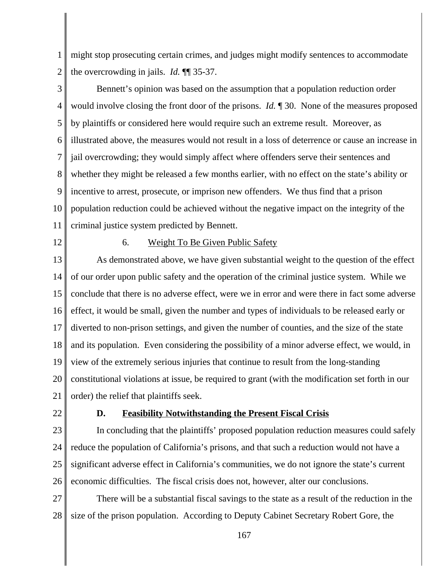1 2 might stop prosecuting certain crimes, and judges might modify sentences to accommodate the overcrowding in jails. *Id.* ¶¶ 35-37.

3 4 5 6 7 8 9 10 11 Bennett's opinion was based on the assumption that a population reduction order would involve closing the front door of the prisons. *Id.* ¶ 30. None of the measures proposed by plaintiffs or considered here would require such an extreme result. Moreover, as illustrated above, the measures would not result in a loss of deterrence or cause an increase in jail overcrowding; they would simply affect where offenders serve their sentences and whether they might be released a few months earlier, with no effect on the state's ability or incentive to arrest, prosecute, or imprison new offenders. We thus find that a prison population reduction could be achieved without the negative impact on the integrity of the criminal justice system predicted by Bennett.

12

# 6. Weight To Be Given Public Safety

13 14 15 16 17 18 19 20 21 As demonstrated above, we have given substantial weight to the question of the effect of our order upon public safety and the operation of the criminal justice system. While we conclude that there is no adverse effect, were we in error and were there in fact some adverse effect, it would be small, given the number and types of individuals to be released early or diverted to non-prison settings, and given the number of counties, and the size of the state and its population. Even considering the possibility of a minor adverse effect, we would, in view of the extremely serious injuries that continue to result from the long-standing constitutional violations at issue, be required to grant (with the modification set forth in our order) the relief that plaintiffs seek.

22

### **D. Feasibility Notwithstanding the Present Fiscal Crisis**

23 24 25 26 In concluding that the plaintiffs' proposed population reduction measures could safely reduce the population of California's prisons, and that such a reduction would not have a significant adverse effect in California's communities, we do not ignore the state's current economic difficulties. The fiscal crisis does not, however, alter our conclusions.

27 28 There will be a substantial fiscal savings to the state as a result of the reduction in the size of the prison population. According to Deputy Cabinet Secretary Robert Gore, the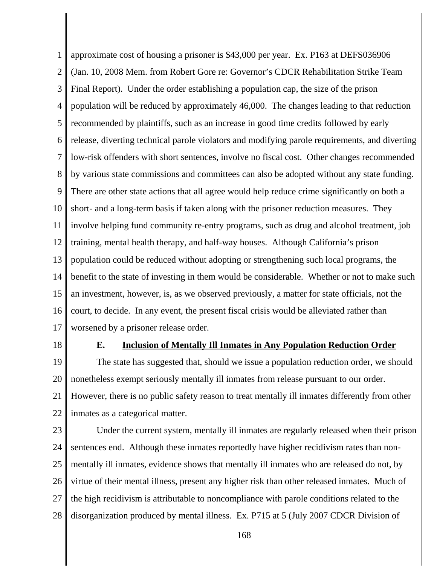1 2 3 4 5 6 7 8 9 10 11 12 13 14 15 16 17 approximate cost of housing a prisoner is \$43,000 per year. Ex. P163 at DEFS036906 (Jan. 10, 2008 Mem. from Robert Gore re: Governor's CDCR Rehabilitation Strike Team Final Report). Under the order establishing a population cap, the size of the prison population will be reduced by approximately 46,000. The changes leading to that reduction recommended by plaintiffs, such as an increase in good time credits followed by early release, diverting technical parole violators and modifying parole requirements, and diverting low-risk offenders with short sentences, involve no fiscal cost. Other changes recommended by various state commissions and committees can also be adopted without any state funding. There are other state actions that all agree would help reduce crime significantly on both a short- and a long-term basis if taken along with the prisoner reduction measures. They involve helping fund community re-entry programs, such as drug and alcohol treatment, job training, mental health therapy, and half-way houses. Although California's prison population could be reduced without adopting or strengthening such local programs, the benefit to the state of investing in them would be considerable. Whether or not to make such an investment, however, is, as we observed previously, a matter for state officials, not the court, to decide. In any event, the present fiscal crisis would be alleviated rather than worsened by a prisoner release order.

18

#### **E. Inclusion of Mentally Ill Inmates in Any Population Reduction Order**

19 20 21 22 The state has suggested that, should we issue a population reduction order, we should nonetheless exempt seriously mentally ill inmates from release pursuant to our order. However, there is no public safety reason to treat mentally ill inmates differently from other inmates as a categorical matter.

23 24 25 26 27 28 Under the current system, mentally ill inmates are regularly released when their prison sentences end. Although these inmates reportedly have higher recidivism rates than nonmentally ill inmates, evidence shows that mentally ill inmates who are released do not, by virtue of their mental illness, present any higher risk than other released inmates. Much of the high recidivism is attributable to noncompliance with parole conditions related to the disorganization produced by mental illness. Ex. P715 at 5 (July 2007 CDCR Division of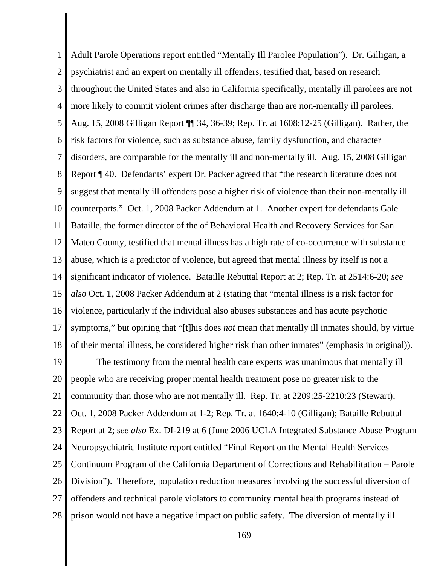1 2 3 4 5 6 7 8 9 10 11 12 13 14 15 16 17 18 Adult Parole Operations report entitled "Mentally Ill Parolee Population"). Dr. Gilligan, a psychiatrist and an expert on mentally ill offenders, testified that, based on research throughout the United States and also in California specifically, mentally ill parolees are not more likely to commit violent crimes after discharge than are non-mentally ill parolees. Aug. 15, 2008 Gilligan Report ¶¶ 34, 36-39; Rep. Tr. at 1608:12-25 (Gilligan). Rather, the risk factors for violence, such as substance abuse, family dysfunction, and character disorders, are comparable for the mentally ill and non-mentally ill. Aug. 15, 2008 Gilligan Report ¶ 40. Defendants' expert Dr. Packer agreed that "the research literature does not suggest that mentally ill offenders pose a higher risk of violence than their non-mentally ill counterparts." Oct. 1, 2008 Packer Addendum at 1. Another expert for defendants Gale Bataille, the former director of the of Behavioral Health and Recovery Services for San Mateo County, testified that mental illness has a high rate of co-occurrence with substance abuse, which is a predictor of violence, but agreed that mental illness by itself is not a significant indicator of violence. Bataille Rebuttal Report at 2; Rep. Tr. at 2514:6-20; *see also* Oct. 1, 2008 Packer Addendum at 2 (stating that "mental illness is a risk factor for violence, particularly if the individual also abuses substances and has acute psychotic symptoms," but opining that "[t]his does *not* mean that mentally ill inmates should, by virtue of their mental illness, be considered higher risk than other inmates" (emphasis in original)).

19 20 21 22 23 24 25 26 27 28 The testimony from the mental health care experts was unanimous that mentally ill people who are receiving proper mental health treatment pose no greater risk to the community than those who are not mentally ill. Rep. Tr. at 2209:25-2210:23 (Stewart); Oct. 1, 2008 Packer Addendum at 1-2; Rep. Tr. at 1640:4-10 (Gilligan); Bataille Rebuttal Report at 2; *see also* Ex. DI-219 at 6 (June 2006 UCLA Integrated Substance Abuse Program Neuropsychiatric Institute report entitled "Final Report on the Mental Health Services Continuum Program of the California Department of Corrections and Rehabilitation – Parole Division"). Therefore, population reduction measures involving the successful diversion of offenders and technical parole violators to community mental health programs instead of prison would not have a negative impact on public safety. The diversion of mentally ill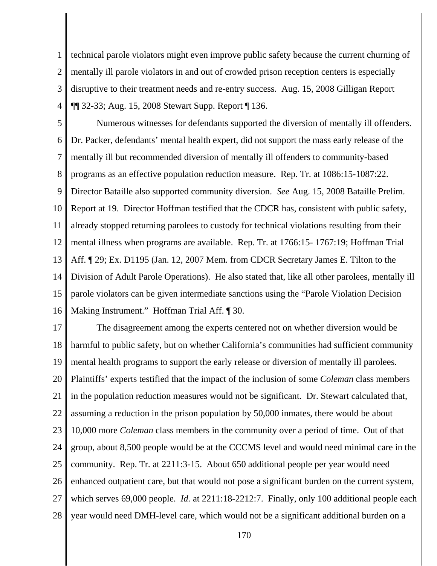1 2 3 4 technical parole violators might even improve public safety because the current churning of mentally ill parole violators in and out of crowded prison reception centers is especially disruptive to their treatment needs and re-entry success. Aug. 15, 2008 Gilligan Report ¶¶ 32-33; Aug. 15, 2008 Stewart Supp. Report ¶ 136.

5 6 7 8 9 10 11 12 13 14 15 16 Numerous witnesses for defendants supported the diversion of mentally ill offenders. Dr. Packer, defendants' mental health expert, did not support the mass early release of the mentally ill but recommended diversion of mentally ill offenders to community-based programs as an effective population reduction measure. Rep. Tr. at 1086:15-1087:22. Director Bataille also supported community diversion. *See* Aug. 15, 2008 Bataille Prelim. Report at 19. Director Hoffman testified that the CDCR has, consistent with public safety, already stopped returning parolees to custody for technical violations resulting from their mental illness when programs are available. Rep. Tr. at 1766:15- 1767:19; Hoffman Trial Aff. ¶ 29; Ex. D1195 (Jan. 12, 2007 Mem. from CDCR Secretary James E. Tilton to the Division of Adult Parole Operations). He also stated that, like all other parolees, mentally ill parole violators can be given intermediate sanctions using the "Parole Violation Decision Making Instrument." Hoffman Trial Aff. ¶ 30.

17 18 19 20 21 22 23 24 25 26 27 28 The disagreement among the experts centered not on whether diversion would be harmful to public safety, but on whether California's communities had sufficient community mental health programs to support the early release or diversion of mentally ill parolees. Plaintiffs' experts testified that the impact of the inclusion of some *Coleman* class members in the population reduction measures would not be significant. Dr. Stewart calculated that, assuming a reduction in the prison population by 50,000 inmates, there would be about 10,000 more *Coleman* class members in the community over a period of time. Out of that group, about 8,500 people would be at the CCCMS level and would need minimal care in the community. Rep. Tr. at 2211:3-15. About 650 additional people per year would need enhanced outpatient care, but that would not pose a significant burden on the current system, which serves 69,000 people. *Id.* at 2211:18-2212:7. Finally, only 100 additional people each year would need DMH-level care, which would not be a significant additional burden on a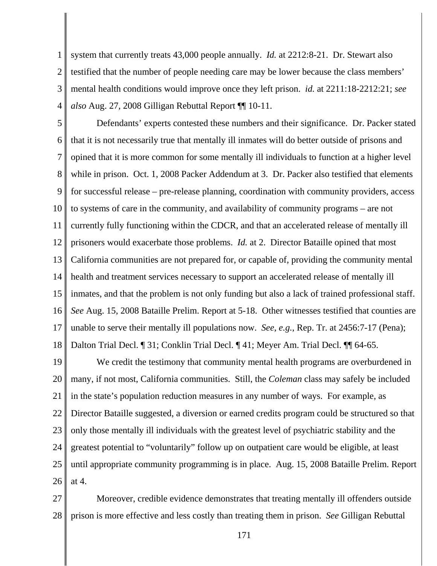1 2 3 4 system that currently treats 43,000 people annually. *Id.* at 2212:8-21. Dr. Stewart also testified that the number of people needing care may be lower because the class members' mental health conditions would improve once they left prison. *id.* at 2211:18-2212:21; *see also* Aug. 27, 2008 Gilligan Rebuttal Report ¶¶ 10-11.

5 6 7 8 9 10 11 12 13 14 15 16 17 18 Defendants' experts contested these numbers and their significance. Dr. Packer stated that it is not necessarily true that mentally ill inmates will do better outside of prisons and opined that it is more common for some mentally ill individuals to function at a higher level while in prison. Oct. 1, 2008 Packer Addendum at 3. Dr. Packer also testified that elements for successful release – pre-release planning, coordination with community providers, access to systems of care in the community, and availability of community programs – are not currently fully functioning within the CDCR, and that an accelerated release of mentally ill prisoners would exacerbate those problems. *Id.* at 2. Director Bataille opined that most California communities are not prepared for, or capable of, providing the community mental health and treatment services necessary to support an accelerated release of mentally ill inmates, and that the problem is not only funding but also a lack of trained professional staff. *See* Aug. 15, 2008 Bataille Prelim. Report at 5-18. Other witnesses testified that counties are unable to serve their mentally ill populations now. *See, e.g.*, Rep. Tr. at 2456:7-17 (Pena); Dalton Trial Decl. ¶ 31; Conklin Trial Decl. ¶ 41; Meyer Am. Trial Decl. ¶¶ 64-65.

19 20 21 22 23 24 25 26 We credit the testimony that community mental health programs are overburdened in many, if not most, California communities. Still, the *Coleman* class may safely be included in the state's population reduction measures in any number of ways. For example, as Director Bataille suggested, a diversion or earned credits program could be structured so that only those mentally ill individuals with the greatest level of psychiatric stability and the greatest potential to "voluntarily" follow up on outpatient care would be eligible, at least until appropriate community programming is in place. Aug. 15, 2008 Bataille Prelim. Report at 4.

27 28 Moreover, credible evidence demonstrates that treating mentally ill offenders outside prison is more effective and less costly than treating them in prison. *See* Gilligan Rebuttal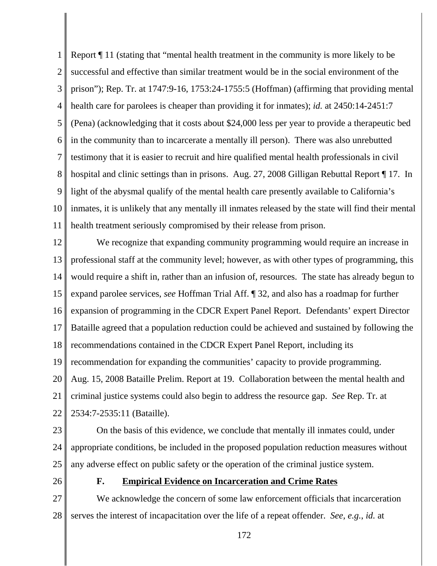1 2 3 4 5 6 7 8 9 10 11 Report ¶ 11 (stating that "mental health treatment in the community is more likely to be successful and effective than similar treatment would be in the social environment of the prison"); Rep. Tr. at 1747:9-16, 1753:24-1755:5 (Hoffman) (affirming that providing mental health care for parolees is cheaper than providing it for inmates); *id.* at 2450:14-2451:7 (Pena) (acknowledging that it costs about \$24,000 less per year to provide a therapeutic bed in the community than to incarcerate a mentally ill person). There was also unrebutted testimony that it is easier to recruit and hire qualified mental health professionals in civil hospital and clinic settings than in prisons. Aug. 27, 2008 Gilligan Rebuttal Report ¶ 17. In light of the abysmal qualify of the mental health care presently available to California's inmates, it is unlikely that any mentally ill inmates released by the state will find their mental health treatment seriously compromised by their release from prison.

12 13 14 15 16 17 18 19 20 21 22 We recognize that expanding community programming would require an increase in professional staff at the community level; however, as with other types of programming, this would require a shift in, rather than an infusion of, resources. The state has already begun to expand parolee services, *see* Hoffman Trial Aff. ¶ 32, and also has a roadmap for further expansion of programming in the CDCR Expert Panel Report. Defendants' expert Director Bataille agreed that a population reduction could be achieved and sustained by following the recommendations contained in the CDCR Expert Panel Report, including its recommendation for expanding the communities' capacity to provide programming. Aug. 15, 2008 Bataille Prelim. Report at 19. Collaboration between the mental health and criminal justice systems could also begin to address the resource gap. *See* Rep. Tr. at 2534:7-2535:11 (Bataille).

23

24 25 On the basis of this evidence, we conclude that mentally ill inmates could, under appropriate conditions, be included in the proposed population reduction measures without any adverse effect on public safety or the operation of the criminal justice system.

26

# **F. Empirical Evidence on Incarceration and Crime Rates**

27 28 We acknowledge the concern of some law enforcement officials that incarceration serves the interest of incapacitation over the life of a repeat offender. *See, e.g.*, *id.* at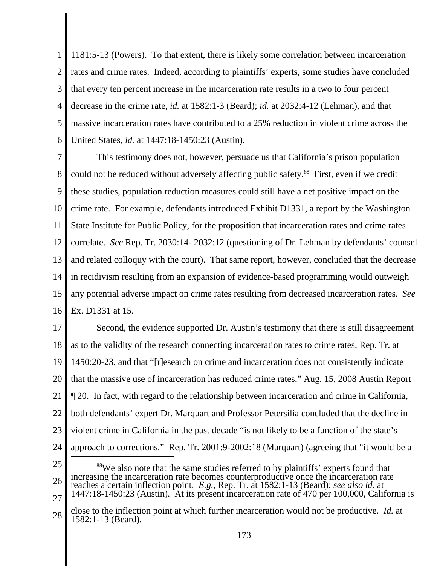1 2 3 4 5 6 1181:5-13 (Powers). To that extent, there is likely some correlation between incarceration rates and crime rates. Indeed, according to plaintiffs' experts, some studies have concluded that every ten percent increase in the incarceration rate results in a two to four percent decrease in the crime rate, *id.* at 1582:1-3 (Beard); *id.* at 2032:4-12 (Lehman), and that massive incarceration rates have contributed to a 25% reduction in violent crime across the United States, *id.* at 1447:18-1450:23 (Austin).

7 8 9 10 11 12 13 14 15 16 This testimony does not, however, persuade us that California's prison population could not be reduced without adversely affecting public safety.<sup>88</sup> First, even if we credit these studies, population reduction measures could still have a net positive impact on the crime rate. For example, defendants introduced Exhibit D1331, a report by the Washington State Institute for Public Policy, for the proposition that incarceration rates and crime rates correlate. *See* Rep. Tr. 2030:14- 2032:12 (questioning of Dr. Lehman by defendants' counsel and related colloquy with the court). That same report, however, concluded that the decrease in recidivism resulting from an expansion of evidence-based programming would outweigh any potential adverse impact on crime rates resulting from decreased incarceration rates. *See* Ex. D1331 at 15.

17 18 19 20 21 22 23 24 Second, the evidence supported Dr. Austin's testimony that there is still disagreement as to the validity of the research connecting incarceration rates to crime rates, Rep. Tr. at 1450:20-23, and that "[r]esearch on crime and incarceration does not consistently indicate that the massive use of incarceration has reduced crime rates," Aug. 15, 2008 Austin Report ¶ 20. In fact, with regard to the relationship between incarceration and crime in California, both defendants' expert Dr. Marquart and Professor Petersilia concluded that the decline in violent crime in California in the past decade "is not likely to be a function of the state's approach to corrections." Rep. Tr. 2001:9-2002:18 (Marquart) (agreeing that "it would be a

- 25
- 26 <sup>88</sup>We also note that the same studies referred to by plaintiffs' experts found that increasing the incarceration rate becomes counterproductive once the incarceration rate reaches a certain inflection point. *E.g.*, Rep. Tr. at 1582:1-13 (Beard); *see also id.* at 1447:18-1450:23 (Austin). At its present incarceration rate of 470 per 100,000, California is
- 27

<sup>28</sup> close to the inflection point at which further incarceration would not be productive. *Id.* at 1582:1-13 (Beard).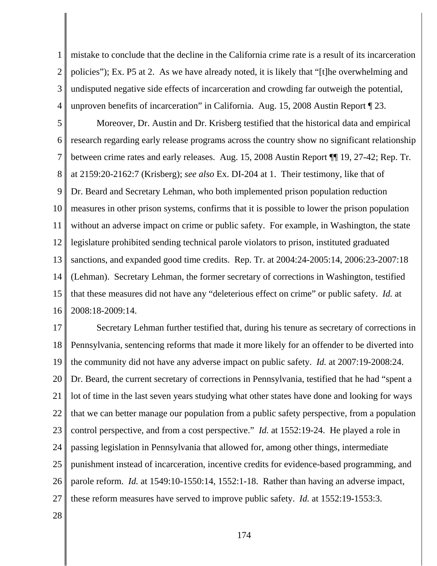1 2 3 4 mistake to conclude that the decline in the California crime rate is a result of its incarceration policies"); Ex. P5 at 2. As we have already noted, it is likely that "[t]he overwhelming and undisputed negative side effects of incarceration and crowding far outweigh the potential, unproven benefits of incarceration" in California. Aug. 15, 2008 Austin Report ¶ 23.

5 6 7 8 9 10 11 12 13 14 15 16 Moreover, Dr. Austin and Dr. Krisberg testified that the historical data and empirical research regarding early release programs across the country show no significant relationship between crime rates and early releases. Aug. 15, 2008 Austin Report ¶¶ 19, 27-42; Rep. Tr. at 2159:20-2162:7 (Krisberg); *see also* Ex. DI-204 at 1. Their testimony, like that of Dr. Beard and Secretary Lehman, who both implemented prison population reduction measures in other prison systems, confirms that it is possible to lower the prison population without an adverse impact on crime or public safety. For example, in Washington, the state legislature prohibited sending technical parole violators to prison, instituted graduated sanctions, and expanded good time credits. Rep. Tr. at 2004:24-2005:14, 2006:23-2007:18 (Lehman). Secretary Lehman, the former secretary of corrections in Washington, testified that these measures did not have any "deleterious effect on crime" or public safety. *Id.* at 2008:18-2009:14.

17 18 19 20 21 22 23 24 25 26 27 Secretary Lehman further testified that, during his tenure as secretary of corrections in Pennsylvania, sentencing reforms that made it more likely for an offender to be diverted into the community did not have any adverse impact on public safety. *Id.* at 2007:19-2008:24. Dr. Beard, the current secretary of corrections in Pennsylvania, testified that he had "spent a lot of time in the last seven years studying what other states have done and looking for ways that we can better manage our population from a public safety perspective, from a population control perspective, and from a cost perspective." *Id.* at 1552:19-24. He played a role in passing legislation in Pennsylvania that allowed for, among other things, intermediate punishment instead of incarceration, incentive credits for evidence-based programming, and parole reform. *Id.* at 1549:10-1550:14, 1552:1-18. Rather than having an adverse impact, these reform measures have served to improve public safety. *Id.* at 1552:19-1553:3.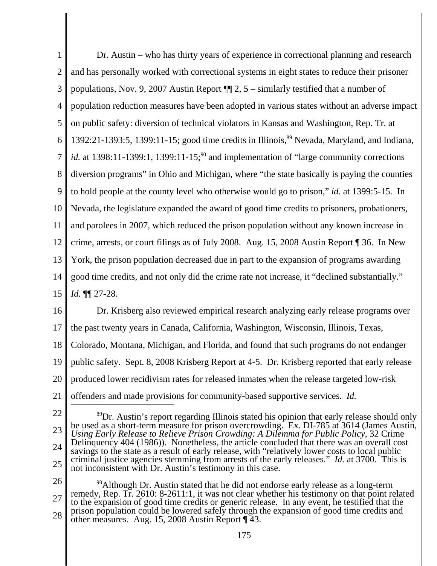1 2 3 4 5 6 7 8 9 10 11 12 13 14 15 Dr. Austin – who has thirty years of experience in correctional planning and research and has personally worked with correctional systems in eight states to reduce their prisoner populations, Nov. 9, 2007 Austin Report ¶¶ 2, 5 – similarly testified that a number of population reduction measures have been adopted in various states without an adverse impact on public safety: diversion of technical violators in Kansas and Washington, Rep. Tr. at  $1392:21-1393:5$ ,  $1399:11-15$ ; good time credits in Illinois,  $89$  Nevada, Maryland, and Indiana, *id.* at 1398:11-1399:1, 1399:11-15;<sup>90</sup> and implementation of "large community corrections" diversion programs" in Ohio and Michigan, where "the state basically is paying the counties to hold people at the county level who otherwise would go to prison," *id.* at 1399:5-15. In Nevada, the legislature expanded the award of good time credits to prisoners, probationers, and parolees in 2007, which reduced the prison population without any known increase in crime, arrests, or court filings as of July 2008. Aug. 15, 2008 Austin Report ¶ 36. In New York, the prison population decreased due in part to the expansion of programs awarding good time credits, and not only did the crime rate not increase, it "declined substantially." *Id.* ¶¶ 27-28.

16 17 18 19 20 21 Dr. Krisberg also reviewed empirical research analyzing early release programs over the past twenty years in Canada, California, Washington, Wisconsin, Illinois, Texas, Colorado, Montana, Michigan, and Florida, and found that such programs do not endanger public safety. Sept. 8, 2008 Krisberg Report at 4-5. Dr. Krisberg reported that early release produced lower recidivism rates for released inmates when the release targeted low-risk offenders and made provisions for community-based supportive services. *Id.*

22

23 24 25 <sup>89</sup>Dr. Austin's report regarding Illinois stated his opinion that early release should only be used as a short-term measure for prison overcrowding. Ex. DI-785 at 3614 (James Austin, *Using Early Release to Relieve Prison Crowding: A Dilemma for Public Policy*, 32 Crime Delinquency 404 (1986)). Nonetheless, the article concluded that there was an overall cost savings to the state as a result of early release, with "relatively lower costs to local public criminal justice agencies stemming from arrests of the early releases." *Id.* at 3700. This is not inconsistent with Dr. Austin's testimony in this case.

26 27 28  $90$ Although Dr. Austin stated that he did not endorse early release as a long-term remedy, Rep. Tr. 2610: 8-2611:1, it was not clear whether his testimony on that point related to the expansion of good time credits or generic release. In any event, he testified that the prison population could be lowered safely through the expansion of good time credits and other measures. Aug. 15, 2008 Austin Report ¶ 43.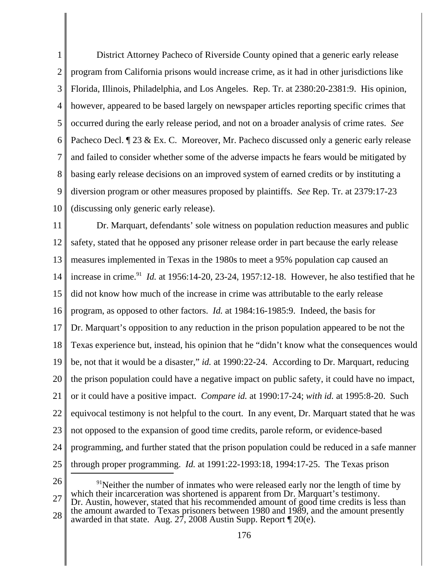1 2 3 4 5 6 7 8 9 10 District Attorney Pacheco of Riverside County opined that a generic early release program from California prisons would increase crime, as it had in other jurisdictions like Florida, Illinois, Philadelphia, and Los Angeles. Rep. Tr. at 2380:20-2381:9. His opinion, however, appeared to be based largely on newspaper articles reporting specific crimes that occurred during the early release period, and not on a broader analysis of crime rates. *See* Pacheco Decl.  $\sqrt{23} \& \text{Ex. C. Moreover, Mr. Pacheco discussed only a generic early release}$ and failed to consider whether some of the adverse impacts he fears would be mitigated by basing early release decisions on an improved system of earned credits or by instituting a diversion program or other measures proposed by plaintiffs. *See* Rep. Tr. at 2379:17-23 (discussing only generic early release).

11 12 13 14 15 16 17 18 19 20 21 22 23 24 25 Dr. Marquart, defendants' sole witness on population reduction measures and public safety, stated that he opposed any prisoner release order in part because the early release measures implemented in Texas in the 1980s to meet a 95% population cap caused an increase in crime.<sup>91</sup> *Id.* at 1956:14-20, 23-24, 1957:12-18. However, he also testified that he did not know how much of the increase in crime was attributable to the early release program, as opposed to other factors. *Id.* at 1984:16-1985:9. Indeed, the basis for Dr. Marquart's opposition to any reduction in the prison population appeared to be not the Texas experience but, instead, his opinion that he "didn't know what the consequences would be, not that it would be a disaster," *id.* at 1990:22-24. According to Dr. Marquart, reducing the prison population could have a negative impact on public safety, it could have no impact, or it could have a positive impact. *Compare id.* at 1990:17-24; *with id.* at 1995:8-20. Such equivocal testimony is not helpful to the court. In any event, Dr. Marquart stated that he was not opposed to the expansion of good time credits, parole reform, or evidence-based programming, and further stated that the prison population could be reduced in a safe manner through proper programming. *Id.* at 1991:22-1993:18, 1994:17-25. The Texas prison

26

27  $91$ Neither the number of inmates who were released early nor the length of time by which their incarceration was shortened is apparent from Dr. Marquart's testimony. Dr. Austin, however, stated that his recommended amount of good time credits is less than

28 the amount awarded to Texas prisoners between 1980 and 1989, and the amount presently awarded in that state. Aug. 27, 2008 Austin Supp. Report ¶ 20(e).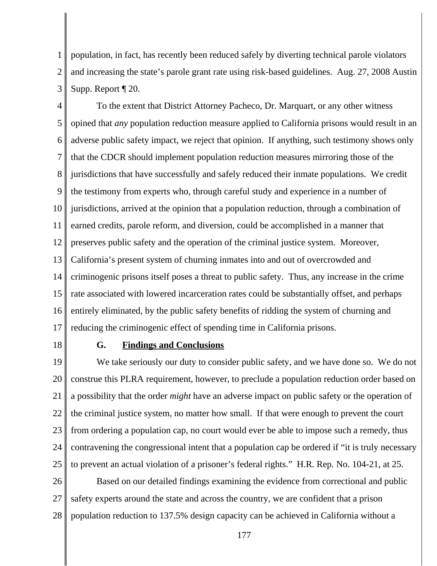1 2 3 population, in fact, has recently been reduced safely by diverting technical parole violators and increasing the state's parole grant rate using risk-based guidelines. Aug. 27, 2008 Austin Supp. Report ¶ 20.

4 5 6 7 8 9 10 11 12 13 14 15 16 17 To the extent that District Attorney Pacheco, Dr. Marquart, or any other witness opined that *any* population reduction measure applied to California prisons would result in an adverse public safety impact, we reject that opinion. If anything, such testimony shows only that the CDCR should implement population reduction measures mirroring those of the jurisdictions that have successfully and safely reduced their inmate populations. We credit the testimony from experts who, through careful study and experience in a number of jurisdictions, arrived at the opinion that a population reduction, through a combination of earned credits, parole reform, and diversion, could be accomplished in a manner that preserves public safety and the operation of the criminal justice system. Moreover, California's present system of churning inmates into and out of overcrowded and criminogenic prisons itself poses a threat to public safety. Thus, any increase in the crime rate associated with lowered incarceration rates could be substantially offset, and perhaps entirely eliminated, by the public safety benefits of ridding the system of churning and reducing the criminogenic effect of spending time in California prisons.

18

### **G. Findings and Conclusions**

19 20 21 22 23 24 25 We take seriously our duty to consider public safety, and we have done so. We do not construe this PLRA requirement, however, to preclude a population reduction order based on a possibility that the order *might* have an adverse impact on public safety or the operation of the criminal justice system, no matter how small. If that were enough to prevent the court from ordering a population cap, no court would ever be able to impose such a remedy, thus contravening the congressional intent that a population cap be ordered if "it is truly necessary to prevent an actual violation of a prisoner's federal rights." H.R. Rep. No. 104-21, at 25.

26 27 28 Based on our detailed findings examining the evidence from correctional and public safety experts around the state and across the country, we are confident that a prison population reduction to 137.5% design capacity can be achieved in California without a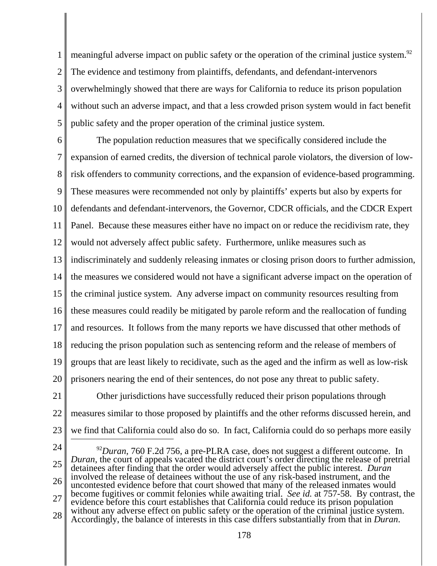1 2 3 4 5 meaningful adverse impact on public safety or the operation of the criminal justice system.<sup>92</sup> The evidence and testimony from plaintiffs, defendants, and defendant-intervenors overwhelmingly showed that there are ways for California to reduce its prison population without such an adverse impact, and that a less crowded prison system would in fact benefit public safety and the proper operation of the criminal justice system.

6 7 8 9 10 11 12 13 14 15 16 17 18 19 20 The population reduction measures that we specifically considered include the expansion of earned credits, the diversion of technical parole violators, the diversion of lowrisk offenders to community corrections, and the expansion of evidence-based programming. These measures were recommended not only by plaintiffs' experts but also by experts for defendants and defendant-intervenors, the Governor, CDCR officials, and the CDCR Expert Panel. Because these measures either have no impact on or reduce the recidivism rate, they would not adversely affect public safety. Furthermore, unlike measures such as indiscriminately and suddenly releasing inmates or closing prison doors to further admission, the measures we considered would not have a significant adverse impact on the operation of the criminal justice system. Any adverse impact on community resources resulting from these measures could readily be mitigated by parole reform and the reallocation of funding and resources. It follows from the many reports we have discussed that other methods of reducing the prison population such as sentencing reform and the release of members of groups that are least likely to recidivate, such as the aged and the infirm as well as low-risk prisoners nearing the end of their sentences, do not pose any threat to public safety.

21 22 23 Other jurisdictions have successfully reduced their prison populations through measures similar to those proposed by plaintiffs and the other reforms discussed herein, and we find that California could also do so. In fact, California could do so perhaps more easily

24

25 26 27 28 <sup>92</sup>*Duran*, 760 F.2d 756, a pre-PLRA case, does not suggest a different outcome. In *Duran*, the court of appeals vacated the district court's order directing the release of pretrial detainees after finding that the order would adversely affect the public interest. *Duran* involved the release of detainees without the use of any risk-based instrument, and the uncontested evidence before that court showed that many of the released inmates would become fugitives or commit felonies while awaiting trial. *See id.* at 757-58. By contrast, the evidence before this court establishes that California could reduce its prison population without any adverse effect on public safety or the operation of the criminal justice system. Accordingly, the balance of interests in this case differs substantially from that in *Duran*.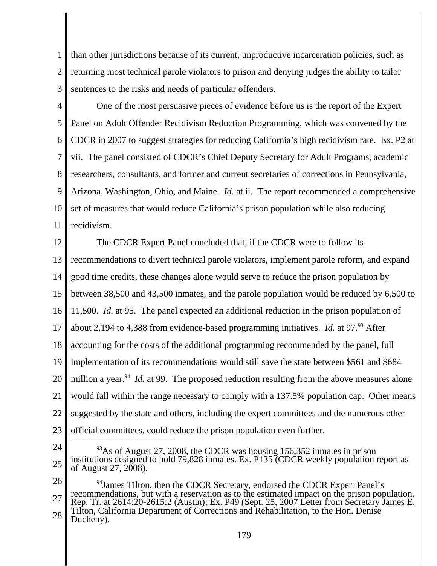1 2 3 than other jurisdictions because of its current, unproductive incarceration policies, such as returning most technical parole violators to prison and denying judges the ability to tailor sentences to the risks and needs of particular offenders.

4 5 6 7 8 9 10 11 One of the most persuasive pieces of evidence before us is the report of the Expert Panel on Adult Offender Recidivism Reduction Programming, which was convened by the CDCR in 2007 to suggest strategies for reducing California's high recidivism rate. Ex. P2 at vii. The panel consisted of CDCR's Chief Deputy Secretary for Adult Programs, academic researchers, consultants, and former and current secretaries of corrections in Pennsylvania, Arizona, Washington, Ohio, and Maine. *Id.* at ii. The report recommended a comprehensive set of measures that would reduce California's prison population while also reducing recidivism.

12 13 14 15 16 17 18 19 20 21 22 23 The CDCR Expert Panel concluded that, if the CDCR were to follow its recommendations to divert technical parole violators, implement parole reform, and expand good time credits, these changes alone would serve to reduce the prison population by between 38,500 and 43,500 inmates, and the parole population would be reduced by 6,500 to 11,500. *Id.* at 95. The panel expected an additional reduction in the prison population of about 2,194 to 4,388 from evidence-based programming initiatives. *Id.* at 97.<sup>93</sup> After accounting for the costs of the additional programming recommended by the panel, full implementation of its recommendations would still save the state between \$561 and \$684 million a year.<sup>94</sup> *Id.* at 99. The proposed reduction resulting from the above measures alone would fall within the range necessary to comply with a 137.5% population cap. Other means suggested by the state and others, including the expert committees and the numerous other official committees, could reduce the prison population even further.

24

25

 $^{93}$ As of August 27, 2008, the CDCR was housing 156,352 inmates in prison institutions designed to hold 79,828 inmates. Ex. P135 (CDCR weekly population report as of August 27, 2008).

26 27 28 <sup>94</sup>James Tilton, then the CDCR Secretary, endorsed the CDCR Expert Panel's recommendations, but with a reservation as to the estimated impact on the prison population. Rep. Tr. at 2614:20-2615:2 (Austin); Ex. P49 (Sept. 25, 2007 Letter from Secretary James E. Tilton, California Department of Corrections and Rehabilitation, to the Hon. Denise Ducheny).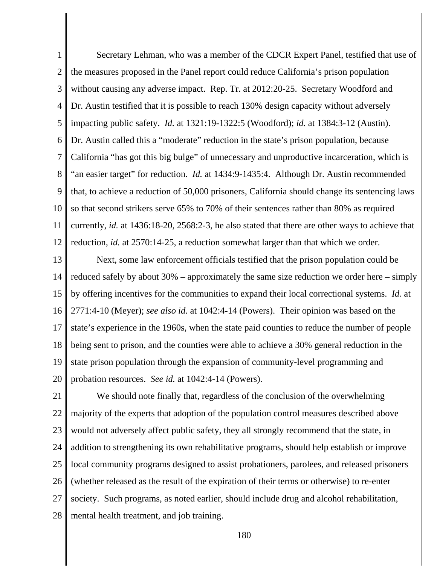1 2 3 4 5 6 7 8 9 10 11 12 Secretary Lehman, who was a member of the CDCR Expert Panel, testified that use of the measures proposed in the Panel report could reduce California's prison population without causing any adverse impact. Rep. Tr. at 2012:20-25. Secretary Woodford and Dr. Austin testified that it is possible to reach 130% design capacity without adversely impacting public safety. *Id.* at 1321:19-1322:5 (Woodford); *id.* at 1384:3-12 (Austin). Dr. Austin called this a "moderate" reduction in the state's prison population, because California "has got this big bulge" of unnecessary and unproductive incarceration, which is "an easier target" for reduction. *Id.* at 1434:9-1435:4. Although Dr. Austin recommended that, to achieve a reduction of 50,000 prisoners, California should change its sentencing laws so that second strikers serve 65% to 70% of their sentences rather than 80% as required currently, *id.* at 1436:18-20, 2568:2-3, he also stated that there are other ways to achieve that reduction, *id.* at 2570:14-25, a reduction somewhat larger than that which we order.

13 14 15 16 17 18 19 20 Next, some law enforcement officials testified that the prison population could be reduced safely by about 30% – approximately the same size reduction we order here – simply by offering incentives for the communities to expand their local correctional systems. *Id.* at 2771:4-10 (Meyer); *see also id.* at 1042:4-14 (Powers). Their opinion was based on the state's experience in the 1960s, when the state paid counties to reduce the number of people being sent to prison, and the counties were able to achieve a 30% general reduction in the state prison population through the expansion of community-level programming and probation resources. *See id.* at 1042:4-14 (Powers).

21 22 23 24 25 26 27 28 We should note finally that, regardless of the conclusion of the overwhelming majority of the experts that adoption of the population control measures described above would not adversely affect public safety, they all strongly recommend that the state, in addition to strengthening its own rehabilitative programs, should help establish or improve local community programs designed to assist probationers, parolees, and released prisoners (whether released as the result of the expiration of their terms or otherwise) to re-enter society. Such programs, as noted earlier, should include drug and alcohol rehabilitation, mental health treatment, and job training.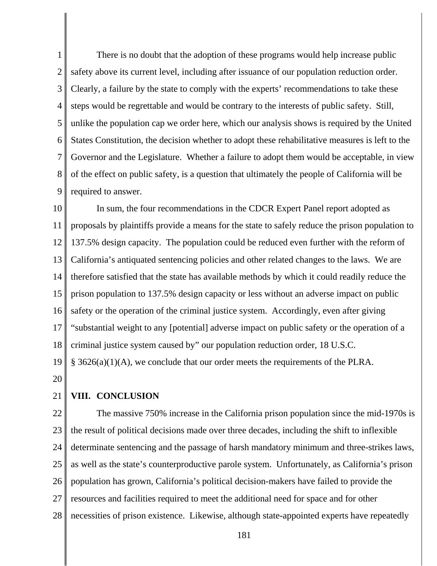1 2 3 4 5 6 7 8 9 There is no doubt that the adoption of these programs would help increase public safety above its current level, including after issuance of our population reduction order. Clearly, a failure by the state to comply with the experts' recommendations to take these steps would be regrettable and would be contrary to the interests of public safety. Still, unlike the population cap we order here, which our analysis shows is required by the United States Constitution, the decision whether to adopt these rehabilitative measures is left to the Governor and the Legislature. Whether a failure to adopt them would be acceptable, in view of the effect on public safety, is a question that ultimately the people of California will be required to answer.

10 11 12 13 14 15 16 17 18 19 In sum, the four recommendations in the CDCR Expert Panel report adopted as proposals by plaintiffs provide a means for the state to safely reduce the prison population to 137.5% design capacity. The population could be reduced even further with the reform of California's antiquated sentencing policies and other related changes to the laws. We are therefore satisfied that the state has available methods by which it could readily reduce the prison population to 137.5% design capacity or less without an adverse impact on public safety or the operation of the criminal justice system. Accordingly, even after giving "substantial weight to any [potential] adverse impact on public safety or the operation of a criminal justice system caused by" our population reduction order, 18 U.S.C.  $§$  3626(a)(1)(A), we conclude that our order meets the requirements of the PLRA.

20

## 21 **VIII. CONCLUSION**

22 23 24 25 26 27 28 The massive 750% increase in the California prison population since the mid-1970s is the result of political decisions made over three decades, including the shift to inflexible determinate sentencing and the passage of harsh mandatory minimum and three-strikes laws, as well as the state's counterproductive parole system. Unfortunately, as California's prison population has grown, California's political decision-makers have failed to provide the resources and facilities required to meet the additional need for space and for other necessities of prison existence. Likewise, although state-appointed experts have repeatedly

181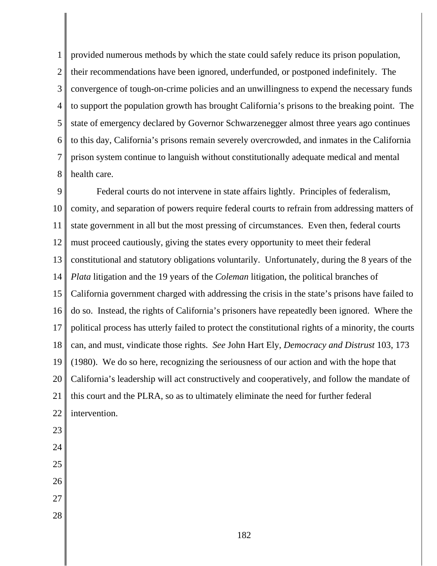1 2 3 4 5 6 7 8 provided numerous methods by which the state could safely reduce its prison population, their recommendations have been ignored, underfunded, or postponed indefinitely. The convergence of tough-on-crime policies and an unwillingness to expend the necessary funds to support the population growth has brought California's prisons to the breaking point. The state of emergency declared by Governor Schwarzenegger almost three years ago continues to this day, California's prisons remain severely overcrowded, and inmates in the California prison system continue to languish without constitutionally adequate medical and mental health care.

9 10 11 12 13 14 15 16 17 18 19 20 21 22 23 24 25 26 27 Federal courts do not intervene in state affairs lightly. Principles of federalism, comity, and separation of powers require federal courts to refrain from addressing matters of state government in all but the most pressing of circumstances. Even then, federal courts must proceed cautiously, giving the states every opportunity to meet their federal constitutional and statutory obligations voluntarily. Unfortunately, during the 8 years of the *Plata* litigation and the 19 years of the *Coleman* litigation, the political branches of California government charged with addressing the crisis in the state's prisons have failed to do so. Instead, the rights of California's prisoners have repeatedly been ignored. Where the political process has utterly failed to protect the constitutional rights of a minority, the courts can, and must, vindicate those rights. *See* John Hart Ely, *Democracy and Distrust* 103, 173 (1980). We do so here, recognizing the seriousness of our action and with the hope that California's leadership will act constructively and cooperatively, and follow the mandate of this court and the PLRA, so as to ultimately eliminate the need for further federal intervention.

28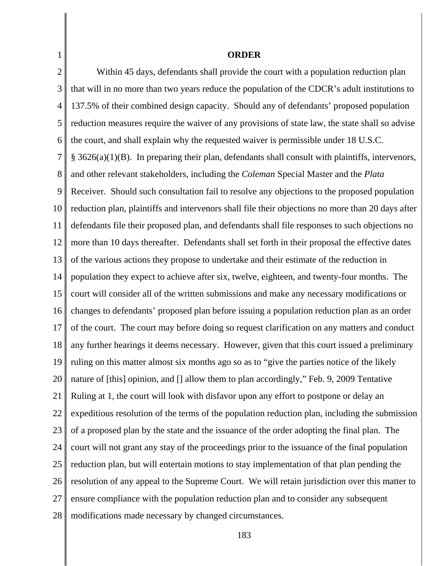1 2 3 4 5 6 7 8 9 10 11 12 13 14 15 16 17 18 19 20 21 22 23 24 25 26 27 28 **ORDER** Within 45 days, defendants shall provide the court with a population reduction plan that will in no more than two years reduce the population of the CDCR's adult institutions to 137.5% of their combined design capacity. Should any of defendants' proposed population reduction measures require the waiver of any provisions of state law, the state shall so advise the court, and shall explain why the requested waiver is permissible under 18 U.S.C. § 3626(a)(1)(B). In preparing their plan, defendants shall consult with plaintiffs, intervenors, and other relevant stakeholders, including the *Coleman* Special Master and the *Plata* Receiver. Should such consultation fail to resolve any objections to the proposed population reduction plan, plaintiffs and intervenors shall file their objections no more than 20 days after defendants file their proposed plan, and defendants shall file responses to such objections no more than 10 days thereafter. Defendants shall set forth in their proposal the effective dates of the various actions they propose to undertake and their estimate of the reduction in population they expect to achieve after six, twelve, eighteen, and twenty-four months. The court will consider all of the written submissions and make any necessary modifications or changes to defendants' proposed plan before issuing a population reduction plan as an order of the court. The court may before doing so request clarification on any matters and conduct any further hearings it deems necessary. However, given that this court issued a preliminary ruling on this matter almost six months ago so as to "give the parties notice of the likely nature of [this] opinion, and [] allow them to plan accordingly," Feb. 9, 2009 Tentative Ruling at 1, the court will look with disfavor upon any effort to postpone or delay an expeditious resolution of the terms of the population reduction plan, including the submission of a proposed plan by the state and the issuance of the order adopting the final plan. The court will not grant any stay of the proceedings prior to the issuance of the final population reduction plan, but will entertain motions to stay implementation of that plan pending the resolution of any appeal to the Supreme Court. We will retain jurisdiction over this matter to ensure compliance with the population reduction plan and to consider any subsequent modifications made necessary by changed circumstances.